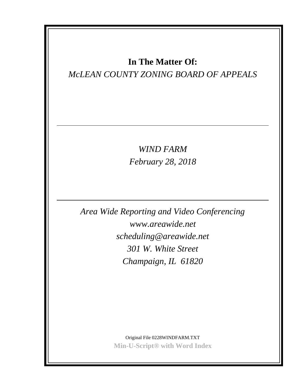# **In The Matter Of:**

# *McLEAN COUNTY ZONING BOARD OF APPEALS*

*WIND FARM February 28, 2018*

*Area Wide Reporting and Video Conferencing www.areawide.net scheduling@areawide.net 301 W. White Street Champaign, IL 61820*

> Original File 0228WINDFARM.TXT **Min-U-Script® with Word Index**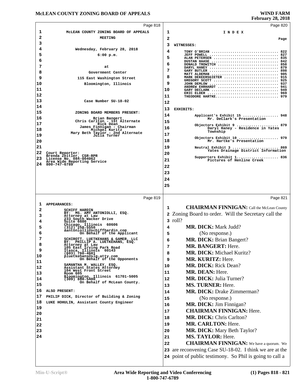#### **McLEAN COUNTY ZONING BOARD OF APPEALS**

# **February 28, 2018**

|                                                                                  |                                                                                                    |    | $1 \text{cm}$ $\mu$ and $\mu$ and $\mu$                                                                             |
|----------------------------------------------------------------------------------|----------------------------------------------------------------------------------------------------|----|---------------------------------------------------------------------------------------------------------------------|
|                                                                                  | Page 818                                                                                           |    | Page 820                                                                                                            |
| ı                                                                                | MCLEAN COUNTY ZONING BOARD OF APPEALS                                                              | 1  | INDEX                                                                                                               |
| 2                                                                                | <b>MEETING</b>                                                                                     | 2  | Page                                                                                                                |
| з                                                                                |                                                                                                    | 3  | WITNESSES:                                                                                                          |
| 4                                                                                | Wednesday, February 28, 2018                                                                       | 4  | TONY O'BRIAN  822                                                                                                   |
| 5                                                                                | $6:00$ p.m.                                                                                        | 5  | JEFF POWELL  827<br>ALAN PETERSEN  835                                                                              |
| 6                                                                                |                                                                                                    | 6  | DUSTAN HAASE  842<br>DONALD TROWITCH  858                                                                           |
| 7                                                                                | at                                                                                                 | 7  | DARYL HANEY  879                                                                                                    |
| 8                                                                                | Government Center                                                                                  |    | GARY BUTLER  898<br>MATT ALDEMAN  905                                                                               |
| 9                                                                                | 115 East Washington Street                                                                         | 8  | MARK DEKEERSGIETER  915<br>GREGORY SCOTT  925                                                                       |
| 10                                                                               | Bloomington, Illinois                                                                              | 9  | JOHN DEMLOW  937<br>ANDREW EHRHARDT  941                                                                            |
| 11                                                                               |                                                                                                    | 10 | GARY DECLARK  949<br>ERIC ELDER  969                                                                                |
| 12                                                                               |                                                                                                    | 11 | THEODORE HARTKE 979                                                                                                 |
| 13                                                                               | Case Number SU-18-02                                                                               | 12 |                                                                                                                     |
| 14                                                                               |                                                                                                    | 13 | EXHIBITS:                                                                                                           |
| 15                                                                               | ZONING BOARD MEMBERS PRESENT:                                                                      | 14 | Applicant's Exhibit 15  948                                                                                         |
| 16                                                                               | Brian Bangert<br>Chris Carlton - 1st Alternate                                                     | 15 | Mr. DeClark's Presentation                                                                                          |
| 17                                                                               | Rick Dean<br>James Finnigan - Chairman<br>Michael Kuritz                                           | 16 | Objectors Exhibit 9  879<br>Daryl Haney - Residence in Yates                                                        |
| 18<br>19                                                                         | Mary Beth Taylor - 2nd Alternate<br>Julia Turner                                                   | 17 | Township                                                                                                            |
| 20                                                                               |                                                                                                    | 18 | Objectors Exhibit 10  979<br>Mr. Hartke's Presentation                                                              |
| 21                                                                               |                                                                                                    | 19 |                                                                                                                     |
| 22                                                                               | Court Reporter:                                                                                    |    | Neutral Exhibit 3  869<br>Yates Drainage District Information                                                       |
| 23                                                                               | Brenda Zeitler, CSR-RPR<br>License No. 084-004062                                                  | 20 | Supporters Exhibit 1 836                                                                                            |
| 24                                                                               | Area Wide Reporting Service<br>800-747-6789                                                        | 21 | Pictures of Henline Creek                                                                                           |
|                                                                                  |                                                                                                    | 22 |                                                                                                                     |
|                                                                                  |                                                                                                    | 23 |                                                                                                                     |
|                                                                                  |                                                                                                    | 24 |                                                                                                                     |
|                                                                                  |                                                                                                    | 25 |                                                                                                                     |
|                                                                                  |                                                                                                    |    |                                                                                                                     |
|                                                                                  | Page 819                                                                                           |    | Page 821                                                                                                            |
| ı                                                                                | <b>APPEARANCES:</b>                                                                                | 1  | <b>CHAIRMAN FINNIGAN:</b> Call the McLean County                                                                    |
| 2                                                                                | <b>SCHIFF HARDIN</b><br>BY: MS. AMY ANTONIOLLI, ESQ.                                               |    | 2 Zoning Board to order. Will the Secretary call the                                                                |
| з<br>4                                                                           | Attorney at Law<br>233 South Wacker Drive                                                          |    | 3 roll?                                                                                                             |
| 5                                                                                | Suite 6600<br>Chicago, Illinois 60606<br>(312) 258-5550                                            | 4  | MR. DICK: Mark Judd?                                                                                                |
| 6                                                                                | aantoniolli@schiffhardin.com<br>On Behalf of the Applicant                                         |    |                                                                                                                     |
| 7                                                                                | SCHIROTT, LUETKEHANS & GAMER, LLC                                                                  | 5  | (No response.)                                                                                                      |
| 8                                                                                | BY: PHILLIP A. LUETKEHANS, ESQ.<br>Attorney at Law                                                 | 6  | <b>MR. DICK: Brian Bangert?</b>                                                                                     |
| 9                                                                                | 105 East Irving Park Road                                                                          | 7  | <b>MR. BANGERT: Here.</b>                                                                                           |
| 10                                                                               | Itasca, Illinois 60143<br>(603) 760-4601<br>pluetkehans@slg-atty.com<br>On Behalf of the Opponents | 8  | <b>MR. DICK: Michael Kuritz?</b>                                                                                    |
|                                                                                  |                                                                                                    |    |                                                                                                                     |
|                                                                                  |                                                                                                    | 9  | <b>MR. KURITZ: Here.</b>                                                                                            |
|                                                                                  | SAMANTHA M. WALLEY, ESQ.                                                                           | 10 | <b>MR. DICK:</b> Rick Dean?                                                                                         |
|                                                                                  | Assistant States Attorney<br>104 West Front Street<br>Room 605                                     | 11 | MR. DEAN: Here.                                                                                                     |
|                                                                                  | Bloomington, Illinois 61701-5005<br>$(309)$ 888-5400                                               | 12 | <b>MR. DICK: Julia Turner?</b>                                                                                      |
|                                                                                  | On Behalf of McLean County.                                                                        | 13 | <b>MS. TURNER: Here.</b>                                                                                            |
|                                                                                  | ALSO PRESENT:                                                                                      | 14 |                                                                                                                     |
|                                                                                  | PHILIP DICK, Director of Building & Zoning                                                         |    | <b>MR. DICK: Drake Zimmerman?</b>                                                                                   |
|                                                                                  | LUKE HOHULIN, Assistant County Engineer                                                            | 15 | (No response.)                                                                                                      |
|                                                                                  |                                                                                                    | 16 | MR. DICK: Jim Finnigan?                                                                                             |
|                                                                                  |                                                                                                    | 17 | <b>CHAIRMAN FINNIGAN: Here.</b>                                                                                     |
|                                                                                  |                                                                                                    | 18 | <b>MR. DICK: Chris Carlton?</b>                                                                                     |
|                                                                                  |                                                                                                    | 19 | MR. CARLTON: Here.                                                                                                  |
|                                                                                  |                                                                                                    | 20 | <b>MR. DICK:</b> Mary Beth Taylor?                                                                                  |
|                                                                                  |                                                                                                    | 21 | <b>MS. TAYLOR: Here.</b>                                                                                            |
|                                                                                  |                                                                                                    | 22 | <b>CHAIRMAN FINNIGAN:</b> We have a quorum. We                                                                      |
| 11<br>12<br>13<br>14<br>15<br>16<br>17<br>18<br>19<br>20<br>21<br>22<br>23<br>24 |                                                                                                    |    |                                                                                                                     |
|                                                                                  |                                                                                                    |    | 23 are reconvening Case SU-18-02. I think we are at the<br>24 point of public testimony. So Phil is going to call a |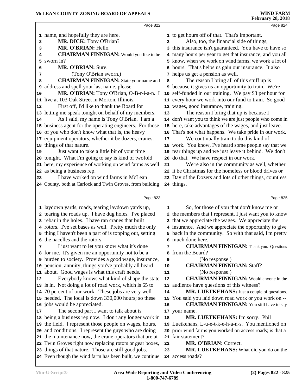|    | Page 822                                                                                                         |    | Page 824                                                                        |
|----|------------------------------------------------------------------------------------------------------------------|----|---------------------------------------------------------------------------------|
|    | 1 name, and hopefully they are here.                                                                             |    | 1 to get hours off of that. That's important.                                   |
| 2  | MR. DICK: Tony O'Brian?                                                                                          | 2  | Also, too, the financial side of things,                                        |
| 3  | MR. O'BRIAN: Hello.                                                                                              | 3  | this insurance isn't guaranteed. You have to have so                            |
| 4  | <b>CHAIRMAN FINNIGAN:</b> Would you like to be                                                                   |    | many hours per year to get that insurance; and you all                          |
| 5  | sworn in?                                                                                                        |    | know, when we work on wind farms, we work a lot of                              |
| 6  | MR. O'BRIAN: Sure.                                                                                               |    | 6 hours. That's helps us gain our insurance. It also                            |
| 7  | (Tony O'Brian sworn.)                                                                                            |    | 7 helps us get a pension as well.                                               |
| 8  | <b>CHAIRMAN FINNIGAN:</b> State your name and                                                                    | 8  | The reason I bring all of this stuff up is                                      |
|    | <b>9</b> address and spell your last name, please.                                                               | 9  | because it gives us an opportunity to train. We're                              |
| 10 | MR. O'BRIAN: Tony O'Brian, O-B-r-i-a-n. I                                                                        |    | 10 self-funded in our training. We pay \$3 per hour for                         |
|    | 11 live at 103 Oak Street in Morton, Illinois.                                                                   |    | 11 every hour we work into our fund to train. So good                           |
| 12 | First off, I'd like to thank the Board for                                                                       |    | 12 wages, good insurance, training.                                             |
|    | 13 letting me speak tonight on behalf of my members.                                                             | 13 | The reason I bring that up is because I                                         |
| 14 | As I said, my name is Tony O'Brian. I am a                                                                       |    | 14 don't want you to think we are just people who come in                       |
|    | 15 business agent for the operating engineers. For those                                                         |    | 15 here, take advantages of the wages, and just leave.                          |
|    | 16 of you who don't know what that is, the heavy                                                                 |    | 16 That's not what happens. We take pride in our work.                          |
|    | 17 equipment operators, whether it be dozers, cranes,                                                            | 17 | We continually train to do this kind of                                         |
|    | 18 things of that nature.                                                                                        |    | 18 work. You know, I've heard some people say that we                           |
| 19 | Just want to take a little bit of your time                                                                      |    | 19 tear things up and we just leave it behind. We don't                         |
|    | 20 tonight. What I'm going to say is kind of twofold                                                             |    | 20 do that. We have respect in our work.                                        |
|    | 21 here, my experience of working on wind farms as well                                                          | 21 | We're also in the community as well, whether                                    |
|    | 22 as being a business rep.                                                                                      |    | 22 it be Christmas for the homeless or blood drives or                          |
| 23 | I have worked on wind farms in McLean                                                                            |    | 23 Day of the Dozers and lots of other things, countless                        |
|    | 24 County, both at Carlock and Twin Groves, from building                                                        |    | 24 things.                                                                      |
|    |                                                                                                                  |    |                                                                                 |
|    |                                                                                                                  |    |                                                                                 |
|    | Page 823                                                                                                         |    | Page 825                                                                        |
|    |                                                                                                                  |    |                                                                                 |
|    | 1 laydown yards, roads, tearing laydown yards up,                                                                | 1  | So, for those of you that don't know me or                                      |
|    | 2 tearing the roads up. I have dug holes. I've placed                                                            |    | 2 the members that I represent, I just want you to know                         |
|    | 3 rebar in the holes. I have ran cranes that built                                                               | 3  | that we appreciate the wages. We appreciate the                                 |
|    | 4 rotors. I've set bases as well. Pretty much the only                                                           |    | 4 insurance. And we appreciate the opportunity to give                          |
|    | 5 thing I haven't been a part of is topping out, setting<br>6 the nacelles and the rotors.                       |    | 5 back in the community. So with that said, I'm pretty<br>6 much done here.     |
| 7  |                                                                                                                  | 7  |                                                                                 |
|    | I just want to let you know what it's done                                                                       | 8  | <b>CHAIRMAN FINNIGAN:</b> Thank you. Questions                                  |
|    | 8 for me. It's given me an opportunity not to be a                                                               | 9  | from the Board?                                                                 |
|    | <b>9</b> burden to society. Provides a good wage, insurance,                                                     | 10 | (No response.)                                                                  |
|    | 10 pension, annuity, things you've probably all heard                                                            | 11 | <b>CHAIRMAN FINNIGAN: Staff?</b>                                                |
| 12 | 11 about. Good wages is what this craft needs.<br>Everybody knows what kind of shape the state                   | 12 | (No response.)<br><b>CHAIRMAN FINNIGAN:</b> Would anyone in the                 |
|    | 13 is in. Not doing a lot of road work, which is 65 to                                                           |    | 13 audience have questions of this witness?                                     |
|    | 14 70 percent of our work. These jobs are very well                                                              | 14 | MR. LUETKEHANS: Just a couple of questions.                                     |
|    | 15 needed. The local is down 330,000 hours; so these                                                             |    | 15 You said you laid down road work or you work on --                           |
|    | 16 jobs would be appreciated.                                                                                    | 16 |                                                                                 |
|    |                                                                                                                  |    | <b>CHAIRMAN FINNIGAN:</b> You still have to say                                 |
|    | The second part I want to talk about is                                                                          | 18 | 17 your name.                                                                   |
| 17 | 18 being a business rep now. I don't any longer work in                                                          |    | MR. LUETKEHANS: I'm sorry. Phil                                                 |
|    | 19 the field. I represent those people on wages, hours,                                                          |    | 19 Luetkehans, L-u-e-t-k-e-h-a-n-s. You mentioned on                            |
|    | 20 and conditions. I represent the guys who are doing                                                            |    | 20 prior wind farms you worked on access roads; is that a<br>21 fair statement? |
|    | 21 the maintenance now, the crane operators that are at                                                          | 22 | MR. O'BRIAN: Correct.                                                           |
|    | 22 Twin Groves right now replacing rotors or gear boxes,<br>23 things of that nature. Those are still good jobs. | 23 | MR. LUETKEHANS: What did you do on the                                          |
|    | 24 Even though the wind farm has been built, we continue                                                         |    | 24 access roads?                                                                |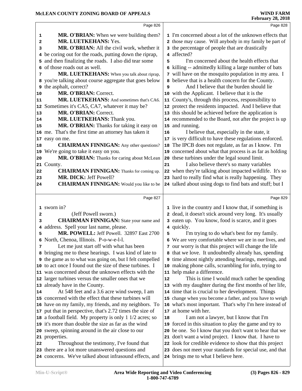|    | Page 826                                                                                             |    | Page 828                                                                                                       |  |
|----|------------------------------------------------------------------------------------------------------|----|----------------------------------------------------------------------------------------------------------------|--|
| 1  | <b>MR. O'BRIAN:</b> When we were building them?                                                      |    | 1 I'm concerned about a lot of the unknown effects that                                                        |  |
| 2  | MR. LUETKEHANS: Yes.                                                                                 |    | 2 those may cause. Will anybody in my family be part of                                                        |  |
| 3  | MR. O'BRIAN: All the civil work, whether it                                                          |    | 3 the percentage of people that are drastically                                                                |  |
| 4  | be coring out for the roads, putting down the riprap,                                                |    | 4 affected?                                                                                                    |  |
| 5  | and then finalizing the roads. I also did tear some                                                  | 5  | I'm concerned about the health effects that                                                                    |  |
| 6  | of those roads out as well.                                                                          |    | 6 killing -- admittedly killing a large number of bats                                                         |  |
| 7  | MR. LUETKEHANS: When you talk about riprap,                                                          |    | 7 will have on the mosquito population in my area. I                                                           |  |
|    | 8 you're talking about course aggregate that goes below                                              |    | 8 believe that is a health concern for the County.                                                             |  |
| 9  | the asphalt, correct?                                                                                | 9  | And I believe that the burden should lie                                                                       |  |
| 10 | MR. O'BRIAN: Correct.                                                                                |    | 10 with the Applicant. I believe that it is the                                                                |  |
| 11 | MR. LUETKEHANS: And sometimes that's CA6.                                                            |    | 11 County's, through this process, responsibility to                                                           |  |
|    | 12 Sometimes it's CA5, CA7, whatever it may be?                                                      |    | 12 protect the residents impacted. And I believe that                                                          |  |
| 13 | MR. O'BRIAN: Correct.                                                                                |    | 13 this should be achieved before the application is                                                           |  |
| 14 | MR. LUETKEHANS: Thank you.                                                                           |    | 14 recommended to the Board, not after the project is up                                                       |  |
| 15 | MR. O'BRIAN: Thanks for taking it easy on                                                            |    | 15 and running.                                                                                                |  |
|    | 16 me. That's the first time an attorney has taken it                                                | 16 | I believe that, especially in the state, it                                                                    |  |
| 17 | easy on me.                                                                                          |    | 17 is very difficult to have these regulations enforced.                                                       |  |
| 18 | <b>CHAIRMAN FINNIGAN:</b> Any other questions?                                                       |    | 18 The IPCB does not regulate, as far as I know. I'm                                                           |  |
| 19 | We're going to take it easy on you.                                                                  |    | 19 concerned about what that process is as far as holding                                                      |  |
| 20 | MR. O'BRIAN: Thanks for caring about McLean                                                          |    | 20 these turbines under the legal sound limit.                                                                 |  |
| 21 | County.                                                                                              | 21 | I also believe there's so many variables                                                                       |  |
| 22 | <b>CHAIRMAN FINNIGAN:</b> Thanks for coming up.                                                      |    | 22 when they're talking about impacted wildlife. It's so                                                       |  |
| 23 | MR. DICK: Jeff Powell?                                                                               |    | 23 hard to really find what is really happening. They                                                          |  |
| 24 | <b>CHAIRMAN FINNIGAN:</b> Would you like to be                                                       |    | 24 talked about using dogs to find bats and stuff; but I                                                       |  |
|    |                                                                                                      |    |                                                                                                                |  |
|    |                                                                                                      |    |                                                                                                                |  |
|    | Page 827                                                                                             |    | Page 829                                                                                                       |  |
|    |                                                                                                      |    |                                                                                                                |  |
|    | 1 sworn in?                                                                                          |    | 1 live in the country and I know that, if something is                                                         |  |
| 2  | (Jeff Powell sworn.)                                                                                 |    | 2 dead, it doesn't stick around very long. It's usually                                                        |  |
| 3  | <b>CHAIRMAN FINNIGAN:</b> State your name and                                                        |    | 3 eaten up. You know, food is scarce, and it goes                                                              |  |
| 4  | address. Spell your last name, please.                                                               |    | 4 quickly.                                                                                                     |  |
| 5  | MR. POWELL: Jeff Powell. 32897 East 2700                                                             | 5  | I'm trying to do what's best for my family.                                                                    |  |
|    | 6 North, Chenoa, Illinois. P-o-w-e-l-l.                                                              |    | 6 We are very comfortable where we are in our lives, and                                                       |  |
| 7  | Let me just start off with what has been                                                             |    | 7 our worry is that this project will change the life                                                          |  |
|    | 8 bringing me to these hearings. I was kind of late to                                               |    | 8 that we love. It undoubtedly already has, spending                                                           |  |
|    | 9 the game as to what was going on, but I felt compelled                                             |    | <b>9</b> time almost nightly attending hearings, meetings, and                                                 |  |
|    | 10 to act once I found out the size of these turbines. I                                             |    | 10 making phone calls, scrambling for info, trying to                                                          |  |
|    | 11 was concerned about the unknown effects with the                                                  | 12 | 11 help make a difference.                                                                                     |  |
|    | 12 larger turbines versus the smaller ones that we                                                   |    | This is time I would much rather be spending                                                                   |  |
| 14 | 13 already have in the County.                                                                       |    | 13 with my daughter during the first months of her life,<br>14 time that is crucial to her development. Things |  |
|    | At 548 feet and a 3.6 acre wind sweep, I am<br>15 concerned with the effect that these turbines will |    | 15 change when you become a father, and you have to weigh                                                      |  |
|    | 16 have on my family, my friends, and my neighbors. To                                               |    | 16 what's most important. That's why I'm here instead of                                                       |  |
|    | 17 put that in perspective, that's 2.72 times the size of                                            |    | 17 at home with her.                                                                                           |  |
|    | 18 a football field. My property is only 1 1/2 acres; so                                             | 18 | I am not a lawyer, but I know that I'm                                                                         |  |
|    | 19 it's more than double the size as far as the wind                                                 |    | 19 forced in this situation to play the game and try to                                                        |  |
|    | 20 sweep, spinning around in the air close to our                                                    |    | 20 be one. So I know that you don't want to hear that we                                                       |  |
|    | 21 properties.                                                                                       |    | 21 don't want a wind project. I know that. I have to                                                           |  |
| 22 | Throughout the testimony, I've found that                                                            |    | 22 look for credible evidence to show that this project                                                        |  |
|    | 23 there are a lot more unanswered questions and                                                     |    | 23 does not meet your standards for special use, and that                                                      |  |
|    | 24 concerns. We've talked about infrasound effects, and                                              |    | 24 brings me to what I believe here.                                                                           |  |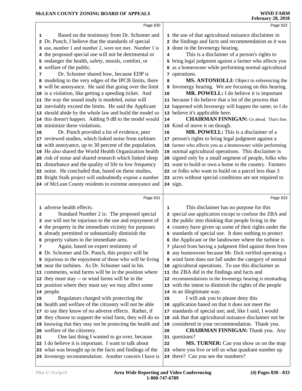|    |                                                          |    | <b>February 28, 2018</b>                                  |
|----|----------------------------------------------------------|----|-----------------------------------------------------------|
|    | Page 830                                                 |    | Page 832                                                  |
| 1  | Based on the testimony from Dr. Schomer and              |    | 1 the use of that agricultural nuisance disclaimer in     |
| 2  | Dr. Punch, I believe that the standards of special       | 2  | the findings and facts and recommendation as it was       |
| 3  | use, number 1 and number 2, were not met. Number 1 is    | 3  | done in the Invenergy hearing.                            |
| 4  | the proposed special use will not be detrimental or      | 4  | This is a disclaimer of a person's rights to              |
|    | endanger the health, safety, morals, comfort, or         | 5  | bring legal judgment against a farmer who affects you     |
| 6  | welfare of the public.                                   | 6  | as a homeowner while performing normal agricultural       |
| 7  | Dr. Schomer shared how, because EDP is                   |    | 7 operations.                                             |
|    | 8 modeling to the very edges of the IPCB limits, there   | 8  | MS. ANTONIOLLI: Object to referencing the                 |
|    | 9 will be annoyance. He said that going over the limit   | 9  | Invenergy hearing. We are focusing on this hearing.       |
|    | 10 is a violation, like getting a speeding ticket. And   | 10 | MR. POWELL: I do believe it is important                  |
|    | 11 the way the sound study is modeled, noise will        |    | 11 because I do believe that a lot of the process that    |
|    | 12 inevitably exceed the limits. He said the Applicant   |    | 12 happened with Invenergy will happen the same; so I do  |
|    | 13 should abide by the whole law and build the model so  | 13 | believe it's applicable here.                             |
|    | 14 this doesn't happen. Adding 9 dB to the model would   | 14 | <b>CHAIRMAN FINNIGAN:</b> Go ahead. That's fine.          |
|    | 15 minimize these violations.                            |    | 15 Kind of move it on though.                             |
| 16 | Dr. Punch provided a lot of evidence, peer               | 16 | MR. POWELL: This is a disclaimer of a                     |
|    | 17 reviewed studies, which linked noise from turbines    |    | 17 person's rights to bring legal judgment against a      |
|    | 18 with annoyance, up to 30 percent of the population.   |    | 18 farmer who affects you as a homeowner while performing |
|    | 19 He also shared the World Health Organization health   | 19 | normal agricultural operations. This disclaimer is        |
|    | 20 risk of noise and shared research which linked sleep  |    | 20 signed only by a small segment of people, folks who    |
| 21 | disturbance and the quality of life to low frequency     |    | 21 want to build or own a home in the country. Farmers    |
|    | 22 noise. He concluded that, based on these studies,     |    | 22 or folks who want to build on a parcel less than 3     |
|    | 23 Bright Stalk project will undoubtedly expose a number |    | 23 acres without special conditions are not required to   |
|    | 24 of McLean County residents to extreme annoyance and   |    | 24 sign.                                                  |
|    | Page 831                                                 |    | Page 833                                                  |
|    | 1 adverse health effects.                                | 1  | This disclaimer has no purpose for this                   |
| 2  | Standard Number 2 is: The proposed special               | 2  | special use application except to confuse the ZBA and     |
|    | 3 use will not be injurious to the use and enjoyment of  | з  | the public into thinking that people living in the        |
|    | the property in the immediate vicinity for purposes      |    | 4 country have given up some of their rights under the    |
|    | 5 already permitted or substantially diminish the        |    | 5 standards of special use. It does nothing to protect    |
|    | 6 property values in the immediate area.                 |    | 6 the Applicant or the landowner where the turbine is     |
| 7  | Again, based on expert testimony of                      | 7  | placed from having a judgment filed against them from     |
|    | 8 Dr. Schomer and Dr. Punch, this project will be        | 8  | any homeowner because Mr. Dick verified operating a       |
|    | 9 injurious to the enjoyment of those who will be living |    | 9 wind farm does not fall under the category of normal    |
|    | 10 near the turbines. As Dr. Schomer said in his         | 10 | agricultural operations. To use this disclaimer as        |
|    | 11 comments, wind farms will be in the position where    |    | 11 the ZBA did in the findings and facts and              |
|    | 12 they must stay -- or wind farms will be in the        |    | 12 recommendations in the Invenergy hearing is misleading |
|    | 13 position where they must say we may affect some       |    | 13 with the intent to diminish the rights of the people   |
|    | 14 people.                                               |    | 14 in an illegitimate way.                                |
| 15 | Regulators charged with protecting the                   | 15 | I will ask you to please deny this                        |
|    | 16 health and welfare of the citizenry will not be able  |    | 16 application based on that it does not meet the         |

 health and welfare of the citizenry will not be able to say they know of no adverse effects. Rather, if they choose to support the wind farm, they will do so knowing that they may not be protecting the health and | **19** 

 welfare of the citizenry. One last thing I wanted to go over, because

 I do believe it is important. I want to talk about what was brought up in the facts and findings of the Invenergy recommendation. Another concern I have is  **CHAIRMAN FINNIGAN:** Thank you. Any questions?  **MS. TURNER:** Can you show us on the map where you live or tell us what quadrant number up there? Can you see the numbers?

 standards of special use; and, like I said, I would ask that that agricultural nuisance disclaimer not be considered in your recommendation. Thank you.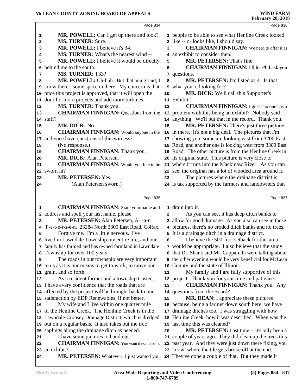### **McLEAN COUNTY ZONING BOARD OF APPEALS**

|    |                                                               |            | 1 CO1 001 1 201 2010                                     |
|----|---------------------------------------------------------------|------------|----------------------------------------------------------|
|    | Page 834                                                      |            | Page 836                                                 |
| 1  | <b>MR. POWELL:</b> Can I get up there and look?               |            | 1 people to be able to see what Henline Creek looked     |
| 2  | <b>MS. TURNER: Sure.</b>                                      |            | 2 like -- or looks like, I should say.                   |
| 3  | MR. POWELL: I believe it's 34.                                | 3          | <b>CHAIRMAN FINNIGAN:</b> We need to offer it as         |
| 4  | MS. TURNER: What's the nearest wind --                        |            | 4 an exhibit to consider then.                           |
| 5  | MR. POWELL: I believe it would be directly                    | 5          | MR. PETERSEN: That's fine.                               |
| 6  | behind me to the south.                                       | 6          | <b>CHAIRMAN FINNIGAN: I'll let Phil ask you</b>          |
| 7  | MS. TURNER: T33?                                              |            | 7 questions.                                             |
| 8  | MR. POWELL: Uh-huh. But that being said, I                    | 8          | <b>MR. PETERSEN:</b> I'm listed as 4. Is that            |
|    | <b>9</b> know there's some space in there. My concern is that |            | 9 what you're looking for?                               |
|    | 10 once this project is approved, that it will open the       | ${\bf 10}$ | MR. DICK: We'll call this Supporter's                    |
|    | 11 door for more projects and add more turbines.              |            | 11 Exhibit 1.                                            |
| 12 | MS. TURNER: Thank you.                                        | 12         | <b>CHAIRMAN FINNIGAN:</b> I guess no one has a           |
| 13 | <b>CHAIRMAN FINNIGAN: Questions from the</b>                  |            | 13 problem with this being an exhibit? Nobody said       |
|    | 14 staff?                                                     |            | 14 anything. We'll put that in the record. Thank you.    |
| 15 | MR. DICK: No.                                                 | 15         | MR. PETERSEN: There's just three pictures                |
| 16 | <b>CHAIRMAN FINNIGAN:</b> Would anyone in the                 |            | 16 in there. It's not a big deal. The pictures that I'm  |
|    | 17 audience have questions of this witness?                   |            | 17 showing you, some are looking east from 3200 East     |
| 18 | (No response.)                                                |            | 18 Road, and another one is looking west from 3300 East  |
| 19 | <b>CHAIRMAN FINNIGAN: Thank you.</b>                          |            | 19 Road. The other picture is from the Henline Creek in  |
| 20 | MR. DICK: Alan Petersen.                                      |            | 20 its original state. This picture is very close to     |
| 21 | <b>CHAIRMAN FINNIGAN:</b> Would you like to be                |            | 21 where it runs into the Mackinaw River. As you can     |
|    | 22 sworn in?                                                  |            | 22 see, the original has a lot of wooded area around it. |
| 23 | MR. PETERSEN: Yes.                                            | 23         | The pictures where the drainage district is              |
| 24 | (Alan Petersen sworn.)                                        |            | 24 is tax supported by the farmers and landowners that   |
|    |                                                               |            |                                                          |
|    | Page 835                                                      |            | Page 837                                                 |
| 1  | <b>CHAIRMAN FINNIGAN:</b> State your name and                 |            | 1 drain into it.                                         |
| 2  | address and spell your last name, please.                     | 2          | As you can see, it has deep ditch banks to               |
| 3  | MR. PETERSEN: Alan Petersen, A-l-a-n                          |            | 3 allow for good drainage. As you also can see in those  |
| 4  | P-e-t-e-r-s-e-n. 23284 North 3300 East Road, Colfax.          |            | 4 pictures, there's no eroded ditch banks and no trees.  |
| 5  | Forgive me. I'm a little nervous. I've                        |            | 5 It is a drainage ditch in a drainage district.         |
|    | 6 lived in Lawndale Township my entire life, and our          | 6          | I believe the 500-foot setback for this area             |
|    | 7 family has farmed and has owned farmland in Lawndale        |            | 7 would be appropriate. I also believe that the study    |
|    | 8 Township for over 100 years.                                |            | 8 that Dr. Shank and Mr. Capparella were talking about   |
| 9  | The roads in our township are very important                  |            | 9 the other evening would be very beneficial for McLean  |
|    | 10 to us as it is our means to get to work, to move our       |            | 10 County and the state of Illinois.                     |
|    | 11 grain, and so forth.                                       | 11         | My family and I are fully supportive of this             |
| 12 | As a resident farmer and a township trustee,                  |            | 12 project. Thank you for your time and patience.        |
|    | 13 I have every confidence that the roads that are            | 13         | <b>CHAIRMAN FINNIGAN: Thank you. Any</b>                 |
|    | 14 affected by the project will be brought back to our        |            | 14 questions from the Board?                             |
|    | 15 satisfaction by EDP Renewables, if not better.             | 15         | MR. DEAN: I appreciate these pictures                    |
| 16 | My wife and I live within one quarter mile                    |            | 16 because, being a farmer down south here, we have      |
|    | 17 of the Henline Creek. The Henline Creek is in the          |            | 17 drainage ditches too. I was struggling with how       |
|    | 18 Lawndale-Cropsey Drainage District, which is dredged       |            | 18 Henline Creek, how it was described. When was the     |
|    | 19 out on a regular basis. It also takes out the tree         |            | 19 last time this was cleaned?                           |
|    | 20 saplings along the drainage ditch as needed.               | 20         | MR. PETERSEN: Last time -- it's only been a              |
| 21 | I have some pictures to hand out.                             |            | 21 couple of years ago. They did clean up the trees this |
| 22 | <b>CHAIRMAN FINNIGAN:</b> You want these to be as             |            | 22 past year. And they were just down there fixing, you  |
|    | 23 an exhibit?                                                |            | 23 know, where the tile gets broke off at the end.       |
| 24 | MR. PETERSEN: Whatever. I just wanted you                     |            | 24 They've done a couple of that. But they made it       |
|    |                                                               |            |                                                          |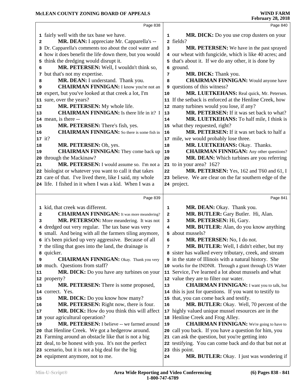|    | Page 838                                                 |              | Page 840                                                      |  |
|----|----------------------------------------------------------|--------------|---------------------------------------------------------------|--|
|    | 1 fairly well with the tax base we have.                 | 1            | MR. DICK: Do you use crop dusters on your                     |  |
| 2  | MR. DEAN: I appreciate Mr. Capparella's --               |              | 2 fields?                                                     |  |
|    | 3 Dr. Capparella's comments too about the cool water and | 3            | MR. PETERSEN: We have in the past sprayed                     |  |
|    | 4 how it does benefit the life down there, but you would |              | 4 our wheat with fungicide, which is like 40 acres; and       |  |
|    | 5 think the dredging would disrupt it.                   |              | 5 that's about it. If we do any other, it is done by          |  |
| 6  | MR. PETERSEN: Well, I wouldn't think so,                 | 6            | ground.                                                       |  |
|    | 7 but that's not my expertise.                           | 7            | MR. DICK: Thank you.                                          |  |
| 8  | MR. DEAN: I understand. Thank you.                       | 8            | <b>CHAIRMAN FINNIGAN:</b> Would anyone have                   |  |
| 9  | <b>CHAIRMAN FINNIGAN:</b> I know you're not an           | 9            | questions of this witness?                                    |  |
|    | 10 expert, but you've looked at that creek a lot, I'm    | 10           | MR. LUETKEHANS: Real quick, Mr. Petersen.                     |  |
|    | 11 sure, over the years?                                 |              | 11 If the setback is enforced at the Henline Creek, how       |  |
| 12 | MR. PETERSEN: My whole life.                             |              | 12 many turbines would you lose, if any?                      |  |
| 13 | <b>CHAIRMAN FINNIGAN:</b> Is there life in it? I         | 13           | MR. PETERSEN: If it was set back to what?                     |  |
|    | 14 mean, is there --                                     | 14           | MR. LUETKEHANS: To half mile, I think is                      |  |
| 15 | MR. PETERSEN: There's fish, yes.                         |              | 15 what they requested, right?                                |  |
| 16 | <b>CHAIRMAN FINNIGAN:</b> So there is some fish in       | 16           | MR. PETERSEN: If it was set back to half a                    |  |
|    | $17$ it?                                                 |              | 17 mile, we would probably lose three.                        |  |
| 18 | MR. PETERSEN: Oh, yes.                                   | 18           | MR. LUETKEHANS: Okay. Thanks.                                 |  |
| 19 | <b>CHAIRMAN FINNIGAN:</b> They come back up              | 19           | <b>CHAIRMAN FINNIGAN:</b> Any other questions?                |  |
|    | 20 through the Mackinaw?                                 | 20           | MR. DEAN: Which turbines are you referring                    |  |
| 21 | MR. PETERSEN: I would assume so. I'm not a               |              | 21 to in your area? 162?                                      |  |
|    | 22 biologist or whatever you want to call it that takes  | 22           | MR. PETERSEN: Yes, 162 and T60 and 61, I                      |  |
|    | 23 care of that. I've lived there, like I said, my whole |              | 23 believe. We are clear on the far southern edge of the      |  |
|    | 24 life. I fished in it when I was a kid. When I was a   |              | 24 project.                                                   |  |
|    |                                                          |              |                                                               |  |
|    | Page 839                                                 |              | Page 841                                                      |  |
|    | 1 kid, that creek was different.                         | 1            | MR. DEAN: Okay. Thank you.                                    |  |
| 2  | <b>CHAIRMAN FINNIGAN:</b> It was more meandering?        | $\mathbf{2}$ | MR. BUTLER: Gary Butler. Hi, Alan.                            |  |
| 3  | MR. PETERSON: More meandering. It was not                | 3            | MR. PETERSEN: Hi, Gary.                                       |  |
|    | 4 dredged out very regular. The tax base was very        | 4            | MR. BUTLER: Alan, do you know anything                        |  |
|    | 5 small. And being with all the farmers tiling anymore,  | 5            | about mussels?                                                |  |
|    | 6 it's been picked up very aggressive. Because of all    | 6            | MR. PETERSEN: No, I do not.                                   |  |
|    | 7 the tiling that goes into the land, the drainage is    | 7            | MR. BUTLER: Well, I didn't either, but my                     |  |
|    | 8 quicker.                                               |              | 8 sister has walked every tributary, creek, and stream        |  |
| 9  | <b>CHAIRMAN FINNIGAN:</b> Okay. Thank you very           |              | <b>9</b> in the state of Illinois with a natural history. She |  |
|    | 10 much. Questions from staff?                           |              | 10 works for the INDNR. Through a grant through US Water      |  |
| 11 | MR. DICK: Do you have any turbines on your               | 11           | Service, I've learned a lot about mussels and what            |  |
|    | 12 property?                                             |              | 12 value they are to filter our water.                        |  |
| 13 | MR. PETERSEN: There is some proposed,                    | 13           | <b>CHAIRMAN FINNIGAN:</b> I want you to talk, but             |  |
|    | 14 correct. Yes.                                         |              | 14 this is just for questions. If you want to testify to      |  |
| 15 | MR. DICK: Do you know how many?                          |              | 15 that, you can come back and testify.                       |  |
| 16 | MR. PETERSEN: Right now, there is four.                  | 16           | MR. BUTLER: Okay. Well, 70 percent of the                     |  |
| 17 | MR. DICK: How do you think this will affect              | 17           | highly valued unique mussel resources are in the              |  |
|    | 18 your agricultural operation?                          |              | 18 Henline Creek and Frog Alley.                              |  |
| 19 | MR. PETERSEN: I believe -- we farmed around              | 19           | <b>CHAIRMAN FINNIGAN:</b> We're going to have to              |  |
|    | 20 that Henline Creek. We got a hedgerow around.         |              | 20 call you back. If you have a question for him, you         |  |
|    | 21 Farming around an obstacle like that is not a big     |              | 21 can ask the question, but you're getting into              |  |
|    | 22 deal, to be honest with you. It's not the perfect     |              | 22 testifying. You can come back and do that but not at       |  |
|    | 23 scenario, but it is not a big deal for the big        |              | 23 this point.                                                |  |
|    | 24 equipment anymore, not to me.                         | 24           | MR. BUTLER: Okay. I just was wondering if                     |  |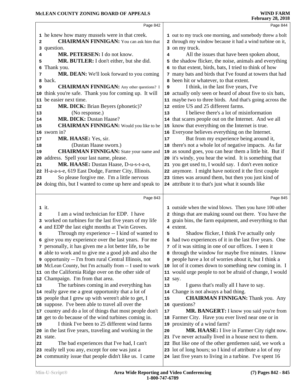|                | Page 842                                                  |    | Page 844                                                      |
|----------------|-----------------------------------------------------------|----|---------------------------------------------------------------|
|                | 1 he knew how many mussels were in that creek.            |    | 1 out to my truck one morning, and somebody threw a bolt      |
| $\overline{a}$ | <b>CHAIRMAN FINNIGAN:</b> You can ask him that            |    | 2 through my window because it had a wind turbine on it,      |
|                | 3 question.                                               |    | 3 on my truck.                                                |
| 4              | MR. PETERSEN: I do not know.                              | 4  | All the issues that have been spoken about,                   |
| 5              | MR. BUTLER: I don't either, but she did.                  | 5  | the shadow flicker, the noise, animals and everything         |
| 6              | Thank you.                                                |    | 6 to that extent, birds, bats, I tried to think of how        |
| 7              | MR. DEAN: We'll look forward to you coming                |    | 7 many bats and birds that I've found at towers that had      |
| 8              | back.                                                     |    | 8 been hit or whatever, to that extent.                       |
| 9              | <b>CHAIRMAN FINNIGAN:</b> Any other questions? I          | 9  | I think, in the last five years, I've                         |
| 10             | think you're safe. Thank you for coming up. It will       | 10 | actually only seen or heard of about five to six bats,        |
| 11             | be easier next time.                                      |    | 11 maybe two to three birds. And that's going across the      |
| 12             | <b>MR. DICK:</b> Brian Beyers (phonetic)?                 |    | 12 entire US and 25 different farms.                          |
| 13             | (No response.)                                            | 13 | I believe there's a lot of misinformation                     |
| 14             | MR. DICK: Dustan Haase?                                   |    | 14 that scares people out on the Internet. And we all         |
| 15             | <b>CHAIRMAN FINNIGAN:</b> Would you like to be            | 15 | know that everything on the Internet is true.                 |
|                | 16 sworn in?                                              |    | 16 Everyone believes everything on the Internet.              |
| 17             | MR. HAASE: Yes, sir.                                      | 17 | But from my experience being around it,                       |
| 18             | (Dustan Haase sworn.)                                     |    | 18 there's not a whole lot of negative impacts. As far        |
| 19             | <b>CHAIRMAN FINNIGAN:</b> State your name and             |    | 19 as sound goes, you can hear them a little bit. But if      |
| 20             | address. Spell your last name, please.                    |    | 20 it's windy, you hear the wind. It is something that        |
| 21             | MR. HAASE: Dustan Haase, D-u-s-t-a-n,                     |    | 21 you get used to, I would say. I don't even notice          |
|                | 22 H-a-a-s-e, 619 East Dodge, Farmer City, Illinois.      |    | 22 anymore. I might have noticed it the first couple          |
| 23             | So please forgive me. I'm a little nervous                |    | 23 times was around them, but then you just kind of           |
|                | 24 doing this, but I wanted to come up here and speak to  |    | 24 attribute it to that's just what it sounds like            |
|                |                                                           |    |                                                               |
|                |                                                           |    |                                                               |
|                | Page 843                                                  |    | Page 845                                                      |
|                | $1$ it.                                                   |    | 1 outside when the wind blows. Then you have 100 other        |
| $\mathbf{2}$   | I am a wind technician for EDP. I have                    |    | 2 things that are making sound out there. You have the        |
|                | 3 worked on turbines for the last five years of my life   |    | 3 grain bins, the farm equipment, and everything to that      |
|                | 4 and EDP the last eight months at Twin Groves.           |    | 4 extent.                                                     |
| 5              | Through my experience -- I kind of wanted to              | 5  | Shadow flicker, I think I've actually only                    |
|                | 6 give you my experience over the last years. For me      |    | 6 had two experiences of it in the last five years. One       |
|                | 7 personally, it has given me a lot better life, to be    |    | 7 of it was sitting in one of our offices. I seen it          |
|                | 8 able to work and to give me a good job and also the     |    | 8 through the window for maybe five minutes. I know           |
|                | 9 opportunity -- I'm from rural Central Illinois, not     |    | <b>9</b> people have a lot of worries about it, but I think a |
|                | 10 McLean County, but I'm actually from -- I used to work |    | 10 lot of it comes down to something new coming in. I         |
|                | 11 on the California Ridge over on the other side of      |    | 11 would urge people to not be afraid of change, I would      |
| 12             | Champaign. I'm from that area.                            |    | 12 say.                                                       |
| 13             | The turbines coming in and everything has                 | 13 | I guess that's really all I have to say.                      |
|                | 14 really gave me a great opportunity that a lot of       |    | 14 Change is not always a bad thing.                          |
|                | 15 people that I grew up with weren't able to get, I      | 15 | <b>CHAIRMAN FINNIGAN:</b> Thank you. Any                      |
|                | 16 suppose. I've been able to travel all over the         |    | 16 questions?                                                 |
|                | 17 country and do a lot of things that most people don't  | 17 | MR. BANGERT: I know you said you're from                      |
|                | 18 get to do because of the wind turbines coming in.      |    | 18 Farmer City. Have you ever lived near one or in            |
| 19             | I think I've been to 25 different wind farms              |    | 19 proximity of a wind farm?                                  |
|                | 20 in the last five years, traveling and working in the   | 20 | MR. HAASE: I live in Farmer City right now.                   |
|                | 21 state.                                                 |    | 21 I've never actually lived in a house next to them.         |
| 22             | The bad experiences that I've had, I can't                |    | 22 But like one of the other gentlemen said, we work a        |
|                | 23 really tell you any, except for one was just a         |    | 23 lot of long hours; so I kind of attribute a lot of my      |
|                | 24 community issue that people didn't like us. I came     |    | 24 last five years to living in a turbine. I've spent 16      |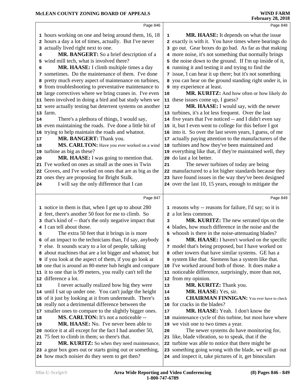|    | Page 846                                                                                                  |    | Page 848                                                                                                          |  |
|----|-----------------------------------------------------------------------------------------------------------|----|-------------------------------------------------------------------------------------------------------------------|--|
|    | 1 hours working on one and being around them, 16, 18                                                      | 1  | <b>MR. HAASE:</b> It depends on what the issue                                                                    |  |
|    | 2 hours a day a lot of times, actually. But I've never                                                    |    | 2 exactly is with it. You have times where bearings do                                                            |  |
|    | 3 actually lived right next to one.                                                                       |    | 3 go out. Gear boxes do go bad. As far as that making                                                             |  |
| 4  | MR. BANGERT: So a brief description of a                                                                  |    | 4 more noise, it's not something that normally brings                                                             |  |
| 5  | wind mill tech, what is involved there?                                                                   |    | 5 the noise down to the ground. If I'm up inside of it,                                                           |  |
| 6  | MR. HAASE: I climb multiple times a day                                                                   |    | 6 running it and testing it and trying to find the                                                                |  |
| 7  | sometimes. Do the maintenance of them. I've done                                                          |    | 7 issue, I can hear it up there; but it's not something                                                           |  |
| 8  | pretty much every aspect of maintenance on turbines,                                                      |    | 8 you can hear on the ground standing right under it, in                                                          |  |
|    | <b>9</b> from troubleshooting to preventative maintenance to                                              |    | 9 my experience at least.                                                                                         |  |
|    | 10 large correctives where we bring cranes in. I've even                                                  | 10 | MR. KURITZ: And how often or how likely do                                                                        |  |
|    | 11 been involved in doing a bird and bat study when we                                                    |    | 11 these issues come up, I guess?                                                                                 |  |
|    | 12 were actually testing bat deterrent systems on another                                                 | 12 | MR. HAASE: I would say, with the newer                                                                            |  |
|    | 13 farm.                                                                                                  |    | 13 turbines, it's a lot less frequent. Over the last                                                              |  |
| 14 | There's a plethora of things, I would say,                                                                |    | 14 five years that I've noticed -- and I didn't even say                                                          |  |
|    | 15 even maintaining the roads. I've done a little bit of                                                  |    | 15 it, but I even went to college for this before I got                                                           |  |
| 16 | trying to help maintain the roads and whatnot.                                                            |    | 16 into it. So over the last seven years, I guess, of me                                                          |  |
| 17 | MR. BANGERT: Thank you.                                                                                   |    | 17 actually paying attention to the manufacturers of the                                                          |  |
| 18 | MS. CARLTON: Have you ever worked on a wind                                                               |    | 18 turbines and how they've been maintained and                                                                   |  |
|    | 19 turbine as big as these?                                                                               |    | 19 everything like that, if they're maintained well, they                                                         |  |
| 20 | MR. HAASE: I was going to mention that.                                                                   |    | 20 do last a lot better.                                                                                          |  |
|    | 21 I've worked on ones as small as the ones in Twin                                                       | 21 | The newer turbines of today are being                                                                             |  |
|    | 22 Groves, and I've worked on ones that are as big as the                                                 |    | 22 manufactured to a lot higher standards because they                                                            |  |
|    | 23 ones they are proposing for Bright Stalk.                                                              |    | 23 have found issues in the way they've been designed                                                             |  |
| 24 | I will say the only difference that I can                                                                 |    | 24 over the last 10, 15 years, enough to mitigate the                                                             |  |
|    |                                                                                                           |    |                                                                                                                   |  |
|    |                                                                                                           |    |                                                                                                                   |  |
|    | Page 847                                                                                                  |    | Page 849                                                                                                          |  |
|    | 1 notice in them is that, when I get up to about 280                                                      |    | 1 reasons why -- reasons for failure, I'd say; so it is                                                           |  |
|    | 2 feet, there's another 50 foot for me to climb. So                                                       |    | 2 a lot less common.                                                                                              |  |
|    | 3 that's kind of -- that's the only negative impact that                                                  | з  | MR. KURITZ: The new serrated tips on the                                                                          |  |
|    | 4 I can tell about those.                                                                                 |    | 4 blades, how much difference in the noise and the                                                                |  |
| 5  | The extra 50 feet that it brings in is more                                                               |    | 5 whoosh is there in the noise-attenuating blades?                                                                |  |
|    | 6 of an impact to the technicians than, I'd say, anybody                                                  | 6  | MR. HAASE: I haven't worked on the specific                                                                       |  |
|    | 7 else. It sounds scary to a lot of people, talking                                                       |    | 7 model that's being proposed, but I have worked on                                                               |  |
|    | 8 about machines that are a lot bigger and whatnot; but                                                   |    | 8 other towers that have similar systems. GE has a                                                                |  |
|    | <b>9</b> if you look at the aspect of them, if you go look at                                             |    | 9 system like that. Siemens has a system like that.                                                               |  |
|    | 10 one that is around an 80-meter hub height and compare                                                  |    | 10 I've worked around both of those. It does make a                                                               |  |
|    | 11 it to one that is 99 meters, you really can't tell the<br>12 difference a lot.                         |    | 11 noticeable difference, surprisingly, more than not,                                                            |  |
| 13 |                                                                                                           | 13 | 12 from my opinion.                                                                                               |  |
|    | I never actually realized how big they were<br>14 until I sat up under one. You can't judge the height    | 14 | MR. KURITZ: Thank you.<br>MR. HAASE: Yes, sir.                                                                    |  |
|    | 15 of it just by looking at it from underneath. There's                                                   | 15 | <b>CHAIRMAN FINNIGAN:</b> You ever have to check                                                                  |  |
|    | 16 really not a detrimental difference between the                                                        |    | 16 for cracks in the blades?                                                                                      |  |
| 17 | smaller ones to compare to the slightly bigger ones.                                                      | 17 | MR. HAASE: Yeah. I don't know the                                                                                 |  |
| 18 | MS. CARLTON: It's not a noticeable --                                                                     |    | 18 maintenance cycle of this turbine, but most have where                                                         |  |
| 19 | <b>MR. HAASE:</b> No. I've never been able to                                                             |    | 19 we visit one to two times a year.                                                                              |  |
|    | 20 notice it at all except for the fact I had another 50,                                                 | 20 | The newer systems do have monitoring for,                                                                         |  |
| 21 | 75 feet to climb in them; so there's that.                                                                |    | 21 like, blade vibration, so to speak, that if the                                                                |  |
| 22 | MR. KURITZ: So when they need maintenance,                                                                |    | 22 turbine was able to notice that there might be                                                                 |  |
|    | 23 a gear box goes out or starts going out or something,<br>24 how much noisier do they seem to get then? |    | 23 something going wrong with the blade, we will go out<br>24 and inspect it, take pictures of it, get binoculars |  |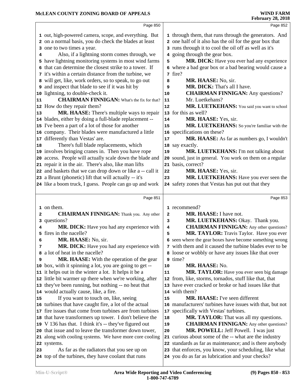|    | Page 850                                                  |    | Page 852                                                  |
|----|-----------------------------------------------------------|----|-----------------------------------------------------------|
|    | 1 out, high-powered camera, scope, and everything. But    |    | 1 through them, that runs through the generators. And     |
|    | 2 on a normal basis, you do check the blades at least     |    | 2 one half of it also has the oil for the gear box that   |
|    | 3 one to two times a year.                                |    | 3 runs through it to cool the oil off as well as it's     |
| 4  | Also, if a lightning storm comes through, we              |    | 4 going through the gear box.                             |
|    | 5 have lightning monitoring systems in most wind farms    | 5  | MR. DICK: Have you ever had any experience                |
|    | 6 that can determine the closest strike to a tower. If    |    | 6 where a bad gear box or a bad bearing would cause a     |
|    | 7 it's within a certain distance from the turbine, we     |    | 7 fire?                                                   |
|    | 8 will get, like, work orders, so to speak, to go out     | 8  | MR. HAASE: No, sir.                                       |
|    | <b>9</b> and inspect that blade to see if it was hit by   | 9  | MR. DICK: That's all I have.                              |
|    | 10 lightning, to double-check it.                         | 10 | <b>CHAIRMAN FINNIGAN:</b> Any questions?                  |
| 11 | <b>CHAIRMAN FINNIGAN:</b> What's the fix for that?        | 11 | Mr. Luetkehans?                                           |
|    | 12 How do they repair them?                               | 12 | MR. LUETKEHANS: You said you want to school               |
| 13 | MR. HAASE: There's multiple ways to repair                |    | 13 for this as well?                                      |
|    | 14 blades, either by doing a full-blade replacement --    | 14 | MR. HAASE: Yes, sir.                                      |
|    | 15 I've been a part of a lot of those for another         | 15 | MR. LUETKEHANS: So you're familiar with the               |
|    | 16 company. Their blades were manufactured a little       |    | 16 specifications on these?                               |
|    | 17 differently than Vestas' are.                          | 17 | MR. HAASE: As far as numbers go, I wouldn't               |
| 18 | There's full blade replacements, which                    |    | 18 say exactly.                                           |
|    | 19 involves bringing cranes in. Then you have rope        | 19 | MR. LUETKEHANS: I'm not talking about                     |
|    | 20 access. People will actually scale down the blade and  |    | 20 sound, just in general. You work on them on a regular  |
|    | 21 repair it in the air. There's also, like man lifts     |    | 21 basis, correct?                                        |
|    | 22 and baskets that we can drop down or like a -- call it | 22 | MR. HAASE: Yes, sir.                                      |
|    | 23 a Brunt (phonetic) lift that will actually -- it's     | 23 | MR. LUETKEHANS: Have you ever seen the                    |
|    | 24 like a boom truck, I guess. People can go up and work  |    | 24 safety zones that Vestas has put out that they         |
|    |                                                           |    |                                                           |
|    | Page 851                                                  |    | Page 853                                                  |
|    | 1 on them.                                                |    | 1 recommend?                                              |
| 2  | <b>CHAIRMAN FINNIGAN:</b> Thank you. Any other            | 2  | MR. HAASE: I have not.                                    |
|    | 3 questions?                                              | 3  | MR. LUETKEHANS: Okay. Thank you.                          |
| 4  | MR. DICK: Have you had any experience with                | 4  | <b>CHAIRMAN FINNIGAN:</b> Any other questions?            |
|    | 5 fires in the nacelle?                                   | 5  | MR. TAYLOR: Travis Taylor. Have you ever                  |
| 6  | MR. HAASE: No, sir.                                       |    | 6 seen where the gear boxes have become something wrong   |
| 7  | MR. DICK: Have you had any experience with                |    | 7 with them and it caused the turbine blades ever to be   |
|    | 8 a lot of heat in the nacelle?                           |    | 8 loose or wobbly or have any issues like that over       |
| 9  | <b>MR. HAASE:</b> With the operation of the gear          |    | 9 time?                                                   |
|    |                                                           |    |                                                           |
|    | 10 box, with it spinning a lot, you are going to get --   | 10 | MR. HAASE: No.                                            |
|    | 11 it helps out in the winter a lot. It helps it be a     | 11 | MR. TAYLOR: Have you ever seen big damage                 |
|    | 12 little bit warmer up there when we're working, after   |    | 12 from, like, storms, tornados, stuff like that, that    |
|    | 13 they've been running, but nothing -- no heat that      |    | 13 have ever cracked or broke or had issues like that     |
|    | 14 would actually cause, like, a fire.                    |    | 14 with them?                                             |
| 15 | If you want to touch on, like, seeing                     | 15 | MR. HAASE: I've seen different                            |
|    | 16 turbines that have caught fire, a lot of the actual    |    | 16 manufacturers' turbines have issues with that, but not |
|    | 17 fire issues that come from turbines are from turbines  |    | 17 specifically with Vestas' turbines.                    |
|    | 18 that have transformers up tower. I don't believe the   | 18 | <b>MR. TAYLOR:</b> That was all my questions.             |
|    | 19 V 136 has that. I think it's -- they've figured out    | 19 | <b>CHAIRMAN FINNIGAN:</b> Any other questions?            |
|    | 20 that issue and to leave the transformer down tower,    | 20 | MR. POWELL: Jeff Powell. I was just                       |
|    | 21 along with cooling systems. We have more core cooling  |    | 21 curious about some of the -- what are the industry     |
|    | 22 systems.                                               |    | 22 standards as far as maintenance; and is there anybody  |
| 23 | As far as the radiators that you see up on                |    | 23 that enforces, you know, your scheduling, like what    |
|    | 24 top of the turbines, they have coolant that runs       |    | 24 you do as far as lubrication and your checks?          |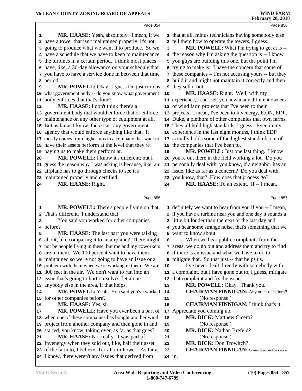|                                                                                                                                                                                                                                                                                                                                                                                                                                                                                                                                                                                                                                                                                                                                                                                                                                                                                                                                                                                                                                                                                                                                                                                                                                       | Page 856                                                                                                                                                                                                                                                                                                                                                                                                                                                                                                                                                                                                                                                                                                                                                                                                                                                                                                                                                                                                                                                                                                                                                                                                                                                                                                                       |
|---------------------------------------------------------------------------------------------------------------------------------------------------------------------------------------------------------------------------------------------------------------------------------------------------------------------------------------------------------------------------------------------------------------------------------------------------------------------------------------------------------------------------------------------------------------------------------------------------------------------------------------------------------------------------------------------------------------------------------------------------------------------------------------------------------------------------------------------------------------------------------------------------------------------------------------------------------------------------------------------------------------------------------------------------------------------------------------------------------------------------------------------------------------------------------------------------------------------------------------|--------------------------------------------------------------------------------------------------------------------------------------------------------------------------------------------------------------------------------------------------------------------------------------------------------------------------------------------------------------------------------------------------------------------------------------------------------------------------------------------------------------------------------------------------------------------------------------------------------------------------------------------------------------------------------------------------------------------------------------------------------------------------------------------------------------------------------------------------------------------------------------------------------------------------------------------------------------------------------------------------------------------------------------------------------------------------------------------------------------------------------------------------------------------------------------------------------------------------------------------------------------------------------------------------------------------------------|
| MR. HAASE: Yeah, absolutely. I mean, if we<br>1<br>2 have a tower that isn't maintained properly, it's not<br>going to produce what we want it to produce. So we<br>з<br>4 have a schedule that we have to keep to maintenance<br>5 the turbines in a certain period. I think most places<br>6 have, like, a 30-day allowance on your schedule that<br>7 you have to have a service done in between that time<br>a period.<br>MR. POWELL: Okay. I guess I'm just curious<br>9<br>10 what government body -- do you know what government<br>11 body enforces that that's done?<br>MR. HAASE: I don't think there's a<br>12<br>13 government body that would enforce that or enforce<br>14 maintenance on any other type of equipment at all.<br>15 But as far as I know, there isn't any government<br>16 agency that would enforce anything like that. It<br>17 mostly comes from higher-ups in a company that want to<br>18 have their assets perform at the level that they're<br>19 paying us to make them perform at.<br>MR. POWELL: I know it's different; but I<br>20<br>21 guess the reason why I was asking is because, like, an<br>22 airplane has to go through checks to see it's<br>23 maintained properly and certified. | 1 that at all, minus technicians having somebody else<br>2 tell them how to operate the towers, I guess.<br>MR. POWELL: What I'm trying to get at is --<br>3<br>4 the reason why I'm asking the question is -- I know<br>5 you guys are building this one, but the point I'm<br>6 trying to make is: I have the concern that some of<br>7 these companies -- I'm not accusing yours -- but they<br>8 build it and might not maintain it correctly and then<br>they sell it out.<br>9<br>MR. HAASE: Right. Well, with my<br>10<br>11 experience, I can't tell you how many different owners<br>12 of wind farm projects that I've been to their<br>projects. I mean, I've been to Invenergy, E.ON, EDP,<br>13<br>14 Duke, a plethora of other companies that own farms.<br>They all hold high standards, I guess. Even in my<br>15<br>experience in the last eight months, I think EDP<br>16<br>actually holds some of the highest standards out of<br>17<br>18 the companies that I've been to.<br>MR. POWELL: Just one last thing. I know<br>19<br>20 you're out there in the field working a lot. Do you<br>21 personally deal with, you know, if a neighbor has an<br>22 issue, like as far as a concern? Do you deal with,<br>23 you know, that? How does that process go?<br>MR. HAASE: To an extent. If -- I mean,<br>24 |
| MR. HAASE: Right.<br>24                                                                                                                                                                                                                                                                                                                                                                                                                                                                                                                                                                                                                                                                                                                                                                                                                                                                                                                                                                                                                                                                                                                                                                                                               |                                                                                                                                                                                                                                                                                                                                                                                                                                                                                                                                                                                                                                                                                                                                                                                                                                                                                                                                                                                                                                                                                                                                                                                                                                                                                                                                |
|                                                                                                                                                                                                                                                                                                                                                                                                                                                                                                                                                                                                                                                                                                                                                                                                                                                                                                                                                                                                                                                                                                                                                                                                                                       |                                                                                                                                                                                                                                                                                                                                                                                                                                                                                                                                                                                                                                                                                                                                                                                                                                                                                                                                                                                                                                                                                                                                                                                                                                                                                                                                |
| Page 855                                                                                                                                                                                                                                                                                                                                                                                                                                                                                                                                                                                                                                                                                                                                                                                                                                                                                                                                                                                                                                                                                                                                                                                                                              | Page 857                                                                                                                                                                                                                                                                                                                                                                                                                                                                                                                                                                                                                                                                                                                                                                                                                                                                                                                                                                                                                                                                                                                                                                                                                                                                                                                       |
| MR. POWELL: There's people flying on that.<br>1<br>That's different. I understand that.<br>2<br>You said you worked for other companies<br>з<br>before?<br>4<br>MR. HAASE: The last part you were talking<br>5<br>6 about, like comparing it to an airplane? There might<br>7 not be people flying in these, but me and my coworkers<br>8 are in them. We 100 percent want to have them<br><b>9</b> maintained so we're not going to have an issue or a<br>10 problem with them when we're working in them. We are<br>11 300 feet in the air. We don't want to run into an<br>12 issue that's going to hurt ourselves, let alone<br>13 anybody else in the area, if that helps.                                                                                                                                                                                                                                                                                                                                                                                                                                                                                                                                                       | 1 definitely we want to hear from you if you -- I mean,<br>2 if you have a turbine near you and one day it sounds a<br>3 little bit louder than the next or the last day and<br>4 you hear some strange noise, that's something that we<br>5 want to know about.<br>When we hear public complaints from the<br>6<br>7 areas, we do go out and address them and try to find<br>if there is an issue and what we have to do to<br>9 mitigate that. So that just -- that helps us.<br>I've never dealt directly with somebody with<br>10<br>11 a complaint, but I have gone out to, I guess, mitigate<br>that complaint and fix the issue.<br>12<br>MR. POWELL: Okay. Thank you.<br>13<br><b>CHAIRMAN FINNIGAN:</b> Any other questions?                                                                                                                                                                                                                                                                                                                                                                                                                                                                                                                                                                                          |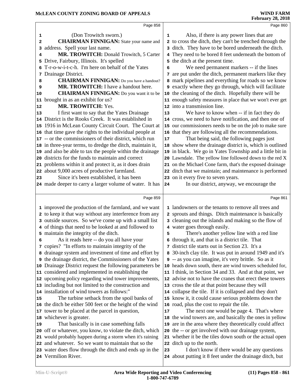|    | Page 858                                                       |                 | Page 860                                                  |  |
|----|----------------------------------------------------------------|-----------------|-----------------------------------------------------------|--|
| 1  | (Don Trowitch sworn.)                                          | 1               | Also, if there is any power lines that are                |  |
| 2  | <b>CHAIRMAN FINNIGAN:</b> State your name and                  |                 | 2 to cross the ditch, they can't be trenched through the  |  |
| 3  | address. Spell your last name.                                 |                 | 3 ditch. They have to be bored underneath the ditch.      |  |
| 4  | MR. TROWITCH: Donald Trowitch, 5 Carter                        | 4               | They need to be bored 8 feet underneath the bottom of     |  |
| 5  | Drive, Fairbury, Illinois. It's spelled                        | 5.              | the ditch at the present time.                            |  |
| 6  | T-r-o-w-i-t-c-h. I'm here on behalf of the Yates               | 6               | We need permanent markers -- if the lines                 |  |
|    | 7 Drainage District.                                           |                 | 7 are put under the ditch, permanent markers like they    |  |
| 8  | <b>CHAIRMAN FINNIGAN:</b> Do you have a handout?               |                 | 8 mark pipelines and everything for roads so we know      |  |
| 9  | MR. TROWITCH: I have a handout here.                           |                 | 9 exactly where they go through, which will facilitate    |  |
| 10 | <b>CHAIRMAN FINNIGAN:</b> Do you want it to be                 | 10 <sub>1</sub> | the cleaning of the ditch. Hopefully there will be        |  |
|    | 11 brought in as an exhibit for us?                            |                 | 11 enough safety measures in place that we won't ever get |  |
| 12 | <b>MR. TROWITCH: Yes.</b>                                      |                 | 12 into a transmission line.                              |  |
| 13 | I first want to say that the Yates Drainage                    | 13              | We have to know when -- if in fact they do                |  |
|    | 14 District is the Rooks Creek. It was established in          |                 | 14 cross, we need to have notification, and then one of   |  |
|    | 15 1916 in McLean County Circuit Court. The Court at           |                 | 15 our commissioners needs to be on the job to make sure  |  |
|    | 16 that time gave the rights to the individual people at       |                 | 16 that they are following all the recommendations.       |  |
|    | 17 -- or the commissioners of their district, which run        | 17              | That being said, the following pages just                 |  |
|    | 18 in three-year terms, to dredge the ditch, maintain it,      |                 | 18 show where the drainage district is, which is outlined |  |
|    | 19 and also be able to tax the people within the drainage      |                 | 19 in black. We go in Yates Township and a little bit in  |  |
|    | 20 districts for the funds to maintain and correct             |                 | 20 Lawndale. The yellow line followed down to the red X   |  |
|    | 21 problems within it and protect it, as it does drain         |                 | 21 on the Michael Cone farm, that's the exposed drainage  |  |
|    | 22 about 9,000 acres of productive farmland.                   |                 | 22 ditch that we maintain; and maintenance is performed   |  |
| 23 | Since it's been established, it has been                       |                 | 23 on it every five to seven years.                       |  |
|    | 24 made deeper to carry a larger volume of water. It has       | 24              | In our district, anyway, we encourage the                 |  |
|    |                                                                |                 |                                                           |  |
|    | Page 859                                                       |                 | Page 861                                                  |  |
|    | 1 improved the production of the farmland, and we want         |                 | 1 landowners or the tenants to remove all trees and       |  |
|    | 2 to keep it that way without any interference from any        |                 | 2 sprouts and things. Ditch maintenance is basically      |  |
|    | 3 outside sources. So we've come up with a small list          |                 | 3 cleaning out the islands and making so the flow of      |  |
|    | 4 of things that need to be looked at and followed to          |                 | 4 water goes through easily.                              |  |
|    | 5 maintain the integrity of the ditch.                         | 5               | There's another yellow line with a red line               |  |
| 6  | As it reads here -- do you all have your                       |                 | 6 through it, and that is a district tile. That           |  |
|    | 7 copies? "In efforts to maintain integrity of the             |                 | 7 district tile starts out in Section 23. It's a          |  |
|    | 8 drainage system and investment of time and effort by         |                 | 8 30-inch clay tile. It was put in around 1949 and it's   |  |
|    | <b>9</b> the drainage district, the Commissioners of the Yates |                 | 9 -- as you can imagine, it's very brittle. So as it      |  |
|    | 10 Drainage District request the following parameters be       |                 | 10 heads down south, there are wind towers scheduled for, |  |
|    | 11 considered and implemented in establishing the              |                 | 11 I think, in Section 34 and 33. And at that point, we   |  |
|    | 12 upcoming policy regarding wind tower improvements,          |                 | 12 advise not to have the cranes that erect these towers  |  |
|    | 13 including but not limited to the construction and           |                 | 13 cross the tile at that point because they will         |  |
|    | 14 installation of wind towers as follows:"                    |                 | 14 collapse the tile. If it is collapsed and they don't   |  |
| 15 | The turbine setback from the spoil banks of                    |                 | 15 know it, it could cause serious problems down the      |  |
|    | 16 the ditch be either 500 feet or the height of the wind      |                 | 16 road, plus the cost to repair the tile.                |  |
|    | 17 tower to be placed at the parcel in question,               | 17              | The next one would be page 4. That's where                |  |
|    | 18 whichever is greater.                                       |                 | 18 the wind towers are, and basically the ones in yellow  |  |
| 19 | That basically is in case something falls                      |                 | 19 are in the area where they theoretically could affect  |  |
|    | 20 off or whatever, you know, to violate the ditch, which      |                 | 20 the -- or get involved with our drainage system,       |  |
|    | 21 would probably happen during a storm when it's raining      |                 | 21 whether it be the tiles down south or the actual open  |  |
|    | 22 and whatever. So we want to maintain that so the            |                 | 22 ditch up to the north.                                 |  |
|    | 23 water does flow through the ditch and ends up in the        | 23              | I don't know if there would be any questions              |  |
|    | 24 Vermilion River.                                            |                 | 24 about putting it 8 feet under the drainage ditch, but  |  |
|    |                                                                |                 |                                                           |  |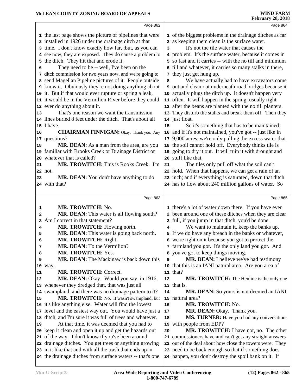|    | Page 862                                                                                                               |    | Page 864                                                                                                     |
|----|------------------------------------------------------------------------------------------------------------------------|----|--------------------------------------------------------------------------------------------------------------|
|    | 1 the last page shows the picture of pipelines that were                                                               |    | 1 of the biggest problems in the drainage ditches as far                                                     |
|    | 2 installed in 1926 under the drainage ditch at that                                                                   |    | 2 as keeping them clean is the surface water.                                                                |
|    | 3 time. I don't know exactly how far, ; but, as you can                                                                | 3  | It's not the tile water that causes the                                                                      |
|    | 4 see now, they are exposed. They do cause a problem to                                                                |    | 4 problem. It's the surface water, because it comes in                                                       |
|    | 5 the ditch. They hit that and erode it.                                                                               |    | 5 so fast and it carries -- with the no till and minimum                                                     |
| 6  | They need to be -- well, I've been on the                                                                              |    | 6 till and whatever, it carries so many stalks in there,                                                     |
|    | 7 ditch commission for two years now, and we're going to                                                               | 7  | they just get hung up.                                                                                       |
|    | 8 send Magellan Pipeline pictures of it. People outside                                                                | 8  | We have actually had to have excavators come                                                                 |
|    | <b>9</b> know it. Obviously they're not doing anything about                                                           |    | 9 out and clean out underneath road bridges because it                                                       |
|    | 10 it. But if that would ever rupture or spring a leak,                                                                |    | 10 actually plugs the ditch up. It doesn't happen very                                                       |
|    | 11 it would be in the Vermilion River before they could                                                                |    | 11 often. It will happen in the spring, usually right                                                        |
|    | 12 ever do anything about it.                                                                                          |    | 12 after the beans are planted with the no till planters.                                                    |
| 13 | That's one reason we want the transmission                                                                             |    | 13 They disturb the stalks and break them off. Then they                                                     |
|    | 14 lines buried 8 feet under the ditch. That's about all                                                               |    | 14 just float.                                                                                               |
|    | 15 I have.                                                                                                             | 15 | So it's something that has to be maintained;                                                                 |
| 16 | <b>CHAIRMAN FINNIGAN:</b> Okay. Thank you. Any                                                                         |    | 16 and if it's not maintained, you've got -- just like in                                                    |
|    | 17 questions?                                                                                                          |    | 17 9,000 acres, we're only pulling the excess water that                                                     |
| 18 | MR. DEAN: As a man from the area, are you                                                                              |    | 18 the soil cannot hold off. Everybody thinks tile is                                                        |
|    | 19 familiar with Brooks Creek or Drainage District or                                                                  |    | 19 going to dry it out. It will ruin it with drought and                                                     |
| 20 | whatever that is called?                                                                                               |    | 20 stuff like that.                                                                                          |
| 21 | MR. TROWITCH: This is Rooks Creek. I'm                                                                                 | 21 | The tiles only pull off what the soil can't                                                                  |
|    | 22 not.                                                                                                                |    | 22 hold. When that happens, we can get a rain of an                                                          |
| 23 | MR. DEAN: You don't have anything to do                                                                                |    | 23 inch; and if everything is saturated, down that ditch                                                     |
|    | 24 with that?                                                                                                          |    | 24 has to flow about 240 million gallons of water. So                                                        |
|    |                                                                                                                        |    |                                                                                                              |
|    |                                                                                                                        |    |                                                                                                              |
|    | Page 863                                                                                                               |    | Page 865                                                                                                     |
| 1  | MR. TROWITCH: No.                                                                                                      |    | 1 there's a lot of water down there. If you have ever                                                        |
| 2  | MR. DEAN: This water is all flowing south?                                                                             |    | 2 been around one of these ditches when they are clear                                                       |
| 3  | Am I correct in that statement?                                                                                        | 3  | full, if you jump in that ditch, you'd be done.                                                              |
| 4  | MR. TROWITCH: Flowing north.                                                                                           | 4  | We want to maintain it, keep the banks up.                                                                   |
| 5  | MR. DEAN: This water is going back north.                                                                              | 5  | If we do have any breach in the banks or whatever,                                                           |
| 6  | MR. TROWITCH: Right.                                                                                                   |    | 6 we're right on it because you got to protect the                                                           |
| 7  | MR. DEAN: To the Vermilion?                                                                                            |    | 7 farmland you got. It's the only land you got. And                                                          |
| 8  | <b>MR. TROWITCH: Yes.</b>                                                                                              |    | 8 you've got to keep things moving.                                                                          |
| 9  | MR. DEAN: The Mackinaw is back down this                                                                               | 9  | MR. DEAN: I believe we've had testimony                                                                      |
| 10 | way.                                                                                                                   | 10 | that this is an IANI natural area. Are you area of                                                           |
| 11 | <b>MR. TROWITCH: Correct.</b>                                                                                          |    | $11$ that?                                                                                                   |
| 12 | MR. DEAN: Okay. Would you say, in 1916,                                                                                | 12 | MR. TROWITCH: The Henline is the only one                                                                    |
|    | 13 whenever they dredged that, that was just all                                                                       |    | 13 that is.                                                                                                  |
|    | 14 swampland, and there was no drainage pattern to it?                                                                 | 14 | MR. DEAN: So yours is not deemed an IANI                                                                     |
| 15 | MR. TROWITCH: No. It wasn't swampland, but                                                                             |    | 15 natural area?                                                                                             |
|    | 16 it's like anything else. Water will find the lowest                                                                 | 16 | MR. TROWITCH: No.                                                                                            |
|    | 17 level and the easiest way out. You would have just a                                                                | 17 | MR. DEAN: Okay. Thank you.                                                                                   |
|    | 18 ditch, and I'm sure it was full of trees and whatever.                                                              | 18 | MS. TURNER: Have you had any conversations                                                                   |
| 19 | At that time, it was deemed that you had to                                                                            | 19 | with people from EDP?                                                                                        |
|    | 20 keep it clean and open it up and get the hazards out                                                                | 20 | <b>MR. TROWITCH:</b> I have not, no. The other                                                               |
|    | 21 of the way. I don't know if you've been around                                                                      |    | 21 commissioners have and can't get any straight answers                                                     |
|    | 22 drainage ditches. You get trees or anything growing                                                                 |    | 22 out of the deal about how close the towers were. They                                                     |
|    | 23 in it like that and with all the trash that ends up in<br>24 the drainage ditches from surface waters -- that's one |    | 23 need to be back enough so that if something does<br>24 happen, you don't destroy the spoil bank on it. If |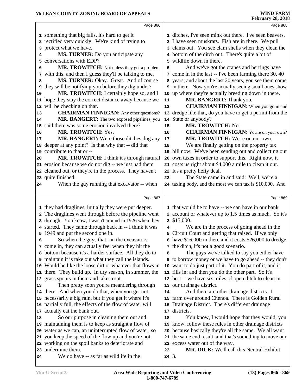|    | Page 866                                                                     |    | Page 868                                                                                                   |
|----|------------------------------------------------------------------------------|----|------------------------------------------------------------------------------------------------------------|
|    |                                                                              |    |                                                                                                            |
|    | 1 something that big falls, it's hard to get it                              |    | 1 ditches, I've seen mink out there. I've seen beavers.                                                    |
|    | 2 rectified very quickly. We're kind of trying to<br>3 protect what we have. |    | 2 I have seen muskrats. Fish are in there. We pull<br>3 clams out. You see clam shells when they clean the |
|    | MS. TURNER: Do you anticipate any                                            |    |                                                                                                            |
| 4  | conversations with EDP?                                                      |    | 4 bottom of the ditch out. There's quite a bit of<br>5 wildlife down in there.                             |
| 5  |                                                                              |    |                                                                                                            |
| 6  | MR. TROWITCH: Not unless they got a problem                                  | 6  | And we've got the cranes and herrings have                                                                 |
|    | 7 with this, and then I guess they'll be talking to me.                      |    | 7 come in in the last -- I've been farming there 30, 40                                                    |
| 8  | MS. TURNER: Okay. Great. And of course                                       |    | 8 years; and about the last 20 years, you see them come                                                    |
| 9  | they will be notifying you before they dig under?                            |    | 9 in there. Now you're actually seeing small ones show                                                     |
| 10 | MR. TROWITCH: I certainly hope so, and I                                     |    | 10 up where they're actually breeding down in there.                                                       |
|    | 11 hope they stay the correct distance away because we                       | 11 | MR. BANGERT: Thank you.                                                                                    |
|    | 12 will be checking on that.                                                 | 12 | <b>CHAIRMAN FINNIGAN:</b> When you go in and                                                               |
| 13 | <b>CHAIRMAN FINNIGAN:</b> Any other questions?                               |    | 13 dredge like that, do you have to get a permit from the                                                  |
| 14 | MR. BANGERT: The two exposed pipelines, you                                  |    | 14 State or anybody?                                                                                       |
|    | 15 said there was some erosion involved there?                               | 15 | MR. TROWITCH: No.                                                                                          |
| 16 | MR. TROWITCH: Yes.                                                           | 16 | <b>CHAIRMAN FINNIGAN:</b> You're on your own?                                                              |
| 17 | MR. BANGERT: Were those ditches dug any                                      | 17 | MR. TROWITCH: We're on our own.                                                                            |
|    | 18 deeper at any point? Is that why that -- did that                         | 18 | We are finally getting on the property tax                                                                 |
|    | 19 contribute to that or --                                                  |    | 19 bill now. We've been sending out and collecting our                                                     |
| 20 | MR. TROWITCH: I think it's through natural                                   |    | 20 own taxes in order to support this. Right now, it                                                       |
|    | 21 erosion because we do not dig -- we just had them                         |    | 21 costs us right about \$4,000 a mile to clean it out.                                                    |
|    | 22 cleaned out, or they're in the process. They haven't                      |    | 22 It's a pretty hefty deal.                                                                               |
|    | 23 quite finished.                                                           | 23 | The State came in and said: Well, we're a                                                                  |
| 24 | When the guy running that excavator -- when                                  |    | 24 taxing body, and the most we can tax is \$10,000. And                                                   |
|    | Page 867                                                                     |    | Page 869                                                                                                   |
|    |                                                                              |    |                                                                                                            |
|    | 1 they had draglines, initially they were put deeper.                        |    | 1 that would be to have -- we can have in our bank                                                         |
|    | 2 The draglines went through before the pipeline went                        |    | 2 account or whatever up to 1.5 times as much. So it's                                                     |
|    | 3 through. You know, I wasn't around in 1926 when they                       |    | $3$ \$15,000.                                                                                              |
|    | 4 started. They came through back in -- I think it was                       | 4  | We are in the process of going ahead in the                                                                |
|    | 5 1949 and put the second one in.                                            |    | 5 Circuit Court and getting that raised. If we only                                                        |
| 6  | So when the guys that run the excavators                                     |    | 6 have \$16,000 in there and it costs \$26,000 to dredge                                                   |
|    | 7 come in, they can actually feel when they hit the                          |    | 7 the ditch, it's not a good scenario.                                                                     |
|    | 8 bottom because it's a harder surface. All they do to                       | 8  | The guys we've talked to say you either have                                                               |
|    | 9 maintain it is take out what they call the islands.                        | 9  | to borrow money or we have to go ahead -- they don't                                                       |
|    | 10 Would be like the loose dirt or whatever that flows in                    |    | 10 want to do just part of it. You do part of it, and it                                                   |
|    | 11 there. They build up. In dry season, in summer, the                       |    | 11 fills in; and then you do the other part. So it's                                                       |
|    | 12 grass spouts in them and takes root.                                      |    | 12 best -- we have six miles of open ditch to clean in                                                     |
| 13 | Then pretty soon you're meandering through                                   |    | 13 our drainage district.                                                                                  |
|    | 14 there. And when you do that, when you get not                             | 14 | And there are other drainage districts. I                                                                  |
|    | 15 necessarily a big rain, but if you get it where it's                      |    | 15 farm over around Chenoa. There is Golden Rural                                                          |
|    | 16 partially full, the effects of the flow of water will                     |    | 16 Drainage District. There's different drainage                                                           |
|    | 17 actually eat the bank out.                                                |    | 17 districts.                                                                                              |
| 18 | So our purpose in cleaning them out and                                      | 18 | You know, I would hope that they would, you                                                                |
|    | 19 maintaining them is to keep as straight a flow of                         |    | 19 know, follow these rules in other drainage districts                                                    |
|    | 20 water as we can, an uninterrupted flow of water, so                       | 20 | because basically they're all the same. We all want                                                        |
|    | 21 you keep the speed of the flow up and you're not                          | 21 | the same end result, and that's something to move our                                                      |
|    | 22 working on the spoil banks to deteriorate and                             |    | 22 excess water out of the way.                                                                            |
|    | 23 undermine them.                                                           | 23 | MR. DICK: We'll call this Neutral Exhibit                                                                  |
| 24 | We do have -- as far as wildlife in the                                      |    | $24 \, 3.$                                                                                                 |
|    |                                                                              |    |                                                                                                            |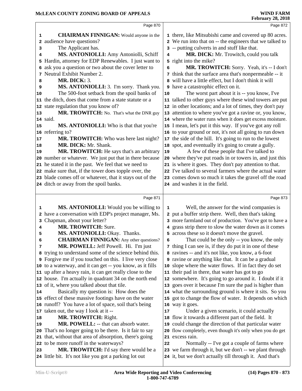|        | Page 870                                                                                         |    | Page 872                                                                                                            |
|--------|--------------------------------------------------------------------------------------------------|----|---------------------------------------------------------------------------------------------------------------------|
| 1      | <b>CHAIRMAN FINNIGAN:</b> Would anyone in the                                                    |    | 1 there, like Mitsubishi came and covered up 80 acres.                                                              |
| 2      | audience have questions?                                                                         |    | 2 We run into that on -- the engineers that we talked to                                                            |
| 3      | The Applicant has.                                                                               |    | 3 -- putting culverts in and stuff like that.                                                                       |
| 4      | MS. ANTONIOLLI: Amy Antoniolli, Schiff                                                           | 4  | MR. DICK: Mr. Trowitch, could you talk                                                                              |
|        | 5 Hardin, attorney for EDP Renewables. I just want to                                            |    | 5 right into the mike?                                                                                              |
| 6      | ask you a question or two about the cover letter to                                              | 6  | MR. TROWITCH: Sorry. Yeah, it's -- I don't                                                                          |
| 7      | Neutral Exhibit Number 2.                                                                        |    | 7 think that the surface area that's nonpermeable -- it                                                             |
| 8      | <b>MR. DICK: 3.</b>                                                                              |    | 8 will have a little effect, but I don't think it will                                                              |
| 9      | MS. ANTONIOLLI: 3. I'm sorry. Thank you.                                                         |    | <b>9</b> have a catastrophic effect on it.                                                                          |
| 10     | The 500-foot setback from the spoil banks of                                                     | 10 | The worst part about it is -- you know, I've                                                                        |
| 11     | the ditch, does that come from a state statute or a                                              |    | 11 talked to other guys where these wind towers are put                                                             |
| 12     | state regulation that you know of?                                                               |    | 12 in other locations; and a lot of times, they don't pay                                                           |
| 13     | MR. TROWITCH: No. That's what the DNR guy                                                        |    | 13 attention to where you've got a ravine or, you know,                                                             |
|        | 14 said.                                                                                         |    | 14 where the water runs when it does get excess moisture.                                                           |
| 15     | MS. ANTONIOLLI: Who is that that you're                                                          |    | 15 I mean, let's put it this way. If you've got any roll                                                            |
|        | 16 referring to?                                                                                 |    | 16 to your ground or not, it's not all going to run down                                                            |
| 17     | MR. TROWITCH: Who was here last night?                                                           |    | 17 the side of the hill. It's going to run to the lowest                                                            |
| 18     | MR. DICK: Mr. Shank.                                                                             |    | 18 spot, and eventually it's going to create a gully.                                                               |
| 19     | MR. TROWITCH: He says that's an arbitrary                                                        | 19 | A few of these people that I've talked to                                                                           |
|        | 20 number or whatever. We just put that in there because                                         |    | 20 where they've put roads in or towers in, and just this                                                           |
|        | 21 he stated it in the past. We feel that we need to                                             |    | 21 is where it goes. They don't pay attention to that.                                                              |
|        | 22 make sure that, if the tower does topple over, the                                            |    | 22 I've talked to several farmers where the actual water                                                            |
|        | 23 blade comes off or whatever, that it stays out of the                                         |    | 23 comes down so much it takes the gravel off the road                                                              |
|        | 24 ditch or away from the spoil banks.                                                           |    | 24 and washes it in the field.                                                                                      |
|        |                                                                                                  |    |                                                                                                                     |
|        | Page 871                                                                                         |    | Page 873                                                                                                            |
|        |                                                                                                  | 1  |                                                                                                                     |
| 1<br>2 | MS. ANTONIOLLI: Would you be willing to                                                          |    | Well, the answer for the wind companies is<br>2 put a buffer strip there. Well, then that's taking                  |
| 3      | have a conversation with EDP's project manager, Ms.                                              |    | 3 more farmland out of production. You've got to have a                                                             |
| 4      | Chapman, about your letter?<br><b>MR. TROWITCH: Sure.</b>                                        |    | 4 grass strip there to slow the water down as it comes                                                              |
| 5      | MS. ANTONIOLLI: Okay. Thanks.                                                                    | 5  | across these so it doesn't move the gravel.                                                                         |
| 6      | <b>CHAIRMAN FINNIGAN:</b> Any other questions?                                                   | 6  | That could be the only -- you know, the only                                                                        |
| 7      | MR. POWELL: Jeff Powell. Hi. I'm just                                                            |    | 7 thing I can see is, if they do put it in one of these                                                             |
|        | 8 trying to understand some of the science behind this.                                          |    | 8 ravines -- and it's not like, you know, a 6-foot                                                                  |
|        | <b>9</b> Forgive me if you touched on this. I live very close                                    |    | <b>9</b> ravine or anything like that. It can be a gradual                                                          |
|        | 10 to a waterway, and it can get -- you know, as it fills                                        |    | 10 slope where the water flows. If in fact they do set                                                              |
|        | 11 up after a heavy rain, it can get really close to the                                         |    | 11 their pad in there, that water has got to go                                                                     |
|        | 12 house. I'm actually in quadrant 34 on the north end                                           |    | 12 somewhere. It's going to go around it. I doubt if it                                                             |
|        | 13 of it, where you talked about that tile.                                                      |    | 13 goes over it because I'm sure the pad is higher than                                                             |
| 14     | Basically my question is: How does the                                                           |    | 14 what the surrounding ground is where it sits. So you                                                             |
|        | 15 effect of these massive footings have on the water                                            |    | 15 got to change the flow of water. It depends on which                                                             |
|        | 16 runoff? You have a lot of space, soil that's being                                            |    | 16 way it goes.                                                                                                     |
|        | 17 taken out, the way I look at it --                                                            | 17 | Under a given scenario, it could actually                                                                           |
| 18     | MR. TROWITCH: Right.                                                                             | 18 | flow it towards a different part of the field. It                                                                   |
| 19     | MR. POWELL: -- that can absorb water.                                                            |    | 19 could change the direction of that particular water                                                              |
| 20     | That's no longer going to be there. Is it fair to say                                            |    | 20 flow completely, even though it's only when you do get                                                           |
| 21     | that, without that area of absorption, there's going                                             |    | 21 excess rain.                                                                                                     |
| 23     | 22 to be more runoff in the waterways?                                                           | 22 | Normally -- I've got a couple of farms where                                                                        |
|        | MR. TROWITCH: I'd say there would be a<br>24 little bit. It's not like you got a parking lot out |    | 23 we farm through it, but we don't -- we plant through<br>24 it, but we don't actually till through it. And that's |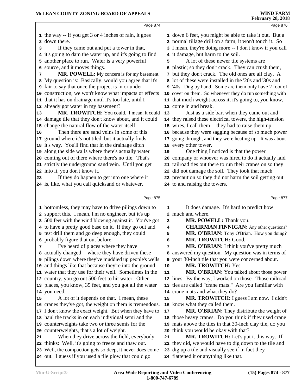| Page 874                                                                                                                                                                                                                                                                                                                                                                                                                                                                                                                                                                                                                                                                                                                                                                                                                                                                                                                                                                                                                                                                                                                                                                                                                                                                  | Page 876                                                                                                                                                                                                                                                                                                                                                                                                                                                                                                                                                                                                                                                                                                                                                                                                                                                                                                                                                                                                                                                                                                                                                                                                                                                                                       |
|---------------------------------------------------------------------------------------------------------------------------------------------------------------------------------------------------------------------------------------------------------------------------------------------------------------------------------------------------------------------------------------------------------------------------------------------------------------------------------------------------------------------------------------------------------------------------------------------------------------------------------------------------------------------------------------------------------------------------------------------------------------------------------------------------------------------------------------------------------------------------------------------------------------------------------------------------------------------------------------------------------------------------------------------------------------------------------------------------------------------------------------------------------------------------------------------------------------------------------------------------------------------------|------------------------------------------------------------------------------------------------------------------------------------------------------------------------------------------------------------------------------------------------------------------------------------------------------------------------------------------------------------------------------------------------------------------------------------------------------------------------------------------------------------------------------------------------------------------------------------------------------------------------------------------------------------------------------------------------------------------------------------------------------------------------------------------------------------------------------------------------------------------------------------------------------------------------------------------------------------------------------------------------------------------------------------------------------------------------------------------------------------------------------------------------------------------------------------------------------------------------------------------------------------------------------------------------|
| 1 the way -- if you get 3 or 4 inches of rain, it goes<br>2 down there.<br>If they came out and put a tower in that,<br>3<br>4 it's going to dam the water up, and it's going to find<br>5 another place to run. Water is a very powerful<br>6 source, and it moves things.<br>MR. POWELL: My concern is for my basement.<br>7<br>8 My question is: Basically, would you agree that it's<br><b>9</b> fair to say that once the project is in or under<br>10 construction, we won't know what impacts or effects<br>11 that it has on drainage until it's too late, until I<br>12 already got water in my basement?<br>MR. TROWITCH: You could. I mean, it could<br>13<br>14 damage tile that they don't know about, and it could<br>15 change the natural flow of the water itself.<br>Then there are sand veins in some of this<br>16<br>17 ground where it's not tiled, but it actually finds<br>18 it's way. You'll find that in the drainage ditch<br>19 along the side walls where there's actually water<br>20 coming out of there where there's no tile. That's<br>21 strictly the underground sand vein. Until you get<br>22 into it, you don't know it.<br>If they do happen to get into one where it<br>23<br>24 is, like, what you call quicksand or whatever, | 1 down 6 feet, you might be able to take it out. But a<br>2 normal tillage drill on a farm, it won't touch it. So<br>3 I mean, they're doing more -- I don't know if you call<br>4 it damage, but harm to the soil.<br>A lot of these newer tile systems are<br>5<br>6 plastic; so they don't crack. They can crush them,<br>7 but they don't crack. The old ones are all clay. A<br>8 lot of these were installed in the '20s and '30s and<br>9 '40s. Dug by hand. Some are them only have 2 foot of<br>10 cover on them. So whenever they do run something with<br>11 that much weight across it, it's going to, you know,<br>12 come in and break.<br>Just as a side bar, when they came out and<br>13<br>14 they raised these electrical towers, the high-tension<br>15 wires, I call them -- they had to raise them up<br>16 because they were sagging because of so much power<br>17 going through, and they were heating up. It was about<br>18 every other tower.<br>One thing I noticed is that the power<br>19<br>20 company or whoever was hired to do it actually laid<br>21 railroad ties out there to run their cranes on so they<br>22 did not damage the soil. They took that much<br>23 precaution so they did not harm the soil getting out<br>24 to and raising the towers. |
| Page 875<br>1 bottomless, they may have to drive pilings down to<br>2 support this. I mean, I'm no engineer, but it's up<br>3 500 feet with the wind blowing against it. You've got<br>4 to have a pretty good base on it. If they go out and<br>5 test drill them and go deep enough, they could<br>6 probably figure that out before.<br>I've heard of places where they have<br>7<br>8 actually changed -- where they have driven these<br>9 pilings down where they've muddied up people's wells                                                                                                                                                                                                                                                                                                                                                                                                                                                                                                                                                                                                                                                                                                                                                                      | Page 877<br>It does damage. It's hard to predict how<br>$\mathbf 1$<br>2 much and where.<br>MR. POWELL: Thank you.<br>3<br><b>CHAIRMAN FINNIGAN:</b> Any other questions?<br>4<br>MR. O'BRIAN: Tony O'Brian. How you doing?<br>5<br>MR. TROWITCH: Good.<br>6<br>MR. O'BRIAN: I think you've pretty much<br>7<br>8 answered my question. My question was in terms of<br>9 your 30-inch tile that you were concerned about.                                                                                                                                                                                                                                                                                                                                                                                                                                                                                                                                                                                                                                                                                                                                                                                                                                                                      |
| 10 and things like that because they're into the ground<br>11 water that they use for their well. Sometimes in the<br>12 country, you go out 500 feet to hit water. Other<br>13 places, you know, 35 feet, and you got all the water<br>14 you need.<br>A lot of it depends on that. I mean, these<br>15<br>16 cranes they've got, the weight on them is tremendous.<br>17 I don't know the exact weight. But when they have to<br>18 haul the tracks in on each individual semi and the<br>19 counterweights take two or three semis for the<br>20 counterweights, that's a lot of weight.<br>When they drive across the field, everybody<br>21<br>22 thinks: Well, it's going to freeze and thaw out.<br>23 Well, the compaction gets so deep, it never does come<br>24 out. I guess if you used a tile plow that could go                                                                                                                                                                                                                                                                                                                                                                                                                                              | MR. TROWITCH: Yes.<br>10<br>MR. O'BRIAN: You talked about those power<br>11<br>12 lines. By the way, I worked on those. Those railroad<br>13 ties are called "crane mats." Are you familiar with<br>14 crane mats and what they do?<br>MR. TROWITCH: I guess I am now. I didn't<br>15<br>16 know what they called them.<br>MR. O'BRIAN: They distribute the weight of<br>17<br>18 those heavy cranes. Do you think if they used crane<br>19 mats above the tiles in that 30-inch clay tile, do you<br>20 think you would be okay with that?<br>MR. TROWITCH: Let's put it this way. If<br>21<br>22 they did, we would have to dig down to the tile and<br>23 dig up a tile and visually see if in fact they<br>24 flattened it or anything like that.                                                                                                                                                                                                                                                                                                                                                                                                                                                                                                                                          |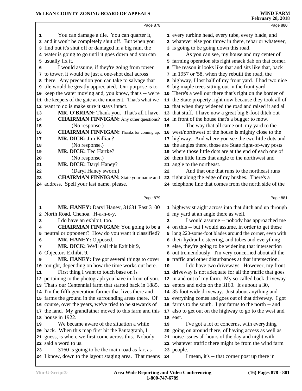| Page 878                                                                                                                                                                                                                                                                                                                                                                                                                                                                                                                                                                                                                                                                                                                                                                                                                                                                                                                                                                                                                                                                                                                                                                                            | Page 880                                                                                                                                                                                                                                                                                                                                                                                                                                                                                                                                                                                                                                                                                                                                                                                                                                                                                                                                                                                                                                                                                                                                                                                                                                                                                                                                                                               |
|-----------------------------------------------------------------------------------------------------------------------------------------------------------------------------------------------------------------------------------------------------------------------------------------------------------------------------------------------------------------------------------------------------------------------------------------------------------------------------------------------------------------------------------------------------------------------------------------------------------------------------------------------------------------------------------------------------------------------------------------------------------------------------------------------------------------------------------------------------------------------------------------------------------------------------------------------------------------------------------------------------------------------------------------------------------------------------------------------------------------------------------------------------------------------------------------------------|----------------------------------------------------------------------------------------------------------------------------------------------------------------------------------------------------------------------------------------------------------------------------------------------------------------------------------------------------------------------------------------------------------------------------------------------------------------------------------------------------------------------------------------------------------------------------------------------------------------------------------------------------------------------------------------------------------------------------------------------------------------------------------------------------------------------------------------------------------------------------------------------------------------------------------------------------------------------------------------------------------------------------------------------------------------------------------------------------------------------------------------------------------------------------------------------------------------------------------------------------------------------------------------------------------------------------------------------------------------------------------------|
| You can damage a tile. You can quarter it,<br>1<br>2 and it won't be completely shut off. But when you<br>3 find out it's shut off or damaged in a big rain, the<br>4 water is going to go until it goes down and you can<br>5 usually fix it.<br>I would assume, if they're going from tower<br>6<br>7 to tower, it would be just a one-shot deal across<br>8 there. Any precaution you can take to salvage that<br><b>9</b> tile would be greatly appreciated. Our purpose is to<br>10 keep the water moving and, you know, that's -- we're<br>11 the keepers of the gate at the moment. That's what we<br>12 want to do is make sure it stays intact.<br>MR. O'BRIAN: Thank you. That's all I have.<br> 13<br><b>CHAIRMAN FINNIGAN:</b> Any other questions?<br>14<br>(No response.)<br>15<br><b>CHAIRMAN FINNIGAN:</b> Thanks for coming up.<br>16<br>MR. DICK: Jim Killian?<br> 17<br>(No response.)<br>18<br>MR. DICK: Ted Hartke?<br> 19<br>(No response.)<br>20<br>MR. DICK: Daryl Haney?<br>21<br>(Daryl Haney sworn.)<br>${\bf 22}$<br><b>CHAIRMAN FINNIGAN:</b> State your name and<br>23<br>24 address. Spell your last name, please.                                                   | 1 every turbine head, every tube, every blade, and<br>2 whatever else you throw in there, rebar or whatever,<br>3 is going to be going down this road.<br>As you can see, my house and my center of<br>4<br>5 farming operation sits right smack dab on that corner.<br>The reason it looks like that and sits like that, back<br>6<br>7 in 1957 or '58, when they rebuilt the road, the<br>8 highway, I lost half of my front yard. I had two nice<br><b>9</b> big maple trees sitting out in the front yard.<br>There's a well out there that's right on the border of<br>10<br>11 the State property right now because they took all of<br>12 that when they widened the road and raised it and all<br>13 that stuff. I have now a great big 8-foot ditch out<br>14 in front of the house that's a bugger to mow.<br>The way that all came out, my yard to the<br>15<br>west/northwest of the house is mighty close to the<br>16<br>17 highway. And where you see the two little dots and<br>the angles there, those are State right-of-way posts<br>18<br>where those little dots are at the end of each one of<br>19<br>them little lines that angle to the northwest and<br>20<br>21 angle to the northeast.<br>And that one that runs to the northeast runs<br>22<br>23 right along the edge of my bushes. There's a<br>24 telephone line that comes from the north side of the |
|                                                                                                                                                                                                                                                                                                                                                                                                                                                                                                                                                                                                                                                                                                                                                                                                                                                                                                                                                                                                                                                                                                                                                                                                     |                                                                                                                                                                                                                                                                                                                                                                                                                                                                                                                                                                                                                                                                                                                                                                                                                                                                                                                                                                                                                                                                                                                                                                                                                                                                                                                                                                                        |
| Page 879                                                                                                                                                                                                                                                                                                                                                                                                                                                                                                                                                                                                                                                                                                                                                                                                                                                                                                                                                                                                                                                                                                                                                                                            | Page 881                                                                                                                                                                                                                                                                                                                                                                                                                                                                                                                                                                                                                                                                                                                                                                                                                                                                                                                                                                                                                                                                                                                                                                                                                                                                                                                                                                               |
| MR. HANEY: Daryl Haney, 31631 East 3100<br>1<br>2 North Road, Chenoa. H-a-n-e-y.<br>I do have an exhibit, too.<br>3<br><b>CHAIRMAN FINNIGAN:</b> You going to be a<br>4<br>5 neutral or opponent? How do you want it classified?<br>MR. HANEY: Opposed.<br>6<br>MR. DICK: We'll call this Exhibit 9,<br>7<br>8 Objectors Exhibit 9.<br>MR. HANEY: I've got several things to cover<br>9<br>10 tonight, depending on how the time works out here.<br>First thing I want to touch base on is<br>11<br>12 pertaining to the photograph you have in front of you.<br>13 That's our Centennial farm that started back in 1885.<br>14 I'm the fifth generation farmer that lives there and<br>15 farms the ground in the surrounding areas there. Of<br>16 course, over the years, we've tried to be stewards of<br>17 the land. My grandfather moved to this farm and this<br>18 house in 1922.<br>We became aware of the situation a while<br>19<br>20 back. When this map first hit the Pantagraph, I<br>21 guess, is where we first come across this. Nobody<br>22 said a word to us.<br>3160 is going to be the main road as far, as<br>23<br>24 I know, down to the layout staging area. That means | 1 highway straight across into that ditch and up through<br>2 my yard at an angle there as well.<br>I would assume -- nobody has approached me<br>3<br>4 on this -- but I would assume, in order to get these<br>5 long 220-some-foot blades around the corner, even with<br>6 their hydraulic steering, and tubes and everything<br>7 else, they're going to be widening that intersection<br>8 out tremendously. I'm very concerned about all the<br>traffic and other disturbances at that intersection.<br>9<br>I do have two driveways. However, my front<br>10<br>11 driveway is not adequate for all the traffic that goes<br>12 in and out of my farm. My so-called back driveway<br>13 enters and exits on the 3160. It's about a 30,<br>14 35-foot wide driveway. Just about anything and<br>15 everything comes and goes out of that driveway. I got<br>16 farms to the south. I got farms to the north -- and<br>also to get out on the highway to go to the west and<br>17<br>18 east.<br>I've got a lot of concerns, with everything<br>19<br>going on around there, of having access as well as<br>20<br>noise issues all hours of the day and night with<br>21<br>22 whatever traffic there might be from the wind farm<br>23 people.<br>I mean, it's -- that corner post up there in<br>24                                                                            |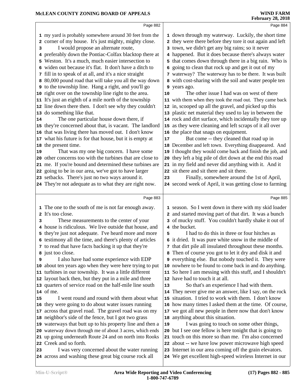|    |                                                                                                                       |    | <b>February 28, 2018</b>                                                                               |
|----|-----------------------------------------------------------------------------------------------------------------------|----|--------------------------------------------------------------------------------------------------------|
|    | Page 882                                                                                                              |    | Page 884                                                                                               |
|    | 1 my yard is probably somewhere around 30 feet from the                                                               |    | 1 down through my waterway. Luckily, the short time                                                    |
|    | 2 corner of my house. It's just mighty, mighty close.                                                                 |    | 2 they were there before they tore it out again and left                                               |
| 3  | I would propose an alternate route,                                                                                   |    | 3 town, we didn't get any big rains; so it never                                                       |
|    | 4 preferably down the Pontiac-Colfax blacktop there at                                                                |    | 4 happened. But it does because there's always water                                                   |
|    | 5 Weston. It's a much, much easier intersection to                                                                    |    | 5 that comes down through there in a big rain. Who is                                                  |
|    | 6 widen out because it's flat. It don't have a ditch to                                                               | 6  | going to clean that rock up and get it out of my                                                       |
|    | 7 fill in to speak of at all, and it's a nice straight                                                                |    | 7 waterway? The waterway has to be there. It was built                                                 |
|    | 8 80,000 pound road that will take you all the way down                                                               |    | 8 with cost-sharing with the soil and water people ten                                                 |
|    | <b>9</b> to the township line. Hang a right, and you'll go                                                            |    | 9 years ago.                                                                                           |
|    | 10 right over on the township line right to the area.                                                                 | 10 | The other issue I had was on west of there                                                             |
|    | 11 It's just an eighth of a mile north of the township                                                                |    | 11 with them when they took the road out. They came back                                               |
|    | 12 line down there then. I don't see why they couldn't                                                                |    | 12 in, scooped up all the gravel, and picked up this                                                   |
|    | 13 do something like that.                                                                                            |    | 13 plastic net material they used to lay in between the                                                |
| 14 | The one particular house down there, if                                                                               |    | 14 rock and dirt surface, which incidentally they tore up                                              |
|    | 15 they're concerned about that, is vacant. The landlord                                                              |    | 15 as they were cleaning and left scraps of it all over                                                |
|    | 16 that was living there has moved out. I don't know                                                                  |    | 16 the place that snags on equipment.                                                                  |
|    | 17 what his future is for that house, but it is empty at                                                              | 17 | But come -- they cleaned that road up in                                                               |
|    | 18 the present time.                                                                                                  |    | 18 December and left town. Everything disappeared. And                                                 |
| 19 | That was my one big concern. I have some                                                                              |    | 19 I thought they would come back and finish the job, and                                              |
|    | 20 other concerns too with the turbines that are close to                                                             | 20 | they left a big pile of dirt down at the end this road                                                 |
|    | 21 me. If you're bound and determined these turbines are                                                              |    | 21 in my field and never did anything with it. And it                                                  |
|    | 22 going to be in our area, we've got to have larger                                                                  |    | 22 sit there and sit there and sit there.                                                              |
|    | 23 setbacks. There's just no two ways around it.                                                                      | 23 | Finally, somewhere around the 1st of April,                                                            |
|    |                                                                                                                       |    |                                                                                                        |
|    | 24 They're not adequate as to what they are right now.                                                                |    | 24 second week of April, it was getting close to farming                                               |
|    |                                                                                                                       |    |                                                                                                        |
|    | Page 883                                                                                                              |    | Page 885                                                                                               |
|    | 1 The one to the south of me is not far enough away.                                                                  |    | 1 season. So I went down in there with my skid loader                                                  |
|    | 2 It's too close.                                                                                                     |    | 2 and started moving part of that dirt. It was a bunch                                                 |
| 3  | These measurements to the center of your                                                                              |    | 3 of mucky stuff. You couldn't hardly shake it out of                                                  |
|    | 4 house is ridiculous. We live outside that house, and                                                                |    | 4 the bucket.                                                                                          |
|    | 5 they're just not adequate. I've heard more and more                                                                 | 5  | I had to do this in three or four hitches as                                                           |
|    | 6 testimony all the time, and there's plenty of articles                                                              |    | 6 it dried. It was pure white snow in the middle of                                                    |
|    | 7 to read that have facts backing it up that they're                                                                  | 7  | that dirt pile all insulated throughout these months.                                                  |
|    | 8 just too close.                                                                                                     |    | Then of course you got to let it dry and disk it and                                                   |
| 9  | I also have had some experience with EDP                                                                              |    | 9 everything else. But nobody touched it. They were                                                    |
|    | 10 about ten years ago when they were here trying to put                                                              |    | 10 nowhere to be found to come back in and do anything.                                                |
|    | 11 turbines in our township. It was a little different                                                                |    | 11 So here I am messing with this stuff, and I shouldn't                                               |
|    | 12 layout back then, but they put in a mile and three                                                                 |    | 12 have had to touch it at all.                                                                        |
|    | 13 quarters of service road on the half-mile line south                                                               | 13 | So that's an experience I had with them.                                                               |
|    | 14 of me.                                                                                                             |    | 14 They never give me an answer, like I say, on the rock                                               |
| 15 | I went round and round with them about what                                                                           |    | 15 situation. I tried to work with them. I don't know                                                  |
|    | 16 they were going to do about water issues running                                                                   |    | 16 how many times I asked them at the time. Of course,                                                 |
|    | 17 across that gravel road. The gravel road was on my                                                                 | 17 | we got all new people in there now that don't know                                                     |
|    | 18 neighbor's side of the fence, but I got two grass                                                                  |    | 18 anything about this situation.                                                                      |
|    | 19 waterways that butt up to his property line and then a<br>20 waterway down through me of about 3 acres, which ends | 19 | I was going to touch on some other things,<br>20 but I see one fellow is here tonight that is going to |

 up going underneath Route 24 and on north into Rooks Creek and so forth.

 I was very concerned about the water running across and washing these great big course rock all

 touch on this more so than me. I'm also concerned about -- we have low power microwave high speed Internet in our area coming off the grain elevators.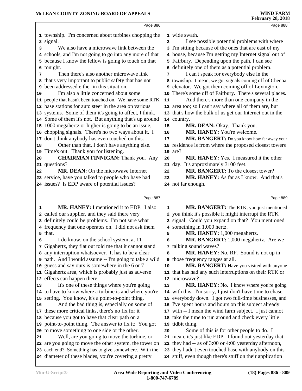|    | Page 886                                                                                                 |                | Page 888                                                                             |  |
|----|----------------------------------------------------------------------------------------------------------|----------------|--------------------------------------------------------------------------------------|--|
|    | 1 township. I'm concerned about turbines chopping the                                                    |                | 1 wide swath.                                                                        |  |
|    | 2 signal.                                                                                                | $\overline{a}$ | I see possible potential problems with where                                         |  |
| з  | We also have a microwave link between the                                                                |                | 3 I'm sitting because of the ones that are east of my                                |  |
|    | 4 schools, and I'm not going to go into any more of that                                                 |                | 4 house, because I'm getting my Internet signal out of                               |  |
|    | 5 because I know the fellow is going to touch on that                                                    |                | 5 Fairbury. Depending upon the path, I can see                                       |  |
| 6  | tonight.                                                                                                 |                | 6 definitely one of them as a potential problem.                                     |  |
| 7  | Then there's also another microwave link                                                                 | 7              | I can't speak for everybody else in the                                              |  |
| 8  | that's very important to public safety that has not                                                      |                | 8 township. I mean, we got signals coming off of Chenoa                              |  |
| 9  | been addressed either in this situation.                                                                 |                | 9 elevator. We got them coming off of Lexington.                                     |  |
| 10 | I'm also a little concerned about some                                                                   |                | 10 There's some off of Fairbury. There's several places.                             |  |
|    | 11 people that hasn't been touched on. We have some RTK                                                  | 11             | And there's more than one company in the                                             |  |
|    | 12 base stations for auto steer in the area on various                                                   |                | 12 area too; so I can't say where all of them are, but                               |  |
|    | 13 systems. Some of them it's going to affect, I think.                                                  |                | 13 that's how the bulk of us get our Internet out in the                             |  |
|    | 14 Some of them it's not. But anything that's up around                                                  |                | 14 country.                                                                          |  |
|    | 15 1000 megahertz or higher is going to be an issue,                                                     | 15             | MR. DEAN: Okay. Thank you.                                                           |  |
|    | 16 chopping signals. There's no two ways about it. I                                                     | 16             | MR. HANEY: You're welcome.                                                           |  |
|    | 17 don't think anybody has even touched on this.                                                         | 17             | MR. BANGERT: Do you know how far away your                                           |  |
| 18 | Other than that, I don't have anything else.                                                             |                | 18 residence is from where the proposed closest towers                               |  |
|    | 19 Time's out. Thank you for listening.                                                                  |                | $19 \text{ are?}$                                                                    |  |
| 20 | <b>CHAIRMAN FINNIGAN:</b> Thank you. Any                                                                 | 20             | <b>MR. HANEY:</b> Yes. I measured it the other                                       |  |
|    | 21 questions?                                                                                            | 21             | day. It's approximately 3100 feet.                                                   |  |
| 22 | <b>MR. DEAN:</b> On the microwave Internet                                                               | 22             | MR. BANGERT: To the closest tower?                                                   |  |
|    | 23 service, have you talked to people who have had                                                       | 23             | MR. HANEY: As far as I know. And that's                                              |  |
|    | 24 issues? Is EDP aware of potential issues?                                                             |                | 24 not far enough.                                                                   |  |
|    |                                                                                                          |                |                                                                                      |  |
|    | Page 887                                                                                                 |                |                                                                                      |  |
|    |                                                                                                          |                | Page 889                                                                             |  |
|    |                                                                                                          |                |                                                                                      |  |
| 1  | <b>MR. HANEY:</b> I mentioned it to EDP. I also                                                          | 1              | MR. BANGERT: The RTK, you just mentioned                                             |  |
|    | 2 called our supplier, and they said there very                                                          |                | 2 you think it's possible it might interrupt the RTK                                 |  |
| 3  | definitely could be problems. I'm not sure what                                                          |                | 3 signal. Could you expand on that? You mentioned                                    |  |
|    | 4 frequency that one operates on. I did not ask them                                                     |                | 4 something in 1,000 hertz.                                                          |  |
| 6  | 5 that.                                                                                                  | 5              | MR. HANEY: 1,000 megahertz.                                                          |  |
|    | I do know, on the school system, at 11                                                                   | 6              | MR. BANGERT: 1,000 megahertz. Are we                                                 |  |
|    | 7 Gigahertz, they flat out told me that it cannot stand                                                  | 8              | 7 talking sound waves?                                                               |  |
|    | 8 any interruption whatsoever. It has to be a clear                                                      |                | MR. HANEY: No, RF. Sound is not up in                                                |  |
|    | 9 path. And I would assume -- I'm going to take a wild                                                   | 10             | <b>9</b> those frequency ranges at all.<br>MR. BANGERT: Have you visited with anyone |  |
|    | 10 guess and say ours is somewhere in the 6 or 7<br>11 Gigahertz area, which is probably just as adverse |                | 11 that has had any such interruptions on their RTK or                               |  |
|    | 12 effects can happen there.                                                                             |                | 12 microwave?                                                                        |  |
| 13 | It's one of these things where you're going                                                              | 13             | MR. HANEY: No. I know where you're going                                             |  |
|    | 14 to have to know where a turbine is and where you're                                                   |                | 14 with this. I'm sorry, I just don't have time to chase                             |  |
|    | 15 setting. You know, it's a point-to-point thing.                                                       |                | 15 everybody down. I got two full-time businesses, and                               |  |
| 16 | And the bad thing is, especially on some of                                                              |                | 16 I've spent hours and hours on this subject already                                |  |
|    | 17 these more critical links, there's no fix for it                                                      |                | 17 with -- I mean the wind farm subject. I just cannot                               |  |
|    | 18 because you got to have that clear path on a                                                          |                | 18 take the time to run around and check every little                                |  |
|    | 19 point-to-point thing. The answer to fix it: You got                                                   |                | 19 tidbit thing.                                                                     |  |
|    | 20 to move something to one side or the other.                                                           | 20             | Some of this is for other people to do. I                                            |  |
| 21 | Well, are you going to move the turbine, or                                                              |                | 21 mean, it's just like EDP. I found out yesterday that                              |  |
|    | 22 are you going to move the other system, the tower on                                                  |                | 22 they had -- as of 3:00 or 4:00 yesterday afternoon,                               |  |
|    | 23 each end? Something has to give somewhere. With the                                                   |                | 23 they hadn't even touched base with anybody on this                                |  |
|    | 24 diameter of these blades, you're covering a pretty                                                    |                | 24 stuff, even though there's stuff on their application                             |  |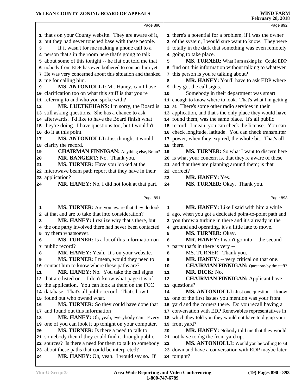|          | Page 890                                                                                   |                 | Page 892                                                            |
|----------|--------------------------------------------------------------------------------------------|-----------------|---------------------------------------------------------------------|
|          | 1 that's on your County website. They are aware of it,                                     |                 | 1 there's a potential for a problem, if I was the owner             |
|          | 2 but they had never touched base with these people.                                       |                 | 2 of the system, I would sure want to know. They were               |
| з        | If it wasn't for me making a phone call to a                                               |                 | 3 totally in the dark that something was even remotely              |
|          | 4 person that's in the room here that's going to talk                                      |                 | 4 going to take place.                                              |
|          | 5 about some of this tonight -- he flat out told me that                                   | 5               | MS. TURNER: What I am asking is: Could EDP                          |
|          | 6 nobody from EDP has even bothered to contact him yet.                                    |                 | 6 find out this information without talking to whatever             |
|          | 7 He was very concerned about this situation and thanked                                   |                 | 7 this person is you're talking about?                              |
|          | 8 me for calling him.                                                                      | 8               | MR. HANEY: You'll have to ask EDP where                             |
| 9        | MS. ANTONIOLLI: Mr. Haney, can I have                                                      |                 | <b>9</b> they got the call signs.                                   |
|          | 10 clarification too on what this stuff is that you're                                     | 10              | Somebody in their department was smart                              |
|          | 11 referring to and who you spoke with?                                                    |                 | 11 enough to know where to look. That's what I'm getting            |
| 12       | MR. LUETKEHANS: I'm sorry, the Board is                                                    | 12 <sup>2</sup> | at. There's some other radio services in their                      |
|          | 13 still asking questions. She has a chance to ask                                         |                 | 13 application, and that's the only place they would have           |
|          | 14 afterwards. I'd like to have the Board finish what                                      |                 | 14 found them, was the same place. It's all public                  |
|          | 15 they're doing. I have questions too, but I wouldn't                                     |                 | 15 record. I mean, you can check the license. You can               |
|          | 16 do it at this point.                                                                    |                 | 16 check longitude, latitude. You can check transmitter             |
| 17       | MS. ANTONIOLLI: Just thought it would                                                      | 17              | power, when they expired, the whole bit. That's all                 |
|          | 18 clarify the record.                                                                     |                 | 18 there.                                                           |
| 19       | <b>CHAIRMAN FINNIGAN:</b> Anything else, Brian?                                            | 19              | <b>MS. TURNER:</b> So what I want to discern here                   |
| 20       | MR. BANGERT: No. Thank you.                                                                |                 | 20 is what your concern is, that they're aware of these             |
| 21       | MS. TURNER: Have you looked at the                                                         | 21              | and that they are planning around them; is that                     |
|          | 22 microwave beam path report that they have in their                                      |                 | 22 correct?                                                         |
|          | 23 application?                                                                            | 23              | MR. HANEY: Yes.                                                     |
| 24       | MR. HANEY: No, I did not look at that part.                                                | 24              | MS. TURNER: Okay. Thank you.                                        |
|          |                                                                                            |                 |                                                                     |
|          | Page 891                                                                                   |                 | Page 893                                                            |
|          |                                                                                            |                 |                                                                     |
|          |                                                                                            |                 |                                                                     |
| 1        | MS. TURNER: Are you aware that they do look                                                | $\mathbf 1$     | <b>MR. HANEY:</b> Like I said with him a while                      |
|          | 2 at that and are to take that into consideration?                                         |                 | 2 ago, when you got a dedicated point-to-point path and             |
| 3        | MR. HANEY: I realize why that's there, but                                                 |                 | 3 you throw a turbine in there and it's already in the              |
|          | 4 the one party involved there had never been contacted                                    |                 | 4 ground and operating, it's a little late to move.                 |
|          | 5 by them whatsoever.                                                                      | 5               | MS. TURNER: Okay.                                                   |
| 6        | <b>MS. TURNER:</b> Is a lot of this information on                                         | 6               | MR. HANEY: I won't go into -- the second                            |
|          | 7 public record?                                                                           |                 | 7 party that's in there is very --                                  |
| 8        | MR. HANEY: Yeah. It's on your website.                                                     | 8<br>9          | MS. TURNER. Thank you.                                              |
| 9        | MS. TURNER: I mean, would they need to                                                     | 10              | MR. HANEY: -- very critical on that one.                            |
|          | 10 contact him to know where these paths are?                                              | 11              | <b>CHAIRMAN FINNIGAN:</b> Questions by the staff?                   |
|          | <b>MR. HANEY:</b> No. You take the call signs                                              | 12              | MR. DICK: No.                                                       |
|          | 12 that are listed on -- I don't know what page it is of                                   |                 | <b>CHAIRMAN FINNIGAN:</b> Applicant have                            |
|          | 13 the application. You can look at them on the FCC                                        | 14              | 13 questions?                                                       |
|          | 14 database. That's all public record. That's how I<br>15 found out who owned what.        |                 | MS. ANTONIOLLI: Just one question. I know                           |
|          | MS. TURNER: So they could have done that                                                   | 16              | 15 one of the first issues you mention was your front               |
| 16       |                                                                                            |                 | yard and the corners there. Do you recall having a                  |
|          | 17 and found out this information                                                          |                 | 17 conversation with EDP Renewables representatives in              |
|          | MR. HANEY: Oh, yeah, everybody can. Every                                                  |                 | 18 which they told you they would not have to dig up your           |
| 20       | 19 one of you can look it up tonight on your computer.                                     | 20              | 19 front yard?                                                      |
| 11<br>18 | MS. TURNER: Is there a need to talk to                                                     |                 | MR. HANEY: Nobody told me that they would                           |
|          | 21 somebody then if they could find it through public                                      | 22              | 21 not have to dig the front yard up.                               |
|          | 22 sources? Is there a need for them to talk to somebody                                   |                 | MS. ANTONIOLLI: Would you be willing to sit                         |
| 24       | 23 about these paths that could be interpreted?<br>MR. HANEY: Oh, yeah. I would say so. If |                 | 23 down and have a conversation with EDP maybe later<br>24 tonight? |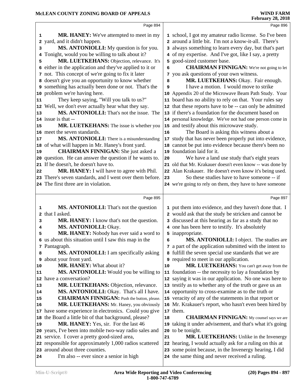|          | Page 894                                                                          |          | Page 896                                                                                                           |
|----------|-----------------------------------------------------------------------------------|----------|--------------------------------------------------------------------------------------------------------------------|
| 1        | <b>MR. HANEY:</b> We've attempted to meet in my                                   |          | 1 school, I got my amateur radio license. So I've been                                                             |
| 2        | yard, and it didn't happen.                                                       |          | 2 around a little bit. I'm not a know-it-all. There's                                                              |
| з        | MS. ANTONIOLLI: My question is for you.                                           |          | 3 always something to learn every day, but that's part                                                             |
| 4        | Tonight, would you be willing to talk about it?                                   |          | 4 of my expertise. And I've got, like I say, a pretty                                                              |
| 5        | MR. LUETKEHANS: Objection, relevance. It's                                        |          | 5 good-sized customer base.                                                                                        |
| 6        | either in the application and they've applied to it or                            | 6        | <b>CHAIRMAN FINNIGAN:</b> We're not going to let                                                                   |
|          | 7 not. This concept of we're going to fix it later                                | 7        | you ask questions of your own witness.                                                                             |
|          | 8 doesn't give you an opportunity to know whether                                 | 8        | MR. LUETKEHANS: Okay. Fair enough.                                                                                 |
|          | 9 something has actually been done or not. That's the                             | 9        | I have a motion. I would move to strike                                                                            |
|          | 10 problem we're having here.                                                     |          | 10 Appendix 20 of the Microwave Beam Path Study. Your                                                              |
| 11       | They keep saying, "Will you talk to us?"                                          |          | 11 board has no ability to rely on that. Your rules say                                                            |
|          | 12 Well, we don't ever actually hear what they say.                               |          | 12 that these reports have to be -- can only be admitted                                                           |
| 13       | MS. ANTONIOLLI: That's not the issue. The                                         |          | 13 if there's a foundation for the document based on                                                               |
|          | 14 issue is that --                                                               |          | 14 personal knowledge. We've not had one person come in                                                            |
| 15       | MR. LUETKEHANS: The issue is whether you                                          |          | 15 and testify about this microwave study.                                                                         |
|          | 16 meet the seven standards.                                                      | 16       | The Board is asking this witness about a                                                                           |
| 17       | MS. ANTONIOLLI: There is a misunderstanding                                       | 17       | study that has never been properly put into evidence,                                                              |
|          | 18 of what will happen in Mr. Haney's front yard.                                 |          | 18 cannot be put into evidence because there's been no                                                             |
| 19       | <b>CHAIRMAN FINNIGAN:</b> She just asked a                                        |          | 19 foundation laid for it.                                                                                         |
|          | 20 question. He can answer the question if he wants to.                           | 20       | We have a land use study that's eight years                                                                        |
|          | 21 If he doesn't, he doesn't have to.                                             |          | 21 old that Mr. Krakauer doesn't even know -- was done by                                                          |
| 22       | MR. HANEY: I will have to agree with Phil.                                        |          | 22 Alan Krakauer. He doesn't even know it's being used.                                                            |
|          | 23 There's seven standards, and I went over them before.                          | 23       | So these studies have to have someone -- if                                                                        |
|          | 24 The first three are in violation.                                              |          | 24 we're going to rely on them, they have to have someone                                                          |
|          | Page 895                                                                          |          | Page 897                                                                                                           |
|          |                                                                                   |          |                                                                                                                    |
|          |                                                                                   |          |                                                                                                                    |
| 1        | <b>MS. ANTONIOLLI:</b> That's not the question                                    |          | 1 put them into evidence, and they haven't done that. I                                                            |
| 2        | that I asked.                                                                     |          | 2 would ask that the study be stricken and cannot be                                                               |
| з        | MR. HANEY: I know that's not the question.                                        |          | 3 discussed at this hearing as far as a study that no                                                              |
| 4        | MS. ANTONIOLLI: Okay.                                                             |          | 4 one has been here to testify. It's absolutely                                                                    |
| 5        | MR. HANEY: Nobody has ever said a word to                                         |          | 5 inappropriate.                                                                                                   |
|          | 6 us about this situation until I saw this map in the                             | 6        | MS. ANTONIOLLI: I object. The studies are                                                                          |
|          | 7 Pantagraph.                                                                     |          | 7 a part of the application submitted with the intent to                                                           |
| 8        | <b>MS. ANTONIOLLI:</b> I am specifically asking                                   |          | 8 fulfill the seven special use standards that we are                                                              |
| 9        | about your front yard.                                                            |          | <b>9</b> required to meet in our application.                                                                      |
| 10<br>11 | MR. HANEY: What about it?                                                         | 10<br>11 | MR. LUETKEHANS: You can't get away from the                                                                        |
|          | MS. ANTONIOLLI: Would you be willing to<br>12 have a conversation?                |          | foundation -- the necessity to lay a foundation by                                                                 |
| 13       |                                                                                   |          | 12 saying it was in our application. No one was here to<br>13 testify as to whether any of the truth or gave us an |
| 14       | MR. LUETKEHANS: Objection, relevance.<br>MS. ANTONIOLLI: Okay. That's all I have. |          | 14 opportunity to cross-examine as to the truth or                                                                 |
| 15       | <b>CHAIRMAN FINNIGAN:</b> Push the button, please.                                |          | 15 veracity of any of the statements in that report or                                                             |
| 16       | MR. LUETKEHANS: Mr. Haney, you obviously                                          |          | 16 Mr. Krakauer's report, who hasn't even been hired by                                                            |
|          | 17 have some experience in electronics. Could you give                            |          | 17 them.                                                                                                           |
|          | 18 the Board a little bit of that background, please?                             | 18       | <b>CHAIRMAN FINNIGAN:</b> My counsel says we are                                                                   |
| 19       | MR. HANEY: Yes, sir. For the last 46                                              | 19       | taking it under advisement, and that's what it's going                                                             |
|          | 20 years, I've been into mobile two-way radio sales and                           | 20       | to be tonight.                                                                                                     |
|          | 21 service. I cover a pretty good-sized area,                                     | 21       | <b>MR. LUETKEHANS:</b> Unlike in the Invenergy                                                                     |
|          | 22 responsible for approximately 1,000 radios scattered                           |          | 22 hearing, I would actually ask for a ruling on this at                                                           |
|          | 23 around about three counties.<br>I'm also -- ever since a senior in high        |          | 23 some point because, in the Invenergy hearing, I did<br>24 the same thing and never received a ruling.           |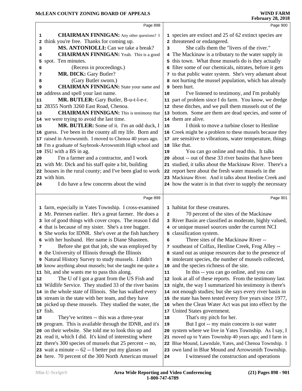|        | Page 898                                                                                                        |                         | Page 900                                                                                          |  |
|--------|-----------------------------------------------------------------------------------------------------------------|-------------------------|---------------------------------------------------------------------------------------------------|--|
| 1      | <b>CHAIRMAN FINNIGAN:</b> Any other questions? I                                                                |                         | 1 species are extinct and 25 of 62 extinct species are                                            |  |
| 2      | think you're free. Thanks for coming up.                                                                        |                         | 2 threatened or endangered.                                                                       |  |
| 3      | MS. ANTONIOLLI: Can we take a break?                                                                            | 3                       | She calls them the "livers of the river."                                                         |  |
| 4      | <b>CHAIRMAN FINNIGAN:</b> Yeah. This is a good                                                                  |                         | 4 The Mackinaw is a tributary to the water supply in                                              |  |
| 5      | spot. Ten minutes.                                                                                              |                         | 5 this town. What those mussels do is they actually                                               |  |
| 6      | (Recess in proceedings.)                                                                                        |                         | 6 filter some of our chemicals, nitrates, before it gets                                          |  |
| 7      | MR. DICK: Gary Butler?                                                                                          |                         | 7 to that public water system. She's very adamant about                                           |  |
|        | (Gary Butler sworn.)                                                                                            |                         | 8 not hurting the mussel population, which has already                                            |  |
| 8<br>9 | <b>CHAIRMAN FINNIGAN:</b> State your name and                                                                   |                         | 9 been hurt.                                                                                      |  |
|        | address and spell your last name.                                                                               | 10                      | I've listened to testimony, and I'm probably                                                      |  |
| 10     |                                                                                                                 |                         |                                                                                                   |  |
| 11     | MR. BUTLER: Gary Butler, B-u-t-l-e-r.                                                                           |                         | 11 part of problem since I do farm. You know, we dredge                                           |  |
| 12     | 28355 North 3260 East Road, Chenoa.                                                                             |                         | 12 these ditches, and we pull them mussels out of the                                             |  |
| 13     | <b>CHAIRMAN FINNIGAN:</b> This is testimony that                                                                |                         | 13 bottom. Some are them are dead species, and some of                                            |  |
|        | 14 we were trying to avoid the last time.                                                                       |                         | 14 them are alive.                                                                                |  |
| 15     | MR. BUTLER: Some of it. I'm an odd duck, I                                                                      | 15                      | I think to move a turbine closer to Henline                                                       |  |
|        | 16 guess. I've been in the county all my life. Born and                                                         |                         | 16 Creek might be a problem to these mussels because they                                         |  |
|        | 17 raised in Arrowsmith. I moved to Chenoa 40 years ago.                                                        |                         | 17 are sensitive to vibrations, water temperature, things                                         |  |
|        | 18 I'm a graduate of Saybrook-Arrowsmith High school and                                                        |                         | 18 like that.                                                                                     |  |
|        | 19 ISU with a BS in ag.                                                                                         | 19                      | You can go online and read this. It talks                                                         |  |
| 20     | I'm a farmer and a contractor, and I work                                                                       |                         | 20 about -- out of these 33 river basins that have been                                           |  |
|        | 21 with Mr. Dick and his staff quite a bit, building                                                            |                         | 21 studied, it talks about the Mackinaw River. There's a                                          |  |
|        | 22 houses in the rural county; and I've been glad to work                                                       |                         | 22 report here about the fresh water mussels in the                                               |  |
|        | 23 with him.                                                                                                    |                         | 23 Mackinaw River. And it talks about Henline Creek and                                           |  |
| 24     | I do have a few concerns about the wind                                                                         |                         | 24 how the water is in that river to supply the necessary                                         |  |
|        |                                                                                                                 |                         |                                                                                                   |  |
|        |                                                                                                                 |                         |                                                                                                   |  |
|        | Page 899                                                                                                        |                         | Page 901                                                                                          |  |
|        |                                                                                                                 |                         | 1 habitat for these creatures.                                                                    |  |
|        | 1 farm, especially in Yates Township. I cross-examined                                                          | $\overline{\mathbf{2}}$ |                                                                                                   |  |
|        | 2 Mr. Petersen earlier. He's a great farmer. He does a                                                          |                         | 70 percent of the sites of the Mackinaw                                                           |  |
|        | 3 lot of good things with cover crops. The reason I did<br>4 that is because of my sister. She's a tree hugger. |                         | 3 River Basin are classified as moderate, highly valued,                                          |  |
|        |                                                                                                                 |                         | 4 or unique mussel sources under the current NCI                                                  |  |
|        | 5 She works for IDNR. She's over at the fish hatchery<br>6 with her husband. Her name is Diane Shasteen.        | 6                       | 5 classification system.<br>Three sites of the Mackinaw River --                                  |  |
| 7      |                                                                                                                 |                         |                                                                                                   |  |
|        | Before she got that job, she was employed by                                                                    |                         | 7 southeast of Colfax, Henline Creek, Frog Alley --                                               |  |
|        | 8 the University of Illinois through the Illinois<br>9 Natural History Survey to study mussels. I didn't        |                         | 8 stand out as unique resources due to the presence of                                            |  |
|        | 10 know anything about mussels; but she taught me quite a                                                       |                         | 9 intolerant species, the number of mussels collected,                                            |  |
|        |                                                                                                                 | 11                      | 10 and the species richness of the site.                                                          |  |
| 12     | 11 bit, and she wants me to pass this along.                                                                    |                         | In this -- you can go online, and you can                                                         |  |
|        | The U of I got a grant from the US Fish and                                                                     |                         | 12 look at all of these reports. From the testimony last                                          |  |
|        | 13 Wildlife Service. They studied 33 of the river basins                                                        |                         | 13 night, the way I summarized his testimony is there's                                           |  |
|        | 14 in the whole state of Illinois. She has walked every                                                         |                         | 14 not enough studies; but she says every river basin in                                          |  |
|        | 15 stream in the state with her team, and they have                                                             |                         | 15 the state has been tested every five years since 1977,                                         |  |
|        | 16 picked up these mussels. They studied the water, the                                                         |                         | 16 when the Clean Water Act was put into effect by the                                            |  |
| 18     | 17 fish.                                                                                                        |                         | 17 United States government.                                                                      |  |
|        | They've written -- this was a three-year                                                                        | 18                      | That's my pitch for her.                                                                          |  |
|        | 19 program. This is available through the IDNR, and it's                                                        | 19                      | But I got -- my main concern is our water                                                         |  |
|        | 20 on their website. She told me to look this up and                                                            |                         | 20 system where we live in Yates Township. As I say, I                                            |  |
|        | 21 read it, which I did. It's kind of interesting where                                                         |                         | 21 moved up to Yates Township 40 years ago; and I farm in                                         |  |
|        | 22 there's 300 species of mussels that 25 percent -- no,                                                        |                         | 22 Blue Mound, Lawndale, Yates, and Chenoa Township. I                                            |  |
|        | 23 wait a minute -- 62 -- I better put my glasses on<br>24 here. 70 percent of the 300 North American mussel    | 24                      | 23 own land in Blue Mound and Arrowsmith Township.<br>I witnessed the construction and operations |  |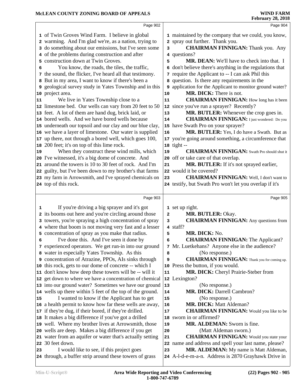|               | Page 902                                                                                                                                                                                                                                                                                                                                                                                                                                                                                                                                                                                                                                                                                                                                                                                                                                                                                                                                                                                                                                                                                                                                                                                                                                          |                                                                  | Page 904                                                                                                                                                                                                                                                                                                                                                                                                                                                                                                                                                                                                                                                                                                                                                                                                                                                                                                                                                                                                                                       |  |
|---------------|---------------------------------------------------------------------------------------------------------------------------------------------------------------------------------------------------------------------------------------------------------------------------------------------------------------------------------------------------------------------------------------------------------------------------------------------------------------------------------------------------------------------------------------------------------------------------------------------------------------------------------------------------------------------------------------------------------------------------------------------------------------------------------------------------------------------------------------------------------------------------------------------------------------------------------------------------------------------------------------------------------------------------------------------------------------------------------------------------------------------------------------------------------------------------------------------------------------------------------------------------|------------------------------------------------------------------|------------------------------------------------------------------------------------------------------------------------------------------------------------------------------------------------------------------------------------------------------------------------------------------------------------------------------------------------------------------------------------------------------------------------------------------------------------------------------------------------------------------------------------------------------------------------------------------------------------------------------------------------------------------------------------------------------------------------------------------------------------------------------------------------------------------------------------------------------------------------------------------------------------------------------------------------------------------------------------------------------------------------------------------------|--|
| 6<br>11<br>19 | 1 of Twin Groves Wind Farm. I believe in global<br>2 warming. And I'm glad we're, as a nation, trying to<br>3 do something about our emissions, but I've seen some<br>4 of the problems during construction and after<br>5 construction down at Twin Groves.<br>You know, the roads, the tiles, the traffic,<br>7 the sound, the flicker, I've heard all that testimony.<br>8 But in my area, I want to know if there's been a<br>9 geological survey study in Yates Township and in this<br>10 project area.<br>We live in Yates Township close to a<br>12 limestone bed. Our wells can vary from 20 feet to 50<br>13 feet. A lot of them are hand dug, brick laid, or<br>14 bored wells. And we have bored wells because<br>15 underneath our topsoil and our clay and our blue clay,<br>16 we have a layer of limestone. Our water is supplied<br>17 up there, not through a bored well, which goes 100,<br>18 200 feet; it's on top of this lime rock.<br>When they construct these wind mills, which<br>20 I've witnessed, it's a big dome of concrete. And<br>21 around the towers is 10 to 30 feet of rock. And I'm<br>22 guilty, but I've been down to my brother's that farms<br>23 my farm in Arrowsmith, and I've sprayed chemicals on | 3<br>5<br>6<br>9<br>10<br>11<br>13<br>14<br>16<br>19<br>21<br>23 | 1 maintained by the company that we could, you know,<br>2 spray out further. Thank you.<br><b>CHAIRMAN FINNIGAN:</b> Thank you. Any<br>4 questions?<br><b>MR. DEAN:</b> We'll have to check into that. I<br>don't believe there's anything in the regulations that<br>7 require the Applicant to -- I can ask Phil this<br>8 question. Is there any requirements in the<br>application for the Applicant to monitor ground water?<br>MR. DICK: There is not.<br><b>CHAIRMAN FINNIGAN:</b> How long has it been<br>12 since you've run a sprayer? Recently?<br>MR. BUTLER: Whenever the crop goes in.<br><b>CHAIRMAN FINNIGAN:</b> I just wondered: Do you<br>15 have Swath Pro on your sprayer?<br>MR. BUTLER: Yes, I do have a Swath. But as<br>17 you're going around something, a circumference that<br>18 tight --<br><b>CHAIRMAN FINNIGAN:</b> Swath Pro should shut it<br>20 off or take care of that overlap.<br>MR. BUTLER: If it's not sprayed earlier,<br>22 would it be covered?<br><b>CHAIRMAN FINNIGAN:</b> Well, I don't want to |  |
|               | 24 top of this rock.                                                                                                                                                                                                                                                                                                                                                                                                                                                                                                                                                                                                                                                                                                                                                                                                                                                                                                                                                                                                                                                                                                                                                                                                                              |                                                                  | 24 testify, but Swath Pro won't let you overlap if it's                                                                                                                                                                                                                                                                                                                                                                                                                                                                                                                                                                                                                                                                                                                                                                                                                                                                                                                                                                                        |  |
|               |                                                                                                                                                                                                                                                                                                                                                                                                                                                                                                                                                                                                                                                                                                                                                                                                                                                                                                                                                                                                                                                                                                                                                                                                                                                   |                                                                  |                                                                                                                                                                                                                                                                                                                                                                                                                                                                                                                                                                                                                                                                                                                                                                                                                                                                                                                                                                                                                                                |  |
|               | Page 903                                                                                                                                                                                                                                                                                                                                                                                                                                                                                                                                                                                                                                                                                                                                                                                                                                                                                                                                                                                                                                                                                                                                                                                                                                          |                                                                  | Page 905                                                                                                                                                                                                                                                                                                                                                                                                                                                                                                                                                                                                                                                                                                                                                                                                                                                                                                                                                                                                                                       |  |
| 1<br>6        | If you're driving a big sprayer and it's got<br>2 its booms out here and you're circling around those<br>3 towers, you're spraying a high concentration of spray<br>4 where that boom is not moving very fast and a lesser<br>5 concentration of spray as you make that radius.<br>I've done this. And I've seen it done by<br>7 experienced operators. We get run-in into our ground<br>8 water in especially Yates Township. As this<br>9 concentration of Atrazine, PPOs, AIs sinks through<br>10 this rock, gets to our dome of concrete -- which I                                                                                                                                                                                                                                                                                                                                                                                                                                                                                                                                                                                                                                                                                           | $\mathbf{2}$<br>3<br>5<br>6<br>8<br>9                            | 1 set up right.<br>MR. BUTLER: Okay.<br><b>CHAIRMAN FINNIGAN:</b> Any questions from<br>4 staff?<br>MR. DICK: No.<br><b>CHAIRMAN FINNIGAN: The Applicant?</b><br>7 Mr. Luetkehans? Anyone else in the audience?<br>(No response.)<br><b>CHAIRMAN FINNIGAN:</b> Thank you for coming up.<br>10 Press the button, if you would.                                                                                                                                                                                                                                                                                                                                                                                                                                                                                                                                                                                                                                                                                                                  |  |
| 15            | 11 don't know how deep these towers will be -- will it<br>12 get down to where we have a concentration of chemical<br>13 into our ground water? Sometimes we have our ground<br>14 wells up there within 5 feet of the top of the ground.<br>I wanted to know if the Applicant has to get<br>16 a health permit to know how far these wells are away,<br>17 if they're dug, if their bored, if they're drilled.<br>18 It makes a big difference if you've got a drilled<br>19 well. Where my brother lives at Arrowsmith, those<br>20 wells are deep. Makes a big difference if you get                                                                                                                                                                                                                                                                                                                                                                                                                                                                                                                                                                                                                                                           | 11<br>13<br>14<br>15<br>16<br>17<br>18<br>19                     | MR. DICK: Cheryl Prairie-Steber from<br>12 Lexington?<br>(No response.)<br><b>MR. DICK: Darrell Cambron?</b><br>(No response.)<br><b>MR. DICK: Matt Aldeman?</b><br><b>CHAIRMAN FINNIGAN:</b> Would you like to be<br>sworn in or affirmed?<br>MR. ALDEMAN: Sworn is fine.<br>(Matt Aldeman sworn.)                                                                                                                                                                                                                                                                                                                                                                                                                                                                                                                                                                                                                                                                                                                                            |  |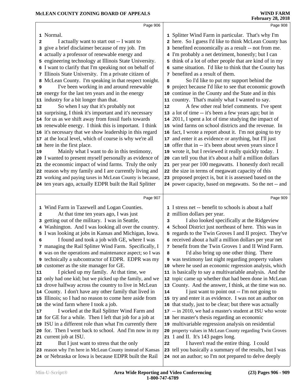|    | Page 906                                                                                                           |    | Page 908                                                                                                           |  |
|----|--------------------------------------------------------------------------------------------------------------------|----|--------------------------------------------------------------------------------------------------------------------|--|
|    | 1 Normal.                                                                                                          |    | 1 Splitter Wind Farm in particular. That's why I'm                                                                 |  |
| 2  | I actually want to start out -- I want to                                                                          |    | 2 here. So I guess I'd like to think McLean County has                                                             |  |
| 3  | give a brief disclaimer because of my job. I'm                                                                     |    | 3 benefited economically as a result -- not from me.                                                               |  |
|    | 4 actually a professor of renewable energy and                                                                     |    | 4 I'm probably a net detriment, honestly; but I can                                                                |  |
|    | 5 engineering technology at Illinois State University.                                                             |    | 5 think of a lot of other people that are kind of in my                                                            |  |
|    | 6 I want to clarify that I'm speaking not on behalf of                                                             |    | 6 same situation. I'd like to think that the County has                                                            |  |
|    | 7 Illinois State University. I'm a private citizen of                                                              |    | 7 benefited as a result of them.                                                                                   |  |
| 8  | McLean County. I'm speaking in that respect tonight.                                                               | 8  | So I'd like to put my support behind the                                                                           |  |
| 9  | I've been working in and around renewable                                                                          |    | <b>9</b> project because I'd like to see that economic growth                                                      |  |
|    | 10 energy for the last ten years and in the energy                                                                 |    | 10 continue in the County and the State and in this                                                                |  |
|    | 11 industry for a bit longer than that.                                                                            |    | 11 country. That's mainly what I wanted to say.                                                                    |  |
| 12 | So when I say that it's probably not                                                                               | 12 | A few other real brief comments. I've spent                                                                        |  |
|    | 13 surprising, I think it's important and it's necessary                                                           |    | 13 a lot of time -- it's been a few years ago; but in                                                              |  |
|    | 14 for us as we shift away from fossil fuels towards                                                               |    | 14 2011, I spent a lot of time studying the impact of                                                              |  |
|    | 15 renewable energy. I think this is important. I think                                                            |    | 15 wind farms on school districts and the revenue. In                                                              |  |
|    | 16 it's necessary that we show leadership in this regard                                                           |    | 16 fact, I wrote a report about it. I'm not going to try                                                           |  |
|    | 17 at the local level, which of course is why we're all                                                            |    | 17 and enter it as evidence or anything, but I'll just                                                             |  |
|    | 18 here in the first place.                                                                                        |    | 18 offer that in -- it's been about seven years since I                                                            |  |
| 19 | Mainly what I want to do in this testimony,                                                                        |    | 19 wrote it, but I reviewed it really quickly today. I                                                             |  |
|    | 20 I wanted to present myself personally as evidence of                                                            |    | 20 can tell you that it's about a half a million dollars                                                           |  |
|    | 21 the economic impact of wind farms. Truly the only                                                               |    | 21 per year per 100 megawatts. I honestly don't recall                                                             |  |
|    | 22 reason why my family and I are currently living and                                                             |    | 22 the size in terms of megawatt capacity of this                                                                  |  |
|    | 23 working and paying taxes in McLean County is because,                                                           |    | 23 proposed project is, but it is assessed based on the                                                            |  |
|    | 24 ten years ago, actually EDPR built the Rail Splitter                                                            |    | 24 power capacity, based on megawatts. So the net -- and                                                           |  |
|    |                                                                                                                    |    |                                                                                                                    |  |
|    |                                                                                                                    |    |                                                                                                                    |  |
|    | Page 907                                                                                                           |    | Page 909                                                                                                           |  |
|    |                                                                                                                    |    |                                                                                                                    |  |
| 2  | 1 Wind Farm in Tazewell and Logan Counties.<br>At that time ten years ago, I was just                              |    | 1 I stress net -- benefit to schools is about a half<br>2 million dollars per year.                                |  |
| з  |                                                                                                                    | 3  | I also looked specifically at the Ridgeview                                                                        |  |
|    | getting out of the military. I was in Seattle,<br>Washington. And I was looking all over the country.              |    | 4 School District just northeast of here. This was in                                                              |  |
|    | 5 I was looking at jobs in Kansas and Michigan, Iowa.                                                              |    | 5 regards to the Twin Groves I and II project. They've                                                             |  |
| 6  | I found and took a job with GE, where I was                                                                        |    | 6 received about a half a million dollars per year net                                                             |  |
|    | 7 managing the Rail Splitter Wind Farm. Specifically, I                                                            |    | 7 benefit from the Twin Groves 1 and II Wind Farm.                                                                 |  |
|    | 8 was on the operations and maintenance aspect; so I was                                                           | 8  | I'd also bring up one other thing. There                                                                           |  |
|    | 9 technically a subcontractor of EDPR. EDPR was my                                                                 |    | 9 was testimony last night regarding property values                                                               |  |
|    | 10 customer as the site manager for GE.                                                                            |    | 10 where he used an economic regression analysis, which                                                            |  |
| 11 | I picked up my family. At that time, we                                                                            |    | 11 is basically to say a multivariable analysis. And the                                                           |  |
|    | 12 only had one kid; but we picked up the family, and we                                                           |    | 12 topic came up whether that had been done in McLean                                                              |  |
|    | 13 drove halfway across the country to live in McLean                                                              |    | 13 County. And the answer, I think, at the time was no.                                                            |  |
|    | 14 County. I don't have any other family that lived in                                                             | 14 | I just want to point out -- I'm not going to                                                                       |  |
|    | 15 Illinois; so I had no reason to come here aside from                                                            |    | 15 try and enter it as evidence. I was not an author on                                                            |  |
|    | 16 the wind farm where I took a job.                                                                               |    | 16 that study, just to be clear; but there was actually                                                            |  |
| 17 | I worked at the Rail Splitter Wind Farm and                                                                        |    | 17 -- in 2010, we had a master's student at ISU who wrote                                                          |  |
|    | 18 for GE for a while. Then I left that job for a job at                                                           |    | 18 her master's thesis regarding an economic                                                                       |  |
|    | 19 ISU in a different role than what I'm currently there                                                           |    | 19 multivariable regression analysis on residential                                                                |  |
|    | 20 for. Then I went back to school. And I'm now in my                                                              |    | 20 property values in McLean County regarding Twin Groves                                                          |  |
|    | 21 current job at ISU.                                                                                             |    | 21 1 and II. It's 143 pages long.                                                                                  |  |
| 22 | But I just want to stress that the only                                                                            | 22 | I haven't read the entire thing. I could                                                                           |  |
|    | 23 reason why I'm here in McLean County instead of Kansas<br>24 or Nebraska or Iowa is because EDPR built the Rail |    | 23 tell you basically a summary of the results, but I was<br>24 not an author; so I'm not prepared to delve deeply |  |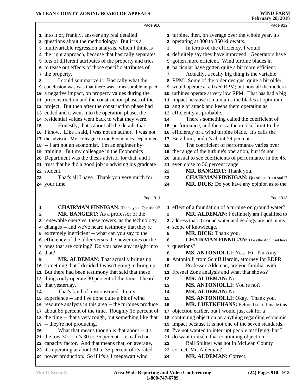|    | Page 910                                                                                                      |              | Page 912                                                                                                       |
|----|---------------------------------------------------------------------------------------------------------------|--------------|----------------------------------------------------------------------------------------------------------------|
|    | 1 into it or, frankly, answer any real detailed                                                               |              | 1 turbine, then, on average over the whole year, it's                                                          |
|    | 2 questions about the methodology. But it is a                                                                |              | 2 operating at 300 to 350 kilowatts.                                                                           |
|    | 3 multivariable regression analysis, which I think is                                                         | 3            | In terms of the efficiency, I would                                                                            |
|    | 4 the right approach, because that basically separates                                                        |              | 4 definitely say they have improved. Generators have                                                           |
|    | 5 lots of different attributes of the property and tries                                                      | 5            | gotten more efficient. Wind turbine blades in                                                                  |
|    | 6 to tease out effects of those specific attributes of                                                        |              | 6 particular have gotten quite a bit more efficient.                                                           |
|    | 7 the property.                                                                                               | 7            | Actually, a really big thing is the variable                                                                   |
| 8  | I could summarize it. Basically what the                                                                      |              | 8 RPM. Some of the older designs, quite a bit older,                                                           |
|    | <b>9</b> conclusion was was that there was a measurable impact,                                               |              | 9 would operate at a fixed RPM; but now all the modern                                                         |
|    | 10 a negative impact, on property values during the                                                           | 10           | turbines operate at very low RPM. That has had a big                                                           |
|    | 11 preconstruction and the construction phases of the                                                         |              | 11 impact because it maintains the blades at optimum                                                           |
|    | 12 project. But then after the construction phase had                                                         |              | 12 angle of attack and keeps them operating as                                                                 |
|    | 13 ended and it went into the operation phase, the                                                            |              | 13 efficiently as probable.                                                                                    |
|    | 14 residential values went back to what they were.                                                            |              |                                                                                                                |
|    |                                                                                                               | 14           | There's something called the coefficient of                                                                    |
| 15 | Honestly, that's about all the details that                                                                   |              | 15 performance, and there's a theoretical limit to the                                                         |
|    | 16 I know. Like I said, I was not an author. I was not                                                        | 16           | efficiency of a wind turbine blade. It's calls the                                                             |
|    | 17 the advisor. My colleague in the Economics Department                                                      | 17           | Betz limit, and it's about 59 percent.                                                                         |
|    | 18 -- I am not an economist. I'm an engineer by                                                               | 18           | The coefficient of performance varies over                                                                     |
|    | 19 training. But my colleague in the Economics                                                                | 19           | the range of the turbine's operation, but it's not<br>20 unusual to see coefficients of performance in the 45, |
|    | 20 Department was the thesis advisor for that, and I                                                          |              |                                                                                                                |
|    | 21 trust that he did a good job in advising his graduate                                                      |              | 21 even close to 50 percent range.                                                                             |
|    | 22 student.                                                                                                   | 22           | MR. BANGERT: Thank you.                                                                                        |
| 23 | That's all I have. Thank you very much for                                                                    | 23           | <b>CHAIRMAN FINNIGAN:</b> Questions from staff?                                                                |
|    | 24 your time.                                                                                                 | 24           | MR. DICK: Do you have any opinion as to the                                                                    |
|    | Page 911                                                                                                      |              | Page 913                                                                                                       |
|    |                                                                                                               |              |                                                                                                                |
|    |                                                                                                               |              |                                                                                                                |
| 1  | <b>CHAIRMAN FINNIGAN:</b> Thank you. Questions?                                                               | $\mathbf{2}$ | 1 effect of a foundation of a turbine on ground water?                                                         |
| 2  | MR. BANGERT: As a professor of the                                                                            |              | MR. ALDEMAN: I definitely am I qualified to                                                                    |
|    | 3 renewable energies, these towers, as the technology                                                         |              | 3 address that. Ground water and geology are not in my                                                         |
|    | 4 changes -- and we've heard testimony that they're                                                           |              | 4 scope of knowledge.                                                                                          |
|    | 5 extremely inefficient -- what can you say to the                                                            | 5<br>6       | MR. DICK: Thank you.                                                                                           |
|    | 6 efficiency of the older versus the newer ones or the                                                        |              | <b>CHAIRMAN FINNIGAN:</b> Does the Applicant have                                                              |
|    | 7 ones that are coming? Do you have any insight into                                                          |              | 7 questions?                                                                                                   |
|    | 8 that?                                                                                                       | 8<br>9       | MS. ANTONIOLLI: Yes. Hi. I'm Amy                                                                               |
| 9  | <b>MR. ALDEMAN:</b> That actually brings up                                                                   |              | Antoniolli from Schiff Hardin, attorney for EDPR.                                                              |
|    | 10 something that I decided I wasn't going to bring up.                                                       | 10           | Professor Aldeman, are you familiar with                                                                       |
|    | 11 But there had been testimony that said that these                                                          | 11           | Fresnel Zone analysis and what that shows?                                                                     |
|    | 12 things only operate 30 percent of the time. I heard                                                        | 12           | MR. ALDEMAN: No.                                                                                               |
|    | 13 that yesterday.                                                                                            | 13           | MS. ANTONIOLLI: You're not?                                                                                    |
| 14 | That's kind of misconstrued. In my                                                                            | 14           | MR. ALDEMAN: No.                                                                                               |
|    | 15 experience -- and I've done quite a bit of wind                                                            | 15           | MS. ANTONIOLLI: Okay. Thank you.                                                                               |
|    | 16 resource analysis in this area -- the turbines produce                                                     | 16           | MR. LUETKEHANS: Before I start, I made this                                                                    |
|    | 17 about 85 percent of the time. Roughly 15 percent of                                                        | 17           | objection earlier, but I would just ask for a                                                                  |
|    | 18 the time -- that's very rough, but something like that                                                     | 18           | continuing objection on anything regarding economic                                                            |
|    | 19 -- they're not producing.                                                                                  |              | 19 impact because it is not one of the seven standards.                                                        |
| 20 | What that means though is that about -- it's                                                                  | 20           | I've not wanted to interrupt people testifying, but I                                                          |
|    | 21 the low $30s - it's 30$ to $35$ percent $-$ is called net                                                  | 21           | do want to make that continuing objection.                                                                     |
|    | 22 capacity factor. And that means that, on average,                                                          | 22           | Rail Splitter was not in McLean County                                                                         |
|    | 23 it's operating at about 30 to 35 percent of its rated<br>24 power production. So if it's a 1 megawatt wind | 23<br>24     | correct, Mr. Aldeman?<br>MR. ALDEMAN: Correct.                                                                 |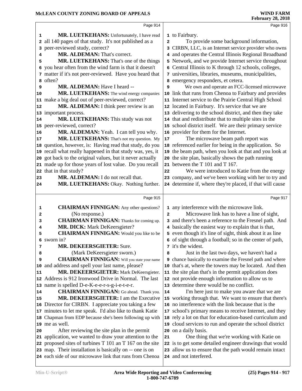|              | Page 914                                                  |                | Page 916                                                  |
|--------------|-----------------------------------------------------------|----------------|-----------------------------------------------------------|
|              |                                                           |                |                                                           |
| 1            | MR. LUETKEHANS: Unfortunately, I have read                |                | 1 to Fairbury.                                            |
| $\mathbf{2}$ | all 140 pages of that study. It's not published as a      | $\overline{a}$ | To provide some background information,                   |
| 3            | peer-reviewed study, correct?                             |                | 3 CIRBN, LLC, is an Internet service provider who owns    |
| 4            | MR. ALDEMAN: That's correct.                              |                | 4 and operates the Central Illinois Regional Broadband    |
| 5            | MR. LUETKEHANS: That's one of the things                  |                | 5 Network, and we provide Internet service throughout     |
| 6            | you hear often from the wind farm is that it doesn't      |                | 6 Central Illinois to K through 12 schools, colleges,     |
|              | 7 matter if it's not peer-reviewed. Have you heard that   |                | 7 universities, libraries, museums, municipalities,       |
|              | 8 often?                                                  |                | 8 emergency responders, et cetera.                        |
| 9            | <b>MR. ALDEMAN:</b> Have I heard --                       | 9              | We own and operate an FCC-licensed microwave              |
| 10           | MR. LUETKEHANS: The wind energy companies                 |                | 10 link that runs from Chenoa to Fairbury and provides    |
|              | 11 make a big deal out of peer-reviewed, correct?         |                | 11 Internet service to the Prairie Central High School    |
| 12           | MR. ALDEMAN: I think peer review is an                    |                | 12 located in Fairbury. It's service that we are          |
|              | 13 important process.                                     |                | 13 delivering to the school district, and then they take  |
| 14           | MR. LUETKEHANS: This study was not                        |                | 14 that and redistribute that to multiple sites in the    |
|              | 15 peer-reviewed, correct?                                |                | 15 school district itself. We are their primary service   |
| 16           | MR. ALDEMAN: Yeah. I can tell you why.                    |                | 16 provider for them for the Internet.                    |
| 17           | MR. LUETKEHANS: That's not my question. My                | 17             | The microwave beam path report was                        |
|              | 18 question, however, is: Having read that study, do you  |                | 18 referenced earlier for being in the application. So    |
|              | 19 recall what really happened in that study was, yes, it |                | 19 the beam path, when you look at that and you look at   |
| 20           | got back to the original values, but it never actually    |                | 20 the site plan, basically shows the path running        |
|              | 21 made up for those years of lost value. Do you recall   |                | 21 between the T 101 and T 167.                           |
|              | 22 that in that study?                                    | 22             | We were introduced to Katie from the energy               |
| 23           | MR. ALDEMAN: I do not recall that.                        |                | 23 company, and we've been working with her to try and    |
| 24           | MR. LUETKEHANS: Okay. Nothing further.                    |                | 24 determine if, where they're placed, if that will cause |
|              |                                                           |                |                                                           |
|              | Page 915                                                  |                | Page 917                                                  |
| 1            | <b>CHAIRMAN FINNIGAN:</b> Any other questions?            |                | 1 any interference with the microwave link.               |
| 2            | (No response.)                                            | $\mathbf{2}$   | Microwave link has to have a line of sight,               |
| 3            | <b>CHAIRMAN FINNIGAN:</b> Thanks for coming up.           |                | 3 and there's been a reference to the Fresnel path. And   |
| 4            | MR. DICK: Mark DeKeersgieter?                             |                | 4 basically the easiest way to explain that is that,      |
| 5            | <b>CHAIRMAN FINNIGAN:</b> Would you like to be            |                | 5 even though it's line of sight, think about it as line  |
|              | 6 sworn in?                                               |                | 6 of sight through a football; so in the center of path,  |
| 7            | <b>MR. DEKEERSGIETER: Sure.</b>                           |                | 7 it's the widest.                                        |
| 8            | (Mark DeKeersgieter sworn.)                               | 8              | Just in the last two days, we haven't had a               |
| 9            | <b>CHAIRMAN FINNIGAN:</b> Will you state your name        |                | 9 chance basically to examine the Fresnel path and where  |
| 10           | and address and spell your last name, please?             |                | 10 that's at, where the towers may be located. And then   |
| 11           | MR. DEKEERSGIETER: Mark DeKeersgieter.                    | 11             | the site plan that's in the permit application does       |
|              |                                                           |                |                                                           |
|              | 12 Address is 912 Ironwood Drive in Normal. The last      |                | 12 not provide enough information to allow us to          |
|              | 13 name is spelled D-e-K-e-e-r-s-g-i-e-t-e-r.             |                | 13 determine there would be no conflict.                  |
| 14           | <b>CHAIRMAN FINNIGAN:</b> Go ahead. Thank you.            | 14             | I'm here just to make you aware that we are               |
| 15           | MR. DEKEERSGIETER: I am the Executive                     |                | 15 working through that. We want to ensure that there's   |
|              | 16 Director for CIRBN. I appreciate you taking a few      |                | 16 no interference with the link because that is the      |
| 17           | minutes to let me speak. I'd also like to thank Katie     |                | 17 school's primary means to receive Internet, and they   |
|              | 18 Chapman from EDP because she's been following up with  |                | 18 rely a lot on that for education-based curriculum and  |
|              | 19 me as well.                                            |                | 19 cloud services to run and operate the school district  |
| 20           | After reviewing the site plan in the permit               |                | 20 on a daily basis.                                      |
| 21           | application, we wanted to draw your attention to the      | 21             | One thing that we're working with Katie on                |
|              | 22 proposed sites of turbines T 101 an T 167 on the site  |                | 22 is to get some detailed engineer drawings that would   |
|              | 23 map. Their installation is basically on -- one is on   |                | 23 allow us to ensure that the path would remain intact   |
|              | 24 each side of our microwave link that runs from Chenoa  |                | 24 and not interfered.                                    |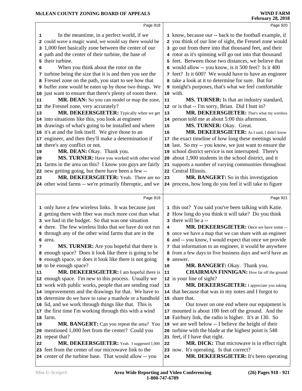|    | Page 918                                                                                                       |          | Page 920                                                                                                         |
|----|----------------------------------------------------------------------------------------------------------------|----------|------------------------------------------------------------------------------------------------------------------|
| 1  | In the meantime, in a perfect world, if we                                                                     |          | 1 know, because our -- back to the football example, if                                                          |
|    | 2 could wave a magic wand, we would say there would be                                                         |          | 2 you think of our line of sight, the Fresnel zone would                                                         |
|    | 3 1,000 feet basically zone between the center of our                                                          |          | 3 go out from there into that thousand feet, and their                                                           |
|    | 4 path and the center of their turbine, the base of                                                            |          | 4 rotor as it's spinning will go out into that thousand                                                          |
|    | 5 their turbine.                                                                                               |          | 5 feet. Between those two distances, we believe that                                                             |
| 6  | When you think about the rotor on the                                                                          |          | 6 would allow -- you know, is it 500 feet? Is it 400                                                             |
|    | 7 turbine being the size that it is and then you see the                                                       |          | 7 feet? Is it 600? We would have to have an engineer                                                             |
|    | 8 Fresnel zone on the path, you start to see how that                                                          |          | 8 take a look at it to determine for sure. But for                                                               |
|    | <b>9</b> buffer zone would be eaten up by those two things. We                                                 |          | 9 tonight's purposes, that's what we feel comfortable                                                            |
|    | 10 just want to ensure that there's plenty of room there.                                                      | 10 with. |                                                                                                                  |
| 11 | MR. DEAN: So you can model or map the zone,                                                                    | 11       | MS. TURNER: Is that an industry standard,                                                                        |
|    | 12 the Fresnel zone, very accurately?                                                                          |          | 12 or is that -- I'm sorry, Brian. Did I butt in?                                                                |
| 13 | MR. DEKEERSGIETER: Typically when we get                                                                       | 13       | MR. DEKEERSGIETER: That's what my wireless                                                                       |
|    | 14 into situations like this, you look at engineer                                                             |          | 14 person told me at about 5:00 this afternoon.                                                                  |
|    | 15 drawings of what's going to be installed and where                                                          | 15       | MS. TURNER: Okay. Great.                                                                                         |
|    | 16 it's at and the link itself. We give those to an                                                            |          | MR. DEKEERSGIETER: As I said, I didn't know                                                                      |
|    |                                                                                                                | 16       |                                                                                                                  |
|    | 17 engineer, and then they'll make a determination if                                                          |          | 17 the exact timeline of how long these meetings would                                                           |
|    | 18 there's any conflict or not.                                                                                |          | 18 last. So my -- you know, we just want to ensure the                                                           |
| 19 | MR. DEAN: Okay. Thank you.                                                                                     |          | 19 school district service is not interrupted. There's<br>20 about 1,900 students in the school district, and it |
| 20 | MS. TURNER: Have you worked with other wind<br>21 farms in the area on this? I know you guys are fairly        |          |                                                                                                                  |
|    |                                                                                                                |          | 21 supports a number of varying communities throughout<br>22 Central Illinois.                                   |
|    | 22 new getting going, but there have been a few--<br>MR. DEKEERSGIETER: Yeah. There are no                     |          |                                                                                                                  |
| 23 |                                                                                                                | 23       | MR. BANGERT: So in this investigation                                                                            |
|    | 24 other wind farms -- we're primarily fiberoptic, and we                                                      |          | 24 process, how long do you feel it will take to figure                                                          |
|    | Page 919                                                                                                       |          | Page 921                                                                                                         |
|    |                                                                                                                |          |                                                                                                                  |
|    |                                                                                                                |          |                                                                                                                  |
|    | 1 only have a few wireless links. It was because just                                                          |          | 1 this out? You said you've been talking with Katie.                                                             |
|    | 2 getting there with fiber was much more cost than what                                                        |          | 2 How long do you think it will take? Do you think                                                               |
|    | 3 we had in the budget. So that was one situation                                                              |          | 3 there will be a --                                                                                             |
|    | 4 there. The few wireless links that we have do not run                                                        | 4        | MR. DEKEERSGIETER: Once we have some --                                                                          |
|    | 5 through any of the other wind farms that are in the                                                          |          | 5 once we have a map that we can share with an engineer                                                          |
|    | 6 area.                                                                                                        |          | 6 and -- you know, I would expect that once we provide                                                           |
| 7  | <b>MS. TURNER:</b> Are you hopeful that there is                                                               |          | 7 that information to an engineer, it would be anywhere                                                          |
|    | 8 enough space? Does it look like there is going to be                                                         |          | 8 from a few days to five business days and we'd have an                                                         |
|    | <b>9</b> enough space, or does it look like there is not going                                                 | 9        | answer.                                                                                                          |
|    | 10 to be enough space?                                                                                         | 10       | MR. BANGERT: Okay. Thank you.                                                                                    |
| 11 | MR. DEKEERSGIETER: I am hopeful there is                                                                       | 11       | <b>CHAIRMAN FINNIGAN:</b> How far off the ground                                                                 |
|    | 12 enough space. I'm new to this process. Usually we                                                           |          | 12 is your line of sight?                                                                                        |
|    | 13 work with public works, people that are sending road                                                        | 13       | MR. DEKEERSGIETER: I appreciate you asking                                                                       |
|    | 14 improvements and the drawings for that. We have to                                                          |          | 14 that because that was in my notes and I forgot to                                                             |
|    | 15 determine do we have to raise a manhole or a handhold                                                       |          | 15 share that.                                                                                                   |
|    | 16 lid, and we work through things like that. This is                                                          | 16       | Our tower on one end where our equipment is                                                                      |
|    | 17 the first time I'm working through this with a wind                                                         |          | 17 mounted is about 100 feet off the ground. And the                                                             |
|    | 18 farm.                                                                                                       |          | 18 Fairbury link, the radio is higher. It's at 130. So                                                           |
| 19 | MR. BANGERT: Can you repeat the area? You                                                                      |          | 19 we are well below -- I believe the height of their                                                            |
|    | 20 mentioned 1,000 feet from the center? Could you                                                             |          | 20 turbine with the blade at the highest point is 548                                                            |
|    | 21 repeat that?                                                                                                |          | 21 feet, if I have that right.                                                                                   |
| 22 | MR. DEKEERSGIETER: Yeah. I suggested 1,000                                                                     | 22       | MR. DICK: That microwave is in effect right                                                                      |
|    | 23 feet from the center of our microwave link to the<br>24 center of the turbine base. That would allow -- you | 24       | 23 now. It's operating. Is that correct?<br>MR. DEKEERSGIETER: It's been operating                               |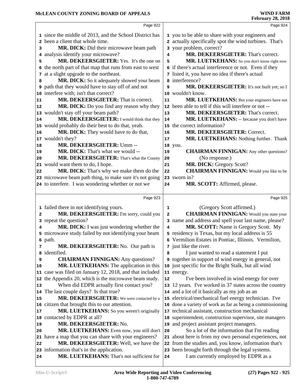|    | Page 922                                                                                   |    | Page 924                                                                                 |
|----|--------------------------------------------------------------------------------------------|----|------------------------------------------------------------------------------------------|
|    | 1 since the middle of 2013, and the School District has                                    |    | 1 you to be able to share with your engineers and                                        |
|    | 2 been a client that whole time.                                                           |    | 2 actually specifically spot the wind turbines. That's                                   |
| з  | MR. DICK: Did their microwave beam path                                                    |    | 3 your problem, correct?                                                                 |
|    | 4 analysis identify your microwave?                                                        | 4  | MR. DEKEERSGIETER: That's correct.                                                       |
| 5  | MR. DEKEERSGIETER: Yes. It's the one on                                                    | 5  | MR. LUETKEHANS: So you don't know right now                                              |
| 6  | the north part of that map that runs from east to west                                     | б. | if there's actual interference or not. Even if they                                      |
| 7  | at a slight upgrade to the northeast.                                                      |    | 7 listed it, you have no idea if there's actual                                          |
| 8  | MR. DICK: So it adequately showed your beam                                                |    | 8 interference?                                                                          |
| 9  | path that they would have to stay off of and not                                           | 9  | MR. DEKEERSGIETER: It's not built yet; so I                                              |
|    | 10 interfere with; isn't that correct?                                                     |    | 10 wouldn't know.                                                                        |
| 11 | MR. DEKEERSGIETER: That is correct.                                                        | 11 | MR. LUETKEHANS: But your engineers have not                                              |
| 12 | MR. DICK: Do you find any reason why they                                                  |    | 12 been able to tell if this will interfere or not --                                    |
| 13 | wouldn't stay off your beam path?                                                          | 13 | MR. DEKEERSGIETER: That's correct.                                                       |
| 14 | MR. DEKEERSGIETER: I would think that they                                                 | 14 | MR. LUETKEHANS: -- because you don't have                                                |
|    |                                                                                            |    | 15 the correct information?                                                              |
|    | 15 would probably do their best to do that, yeah.<br>MR. DICK: They would have to do that, |    | MR. DEKEERSGIETER: Correct.                                                              |
| 16 |                                                                                            | 16 |                                                                                          |
|    | 17 wouldn't they?                                                                          | 17 | MR. LUETKEHANS: Nothing further. Thank                                                   |
| 18 | MR. DEKEERSGIETER: Umm --<br>MR. DICK: That's what we would --                             |    | 18 you.                                                                                  |
| 19 | MR. DEKEERSGIETER: That's what the County                                                  | 19 | <b>CHAIRMAN FINNIGAN:</b> Any other questions?                                           |
| 20 |                                                                                            | 20 | (No response.)                                                                           |
|    | 21 would want them to do, I hope.                                                          | 21 | MR. DICK: Gregory Scott?                                                                 |
| 22 | MR. DICK: That's why we make them do the                                                   | 22 | <b>CHAIRMAN FINNIGAN:</b> Would you like to be                                           |
|    | 23 microwave beam path thing, to make sure it's not going                                  |    | 23 sworn in?                                                                             |
|    | 24 to interfere. I was wondering whether or not we                                         | 24 | MR. SCOTT: Affirmed, please.                                                             |
|    |                                                                                            |    |                                                                                          |
|    | Page 923                                                                                   |    | Page 925                                                                                 |
|    |                                                                                            |    |                                                                                          |
|    | 1 failed there in not identifying yours.                                                   | 1  | (Gregory Scott affirmed.)                                                                |
| 2  | MR. DEKEERSGIETER: I'm sorry, could you                                                    | 2  | <b>CHAIRMAN FINNIGAN:</b> Would you state your                                           |
|    | 3 repeat the question?                                                                     |    | 3 name and address and spell your last name, please?                                     |
| 4  | MR. DICK: I was just wondering whether the                                                 | 4  | MR. SCOTT: Name is Gregory Scott. My                                                     |
|    | 5 microwave study failed by not identifying your beam                                      |    | 5 residency is Texas, but my local address is 55                                         |
|    | 6 path.                                                                                    |    | 6 Vermilion Estates in Pontiac, Illinois. Vermilion,                                     |
| 7  | MR. DEKEERSGIETER: No. Our path is                                                         |    | 7 just like the river.                                                                   |
| 8  | identified.                                                                                | 8  | I just wanted to read a statement I put                                                  |
| 9  | <b>CHAIRMAN FINNIGAN:</b> Any questions?                                                   |    | <b>9</b> together in support of wind energy in general, not                              |
| 10 | MR. LUETKEHANS: The application in this                                                    |    | 10 just specific for the Bright Stalk, but all wind                                      |
|    | 11 case was filed on January 12, 2018, and that included                                   |    | 11 energy.                                                                               |
|    | 12 the Appendix 20, which is the microwave beam study.                                     | 12 | I've been involved in wind energy for over                                               |
| 13 | When did EDPR actually first contact you?                                                  |    | 13 12 years. I've worked in 37 states across the country                                 |
|    | 14 The last couple days? Is that true?                                                     |    | 14 and a lot of it basically as my job as an                                             |
| 15 | MR. DEKEERSGIETER: We were contacted by a                                                  |    | 15 electrical/mechanical fuel energy technician. I've                                    |
|    | 16 citizen that brought this to our attention.                                             |    | 16 done a variety of work as far as being a commissioning                                |
| 17 | MR. LUETKEHANS: So you weren't originally                                                  |    | 17 technical assistant, construction mechanical                                          |
| 18 | contacted by EDPR at all?                                                                  |    | 18 superintendent, construction supervisor, site managers                                |
| 19 | MR. DEKEERSGIETER: No.                                                                     |    | 19 and project assistant project managers.                                               |
| 20 | MR. LUETKEHANS: Even now, you still don't                                                  | 20 | So a lot of the information that I'm reading                                             |
|    | 21 have a map that you can share with your engineers?                                      |    | 21 about here is from my own personal experiences, not                                   |
| 22 | MR. DEKEERSGIETER: Well, we have the                                                       |    | 22 from the studies and, you know, information that's                                    |
| 24 | 23 information that's in the application.<br>MR. LUETKEHANS: That's not sufficient for     | 24 | 23 been brought forth through the legal systems.<br>I am currently employed by EDPR as a |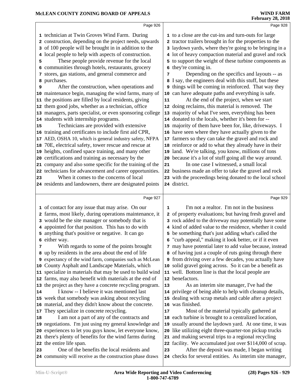|          | Page 926                                                                                                 |    | Page 928                                                                                                |  |
|----------|----------------------------------------------------------------------------------------------------------|----|---------------------------------------------------------------------------------------------------------|--|
|          | 1 technician at Twin Groves Wind Farm. During                                                            |    | 1 to a close are the cut-ins and turn-outs for large                                                    |  |
|          | 2 construction, depending on the project needs, upwards                                                  |    | 2 tractor trailers brought in for the properties to the                                                 |  |
|          | 3 of 100 people will be brought in in addition to the                                                    |    | 3 laydown yards, where they're going to be bringing in a                                                |  |
|          | 4 local people to help with aspects of construction.                                                     |    | 4 lot of heavy compaction material and gravel and rock                                                  |  |
| 5        | These people provide revenue for the local                                                               |    | 5 to support the weight of these turbine components as                                                  |  |
|          | 6 communities through hotels, restaurants, grocery                                                       | 6  | they're coming in.                                                                                      |  |
|          | 7 stores, gas stations, and general commerce and                                                         | 7  | Depending on the specifics and layouts -- as                                                            |  |
|          | 8 purchases.                                                                                             |    | 8 I say, the engineers deal with this stuff, but these                                                  |  |
| 9        | After the construction, when operations and                                                              | 9  | things will be coming in reinforced. That way they                                                      |  |
|          | 10 maintenance begin, managing the wind farms, many of                                                   |    | 10 can have adequate paths and everything is safe.                                                      |  |
|          | 11 the positions are filled by local residents, giving                                                   | 11 | At the end of the project, when we start                                                                |  |
|          | 12 them good jobs, whether as a technician, office                                                       |    | 12 doing reclaims, this material is removed. The                                                        |  |
|          | 13 managers, parts specialist, or even sponsoring college                                                |    | 13 majority of what I've seen, everything has been                                                      |  |
|          | 14 students with internship programs.                                                                    |    | 14 donated to the locals, whether it's been for --                                                      |  |
| 15       | Technicians are provided with extensive                                                                  |    | 15 majority of them have been for, like, driveways. I                                                   |  |
|          | 16 training and certificates to include first aid CPR,                                                   |    | 16 have seen where they have actually given to the                                                      |  |
|          | 17 AED, OSHA 10, which is general industry safety, NFPA                                                  |    | 17 farmers so they can take the gravel and rock and                                                     |  |
|          | 18 70E, electrical safety, tower rescue and rescue at                                                    |    | 18 reinforce or add to what they already have in their                                                  |  |
|          | 19 heights, confined space training, and many other                                                      |    | 19 land. We're talking, you know, millions of tons                                                      |  |
|          | 20 certifications and training as necessary by the                                                       |    | 20 because it's a lot of stuff going all the way around.                                                |  |
|          | 21 company and also some specific for the training of the                                                | 21 | In one case I witnessed, a small local                                                                  |  |
|          | 22 technicians for advancement and career opportunities.                                                 |    | 22 business made an offer to take the gravel and rock                                                   |  |
| 23       | When it comes to the concerns of local                                                                   |    | 23 with the proceedings being donated to the local school                                               |  |
|          | 24 residents and landowners, there are designated points                                                 |    | 24 district.                                                                                            |  |
|          |                                                                                                          |    |                                                                                                         |  |
|          |                                                                                                          |    |                                                                                                         |  |
|          | Page 927                                                                                                 |    | Page 929                                                                                                |  |
|          | 1 of contact for any issue that may arise. On our                                                        | 1  | I'm not a realtor. I'm not in the business                                                              |  |
|          | 2 farms, most likely, during operations maintenance, it                                                  |    | 2 of property evaluations; but having fresh gravel and                                                  |  |
|          | 3 would be the site manager or somebody that is                                                          |    | 3 rock added to the driveway may potentially have some                                                  |  |
|          | 4 appointed for that position. This has to do with                                                       |    | 4 kind of added value to the residence, whether it could                                                |  |
|          | 5 anything that's positive or negative. It can go                                                        |    | 5 be something that's just adding what's called the                                                     |  |
|          | 6 either way.                                                                                            |    | 6 "curb appeal," making it look better, or if it even                                                   |  |
| 7        | With regards to some of the points brought                                                               |    | 7 may have potential later to add value because, instead                                                |  |
|          | 8 up by residents in the area about the end of life                                                      |    | 8 of having just a couple of ruts going through there                                                   |  |
|          | 9 expectancy of the wind farm, companies such as McLean                                                  |    | <b>9</b> from driving over a few decades, you actually have                                             |  |
|          | 10 County Asphalt and Landscape Materials, which                                                         |    | 10 solid gravel going across. So it can be a benefit as                                                 |  |
|          | 11 specialize in materials that may be used to build wind                                                |    | 11 well. Bottom line is that the local people are                                                       |  |
|          | 12 farms, may also benefit with materials at the end of                                                  |    | 12 benefactors.                                                                                         |  |
|          | 13 the project as they have a concrete recycling program.                                                | 13 | As an interim site manager, I've had the                                                                |  |
|          | I know -- I believe it was mentioned last                                                                |    | 14 privilege of being able to help with cleanup details,                                                |  |
|          | 15 week that somebody was asking about recycling                                                         |    | 15 dealing with scrap metals and cable after a project                                                  |  |
|          | 16 material, and they didn't know about the concrete.                                                    |    | 16 was finished.                                                                                        |  |
|          | 17 They specialize in concrete recycling.                                                                | 17 | Most of the material typically gathered at                                                              |  |
|          | I am not a part of any of the contracts and                                                              |    | 18 each turbine is brought to a centralized location,                                                   |  |
|          | 19 negotiations. I'm just using my general knowledge and                                                 |    | 19 usually around the laydown yard. At one time, it was                                                 |  |
|          | 20 experiences to let you guys know, let everyone know,                                                  |    | 20 like utilizing eight three-quarter-ton pickup trucks                                                 |  |
| 14<br>18 | 21 there's plenty of benefits for the wind farms during                                                  | 21 | and making several trips to a regional recycling                                                        |  |
|          | 22 the entire life span.                                                                                 |    | 22 facility. We accumulated just over \$114,000 of scrap.                                               |  |
| 23       | One of the benefits the local residents and<br>24 community will receive as the construction phase draws | 23 | After the deposit was made, I began writing<br>24 checks for several entities. As interim site manager, |  |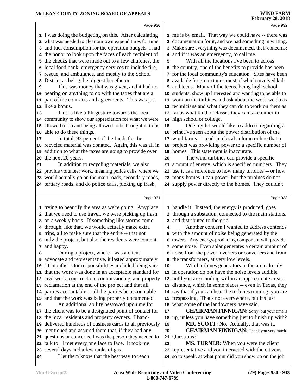|    | Page 930                                                                              |    | Page 932                                                                                                             |
|----|---------------------------------------------------------------------------------------|----|----------------------------------------------------------------------------------------------------------------------|
|    | 1 I was doing the budgeting on this. After calculating                                |    | 1 me is by email. That way we could have -- there was                                                                |
|    | 2 what was needed to clear our own expenditures for time                              |    | documentation for it, and we had something in writing.                                                               |
|    | 3 and fuel consumption for the operation budgets, I had                               |    | 3 Make sure everything was documented, their concerns;                                                               |
|    | 4 the honor to look upon the faces of each recipient of                               |    | 4 and if it was an emergency, to call me.                                                                            |
| 5  | the checks that were made out to a few churches, the                                  | 5  | With all the locations I've been to across                                                                           |
| 6  | local food bank, emergency services to include fire,                                  |    | 6 the country, one of the benefits to provide has been                                                               |
|    | 7 rescue, and ambulance, and mostly to the School                                     |    | 7 for the local community's education. Sites have been                                                               |
| 8  | District as being the biggest benefactor.                                             | 8  | available for group tours, most of which involved kids                                                               |
| 9  | This was money that was given, and it had no                                          |    | 9 and teens. Many of the teens, being high school                                                                    |
|    | 10 bearing on anything to do with the taxes that are a                                |    | 10 students, show up interested and wanting to be able to                                                            |
|    | 11 part of the contracts and agreements. This was just                                |    | 11 work on the turbines and ask about the work we do as                                                              |
|    | 12 like a bonus.                                                                      |    | 12 technicians and what they can do to work on them as                                                               |
| 13 | This is like a PR gesture towards the local                                           |    | 13 far as what kind of classes they can take either in                                                               |
|    | 14 community to show our appreciation for what we were                                |    | 14 high school or college.                                                                                           |
|    | 15 allowed to do and being allowed to be brought in to be                             | 15 | One myth I would like to address regarding a                                                                         |
|    | 16 able to do these things.                                                           |    | 16 print I've seen about the power distribution of the                                                               |
| 17 | In total, 93 percent of the funds for the                                             |    | 17 wind farms: I read in a local column online that a                                                                |
|    | 18 recycled material was donated. Again, this was all in                              | 18 | project was providing power to a specific number of                                                                  |
|    | 19 addition to what the taxes are going to provide over                               |    | 19 homes. This statement is inaccurate.                                                                              |
|    | 20 the next 20 years.                                                                 | 20 | The wind turbines can provide a specific                                                                             |
| 21 | In addition to recycling materials, we also                                           |    | 21 amount of energy, which is specified numbers. They                                                                |
|    | 22 provide volunteer work, meaning police calls, where we                             |    | 22 use it as a reference to how many turbines -- or how                                                              |
|    | 23 would actually go on the main roads, secondary roads,                              |    | 23 many homes it can power, but the turbines do not                                                                  |
|    | 24 tertiary roads, and do police calls, picking up trash,                             |    | 24 supply power directly to the homes. They couldn't                                                                 |
|    |                                                                                       |    |                                                                                                                      |
|    | Page 931                                                                              |    |                                                                                                                      |
|    |                                                                                       |    | Page 933                                                                                                             |
|    | 1 trying to beautify the area as we're going. Anyplace                                |    | 1 handle it. Instead, the energy is produced, goes                                                                   |
|    | 2 that we need to use travel, we were picking up trash                                |    | through a substation, connected to the main stations,                                                                |
|    | 3 on a weekly basis. If something like storms come                                    | з  | and distributed to the grid.                                                                                         |
|    | 4 through, like that, we would actually make extra                                    | 4  | Another concern I wanted to address contends                                                                         |
|    | 5 trips, all to make sure that the entire -- that not                                 | 5  | with the amount of noise being generated by the                                                                      |
|    | 6 only the project, but also the residents were content                               |    | 6 towers. Any energy-producing component will provide                                                                |
|    | 7 and happy.                                                                          |    | 7 some noise. Even solar generates a certain amount of                                                               |
| 8  | During a project, where I was a client                                                |    | 8 noise from the power inverters or converters and from                                                              |
| 9  | advocate and representative, it lasted approximately                                  | 9  | the transformers, at very low levels.                                                                                |
|    | 10 11 months. Our responsibilities included being sure                                | 10 | Wind turbines generators in the area already                                                                         |
|    | 11 that the work was done in an acceptable standard for                               |    | 11 in operation do not have the noise levels audible                                                                 |
|    | 12 civil work, construction, commissioning, and property                              |    | 12 until you are standing within an approximate area or                                                              |
|    | 13 reclamation at the end of the project and that all                                 |    | 13 distance, which in some places -- even in Texas, they                                                             |
|    | 14 parties accountable -- all the parties be accountable                              |    | 14 say that if you can hear the turbines running, you are                                                            |
|    | 15 and that the work was being properly documented.                                   |    | 15 trespassing. That's not everywhere, but it's just                                                                 |
| 16 | An additional ability bestowed upon me for                                            |    | 16 what some of the landowners have said.                                                                            |
|    | 17 the client was to be a designated point of contact for                             | 17 | <b>CHAIRMAN FINNIGAN:</b> Sorry, but your time is                                                                    |
|    | 18 the local residents and property owners. I hand-                                   |    | 18 up, unless you have something just to finish up with?                                                             |
|    | 19 delivered hundreds of business cards to all previously                             | 19 | MR. SCOTT: No. Actually, that was it.                                                                                |
|    | 20 mentioned and assured them that, if they had any                                   | 20 | <b>CHAIRMAN FINNIGAN:</b> Thank you very much.                                                                       |
|    | 21 questions or concerns, I was the person they needed to                             | 21 | Questions?                                                                                                           |
|    | 22 talk to. I met every one face to face. It took me                                  | 22 | <b>MS. TURNER:</b> When you were the client                                                                          |
| 24 | 23 several days and a few tanks of gas.<br>I let them know that the best way to reach |    | 23 representative and you interacted with the citizens,<br>24 so to speak, at what point did you show up on the job, |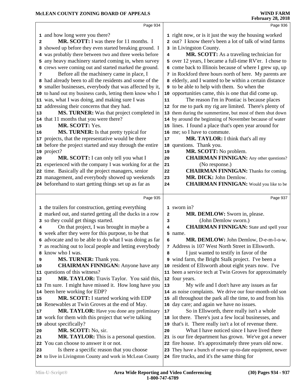|                | Page 934                                                                     |    | Page 936                                                                                                   |  |
|----------------|------------------------------------------------------------------------------|----|------------------------------------------------------------------------------------------------------------|--|
|                | 1 and how long were you there?                                               |    | 1 right now, or is it just the way the housing worked                                                      |  |
| 2              | <b>MR. SCOTT:</b> I was there for 11 months. I                               |    | 2 out? I know there's been a lot of talk of wind farms                                                     |  |
|                | 3 showed up before they even started breaking ground. I                      |    | 3 in Livingston County.                                                                                    |  |
|                | 4 was probably there between two and three weeks before                      | 4  | MR. SCOTT: As a traveling technician for                                                                   |  |
|                | 5 any heavy machinery started coming in, when survey                         |    | 5 over 12 years, I became a full-time RV'er. I chose to                                                    |  |
|                | 6 crews were coming out and started marked the ground.                       |    | 6 come back to Illinois because of where I grew up, up                                                     |  |
| 7              | Before all the machinery came in place, I                                    |    | 7 in Rockford three hours north of here. My parents are                                                    |  |
|                | 8 had already been to all the residents and some of the                      |    | 8 elderly, and I wanted to be within a certain distance                                                    |  |
|                | 9 smaller businesses, everybody that was affected by it,                     |    | <b>9</b> to be able to help with them. So when the                                                         |  |
|                | 10 to hand out my business cards, letting them know who I                    |    | 10 opportunities came, this is one that did come up.                                                       |  |
|                | 11 was, what I was doing, and making sure I was                              | 11 | The reason I'm in Pontiac is because places                                                                |  |
|                | 12 addressing their concerns that they had.                                  |    | 12 for me to park my rig are limited. There's plenty of                                                    |  |
| 13             | MS. TURNER: Was that project completed in                                    |    | 13 them during the summertime, but most of them shut down                                                  |  |
|                | 14 that 11 months that you were there?                                       |    | 14 by around the beginning of November because of water                                                    |  |
| 15             | MR. SCOTT: Yes.                                                              |    | 15 lines. I found a place that's open year around for                                                      |  |
| 16             | MS. TURNER: Is that pretty typical for                                       | 16 | me; so I have to commute.                                                                                  |  |
|                | 17 projects, that the representative would be there                          | 17 | MR. TAYLOR: I think that's all my                                                                          |  |
|                | 18 before the project started and stay through the entire                    | 18 | questions. Thank you.                                                                                      |  |
|                | 19 project?                                                                  | 19 | MR. SCOTT: No problem.                                                                                     |  |
| 20             | MR. SCOTT: I can only tell you what I                                        | 20 | <b>CHAIRMAN FINNIGAN:</b> Any other questions?                                                             |  |
|                | 21 experienced with the company I was working for at the                     | 21 | (No response.)                                                                                             |  |
|                | 22 time. Basically all the project managers, senior                          | 22 | <b>CHAIRMAN FINNIGAN:</b> Thanks for coming.                                                               |  |
|                | 23 management, and everybody showed up weekends                              | 23 | MR. DICK: John Demlow.                                                                                     |  |
|                | 24 beforehand to start getting things set up as far as                       | 24 | <b>CHAIRMAN FINNIGAN:</b> Would you like to be                                                             |  |
|                |                                                                              |    |                                                                                                            |  |
|                | Page 935                                                                     |    | Page 937                                                                                                   |  |
|                | 1 the trailers for construction, getting everything                          |    | 1 sworn in?                                                                                                |  |
|                | 2 marked out, and started getting all the ducks in a row                     | 2  | MR. DEMLOW: Sworn in, please.                                                                              |  |
|                | 3 so they could get things started.                                          | 3  | (John Demlow sworn.)                                                                                       |  |
| 4              | On that project, I was brought in maybe a                                    |    |                                                                                                            |  |
|                |                                                                              | 4  |                                                                                                            |  |
|                |                                                                              |    | <b>CHAIRMAN FINNIGAN:</b> State and spell your                                                             |  |
|                | 5 week after they were for this purpose, to be that                          | 6  | 5 name.                                                                                                    |  |
|                | 6 advocate and to be able to do what I was doing as far                      |    | MR. DEMLOW: John Demlow, D-e-m-l-o-w.                                                                      |  |
|                | 7 as reaching out to local people and letting everybody<br>8 know who I was. | 8  | 7 Address is 107 West North Street in Ellsworth.                                                           |  |
| 9              |                                                                              |    | I just wanted to testify in favor of the                                                                   |  |
| 10             | MS. TURNER: Thank you.<br><b>CHAIRMAN FINNIGAN:</b> Anyone have any          |    | 9 wind farm, the Bright Stalk project. I've been a<br>10 resident of Ellsworth about eight years now. I've |  |
|                | 11 questions of this witness?                                                |    | 11 been a service tech at Twin Groves for approximately                                                    |  |
|                | MR. TAYLOR: Travis Taylor. You said this,                                    |    | 12 four years.                                                                                             |  |
|                | 13 I'm sure. I might have missed it. How long have you                       | 13 | My wife and I don't have any issues as far                                                                 |  |
|                | 14 been here working for EDP?                                                |    | 14 as noise complaints. We drive our four-month-old son                                                    |  |
|                | MR. SCOTT: I started working with EDP                                        |    | 15 all throughout the park all the time, to and from his                                                   |  |
|                | 16 Renewables at Twin Groves at the end of May.                              | 16 | day care; and again we have no issues.                                                                     |  |
|                | MR. TAYLOR: Have you done any preliminary                                    | 17 | So in Ellsworth, there really isn't a whole                                                                |  |
|                | 18 work for them with this project that we're talking                        |    | 18 lot there. There's just a few local businesses, and                                                     |  |
|                | 19 about specifically?                                                       |    | 19 that's it. There really isn't a lot of revenue there.                                                   |  |
| 20             | MR. SCOTT: No, sir.                                                          | 20 | What I have noticed since I have lived there                                                               |  |
| 21             | MR. TAYLOR: This is a personal question.                                     |    | 21 is our fire department has grown. We've got a newer                                                     |  |
| 12<br>15<br>17 | 22 You can choose to answer it or not.                                       |    | 22 fire house. It's approximately three years old now.                                                     |  |
| 23             | Is there a specific reason that you choose                                   |    | 23 They have a bunch of newer up-to-date equipment, newer                                                  |  |
|                | 24 to live in Livingston County and work in McLean County                    |    | 24 fire trucks, and it's the same thing for                                                                |  |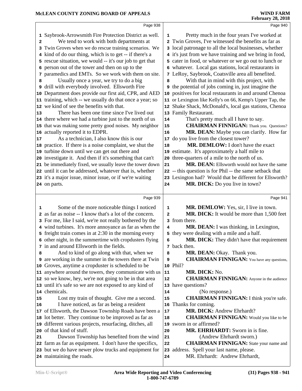|    | Page 938                                                                                                           |                         | Page 940                                                                               |  |
|----|--------------------------------------------------------------------------------------------------------------------|-------------------------|----------------------------------------------------------------------------------------|--|
|    | 1 Saybrook-Arrowsmith Fire Protection District as well.                                                            | 1                       | Pretty much in the four years I've worked at                                           |  |
| 2  | We tend to work with both departments at                                                                           |                         | 2 Twin Groves, I've witnessed the benefits as far as                                   |  |
|    | 3 Twin Groves when we do rescue training scenarios. We                                                             |                         | 3 local patronage to all the local businesses, whether                                 |  |
|    | 4 kind of do our thing, which is to get -- if there's a                                                            |                         | 4 it's just from we have training and we bring in food,                                |  |
|    | 5 rescue situation, we would -- it's our job to get that                                                           |                         | 5 cater in food, or whatever or we go out to lunch or                                  |  |
|    | 6 person out of the tower and then on up to the                                                                    |                         | 6 whatever. Local gas stations, local restaurants in                                   |  |
|    | 7 paramedics and EMTs. So we work with them on site.                                                               |                         | 7 LeRoy, Saybrook, Coatsville area all benefited.                                      |  |
| 8  | Usually once a year, we try to do a big                                                                            | 8                       | With that in mind with this project, with                                              |  |
|    | 9 drill with everybody involved. Ellsworth Fire                                                                    |                         | <b>9</b> the potential of jobs coming in, just imagine the                             |  |
|    | 10 Department does provide our first aid, CPR, and AED                                                             |                         | 10 positives for local restaurants in and around Chenoa                                |  |
|    | 11 training, which -- we usually do that once a year; so                                                           |                         | 11 or Lexington like Kelly's on 66, Kemp's Upper Tap, the                              |  |
|    | 12 we kind of see the benefits with that.                                                                          |                         | 12 Shake Shack, McDonald's, local gas stations, Chenoa                                 |  |
| 13 | There has been one time since I've lived out                                                                       |                         | 13 Family Restaurant.                                                                  |  |
|    | 14 there where we had a turbine just to the north of us                                                            | 14                      | That's pretty much all I have to say.                                                  |  |
|    | 15 that was making some pretty good noises. My neighbor                                                            | 15                      | <b>CHAIRMAN FINNIGAN:</b> Thank you. Questions?                                        |  |
|    | 16 actually reported it to EDPR.                                                                                   | 16                      | MR. DEAN: Maybe you can clarify. How far                                               |  |
| 17 | As a technician, I also know this is our                                                                           | 17                      | do you live from the closest tower?                                                    |  |
|    | 18 practice. If there is a noise complaint, we shut the                                                            | 18                      | MR. DEMLOW: I don't have the exact                                                     |  |
|    | 19 turbine down until we can get out there and                                                                     |                         | 19 estimate. It's approximately a half mile to                                         |  |
|    | 20 investigate it. And then if it's something that can't                                                           | 20                      | three-quarters of a mile to the north of us.                                           |  |
|    | 21 be immediately fixed, we usually leave the tower down                                                           | 21                      | MR. DEAN: Ellsworth would not have the same                                            |  |
|    | 22 until it can be addressed, whatever that is, whether                                                            |                         | 22 -- this question is for Phil -- the same setback that                               |  |
|    | 23 it's a major issue, minor issue, or if we're waiting                                                            |                         | 23 Lexington had? Would that be different for Ellsworth?                               |  |
|    | 24 on parts.                                                                                                       | 24                      | MR. DICK: Do you live in town?                                                         |  |
|    |                                                                                                                    |                         |                                                                                        |  |
|    |                                                                                                                    |                         |                                                                                        |  |
|    | Page 939                                                                                                           |                         | Page 941                                                                               |  |
| 1  |                                                                                                                    | 1                       |                                                                                        |  |
|    | Some of the more noticeable things I noticed<br>2 as far as noise -- I know that's a lot of the concern.           | $\overline{\mathbf{2}}$ | MR. DEMLOW: Yes, sir, I live in town.<br>MR. DICK: It would be more than 1,500 feet    |  |
|    |                                                                                                                    |                         | 3 from there.                                                                          |  |
|    | 3 For me, like I said, we're not really bothered by the<br>4 wind turbines. It's more annoyance as far as when the | 4                       |                                                                                        |  |
|    | 5 freight train comes in at 2:30 in the morning every                                                              |                         | MR. DEAN: I was thinking, in Lexington,<br>5 they were dealing with a mile and a half. |  |
|    |                                                                                                                    | 6                       |                                                                                        |  |
|    | 6 other night, in the summertime with cropdusters flying<br>7 in and around Ellsworth in the fields.               |                         | MR. DICK: They didn't have that requirement<br>7 back then.                            |  |
| 8  | And to kind of go along with that, when we                                                                         | 8                       | <b>MR. DEAN:</b> Okay. Thank you.                                                      |  |
|    | <b>9</b> are working in the summer in the towers there at Twin                                                     | 9                       | <b>CHAIRMAN FINNIGAN:</b> You have any questions,                                      |  |
|    | 10 Groves, anytime a cropduster is scheduled to be                                                                 |                         | 10 Phil?                                                                               |  |
|    | 11 anywhere around the towers, they communicate with us                                                            | 11                      | MR. DICK: No.                                                                          |  |
|    | 12 so we know, hey, we're not going to be in that area                                                             | 12                      | <b>CHAIRMAN FINNIGAN:</b> Anyone in the audience                                       |  |
|    | 13 until it's safe so we are not exposed to any kind of                                                            |                         | 13 have questions?                                                                     |  |
|    | 14 chemicals.                                                                                                      | 14                      | (No response.)                                                                         |  |
| 15 | Lost my train of thought. Give me a second.                                                                        | 15                      | <b>CHAIRMAN FINNIGAN:</b> I think you're safe.                                         |  |
| 16 | I have noticed, as far as being a resident                                                                         | 16                      | Thanks for coming.                                                                     |  |
|    | 17 of Ellsworth, the Dawson Township Roads have been a                                                             | $17\,$                  | MR. DICK: Andrew Ehrhardt?                                                             |  |
|    | 18 lot better. They continue to be improved as far as                                                              | 18                      | <b>CHAIRMAN FINNIGAN:</b> Would you like to be                                         |  |
|    | 19 different various projects, resurfacing, ditches, all                                                           |                         | 19 sworn in or affirmed?                                                               |  |
|    | 20 of that kind of stuff.                                                                                          | 20                      | MR. EHRHARDT: Sworn in is fine.                                                        |  |
| 21 | Dawson Township has benefited from the wind                                                                        | 21                      | (Andrew Ehrhardt sworn.)                                                               |  |
|    | 22 farm as far as equipment. I don't have the specifics,                                                           | 22                      | <b>CHAIRMAN FINNIGAN:</b> State your name and                                          |  |
|    | 23 but we do have newer plow trucks and equipment for<br>24 maintaining the roads.                                 | 23                      | address. Spell your last name, please.<br>MR. Ehrhardt: Andrew Ehrhardt,               |  |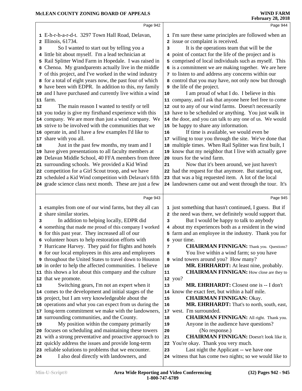|                         | Page 942                                                                                                                                                                                                                                                                                                                                                                                                                                                                                                                                                                                                                                                                                                                                                                                                                                                                                                                                                                                                                                                                                                                                                                                                                                                          |                                              | Page 944                                                                                                                                                                                                                                                                                                                                                                                                                                                                                                                                                                                                                                                                                                                                                                                                                                                                                                                                                                                                                                                                                                                                                                                                                                                                                      |
|-------------------------|-------------------------------------------------------------------------------------------------------------------------------------------------------------------------------------------------------------------------------------------------------------------------------------------------------------------------------------------------------------------------------------------------------------------------------------------------------------------------------------------------------------------------------------------------------------------------------------------------------------------------------------------------------------------------------------------------------------------------------------------------------------------------------------------------------------------------------------------------------------------------------------------------------------------------------------------------------------------------------------------------------------------------------------------------------------------------------------------------------------------------------------------------------------------------------------------------------------------------------------------------------------------|----------------------------------------------|-----------------------------------------------------------------------------------------------------------------------------------------------------------------------------------------------------------------------------------------------------------------------------------------------------------------------------------------------------------------------------------------------------------------------------------------------------------------------------------------------------------------------------------------------------------------------------------------------------------------------------------------------------------------------------------------------------------------------------------------------------------------------------------------------------------------------------------------------------------------------------------------------------------------------------------------------------------------------------------------------------------------------------------------------------------------------------------------------------------------------------------------------------------------------------------------------------------------------------------------------------------------------------------------------|
| з<br>5<br>6<br>12<br>18 | 1 E-h-r-h-a-r-d-t. 3297 Town Hall Road, Delavan,<br>2 Illinois, 61734.<br>So I wanted to start out by telling you a<br>4 little bit about myself. I'm a lead technician at<br>Rail Splitter Wind Farm in Hopedale. I was raised in<br>Chenoa. My grandparents actually live in the middle<br>7 of this project, and I've worked in the wind industry<br>8 for a total of eight years now, the past four of which<br><b>9</b> have been with EDPR. In addition to this, my family<br>10 and I have purchased and currently live within a wind<br>11 farm.<br>The main reason I wanted to testify or tell<br>13 you today is give my firsthand experience with this<br>14 company. We are more than just a wind company. We<br>15 strive to be involved with the communities that we<br>16 operate in, and I have a few examples I'd like to<br>17 share with you all.<br>Just in the past few months, my team and I<br>19 have given presentations to all faculty members at<br>20 Delavan Middle School, 40 FFA members from three<br>21 surrounding schools. We provided a Kid Wind<br>22 competition for a Girl Scout troop, and we have<br>23 scheduled a Kid Wind competition with Delavan's fifth<br>24 grade science class next month. These are just a few | 3<br>10<br>16<br>21                          | 1 I'm sure these same principles are followed when an<br>2 issue or complaint is received.<br>It is the operations team that will be the<br>4 point of contact for the life of the project and is<br>5 comprised of local individuals such as myself. This<br>6 is a commitment we are making together. We are here<br>7 to listen to and address any concerns within our<br>8 control that you may have, not only now but through<br><b>9</b> the life of the project.<br>I am proud of what I do. I believe in this<br>11 company, and I ask that anyone here feel free to come<br>12 out to any of our wind farms. Doesn't necessarily<br>13 have to be scheduled or anything. You just walk in<br>14 the door, and you can talk to any one of us. We would<br>15 be happy to share any information.<br>If time is available, we would even be<br>17 willing to tour you through the site. We've done that<br>18 multiple times. When Rail Splitter was first built, I<br>19 know that my neighbor that I live with actually gave<br>20 tours for the wind farm.<br>Now that it's been around, we just haven't<br>22 had the request for that anymore. But starting out,<br>23 that was a big requested item. A lot of the local<br>24 landowners came out and went through the tour. It's |
| з                       | Page 943<br>1 examples from one of our wind farms, but they all can<br>2 share similar stories.<br>In addition to helping locally, EDPR did<br>4 something that made me proud of this company I worked<br>5 for this past year. They increased all of our<br>6 volunteer hours to help restoration efforts with<br>7 Hurricane Harvey. They paid for flights and hotels                                                                                                                                                                                                                                                                                                                                                                                                                                                                                                                                                                                                                                                                                                                                                                                                                                                                                           | 3<br>7                                       | Page 945<br>1 just something that hasn't continued, I guess. But if<br>2 the need was there, we definitely would support that.<br>But I would be happy to talk to anybody<br>4 about my experiences both as a resident in the wind<br>5 farm and an employee in the industry. Thank you for<br>6 your time.<br><b>CHAIRMAN FINNIGAN:</b> Thank you. Questions?                                                                                                                                                                                                                                                                                                                                                                                                                                                                                                                                                                                                                                                                                                                                                                                                                                                                                                                                |
| 13                      | 8 for our local employees in this area and employees<br>9 throughout the United States to travel down to Houston<br>10 in order to help the affected communities. I believe<br>11 this shows a lot about this company and the culture<br>12 that we promote.<br>Switching gears, I'm not an expert when it<br>14 comes to the development and initial stages of the<br>15 project, but I am very knowledgeable about the                                                                                                                                                                                                                                                                                                                                                                                                                                                                                                                                                                                                                                                                                                                                                                                                                                          | 8<br>${\bf 10}$<br>11<br>13<br>15            | You live within a wind farm; so you have<br>9 wind towers around you? How many?<br>MR. EHRHARDT: At least nine, probably.<br><b>CHAIRMAN FINNIGAN:</b> How close are they to<br>12 you?<br><b>MR. EHRHARDT:</b> Closest one is -- I don't<br>14 know the exact feet, but within a half mile.<br><b>CHAIRMAN FINNIGAN: Okay.</b>                                                                                                                                                                                                                                                                                                                                                                                                                                                                                                                                                                                                                                                                                                                                                                                                                                                                                                                                                               |
| 19<br>24                | 16 operations and what you can expect from us during the<br>17 long-term commitment we make with the landowners,<br>18 surrounding communities, and the County.<br>My position within the company primarily<br>20 focuses on scheduling and maintaining these towers<br>21 with a strong preventative and proactive approach to<br>22 quickly address the issues and provide long-term<br>23 reliable solutions to problems that we encounter.<br>I also deal directly with landowners, and                                                                                                                                                                                                                                                                                                                                                                                                                                                                                                                                                                                                                                                                                                                                                                       | 16<br>17<br>18<br>19<br>20<br>21<br>22<br>23 | MR. EHRHARDT: That's to north, south, east,<br>west. I'm surrounded.<br><b>CHAIRMAN FINNIGAN:</b> All right. Thank you.<br>Anyone in the audience have questions?<br>(No response.)<br><b>CHAIRMAN FINNIGAN:</b> Doesn't look like it.<br>You're okay. Thank you very much.<br>Last night the Applicant -- we have one<br>24 witness that has come two nights; so we would like to                                                                                                                                                                                                                                                                                                                                                                                                                                                                                                                                                                                                                                                                                                                                                                                                                                                                                                            |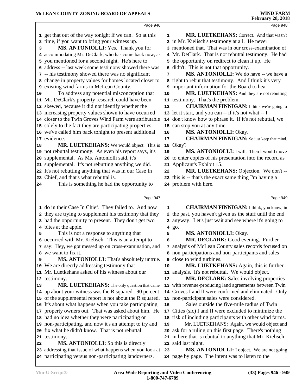|    | Page 946                                                                                                           |    | Page 948                                                                                                          |  |
|----|--------------------------------------------------------------------------------------------------------------------|----|-------------------------------------------------------------------------------------------------------------------|--|
|    | 1 get that out of the way tonight if we can. So at this                                                            | 1  | MR. LUETKEHANS: Correct. And that wasn't                                                                          |  |
|    | 2 time, if you want to bring your witness up.                                                                      |    | 2 in Mr. Kielisch's testimony at all. He never                                                                    |  |
| 3  | MS. ANTONIOLLI: Yes. Thank you for                                                                                 |    | 3 mentioned that. That was in our cross-examination of                                                            |  |
|    | 4 accommodating Mr. DeClark, who has come back now, as                                                             |    | 4 Mr. DeClark. That is not rebuttal testimony. He had                                                             |  |
|    | 5 you mentioned for a second night. He's here to                                                                   |    | 5 the opportunity on redirect to clean it up. He                                                                  |  |
|    | 6 address -- last week some testimony showed there was                                                             |    | 6 didn't. This is not that opportunity.                                                                           |  |
|    | 7 -- his testimony showed there was no significant                                                                 | 7  | MS. ANTONIOLLI: We do have -- we have a                                                                           |  |
|    | 8 change in property values for homes located closer to                                                            |    | 8 right to rebut that testimony. And I think it's very                                                            |  |
|    | 9 existing wind farms in McLean County.                                                                            |    | 9 important information for the Board to hear.                                                                    |  |
| 10 | To address any potential misconception that                                                                        | 10 | MR. LUETKEHANS: And they are not rebutting                                                                        |  |
|    | 11 Mr. DeClark's property research could have been                                                                 |    | 11 testimony. That's the problem.                                                                                 |  |
|    | 12 skewed, because it did not identify whether the                                                                 | 12 | <b>CHAIRMAN FINNIGAN:</b> I think we're going to                                                                  |  |
|    | 13 increasing property values shown to have occurred                                                               |    | 13 let it start, and you can -- if it's not what -- I                                                             |  |
|    | 14 closer to the Twin Groves Wind Farm were attributable                                                           |    | 14 don't know how to phrase it. If it's not rebuttal, we                                                          |  |
|    | 15 solely to the fact they are participating properties,                                                           |    | 15 can stop you at any time.                                                                                      |  |
|    | 16 we've called him back tonight to present additional                                                             | 16 | MS. ANTONIOLLI: Okay.                                                                                             |  |
|    | 17 evidence.                                                                                                       | 17 | <b>CHAIRMAN FINNIGAN:</b> So just keep that mind.                                                                 |  |
| 18 | MR. LUETKEHANS: We would object. This is                                                                           | 18 | Okay?                                                                                                             |  |
|    | 19 not rebuttal testimony. As even his report says, it's                                                           | 19 | MS. ANTONIOLLI: I will. Then I would move                                                                         |  |
|    | 20 supplemental. As Ms. Antoniolli said, it's                                                                      | 20 | to enter copies of his presentation into the record as                                                            |  |
|    | 21 supplemental. It's not rebutting anything we did.                                                               |    | 21 Applicant's Exhibit 15.                                                                                        |  |
|    | 22 It's not rebutting anything that was in our Case In                                                             | 22 | MR. LUETKEHANS: Objection. We don't --                                                                            |  |
|    | 23 Chief, and that's what rebuttal is.                                                                             |    | 23 this is -- that's the exact same thing I'm having a                                                            |  |
| 24 | This is something he had the opportunity to                                                                        |    | 24 problem with here.                                                                                             |  |
|    |                                                                                                                    |    |                                                                                                                   |  |
|    | Page 947                                                                                                           |    | Page 949                                                                                                          |  |
|    |                                                                                                                    | 1  |                                                                                                                   |  |
|    | 1 do in their Case In Chief. They failed to. And now                                                               |    | <b>CHAIRMAN FINNIGAN:</b> I think, you know, in                                                                   |  |
|    | 2 they are trying to supplement his testimony that they<br>3 had the opportunity to present. They don't get two    |    | 2 the past, you haven't given us the stuff until the end<br>3 anyway. Let's just wait and see where it's going to |  |
|    | 4 bites at the apple.                                                                                              |    |                                                                                                                   |  |
| 5  | This is not a response to anything that                                                                            | 5  | 4 go.<br>MS. ANTONIOLLI: Okay.                                                                                    |  |
|    | 6 occurred with Mr. Kielisch. This is an attempt to                                                                | 6  | <b>MR. DECLARK:</b> Good evening. Further                                                                         |  |
|    | 7 say: Hey, we got messed up on cross-examination, and                                                             |    | 7 analysis of McLean County sales records focused on                                                              |  |
| 8  | we want to fix it.                                                                                                 |    | 8 non-participations and non-participants and sales                                                               |  |
| 9  | MS. ANTONIOLLI: That's absolutely untrue.                                                                          |    | <b>9</b> close to wind turbines.                                                                                  |  |
|    | 10 We are directly addressing testimony that                                                                       | 10 | MR. LUETKEHANS: Again, this is further                                                                            |  |
|    | 11 Mr. Luetkehans asked of his witness about our                                                                   | 11 | analysis. It's not rebuttal. We would object.                                                                     |  |
|    | 12 testimony.                                                                                                      | 12 | MR. DECLARK: Sales involving properties                                                                           |  |
| 13 | MR. LUETKEHANS: The only question that came                                                                        |    | 13 with revenue-producing land agreements between Twin                                                            |  |
|    | 14 up about your witness was the R squared. 90 percent                                                             |    | 14 Groves I and II were confirmed and eliminated. Only                                                            |  |
|    | 15 of the supplemental report is not about the R squared.                                                          |    | 15 non-participant sales were considered.                                                                         |  |
|    | 16 It's about what happens when you take participating                                                             | 16 | Sales outside the five-mile radius of Twin                                                                        |  |
|    | 17 property owners out. That was asked about him. He                                                               |    | 17 Cities (sic) I and II were excluded to minimize the                                                            |  |
|    | 18 had no idea whether they were participating or                                                                  |    | 18 risk of including participants with other wind farms.                                                          |  |
|    | 19 non-participating, and now it's an attempt to try and                                                           | 19 | Mr. LUETKEHANS: Again, we would object and                                                                        |  |
|    | 20 fix what he didn't know. That is not rebuttal                                                                   | 20 | ask for a ruling on this first page. There's nothing                                                              |  |
|    | 21 testimony.                                                                                                      |    | 21 in here that is rebuttal to anything that Mr. Kielisch                                                         |  |
| 22 | <b>MS. ANTONIOLLI:</b> So this is directly                                                                         |    | 22 said last night.                                                                                               |  |
|    | 23 addressing that issue of what happens when you look at<br>24 participating versus non-participating landowners. | 23 | MS. ANTONIOLLI: I object. We are not going<br>24 page by page. The intent was to listen to the                    |  |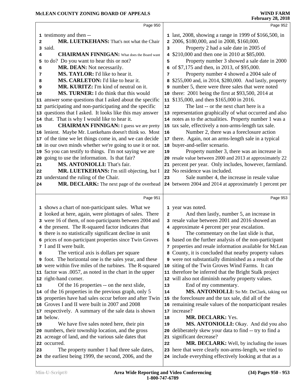|          |                                                                                                      |    | T COI GAL Y 20, 2010                                                                                             |
|----------|------------------------------------------------------------------------------------------------------|----|------------------------------------------------------------------------------------------------------------------|
|          | Page 950                                                                                             |    | Page 952                                                                                                         |
|          | 1 testimony and then --                                                                              |    | 1 last, 2008, showing a range in 1999 of \$166,500, in                                                           |
| 2        | MR. LUETKEHANS: That's not what the Chair                                                            |    | 2 2006, \$180,000, and in 2008, \$160,000.                                                                       |
|          | 3 said.                                                                                              | 3  | Property 2 had a sale date in 2005 of                                                                            |
| 4        | <b>CHAIRMAN FINNIGAN:</b> What does the Board want                                                   |    | 4 \$210,000 and then one in 2010 at \$85,000.                                                                    |
| 5        | to do? Do you want to hear this or not?                                                              | 5  | Property number 3 showed a sale date in 2000                                                                     |
| 6        | MR. DEAN: Not necessarily.                                                                           |    | 6 of \$7,175 and then, in 2013, of \$95,000.                                                                     |
| 7        | MS. TAYLOR: I'd like to hear it.                                                                     | 7  | Property number 4 showed a 2004 sale of                                                                          |
| 8        | MS. CARLETON: I'd like to hear it.                                                                   | 8  | \$255,000 and, in 2014, \$280,000. And lastly, property                                                          |
| 9        | MR. KURITZ: I'm kind of neutral on it.                                                               |    | 9 number 5, there were three sales that were noted                                                               |
| 10       | MS. TURNER: I do think that this would                                                               |    | 10 there: 2001 being the first at \$93,500, 2014 at                                                              |
|          | 11 answer some questions that I asked about the specific                                             |    | 11 \$135,000, and then \$165,000 in 2016.                                                                        |
|          | 12 participating and non-participating and the specific                                              | 12 | The last -- or the next chart here is a                                                                          |
|          | 13 questions that I asked. It looks like this may answer                                             |    | 13 representation graphically of what occurred and also                                                          |
|          | 14 that. That is why I would like to hear it.                                                        |    | 14 notes as to the actualities. Property number 1 was a                                                          |
| 15       | <b>CHAIRMAN FINNIGAN:</b> I guess we are pretty                                                      |    | 15 tax sale, effectively a non-arms-length tax sale.                                                             |
|          | 16 lenient. Maybe Mr. Luetkehans doesn't think so. Most                                              | 16 | Number 2, there was a foreclosure action                                                                         |
|          | 17 of the time we let things come in, and we can decide                                              |    | 17 there. Again, not an arms-length sale in a typical                                                            |
|          | 18 in our own minds whether we're going to use it or not.                                            |    | 18 buyer-and-seller scenario.                                                                                    |
|          | 19 So you can testify to things. I'm not saying we are                                               | 19 | Property number 3, there was an increase in                                                                      |
|          | 20 going to use the information. Is that fair?                                                       |    | 20 resale value between 2000 and 2013 at approximately 22                                                        |
| 21       | MS. ANTONIOLLI: That's fair.                                                                         |    | 21 percent per year. Only includes, however, farmland.                                                           |
| 22       | MR. LUETKEHANS: I'm still objecting, but I                                                           |    | 22 No residence was included.                                                                                    |
|          | 23 understand the ruling of the Chair.                                                               | 23 | Sale number 4, the increase in resale value                                                                      |
| 24       | MR. DECLARK: The next page of the overhead                                                           |    | 24 between 2004 and 2014 at approximately 1 percent per                                                          |
|          | Page 951                                                                                             |    | Page 953                                                                                                         |
|          |                                                                                                      |    |                                                                                                                  |
|          | 1 shows a chart of non-participant sales. What we                                                    |    | 1 year was noted.                                                                                                |
|          | 2 looked at here, again, were plottages of sales. There                                              | 2  | And then lastly, number 5, an increase in                                                                        |
|          | 3 were 16 of them, of non-participants between 2004 and                                              |    | 3 resale value between 2001 and 2016 showed an                                                                   |
|          | 4 the present. The R-squared factor indicates that                                                   |    |                                                                                                                  |
|          |                                                                                                      |    | 4 approximate 4 percent per year escalation.                                                                     |
|          | 5 there is no statistically significant decline in unit                                              | 5  | The commentary on the last slide is that,                                                                        |
|          | 6 prices of non-participant properties since Twin Groves                                             |    | 6 based on the further analysis of the non-participant                                                           |
|          | 7 I and II were built.                                                                               |    | 7 properties and resale information available for McLean                                                         |
| 8        | The vertical axis is dollars per square                                                              |    | 8 County, it is concluded that nearby property values                                                            |
|          | <b>9</b> foot. The horizontal one is the sales year, and these                                       |    | 9 were not substantially diminished as a result of the                                                           |
|          | 10 were within five miles of the turbines. The R-squared                                             |    | 10 siting of the Twin Groves Wind Farms. It can                                                                  |
|          | 11 factor was .0057, as noted in the chart in the upper                                              |    | 11 therefore be inferred that the Bright Stalk project                                                           |
|          | 12 right-hand corner.                                                                                |    | 12 will also not diminish nearby property values.                                                                |
|          | Of the 16 properties -- on the next slide,                                                           | 13 | End of my commentary.                                                                                            |
|          | 14 of the 16 properties in the previous graph, only 5                                                | 14 | MS. ANTONIOLLI: So Mr. DeClark, taking out                                                                       |
|          | 15 properties have had sales occur before and after Twin                                             |    | 15 the foreclosure and the tax sale, did all of the                                                              |
|          | 16 Groves I and II were built in 2007 and 2008                                                       |    | 16 remaining resale values of the nonparticipant resales                                                         |
|          | 17 respectively. A summary of the sale data is shown                                                 |    | 17 increase?                                                                                                     |
|          | 18 below.                                                                                            | 18 | MR. DECLARK: Yes.                                                                                                |
|          | We have five sales noted here, their pin                                                             | 19 | MS. ANTONIOLLI: Okay. And did you also                                                                           |
|          | 20 numbers, their township location, and the gross                                                   | 20 | deliberately skew your data to find -- try to find a                                                             |
|          | 21 acreage of land, and the various sale dates that                                                  |    | 21 significant decrease?                                                                                         |
| 13<br>19 | 22 occurred.                                                                                         | 22 | MR. DECLARK: Well, by including the issues                                                                       |
| 23       | The property number 1 had three sale dates,<br>24 the earliest being 1999, the second, 2006, and the |    | 23 here that were clearly non-arms-length, we tried to<br>24 include everything effectively looking at that as a |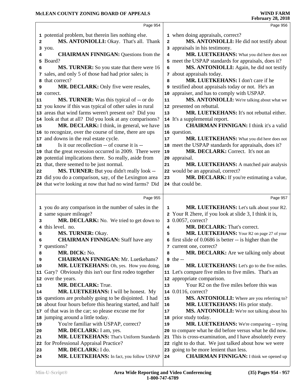|         | Page 954                                                                     |                | Page 956                                                                                           |
|---------|------------------------------------------------------------------------------|----------------|----------------------------------------------------------------------------------------------------|
|         | 1 potential problem, but therein lies nothing else.                          |                | 1 when doing appraisals, correct?                                                                  |
| 2       | MS. ANTONIOLLI: Okay. That's all. Thank                                      | $\overline{a}$ | MS. ANTONIOLLI: He did not testify about                                                           |
|         | 3 you.                                                                       |                | 3 appraisals in his testimony.                                                                     |
| 4       | <b>CHAIRMAN FINNIGAN: Questions from the</b>                                 | 4              | MR. LUETKEHANS: What you did here does not                                                         |
| 5       | Board?                                                                       |                | 5 meet the USPAP standards for appraisals, does it?                                                |
| 6       | MS. TURNER: So you state that there were 16                                  | 6              | MS. ANTONIOLLI: Again, he did not testify                                                          |
|         | 7 sales, and only 5 of those had had prior sales; is                         |                | 7 about appraisals today.                                                                          |
| 8       | that correct?                                                                | 8              | MR. LUETKEHANS: I don't care if he                                                                 |
| 9       | MR. DECLARK: Only five were resales,                                         |                | <b>9</b> testified about appraisals today or not. He's an                                          |
|         | 10 correct.                                                                  | 10             | appraiser, and has to comply with USPAP.                                                           |
| 11      | MS. TURNER: Was this typical of -- or do                                     | 11             | MS. ANTONIOLLI: We're talking about what we                                                        |
|         | 12 you know if this was typical of other sales in rural                      | 12             | presented on rebuttal.                                                                             |
|         | 13 areas that wind farms weren't present on? Did you                         | 13             | MR. LUETKEHANS: It's not rebuttal either.                                                          |
|         | 14 look at that at all? Did you look at any comparisons?                     |                | 14 It's a supplemental report.                                                                     |
| 15      | MR. DECLARK: I think, in general, we have                                    | 15             | <b>CHAIRMAN FINNIGAN: I think it's a valid</b>                                                     |
|         | 16 to recognize, over the course of time, there are ups                      |                | 16 question.                                                                                       |
|         | 17 and downs in the real estate cycle.                                       | 17             | MR. LUETKEHANS: What you did here does not                                                         |
| 18      | Is it our recollection -- of course it is --                                 |                | 18 meet the USPAP standards for appraisals, does it?                                               |
|         | 19 that the great recession occurred in 2009. There were                     | 19             | MR. DECLARK: Correct. It's not an                                                                  |
|         | 20 potential implications there. So really, aside from                       | 20             | appraisal.                                                                                         |
|         | 21 that, there seemed to be just normal.                                     | 21             | MR. LUETKEHANS: A matched pair analysis                                                            |
| 22      | MS. TURNER: But you didn't really look --                                    | 22             | would be an appraisal, correct?                                                                    |
|         | 23 did you do a comparison, say, of the Lexington area                       | 23             | MR. DECLARK: If you're estimating a value,                                                         |
|         | 24 that we're looking at now that had no wind farms? Did                     |                | 24 that could be.                                                                                  |
|         |                                                                              |                |                                                                                                    |
|         | Page 955                                                                     |                |                                                                                                    |
|         |                                                                              |                | Page 957                                                                                           |
|         |                                                                              |                |                                                                                                    |
|         | 1 you do any comparison in the number of sales in the                        | 1              | MR. LUETKEHANS: Let's talk about your R2.                                                          |
|         | 2 same square mileage?                                                       |                | 2 Your R 2here, if you look at slide 3, I think it is,                                             |
| 3       | MR. DECLARK: No. We tried to get down to                                     |                | 3 0.0057, correct?                                                                                 |
| 4       | this level. no.                                                              | 4              | MR. DECLARK: That's correct.                                                                       |
| 5       | MS. TURNER: Okay.                                                            | 5              | MR. LUETKEHANS: Your R2 on page 27 of your                                                         |
| 6       | <b>CHAIRMAN FINNIGAN: Staff have any</b>                                     |                | 6 first slide of 0.0686 is better -- is higher than the                                            |
|         | 7 questions?                                                                 |                | 7 current one, correct?                                                                            |
| 8       | MR. DICK: No.                                                                | 8              | MR. DECLARK: Are we talking only about                                                             |
| 9<br>10 | <b>CHAIRMAN FINNIGAN: Mr. Luetkehans?</b>                                    | 10             | 9 the --                                                                                           |
|         | MR. LUETKEHANS: Oh, yes. How you doing,                                      |                | MR. LUETKEHANS: Let's go to the five miles.                                                        |
|         | 11 Gary? Obviously this isn't our first rodeo together<br>12 over the years. | 12             | 11 Let's compare five miles to five miles. That's an                                               |
| 13      | MR. DECLARK: True.                                                           | 13             | appropriate comparison.<br>Your R2 on the five miles before this was                               |
| 14      | MR. LUETKEHANS: I will be honest. My                                         |                | 14 0.0116, correct?                                                                                |
|         | 15 questions are probably going to be disjointed. I had                      | 15             | MS. ANTONIOLLI: Where are you referring to?                                                        |
|         | 16 about four hours before this hearing started, and half                    | 16             | MR. LUETKEHANS: His prior study.                                                                   |
|         | 17 of that was in the car; so please excuse me for                           | 17             | MS. ANTONIOLLI: We're not talking about his                                                        |
|         | 18 jumping around a little today.                                            | 18             | prior study today.                                                                                 |
| 19      | You're familiar with USPAP, correct?                                         | 19             |                                                                                                    |
| 20      | MR. DECLARK: I am, yes.                                                      | 20             | MR. LUETKEHANS: We're comparing -- trying<br>to compare what he did before versus what he did now. |
| 21      | MR. LUETKEHANS: That's Uniform Standards                                     |                |                                                                                                    |
| 22      |                                                                              |                | 21 This is cross-examination, and I have absolutely every                                          |
| 23      | for Professional Appraisal Practice?<br>MR. DECLARK: I do.                   |                | 22 right to do that. We just talked about how we were                                              |
| 24      | MR. LUETKEHANS: In fact, you follow USPAP                                    | 24             | 23 going to be more lenient than less.<br><b>CHAIRMAN FINNIGAN:</b> I think we opened up           |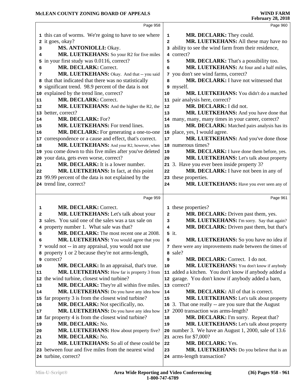|    | Page 958                                                                     |                | Page 960                                                                 |
|----|------------------------------------------------------------------------------|----------------|--------------------------------------------------------------------------|
|    |                                                                              |                | MR. DECLARK: They could.                                                 |
|    | 1 this can of worms. We're going to have to see where                        | $\mathbf{1}$   | MR. LUETKEHANS: All these may have no                                    |
|    | 2 it goes, okay?                                                             | $\overline{a}$ | 3 ability to see the wind farm from their residence,                     |
| 3  | MS. ANTONIOLLI: Okay.                                                        |                | 4 correct?                                                               |
| 4  | MR. LUETKEHANS: So your R2 for five miles                                    |                |                                                                          |
| 5  | in your first study was 0.0116, correct?                                     | 5              | MR. DECLARK: That's a possibility too.                                   |
| 6  | MR. DECLARK: Correct.                                                        | 6              | MR. LUETKEHANS: At four and a half miles,                                |
| 7  | MR. LUETKEHANS: Okay. And that -- you said                                   |                | 7 you don't see wind farms, correct?                                     |
| 8  | that that indicated that there was no statistically                          | 8              | MR. DECLARK: I have not witnessed that                                   |
|    | 9 significant trend. 98.9 percent of the data is not                         |                | 9 myself.                                                                |
|    | 10 explained by the trend line, correct?                                     | 10             | MR. LUETKEHANS: You didn't do a matched                                  |
| 11 | MR. DECLARK: Correct.                                                        |                | 11 pair analysis here, correct?                                          |
| 12 | MR. LUETKEHANS: And the higher the R2, the                                   | 12             | MR. DECLARK: I did not.                                                  |
|    | 13 better, correct?                                                          | 13             | MR. LUETKEHANS: And you have done that                                   |
| 14 | MR. DECLARK: For?                                                            |                | 14 many, many, many times in your career, correct?                       |
| 15 | <b>MR. LUETKEHANS:</b> For trend lines.                                      | 15             | MR. DECLARK: Matched pairs analysis has its                              |
| 16 | MR. DECLARK: For generating a one-to-one                                     | 16             | place, yes, I would agree.                                               |
|    | 17 correspondence or a cause and effect, that's correct.                     | 17             | MR. LUETKEHANS: And you've done those                                    |
| 18 | MR. LUETKEHANS: And your R2, however, when                                   |                | 18 numerous times?                                                       |
|    | 19 you come down to this five miles after you've deleted                     | 19             | MR. DECLARK: I have done them before, yes.                               |
|    | 20 your data, gets even worse, correct?                                      | 20             | MR. LUETKEHANS: Let's talk about property                                |
| 21 | MR. DECLARK: It is a lower number.                                           |                | 21 3. Have you ever been inside property 3?                              |
| 22 | MR. LUETKEHANS: In fact, at this point                                       | 22             | MR. DECLARK: I have not been in any of                                   |
|    | 23 99.99 percent of the data is not explained by the                         | 23             | these properties.                                                        |
|    | 24 trend line, correct?                                                      | 24             | MR. LUETKEHANS: Have you ever seen any of                                |
|    | Page 959                                                                     |                |                                                                          |
|    |                                                                              |                | Page 961                                                                 |
|    |                                                                              |                |                                                                          |
| 1  | MR. DECLARK: Correct.                                                        |                | 1 these properties?                                                      |
| 2  | MR. LUETKEHANS: Let's talk about your                                        | 2              | MR. DECLARK: Driven past them, yes.                                      |
| 3  | sales. You said one of the sales was a tax sale on                           | 3              | MR. LUETKEHANS: I'm sorry. Say that again?                               |
| 4  | property number 1. What sale was that?                                       | 4              | MR. DECLARK: Driven past them, but that's                                |
| 5  | MR. DECLARK: The most recent one at 2008.                                    |                | 5 it.                                                                    |
| 6  | MR. LUETKEHANS: You would agree that you                                     | 6              | MR. LUETKEHANS: So you have no idea if                                   |
|    | 7 would not -- in any appraisal, you would not use                           |                | 7 there were any improvements made between the times of                  |
|    | 8 property 1 or 2 because they're not arms-length,                           | 8              | sale?                                                                    |
|    | 9 correct?                                                                   | 9              | MR. DECLARK: Correct. I do not.                                          |
| 10 | MR. DECLARK: In an appraisal, that's true.                                   | 10             | MR. LUETKEHANS: You don't know if anybody                                |
| 11 | MR. LUETKEHANS: How far is property 3 from                                   |                | 11 added a kitchen. You don't know if anybody added a                    |
|    | 12 the wind turbine, closest wind turbine?                                   |                | 12 garage. You don't know if anybody added a barn,                       |
| 13 | MR. DECLARK: They're all within five miles.                                  |                | 13 correct?                                                              |
| 14 | MR. LUETKEHANS: Do you have any idea how                                     | 14             | MR. DECLARK: All of that is correct.                                     |
|    | 15 far property 3 is from the closest wind turbine?                          | 15             | MR. LUETKEHANS: Let's talk about property                                |
| 16 | MR. DECLARK: Not specifically, no.                                           | 16             | 3. That one really -- are you sure that the August                       |
| 17 | MR. LUETKEHANS: Do you have any idea how                                     | 17             | 2000 transaction was arms-length?                                        |
| 18 | far property 4 is from the closest wind turbine?                             | 18             | MR. DECLARK: I'm sorry. Repeat that?                                     |
| 19 | MR. DECLARK: No.                                                             | 19             | MR. LUETKEHANS: Let's talk about property                                |
| 20 | MR. LUETKEHANS: How about property five?                                     | 20             | number 3. We have an August 1, 2000, sale of 13.6                        |
| 21 | MR. DECLARK: No.                                                             |                | 21 acres for \$7,000?                                                    |
| 22 | MR. LUETKEHANS: So all of these could be                                     | 22             | <b>MR. DECLARK: Yes.</b>                                                 |
|    | 23 between four and five miles from the nearest wind<br>24 turbine, correct? | 23             | MR. LUETKEHANS: Do you believe that is an<br>24 arms-length transaction? |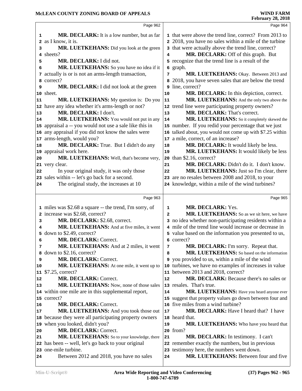|                                                                                                                                                                                        | Page 964                                                                                                         |
|----------------------------------------------------------------------------------------------------------------------------------------------------------------------------------------|------------------------------------------------------------------------------------------------------------------|
| MR. DECLARK: It is a low number, but as far<br>1                                                                                                                                       | 1 that were above the trend line, correct? From 2013 to                                                          |
| 2 as I know, it is.                                                                                                                                                                    | 2 2018, you have no sales within a mile of the turbine                                                           |
| MR. LUETKEHANS: Did you look at the green<br>3                                                                                                                                         | 3 that were actually above the trend line, correct?                                                              |
| 4 sheets?<br>4                                                                                                                                                                         | MR. DECLARK: Off of this graph. But                                                                              |
| MR. DECLARK: I did not.<br>5                                                                                                                                                           | 5 recognize that the trend line is a result of the                                                               |
| MR. LUETKEHANS: So you have no idea if it<br>graph.<br>6<br>6                                                                                                                          |                                                                                                                  |
| 7 actually is or is not an arms-length transaction,<br>7                                                                                                                               | MR. LUETKEHANS: Okay. Between 2013 and                                                                           |
| correct?<br>8<br>8                                                                                                                                                                     | 2018, you have seven sales that are below the trend                                                              |
| line, correct?<br>MR. DECLARK: I did not look at the green<br>9<br>9                                                                                                                   |                                                                                                                  |
| 10 sheet.<br>10                                                                                                                                                                        | MR. DECLARK: In this depiction, correct.                                                                         |
| MR. LUETKEHANS: My question is: Do you<br>11<br>11                                                                                                                                     | MR. LUETKEHANS: And the only two above the                                                                       |
| 12 have any idea whether it's arms-length or not?<br>12                                                                                                                                | trend line were participating property owners?                                                                   |
| MR. DECLARK: I don't.<br>13<br>13                                                                                                                                                      | MR. DECLARK: That's correct.                                                                                     |
| MR. LUETKEHANS: You would not put in any<br>14<br>14                                                                                                                                   | MR. LUETKEHANS: So it completely skewed the                                                                      |
| 15 appraisal a -- you would not use a sale like this in                                                                                                                                | 15 number. If you redid your percentage that we just                                                             |
| 16 any appraisal if you did not know the sales were<br>16                                                                                                                              | talked about, you would not come up with \$7.25 within                                                           |
| 17 arms-length, would you?<br>a mile, correct, of an increase?<br>17                                                                                                                   |                                                                                                                  |
| MR. DECLARK: True. But I didn't do any<br>18<br>18                                                                                                                                     | MR. DECLARK: It would likely be less.                                                                            |
| 19 appraisal work here.<br>19                                                                                                                                                          | MR. LUETKEHANS: It would likely be less                                                                          |
| MR. LUETKEHANS: Well, that's become very,<br>than \$2.16, correct?<br>20<br>20                                                                                                         |                                                                                                                  |
| 21 very clear.<br>21                                                                                                                                                                   | MR. DECLARK: Didn't do it. I don't know.                                                                         |
|                                                                                                                                                                                        | MR. LUETKEHANS: Just so I'm clear, there                                                                         |
|                                                                                                                                                                                        |                                                                                                                  |
| In your original study, it was only those<br>22                                                                                                                                        |                                                                                                                  |
| 23 sales within -- let's go back for a second.<br>23                                                                                                                                   | are no resales between 2008 and 2018, to your                                                                    |
| 22<br>The original study, the increases at 10<br>24                                                                                                                                    | 24 knowledge, within a mile of the wind turbines?                                                                |
| Page 963                                                                                                                                                                               | Page 965                                                                                                         |
| 1 miles was \$2.68 a square -- the trend, I'm sorry, of<br>MR. DECLARK: Yes.<br>1                                                                                                      |                                                                                                                  |
| 2 increase was \$2.68, correct?<br>$\overline{a}$                                                                                                                                      | MR. LUETKEHANS: So as we sit here, we have                                                                       |
| 3                                                                                                                                                                                      |                                                                                                                  |
| MR. DECLARK: \$2.68, correct.<br>MR. LUETKEHANS: And at five miles, it went<br>4                                                                                                       | 3 no idea whether non-participating residents within a<br>4 mile of the trend line would increase or decrease in |
| 5                                                                                                                                                                                      |                                                                                                                  |
| down to \$2.49, correct?<br>6                                                                                                                                                          | 5 value based on the information you presented to us,                                                            |
| MR. DECLARK: Correct.<br>6 correct?                                                                                                                                                    |                                                                                                                  |
| MR. LUETKEHANS: And at 2 miles, it went<br>7<br>7                                                                                                                                      | MR. DECLARK: I'm sorry. Repeat that.                                                                             |
| 8 down to \$2.16, correct?<br>8                                                                                                                                                        | MR. LUETKEHANS: So based on the information                                                                      |
| MR. DECLARK: Correct.<br>9                                                                                                                                                             | 9 you provided to us, within a mile of the wind                                                                  |
| MR. LUETKEHANS: At one mile, it went up to<br>10                                                                                                                                       | 10 turbines, we have no examples of increases in value                                                           |
| 11 between 2013 and 2018, correct?<br>$$7.25$ , correct?<br>11                                                                                                                         |                                                                                                                  |
| MR. DECLARK: Correct.<br>12<br>12                                                                                                                                                      | MR. DECLARK: Because there's no sales or                                                                         |
| MR. LUETKEHANS: Now, none of those sales<br>13 resales. That's true.<br>13                                                                                                             |                                                                                                                  |
| 14                                                                                                                                                                                     | MR. LUETKEHANS: Have you heard anyone ever                                                                       |
|                                                                                                                                                                                        | 15 suggest that property values go down between four and                                                         |
| 16 five miles from a wind turbine?<br><b>MR. DECLARK: Correct.</b>                                                                                                                     |                                                                                                                  |
| 14 within one mile are in this supplemental report,<br>15 correct?<br>16<br>MR. LUETKEHANS: And you took those out<br>17<br>17                                                         | MR. DECLARK: Have I heard that? I have                                                                           |
| 18 because they were all participating property owners<br>18 heard that.                                                                                                               |                                                                                                                  |
| 19 when you looked, didn't you?<br>19                                                                                                                                                  | MR. LUETKEHANS: Who have you heard that                                                                          |
| MR. DECLARK: Correct.<br>20 from?<br>20                                                                                                                                                |                                                                                                                  |
| MR. LUETKEHANS: So to your knowledge, there<br>21                                                                                                                                      | MR. DECLARK: In testimony. I can't                                                                               |
|                                                                                                                                                                                        | 22 remember exactly the numbers, but in previous                                                                 |
| 21<br>22 has been -- well, let's go back to your original<br>23 one-mile turbine.<br>23 testimony here, the numbers went down.<br>Between 2012 and 2018, you have no sales<br>24<br>24 | MR. LUETKEHANS: Between four and five                                                                            |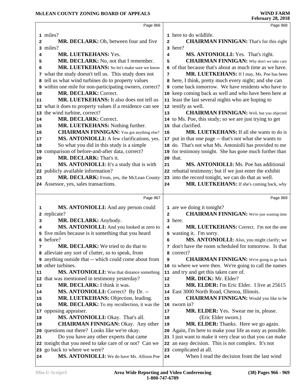|                                               | Page 966                                                                   |                | Page 968                                                              |  |
|-----------------------------------------------|----------------------------------------------------------------------------|----------------|-----------------------------------------------------------------------|--|
|                                               |                                                                            |                | 1 here to do wildlife.                                                |  |
|                                               | 1 miles?                                                                   |                |                                                                       |  |
| 2                                             | MR. DECLARK: Oh, between four and five                                     | $\overline{a}$ | <b>CHAIRMAN FINNIGAN:</b> That's for this right                       |  |
|                                               | 3 miles?                                                                   |                | 3 here?                                                               |  |
| 4                                             | MR. LUETKEHANS: Yes.                                                       | 4              | MS. ANTONIOLLI: Yes. That's right.                                    |  |
| 5                                             | MR. DECLARK: No, not that I remember.                                      | 5              | <b>CHAIRMAN FINNIGAN:</b> Why don't we take care                      |  |
| 6                                             | MR. LUETKEHANS: So let's make sure we know                                 |                | 6 of that because that's about as much time as we have.               |  |
|                                               | 7 what the study doesn't tell us. This study does not                      | 7              | MR. LUETKEHANS: If I may, Ms. Poe has been                            |  |
| 8                                             | tell us what wind turbines do to property values                           |                | 8 here, I think, pretty much every night; and she can                 |  |
| 9                                             | within one mile for non-participating owners, correct?                     |                | 9 come back tomorrow. We have residents who have to                   |  |
| 10                                            | MR. DECLARK: Correct.                                                      |                | 10 keep coming back as well and who have been here at                 |  |
| 11                                            | MR. LUETKEHANS: It also does not tell us                                   |                | 11 least the last several nights who are hoping to                    |  |
|                                               | 12 what it does to property values if a residence can see                  |                | 12 testify as well.                                                   |  |
|                                               | 13 the wind turbine, correct?                                              | 13             | <b>CHAIRMAN FINNIGAN:</b> Well, but you objected                      |  |
| 14                                            | MR. DECLARK: Correct.                                                      |                | 14 to Ms. Poe, this study; so we are just trying to get               |  |
| 15                                            | MR. LUETKEHANS: Nothing further.                                           |                | 15 that clarified.                                                    |  |
| 16                                            | <b>CHAIRMAN FINNIGAN:</b> You got anything else?                           | 16             | <b>MR. LUETKEHANS:</b> If all she wants to do is                      |  |
| 17                                            | MS. ANTONIOLLI: A few clarifications, yes.                                 | 17             | put in that one page -- that's not what she wants to                  |  |
| 18                                            | So what you did in this study is a simple                                  |                | 18 do. That's not what Ms. Antoniolli has provided to me              |  |
| 19                                            | comparison of before-and-after data, correct?                              |                | 19 for testimony tonight. She has gone much further than              |  |
| 20                                            | MR. DECLARK: That's it.                                                    |                | 20 that.                                                              |  |
| 21                                            | MS. ANTONIOLLI: It's a study that is with                                  | 21             | <b>MS. ANTONIOLLI:</b> Ms. Poe has additional                         |  |
|                                               | 22 publicly available information?                                         |                | 22 rebuttal testimony; but if we just enter the exhibit               |  |
| 23                                            | MR. DECLARK: From, yes, the McLean County                                  |                | 23 into the record tonight, we can do that as well.                   |  |
|                                               | 24 Assessor, yes, sales transactions.                                      | 24             | MR. LUETKEHANS: If she's coming back, why                             |  |
|                                               |                                                                            |                |                                                                       |  |
|                                               |                                                                            |                |                                                                       |  |
|                                               | Page 967                                                                   |                | Page 969                                                              |  |
| 1                                             | MS. ANTONIOLLI: And any person could                                       |                | 1 are we doing it tonight?                                            |  |
|                                               | 2 replicate?                                                               | $\overline{a}$ | <b>CHAIRMAN FINNIGAN:</b> We're just wasting time                     |  |
| 3                                             | MR. DECLARK: Anybody.                                                      |                | 3 here.                                                               |  |
| 4                                             | MS. ANTONIOLLI: And you looked at zero to                                  | 4              | MR. LUETKEHANS: Correct. I'm not the one                              |  |
|                                               | five miles because is it something that you heard                          |                | 5 wasting it. I'm sorry.                                              |  |
|                                               | 6 before?                                                                  | 6              | MS. ANTONIOLLI: Also, you might clarify; we                           |  |
| 7                                             | MR. DECLARK: We tried to do that to                                        |                | 7 don't have the room scheduled for tomorrow. Is that                 |  |
|                                               | a alleviate any sort of clutter, so to speak, from                         |                | 8 correct?                                                            |  |
|                                               | 9 anything outside that -- which could come about from                     | 9              | <b>CHAIRMAN FINNIGAN:</b> We're going to go back                      |  |
|                                               | other turbines.                                                            |                | 10 to where we were then. We're going to call the names               |  |
|                                               | MS. ANTONIOLLI: Was that distance something                                |                | 11 and try and get this taken care of.                                |  |
| 10                                            | 12 that was mentioned in testimony yesterday?                              | 12             | MR. DICK: Mr. Elder?                                                  |  |
|                                               | MR. DECLARK: I think it was.                                               | 13             | MR. ELDER: I'm Eric Elder. I live at 25615                            |  |
|                                               | MS. ANTONIOLLI: Correct? By Dr. --                                         | 14             | East 3000 North Road, Chenoa, Illinois.                               |  |
|                                               | MR. LUETKEHANS: Objection, leading.                                        | 15             | <b>CHAIRMAN FINNIGAN:</b> Would you like to be                        |  |
|                                               | MR. DECLARK: To my recollection, it was the                                |                | 16 sworn in?                                                          |  |
| 17                                            | opposing appraiser.                                                        | 17             | MR. ELDER: Yes. Swear me in, please.                                  |  |
|                                               | MS. ANTONIOLLI: Okay. That's all.                                          | 18             | (Eric Elder sworn.)                                                   |  |
|                                               | <b>CHAIRMAN FINNIGAN: Okay. Any other</b>                                  | 19             | MR. ELDER: Thanks. Here we go again.                                  |  |
|                                               | questions out there? Looks like we're okay.                                | 20             | Again, I'm here to make your life as easy as possible.                |  |
| 20                                            | Do you have any other experts that came                                    | 21             | I just want to make it very clear so that you can make                |  |
|                                               | 22 tonight that you need to take care of or not? Can we                    |                | 22 an easy decision. This is not complex. It's not                    |  |
| 11<br> 13<br>14<br>15<br>16<br>18<br>19<br>21 | 23 go back to where we were?<br>MS. ANTONIOLLI: We do have Ms. Allison Poe |                | 23 complicated at all.<br>When I read the decision from the last wind |  |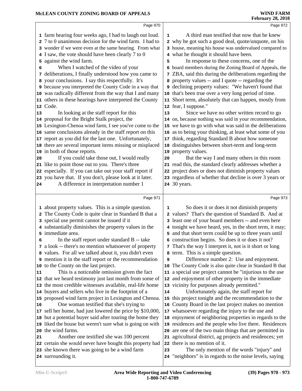|    | Page 970                                                      |                         | Page 972                                                                                             |
|----|---------------------------------------------------------------|-------------------------|------------------------------------------------------------------------------------------------------|
|    |                                                               |                         |                                                                                                      |
|    | 1 farm hearing four weeks ago, I had to laugh out loud.       | 1                       | A third man testified that now that he knew                                                          |
|    | 2 7 to 0 unanimous decision for the wind farm. I had to       |                         | 2 why he got such a good deal, quote/unquote, on his                                                 |
|    | 3 wonder if we were even at the same hearing. From what       |                         | 3 house, meaning his house was undervalued compared to                                               |
|    | 4 I saw, the vote should have been clearly 7 to 0             | $\overline{\mathbf{4}}$ | what he thought it should have been.                                                                 |
|    | 5 against the wind farm.                                      | 5                       | In response to these concerns, one of the                                                            |
| 6  | When I watched of the video of your                           | 6                       | board members during the Zoning Board of Appeals, the                                                |
| 7  | deliberations, I finally understood how you came to           |                         | ZBA, said this during the deliberations regarding the                                                |
|    | 8 your conclusions. I say this respectfully. It's             | 8                       | property values -- and I quote -- regarding the                                                      |
|    | 9 because you interpreted the County Code in a way that       |                         | <b>9</b> declining property values: "We haven't found that                                           |
|    | 10 was radically different from the way that I and many       |                         | 10 that's been true over a very long period of time.                                                 |
|    | 11 others in these hearings have interpreted the County       |                         | 11 Short term, absolutely that can happen, mostly from                                               |
|    | 12 Code.                                                      |                         | 12 fear, I suppose."                                                                                 |
| 13 | In looking at the staff report for this                       | 13                      | Since we have no other written record to go                                                          |
|    | 14 proposal for the Bright Stalk project, the                 |                         | 14 on, because nothing was said in your recommendation,                                              |
|    | 15 Lexington-Chenoa wind farm, I see you've come to the       |                         | 15 we have to go with what was said in the deliberations                                             |
|    | 16 same conclusions already in the staff report on this       |                         | 16 as to being your thinking, at least what some of you                                              |
|    | 17 report as you did for the last one. Unfortunately,         |                         | 17 think, regarding Standard B about how someone                                                     |
|    | 18 there are several important items missing or misplaced     |                         | 18 distinguishes between short-term and long-term                                                    |
|    | 19 in both of those reports.                                  |                         | 19 property values.                                                                                  |
| 20 | If you could take those out, I would really                   | 20                      | But the way I and many others in this room                                                           |
|    | 21 like to point those out to you. There's three              |                         | 21 read this, the standard clearly addresses whether a                                               |
|    | 22 especially. If you can take out your staff report if       |                         | 22 project does or does not diminish property values                                                 |
|    | 23 you have that. If you don't, please look at it later.      |                         | 23 regardless of whether that decline is over 3 years or                                             |
| 24 | A difference in interpretation number 1                       |                         | <b>24</b> 30 years.                                                                                  |
|    |                                                               |                         |                                                                                                      |
|    | Page 971                                                      |                         | Page 973                                                                                             |
|    | 1 about property values. This is a simple question.           | 1                       | So does it or does it not diminish property                                                          |
|    | 2 The County Code is quite clear in Standard B that a         |                         | 2 values? That's the question of Standard B. And at                                                  |
|    | 3 special use permit cannot be issued if it                   | 3                       | least one of your board members -- and even here                                                     |
|    | 4 substantially diminishes the property values in the         |                         | 4 tonight we have heard, yes, in the short term, it may;                                             |
|    | 5 immediate area.                                             |                         | 5 and that short term could be up to three years until                                               |
|    | In the staff report under standard B -- take                  |                         | 6 construction begins. So does it or does it not?                                                    |
| 6  | 7 a look -- there's no mention whatsoever of property         |                         | 7 That's the way I interpret it, not is it short or long                                             |
|    | 8 values. For all we talked about it, you didn't even         |                         |                                                                                                      |
|    |                                                               | 8                       | term. This is a simple question.                                                                     |
|    | <b>9</b> mention it in the staff report or the recommendation | 9                       | Difference number 2: Use and enjoyment.<br>10 The County Code is also quite clear in Standard B that |
|    | 10 to the County on the last project.                         |                         |                                                                                                      |
| 11 | This is a noticeable omission given the fact                  |                         | 11 a special use project cannot be "injurious to the use                                             |
|    | 12 that we heard testimony just last month from some of       |                         | 12 and enjoyment of other property in the immediate                                                  |
|    | 13 the most credible witnesses available, real-life home      |                         | 13 vicinity for purposes already permitted."                                                         |
|    | 14 buyers and sellers who live in the footprint of a          | 14                      | Unfortunately again, the staff report for                                                            |
|    | 15 proposed wind farm project in Lexington and Chenoa.        |                         | 15 this project tonight and the recommendation to the                                                |
| 16 | One woman testified that she's trying to                      |                         | 16 County Board in the last project makes no mention                                                 |
|    | 17 sell her home, had just lowered the price by \$10,000,     |                         | 17 whatsoever regarding the injury to the use and                                                    |
|    | 18 but a potential buyer said after touring the home they     |                         | 18 enjoyment of neighboring properties in regards to the                                             |
|    | 19 liked the house but weren't sure what is going on with     |                         | 19 residences and the people who live there. Residences                                              |
| 20 | the wind farms.                                               |                         | 20 are one of the two main things that are permitted in                                              |
| 21 | Another one testified she was 100 percent                     |                         | 21 agricultural district, ag projects and residences; yet                                            |
|    | 22 certain she would never have bought this property had      |                         | 22 there is no mention of it.                                                                        |
|    | 23 she known there was going to be a wind farm                | 23                      | The only mention of the words "injury" and                                                           |
|    | 24 surrounding it.                                            |                         | 24 "neighbors" is in regards to the noise levels, saying                                             |
|    |                                                               |                         |                                                                                                      |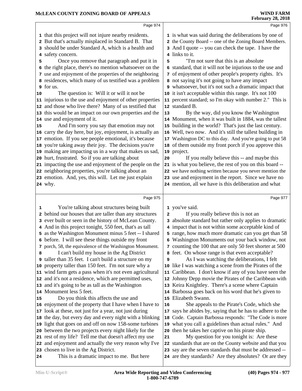|               | Page 974                                                                                                                                                                                                                                                                                                                                                                                                                                                                                                                                                                                                                                                                                                                                                                                                                                                                                                                                                                                                                                                                                                                                                           |               | Page 976                                                                                                                                                                                                                                                                                                                                                                                                                                                                                                                                                                                                                                                                                                                                                                                                                                                                                                                                                                                                                                                                                                                                              |
|---------------|--------------------------------------------------------------------------------------------------------------------------------------------------------------------------------------------------------------------------------------------------------------------------------------------------------------------------------------------------------------------------------------------------------------------------------------------------------------------------------------------------------------------------------------------------------------------------------------------------------------------------------------------------------------------------------------------------------------------------------------------------------------------------------------------------------------------------------------------------------------------------------------------------------------------------------------------------------------------------------------------------------------------------------------------------------------------------------------------------------------------------------------------------------------------|---------------|-------------------------------------------------------------------------------------------------------------------------------------------------------------------------------------------------------------------------------------------------------------------------------------------------------------------------------------------------------------------------------------------------------------------------------------------------------------------------------------------------------------------------------------------------------------------------------------------------------------------------------------------------------------------------------------------------------------------------------------------------------------------------------------------------------------------------------------------------------------------------------------------------------------------------------------------------------------------------------------------------------------------------------------------------------------------------------------------------------------------------------------------------------|
| 5<br>10<br>15 | 1 that this project will not injure nearby residents.<br>2 But that's actually misplaced in Standard B. That<br>3 should be under Standard A, which is a health and<br>4 safety concern.<br>Once you remove that paragraph and put it in<br>6 the right place, there's no mention whatsoever on the<br>7 use and enjoyment of the properties of the neighboring<br>8 residences, which many of us testified was a problem<br>9 for us.<br>The question is: Will it or will it not be<br>11 injurious to the use and enjoyment of other properties<br>12 and those who live there? Many of us testified that<br>13 this would be an impact on our own properties and the<br>14 use and enjoyment of it.<br>And I'm sorry you say that emotion may not<br>16 carry the day here, but joy, enjoyment, is actually an<br>17 emotion. If you see people emotional, it's because<br>18 you're taking away their joy. The decisions you're<br>19 making are impacting us in a way that makes us sad,<br>20 hurt, frustrated. So if you are talking about<br>21 impacting the use and enjoyment of the people on the<br>22 neighboring properties, you're talking about an | 5<br>13<br>20 | 1 is what was said during the deliberations by one of<br>2 the County Board -- one of the Zoning Board Members.<br>3 And I quote -- you can check the tape. I have the<br>4 links to it.<br>"I'm not sure that this is an absolute<br>6 standard, that it will not be injurious to the use and<br>7 of enjoyment of other people's property rights. It's<br>8 not saying it's not going to have any impact<br>9 whatsoever, but it's not such a dramatic impact that<br>10 it isn't acceptable within this range. It's not 100<br>11 percent standard; so I'm okay with number 2." This is<br>12 standard B.<br>By the way, did you know the Washington<br>14 Monument, when it was built in 1884, was the tallest<br>15 building in the world? That's just the last century.<br>16 Well, two now. And it's still the tallest building in<br>17 Washington DC to this day. And you're going to put 58<br>18 of them outside my front porch if you approve this<br>19 project.<br>If you really believe this -- and maybe this<br>21 is what you believe, the rest of you on this board --<br>22 we have nothing written because you never mention the |
|               | 23 emotion. And, yes, this will. Let me just explain<br><b>24</b> why.                                                                                                                                                                                                                                                                                                                                                                                                                                                                                                                                                                                                                                                                                                                                                                                                                                                                                                                                                                                                                                                                                             |               | 23 use and enjoyment in the report. Since we have no<br>24 mention, all we have is this deliberation and what                                                                                                                                                                                                                                                                                                                                                                                                                                                                                                                                                                                                                                                                                                                                                                                                                                                                                                                                                                                                                                         |
|               |                                                                                                                                                                                                                                                                                                                                                                                                                                                                                                                                                                                                                                                                                                                                                                                                                                                                                                                                                                                                                                                                                                                                                                    |               |                                                                                                                                                                                                                                                                                                                                                                                                                                                                                                                                                                                                                                                                                                                                                                                                                                                                                                                                                                                                                                                                                                                                                       |
|               | Page 975                                                                                                                                                                                                                                                                                                                                                                                                                                                                                                                                                                                                                                                                                                                                                                                                                                                                                                                                                                                                                                                                                                                                                           |               | Page 977                                                                                                                                                                                                                                                                                                                                                                                                                                                                                                                                                                                                                                                                                                                                                                                                                                                                                                                                                                                                                                                                                                                                              |
| 1             | You're talking about structures being built<br>2 behind our houses that are taller than any structures<br>3 ever built or seen in the history of McLean County.<br>4 And in this project tonight, 550 feet, that's as tall<br>5 as the Washington Monument minus 5 feet -- I shared<br>6 before. I will see these things outside my front                                                                                                                                                                                                                                                                                                                                                                                                                                                                                                                                                                                                                                                                                                                                                                                                                          | $\mathbf{2}$  | 1 you've said.<br>If you really believe this is not an<br>3 absolute standard but rather only applies to dramatic<br>4 impact that is not within some acceptable kind of                                                                                                                                                                                                                                                                                                                                                                                                                                                                                                                                                                                                                                                                                                                                                                                                                                                                                                                                                                              |
|               |                                                                                                                                                                                                                                                                                                                                                                                                                                                                                                                                                                                                                                                                                                                                                                                                                                                                                                                                                                                                                                                                                                                                                                    |               | 5 range, how much more dramatic can you get than 58<br>6 Washington Monuments out your back window, not                                                                                                                                                                                                                                                                                                                                                                                                                                                                                                                                                                                                                                                                                                                                                                                                                                                                                                                                                                                                                                               |
| 8             | 7 porch, 58, the equivalence of the Washington Monument.<br>I can't build my house in the Ag District<br>9 taller than 35 feet. I can't build a structure on my<br>10 property taller than 150 feet. I'm not sure why a<br>11 wind farm gets a pass when it's not even agricultural<br>12 and it's not a residence, which are permitted uses,<br>13 and it's going to be as tall as the Washington<br>14 Monument less 5 feet.                                                                                                                                                                                                                                                                                                                                                                                                                                                                                                                                                                                                                                                                                                                                     | 9<br>11       | 7 counting the 100 that are only 50 feet shorter at 500<br>8 feet. On whose range is that even acceptable?<br>As I was watching the deliberations, I felt<br>10 like I was watching a scene from the Pirates of the<br>Caribbean. I don't know if any of you have seen the<br>12 Johnny Depp movie the Pirates of the Caribbean with<br>13 Keira Knightley. There's a scene where Captain<br>14 Barbossa goes back on his word that he's given to                                                                                                                                                                                                                                                                                                                                                                                                                                                                                                                                                                                                                                                                                                     |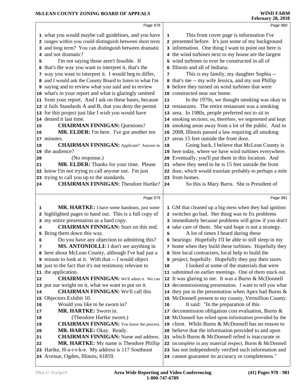|    | Page 978                                                                                  |    | Page 980                                                                                                     |
|----|-------------------------------------------------------------------------------------------|----|--------------------------------------------------------------------------------------------------------------|
|    | 1 what you would maybe call guidelines, and you have                                      | 1  | This front cover page is information I've                                                                    |
|    | 2 ranges within you could distinguish between short term                                  |    | 2 presented before. It's just some of my background                                                          |
|    | 3 and long term? You can distinguish between dramatic                                     |    | 3 information. One thing I want to point out here is                                                         |
|    | and not dramatic?                                                                         |    | 4 the wind turbines next to my house are the largest                                                         |
| 5  | I'm not saying those aren't feasible. If                                                  |    | 5 wind turbines to ever be constructed in all of                                                             |
| 6  | that's the way you want to interpret it, that's the                                       |    | 6 Illinois and all of Indiana.                                                                               |
| 7  | way you want to interpret it. I would beg to differ,                                      | 7  | This is my family, my daughter Sophia --                                                                     |
|    | 8 and I would ask the County Board to listen to what I'm                                  |    | 8 that's me -- my wife Jessica, and my son Phillip                                                           |
|    | 9 saying and to review what you said and to review                                        |    | <b>9</b> before they turned on wind turbines that were                                                       |
|    | 10 what's in your report and what is glaringly omitted                                    |    | 10 constructed near our home.                                                                                |
|    | 11 from your report. And I ask on these bases, because                                    | 11 | In the 1970s, we thought smoking was okay in                                                                 |
|    | 12 it fails Standards A and B, that you deny the permit                                   |    | 12 restaurants. The entire restaurant was a smoking                                                          |
|    | 13 for this project just like I wish you would have                                       |    | 13 area. In 1980s, people preferred not to sit in                                                            |
|    | 14 denied it last time.                                                                   |    | 14 smoking sections; so, therefore, we segmented and kept                                                    |
| 15 | <b>CHAIRMAN FINNIGAN: Questions?</b>                                                      |    | 15 smoking areas away from a lot of the public. And in                                                       |
| 16 | MR. ELDER: I'm here. I've got another ten                                                 |    | 16 2008, Illinois passed a law requiring all smoking                                                         |
|    | 17 minutes.                                                                               |    | 17 areas 15 feet outside the front door.                                                                     |
| 18 | <b>CHAIRMAN FINNIGAN:</b> Applicant? Anyone in                                            | 18 | Going back, I believe that McLean County is                                                                  |
|    | 19 the audience?                                                                          |    | 19 here today, where we have wind turbines everywhere.                                                       |
| 20 | (No response.)                                                                            |    | 20 Eventually, you'll put them in this location. And                                                         |
| 21 | MR. ELDER: Thanks for your time. Please                                                   |    | 21 where they need to be is 15 feet outside the front                                                        |
|    | 22 know I'm not trying to call anyone out. I'm just                                       |    | 22 door, which would translate probably to perhaps a mile                                                    |
|    | 23 trying to call you up to the standards.                                                |    | 23 from homes.                                                                                               |
| 24 | <b>CHAIRMAN FINNIGAN: Theodore Hartke?</b>                                                | 24 | So this is Mary Barra. She is President of                                                                   |
|    |                                                                                           |    |                                                                                                              |
|    | Page 979                                                                                  |    | Page 981                                                                                                     |
|    |                                                                                           |    |                                                                                                              |
| 1  | MR. HARTKE: I have some handouts, just some                                               |    | 1 GM that cleaned up a big mess when they had ignition                                                       |
| 2  | highlighted pages to hand out. This is a full copy of                                     |    | 2 switches go bad. Her thing was to fix problems                                                             |
| 3  | my entire presentation as a hard copy.                                                    |    | 3 immediately because problems will grow if you don't                                                        |
| 4  | <b>CHAIRMAN FINNIGAN:</b> Start on this end.                                              |    | 4 take care of them. She said hope is not a strategy.                                                        |
| 5  | Bring them down this way.                                                                 | 5  | A lot of times I heard during these                                                                          |
| 6  | Do you have any objection to admitting this?                                              |    | 6 hearings: Hopefully I'll be able to still sleep in my                                                      |
| 7  | <b>MS. ANTONIOLLI:</b> I don't see anything in                                            |    | 7 home when they build these turbines. Hopefully they                                                        |
|    | 8 here about McLean County, although I've had just a                                      |    | 8 hire local contractors, local help to build the                                                            |
|    | 9 minute to look at it. With that -- I would object                                       |    | <b>9</b> project, hopefully. Hopefully they pay their taxes.                                                 |
|    | 10 just to the fact that it's not testimony relevant to                                   | 10 | I looked at some of the materials that were                                                                  |
|    | 11 the application.                                                                       |    | 11 submitted on earlier meetings. One of them stuck out.                                                     |
| 12 | <b>CHAIRMAN FINNIGAN:</b> We'll admit it. We can                                          |    | 12 It was glaring to me. It was a Burns & McDonnell                                                          |
|    | 13 put our weight on it, what we want to put on it.                                       |    | 13 decommissioning presentation. I want to tell you what                                                     |
| 14 | <b>CHAIRMAN FINNIGAN: We'll call this</b>                                                 |    | 14 they put in the presentation when Apex had Burns $\&$                                                     |
| 15 | Objectors Exhibit 10.                                                                     |    | 15 McDonnell present to my county, Vermillion County.                                                        |
| 16 | Would you like to be sworn in?                                                            | 16 | It said: "In the preparation of this                                                                         |
| 17 | MR. HARTKE: Sworn in.                                                                     | 17 | decommission obligation cost evaluation, Burns &                                                             |
| 18 | (Theodore Hartke sworn.)                                                                  |    | 18 McDonnell has relied upon information provided by the                                                     |
| 19 | <b>CHAIRMAN FINNIGAN:</b> You know the process.                                           | 19 | client. While Burns & McDonnell has no reason to                                                             |
| 20 | MR. HARTKE: Okay. Ready.                                                                  |    | 20 believe that the information provided to and upon                                                         |
| 21 | <b>CHAIRMAN FINNIGAN:</b> Name and address.                                               |    | 21 which Burns & McDonnell relied is inaccurate or                                                           |
| 22 | MR. HARTKE: My name is Theodore Phillip                                                   |    | 22 incomplete in any material respect, Burns & McDonnell                                                     |
|    | 23 Hartke, H-a-r-t-k-e. My address is 117 Southeast<br>24 Avenue, Ogden, Illinois, 61859. |    | 23 has not independently verified such information and<br>24 cannot guarantee its accuracy or completeness." |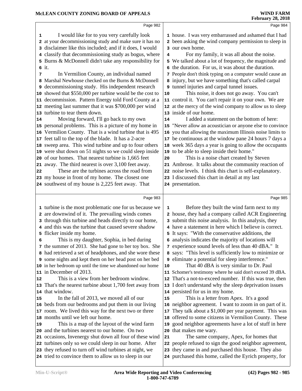#### **MCLEAN COUNTY ZONING BOARD OF APPEALS**

 In Vermilion County, an individual named Marshal Newhouse checked on the Burns & McDonnell

decommission. Pattern Energy told Ford County at a

feet tall to the top of the blade. It has a 2-acre

 of our homes. That nearest turbine is 1,665 feet away. The third nearest is over 3,100 feet away. These are the turbines across the road from my house in front of my home. The closest one southwest of my house is 2,225 feet away. That

turbine to tear them down.

it.

| ICLEAN COUNTY ZONING BOARD OF APPEALS                                                                                  | <b>WIND FARM</b><br><b>February 28, 2018</b>                                                                    |
|------------------------------------------------------------------------------------------------------------------------|-----------------------------------------------------------------------------------------------------------------|
| Page 982                                                                                                               | Page 984                                                                                                        |
| I would like for to you very carefully look<br>$\mathbf{1}$<br>2 at your decommissioning study and make sure it has no | 1 house. I was very embarrassed and ashamed that I had<br>2 been asking the wind company permission to sleep in |
| 3 disclaimer like this included; and if it does, I would                                                               | 3 our own home.                                                                                                 |
| 4 classify that decommissioning study as bogus, where                                                                  | For my family, it was all about the noise.<br>4                                                                 |
| 5 Burns & McDonnell didn't take any responsibility for                                                                 | 5 We talked about a lot of frequency, the magnitude and                                                         |
|                                                                                                                        |                                                                                                                 |

the duration. For us, it was about the duration.

People don't think typing on a computer would cause an

 decommissioning study. His independent research injury, but we have something that's called carpal tunnel injuries and carpal tunnel issues.

 showed that \$550,000 per turbine would be the cost to |**10**  meeting last summer that it was \$700,000 per wind | 12 This noise, it does not go away. You can't control it. You can't repair it on your own. We are at the mercy of the wind company to allow us to sleep inside of our home.

 Moving forward, I'll go back to my own  $\vert$  **14**  personal problems. This is a picture of my home in | 15 Vermilion County. That is a wind turbine that is 495 | **16**  sweep area. This wind turbine and up to four others | 18 were shut down on 51 nights so we could sleep inside | **19** I added a statement on the bottom of here: "Never allow an acoustician or anyone else to convince you that allowing the maximum Illinois noise limits to be continuous at the window pane 24 hours 7 days a week 365 days a year is going to allow the occupants to be able to sleep inside their home."

This is a noise chart created by Steven

Ambrose. It talks about the community reaction of

noise levels. I think this chart is self-explanatory.

I discussed this chart in detail at my last

presentation.

Page 985

|    | 1 turbine is the most problematic one for us because we   | 1  | Before they built the wind farm next to my                |  |
|----|-----------------------------------------------------------|----|-----------------------------------------------------------|--|
|    | 2 are downwind of it. The prevailing winds comes          |    | 2 house, they had a company called ACR Engineering        |  |
|    | 3 through this turbine and heads directly to our home,    |    | 3 submit this noise analysis. In this analysis, they      |  |
|    | 4 and this was the turbine that caused severe shadow      |    | 4 have a statement in here which I believe is correct.    |  |
|    | 5 flicker inside my home.                                 |    | 5 It says: "With the conservative additions, the          |  |
| 6  | This is my daughter, Sophia, in bed during                |    | 6 analysis indicates the majority of locations will       |  |
|    | 7 the summer of 2013. She had gone to her toy box. She    |    | 7 experience sound levels of less than 40 dBA." It        |  |
|    | 8 had retrieved a set of headphones, and she wore these   |    | 8 says: "This level is sufficiently low to minimize or    |  |
|    | 9 some nights and kept them on her head post on her bed   |    | 9 eliminate a potential for sleep interference."          |  |
|    | 10 in her bedroom up until the time we abandoned our home | 10 | That 40 dBA is very similar to Dr. Paul                   |  |
|    | 11 in December of 2013.                                   |    | 11 Schomer's testimony where he said don't exceed 39 dBA. |  |
| 12 | This is a view from her bedroom window.                   |    | 12 That's a not-to-exceed number. If this was true, then  |  |
|    | 13 That's the nearest turbine about 1,700 feet away from  |    | 13 I don't understand why the sleep deprivation issues    |  |
|    | 14 that window.                                           |    | 14 persisted for us in my home.                           |  |
| 15 | In the fall of 2013, we moved all of our                  | 15 | This is a letter from Apex. It's a good                   |  |
|    | 16 beds from our bedrooms and put them in our living      |    | 16 neighbor agreement. I want to zoom in on part of it.   |  |
|    | 17 room. We lived this way for the next two or three      | 17 | They talk about a \$1,000 per year payment. This was      |  |
|    | 18 months until we left our home.                         |    | 18 offered to some citizens in Vermilion County. These    |  |
| 19 | This is a map of the layout of the wind farm              |    | 19 good neighbor agreements have a lot of stuff in here   |  |
|    | 20 and the turbines nearest to our home. On two           |    | 20 that makes me wary.                                    |  |
|    | 21 occasions, Invenergy shut down all four of these wind  | 21 | The same company, Apex, for homes that                    |  |
|    | 22 turbines only so we could sleep in our home. After     |    | 22 people refused to sign the good neighbor agreement,    |  |
|    | 23 they refused to turn off wind turbines at night, we    |    | 23 they came in and purchased this house. They also       |  |
|    | 24 tried to convince them to allow us to sleep in our     |    | 24 purchased this home, called the Eyrich property, for   |  |
|    |                                                           |    |                                                           |  |

Page 983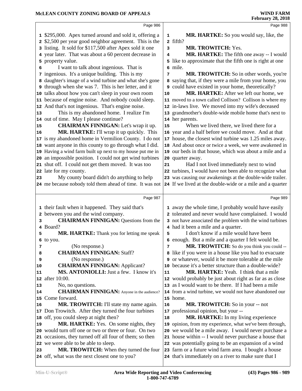|                            | Page 986                                                                                 |    | Page 988                                                                                                     |  |
|----------------------------|------------------------------------------------------------------------------------------|----|--------------------------------------------------------------------------------------------------------------|--|
|                            | 1 \$295,000. Apex turned around and sold it, offering a                                  | 1  | MR. HARTKE: So you would say, like, the                                                                      |  |
|                            | 2 \$2,500 per year good neighbor agreement. This is the                                  |    | 2 fifth?                                                                                                     |  |
|                            | 3 listing. It sold for \$117,500 after Apex sold it one                                  | 3  | MR. TROWITCH: Yes.                                                                                           |  |
|                            | 4 year later. That was about a 60 percent decrease in                                    | 4  | MR. HARTKE: The fifth one away -- I would                                                                    |  |
|                            | 5 property value.                                                                        |    | 5 like to approximate that the fifth one is right at one                                                     |  |
| 6                          | I want to talk about ingenious. That is                                                  |    | 6 mile.                                                                                                      |  |
|                            | 7 ingenious. It's a unique building. This is my                                          | 7  | MR. TROWITCH: So in other words, you're                                                                      |  |
|                            | 8 daughter's image of a wind turbine and what she's gone                                 |    | 8 saying that, if they were a mile from your home, you                                                       |  |
|                            | <b>9</b> through when she was 7. This is her letter, and it                              |    | 9 could have existed in your home, theoretically?                                                            |  |
|                            | 10 talks about how you can't sleep in your own room                                      | 10 | MR. HARTKE: After we left our home, we                                                                       |  |
|                            | 11 because of engine noise. And nobody could sleep.                                      |    | 11 moved to a town called Collison? Collison is where my                                                     |  |
|                            | 12 And that's not ingenious. That's engine noise.                                        |    | 12 in-laws live. We moved into my wife's deceased                                                            |  |
| 13                         | This is my abandoned home. I realize I'm                                                 |    | 13 grandmother's double-wide mobile home that's next to                                                      |  |
|                            | 14 out of time. May I please continue?                                                   |    | 14 her parents.                                                                                              |  |
| 15                         | <b>CHAIRMAN FINNIGAN:</b> Let's wrap it up.                                              | 15 | When we lived there, we lived there for a                                                                    |  |
| 16                         | MR. HARTKE: I'll wrap it up quickly. This                                                |    | 16 year and a half before we could move. And at that                                                         |  |
|                            | 17 is my abandoned home in Vermilion County. I do not                                    |    | 17 house, the closest wind turbine was 1.25 miles away.                                                      |  |
|                            | 18 want anyone in this county to go through what I did.                                  |    | 18 And about once or twice a week, we were awakened in                                                       |  |
|                            | 19 Having a wind farm built up next to my house put me in                                |    | 19 our beds in that house, which was about a mile and a                                                      |  |
|                            | 20 an impossible position. I could not get wind turbines                                 |    | 20 quarter away.                                                                                             |  |
|                            | 21 shut off. I could not get them moved. It was too                                      | 21 | Had I not lived immediately next to wind                                                                     |  |
|                            | 22 late for my county.                                                                   |    | 22 turbines, I would have not been able to recognize what                                                    |  |
| 23                         | My county board didn't do anything to help                                               |    | 23 was causing our awakenings at the double-wide trailer.                                                    |  |
|                            | 24 me because nobody told them ahead of time. It was not                                 |    | 24 If we lived at the double-wide or a mile and a quarter                                                    |  |
|                            |                                                                                          |    |                                                                                                              |  |
|                            |                                                                                          |    |                                                                                                              |  |
|                            | Page 987                                                                                 |    | Page 989                                                                                                     |  |
|                            |                                                                                          |    |                                                                                                              |  |
|                            | 1 their fault when it happened. They said that's                                         |    | 1 away the whole time, I probably would have easily                                                          |  |
| 3                          | 2 between you and the wind company.<br><b>CHAIRMAN FINNIGAN: Questions from the</b>      |    | 2 tolerated and never would have complained. I would                                                         |  |
|                            | 4 Board?                                                                                 |    | 3 not have associated the problem with the wind turbines<br>4 had it been a mile and a quarter.              |  |
| 5                          | <b>MR. HARTKE:</b> Thank you for letting me speak                                        | 5  | I don't know if a mile would have been                                                                       |  |
|                            | 6 to you.                                                                                |    | 6 enough. But a mile and a quarter I felt would be.                                                          |  |
| 7                          | (No response.)                                                                           | 7  | MR. TROWITCH: So do you think you could --                                                                   |  |
| 8                          | <b>CHAIRMAN FINNIGAN: Staff?</b>                                                         |    | 8 like if you were in a house like you had to evacuate                                                       |  |
| 9                          | (No response.)                                                                           |    | 9 or whatever, would it be more tolerable at the mile                                                        |  |
|                            | <b>CHAIRMAN FINNIGAN: Applicant?</b>                                                     |    | 10 because it's a better structure than a double-wide?                                                       |  |
|                            | MS. ANTONIOLLI: Just a few. I know it's                                                  | 11 | MR. HARTKE: Yeah. I think that a mile                                                                        |  |
|                            | 12 after 10:00.                                                                          |    | 12 would probably be just about right as far as as close                                                     |  |
|                            | No, no questions.                                                                        |    | 13 as I would want to be there. If I had been a mile                                                         |  |
|                            | <b>CHAIRMAN FINNIGAN:</b> Anyone in the audience?                                        |    | 14 from a wind turbine, we would not have abandoned our                                                      |  |
|                            | 15 Come forward.                                                                         |    | 15 home.                                                                                                     |  |
|                            | MR. TROWITCH: I'll state my name again.                                                  | 16 | MR. TROWITCH: So in your -- not                                                                              |  |
|                            | 17 Don Trowitch. After they turned the four turbines                                     |    | 17 professional opinion, but your --                                                                         |  |
|                            | 18 off, you could sleep at night then?                                                   | 18 | MR. HARTKE: In my living experience                                                                          |  |
|                            | MR. HARTKE: Yes. On some nights, they                                                    |    | 19 opinion, from my experience, what we've been through,                                                     |  |
|                            | 20 would turn off one or two or three or four. On two                                    |    | 20 we would be a mile away. I would never purchase a                                                         |  |
| 10                         | 21 occasions, they turned off all four of them; so then                                  |    | 21 house within -- I would never purchase a house that                                                       |  |
| 11<br>13<br>14<br>16<br>19 | 22 we were able to be able to sleep.                                                     |    | 22 was potentially going to be an expansion of a wind                                                        |  |
| 23                         | MR. TROWITCH: When they turned the four<br>24 off, what was the next closest one to you? |    | 23 farm or a future wind farm area. I bought a house<br>24 that's immediately on a river to make sure that I |  |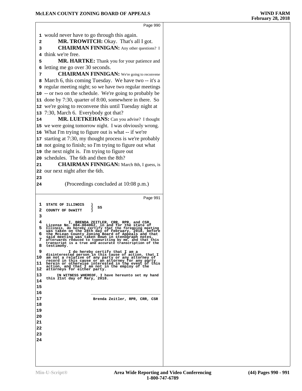Page 990 would never have to go through this again. **MR. TROWITCH:** Okay. That's all I got. **CHAIRMAN FINNIGAN:** Any other questions? I think we're free. **MR. HARTKE:** Thank you for your patience and letting me go over 30 seconds. **CHAIRMAN FINNIGAN:** We're going to reconvene March 6, this coming Tuesday. We have two -- it's a regular meeting night; so we have two regular meetings -- or two on the schedule. We're going to probably be done by 7:30, quarter of 8:00, somewhere in there. So we're going to reconvene this until Tuesday night at 7:30, March 6. Everybody got that? 14 MR. LUETKEHANS: Can you advise? I thought we were going tomorrow night. I was obviously wrong. What I'm trying to figure out is what -- if we're starting at 7:30, my thought process is we're probably not going to finish; so I'm trying to figure out what the next night is. I'm trying to figure out schedules. The 6th and then the 8th? **CHAIRMAN FINNIGAN:** March 8th, I guess, is our next night after the 6th. (Proceedings concluded at 10:08 p.m.) Page 991 **1** STATE OF ILLINOIS )<br> **2** COUNTY OF DeWITT )<br> **3** 3<br>
I. BRENDA ZEITLER, CRR, RPR, and CSR,<br>
License No. 084-004062, in and for the state of<br>
5 Illinois, do hereby certify that the foregoing meeting<br>
was taken on the 28th day of February, 2018, before<br>
6 the McLean County 9<br>
I do hereby certify that I am a<br>
disinterested person in this cause of action, that I<br>
10 am not a relative of any party or any attorney of<br>
record in this cause or an attorney for any party<br>
11 herein or otherwise inte  **IN WITNESS WHEREOF, I have hereunto set my hand this 21st day of Mary, 2018. <sup>14</sup> \_\_\_\_\_\_\_\_\_\_\_\_\_\_\_\_\_\_\_\_\_\_\_\_\_\_\_\_\_\_\_ Brenda Zeitler, RPR, CRR, CSR 21 22 23**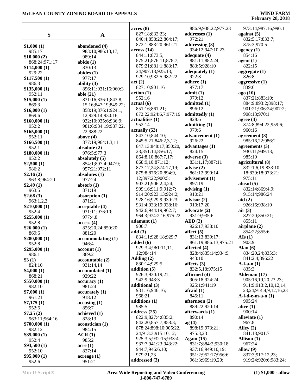|                               |                           | acres(8)                                    | 886:9;938:22;977:23            | 973:14;987:16;990:1                                    |
|-------------------------------|---------------------------|---------------------------------------------|--------------------------------|--------------------------------------------------------|
| \$                            | $\mathbf A$               | 827:18;832:23;<br>840:4;858:22;864:17;      | addresses (1)<br>972:21        | against $(5)$<br>832:5,17;833:7;                       |
|                               |                           | 872:1;883:20;961:21                         | addressing $(3)$               | 875:3;970:5                                            |
| \$1,000(1)                    | abandoned (4)             | across(14)                                  | 934:12;947:10,23               | agency $(1)$                                           |
| 985:17                        | 983:10;986:13,17;         | 844:11;873:5;                               | adequate $(4)$                 | 854:16                                                 |
| \$10,000(2)                   | 989:14                    | 875:21;876:11;878:7;                        | 881:11;882:24;                 | agent(1)                                               |
| 868:24;971:17<br>\$114,000(1) | abide $(1)$<br>830:13     | 879:21;881:1;883:17,                        | 883:5;928:10                   | 822:15                                                 |
| 929:22                        | abides $(1)$              | 24;907:13;925:13;                           | adequately $(1)$               | aggregate $(1)$                                        |
| \$117,500(1)                  | 977:17                    | 929:10;932:5;982:22                         | 922:8                          | 826:8                                                  |
| 986:3                         | ability $(3)$             | act(2)                                      | adhere $(1)$                   | aggressive $(1)$                                       |
| \$135,000(1)                  | 896:11;931:16;960:3       | 827:10;901:16                               | 977:17                         | 839:6                                                  |
| 952:11                        | able $(21)$               | action(1)                                   | admit(1)                       | ago (10)                                               |
| \$15,000(1)                   | 831:16;836:1;843:8,       | 952:16                                      | 979:12                         | 837:21;883:10;                                         |
| 869:3                         | 15, 16; 847: 19; 849: 22; | actual(6)                                   | admitted (1)                   | 884:9;893:2;898:17;                                    |
| \$16,000(1)                   | 858:19;876:1;924:1,       | 851:16;861:21;                              | 896:12                         | 901:21;906:24;907:2;                                   |
| 869:6                         | 12;929:14;930:16;         | 872:22;924:6,7;977:19                       | admittedly (1)                 | 908:13;970:1                                           |
| \$160,000(1)                  | 932:10;935:6;936:9;       | actualities(1)                              | 828:6                          | agree $(4)$                                            |
| 952:2                         | 981:6;984:19;987:22,      | 952:14                                      | admitting(1)                   | 874:8;894:22;959:6;                                    |
| \$165,000(1)                  | 22;988:22                 | actually (53)                               | 979:6                          | 960:16                                                 |
| 952:11                        | above $(4)$               | 843:10;844:10;                              | advancement (1)                | agreement $(3)$                                        |
| \$166,500(1)                  | 877:19;964:1,3,11         | 845:5,21;846:2,3,12;                        | 926:22                         | 985:16,22;986:2                                        |
| 952:1                         | absolute $(2)$            | 847:13;848:17;850:20,                       | advantages (1)                 | agreements $(3)$                                       |
| \$180,000(1)                  | 976:5;977:3               | 23;851:14;856:17;                           | 824:15                         | 930:11;949:13;                                         |
| 952:2                         | absolutely (5)            | 864:8, 10; 867: 7, 17;                      | adverse $(3)$                  | 985:19                                                 |
| \$2,500(1)                    | 854:1;897:4;947:9;        | 868:9,10;871:12;                            | 831:1,17;887:11                | agricultural (8)                                       |
| 986:2                         | 957:21;972:11             | 873:17,24;874:17,19;<br>875:8;876:20;894:9, | advise $(2)$<br>861:12;990:14  | 832:1,6,19;833:10,<br>18;839:18;973:21;                |
| \$2.16(2)                     | absolutes $(1)$           | 12;897:22;900:5;                            | advisement (1)                 | 975:11                                                 |
| 963:8;964:20                  | 977:24                    | 903:21;906:2,4,24;                          | 897:19                         | ahead $(5)$                                            |
| \$2.49(1)                     | absorb $(1)$              | 909:16;911:9;912:7;                         | advising $(1)$                 | 832:14;869:4,9;                                        |
| 963:5                         | 871:19                    | 914:20;923:13;924:2;                        | 910:21                         | 915:14;986:24                                          |
| \$2.68(3)                     | absorption $(1)$          | 928:16;929:9;930:23;                        | advisor $(2)$                  | aid $(2)$                                              |
| 963:1,2,3<br>\$210,000(1)     | 871:21<br>acceptable (4)  | 931:4;933:19;938:16;                        | 910:17,20                      | 926:16;938:10                                          |
| 952:4                         | 931:11;976:10;            | 942:6;944:19;962:7;                         | advocate (2)                   | air(3)                                                 |
| \$255,000(1)                  | 977:4,8                   | 964:3;974:2,16;975:22                       | 931:9;935:6                    | 827:20;850:21;                                         |
| 952:8                         | access(4)                 | adamant(1)                                  | AED(2)                         | 855:11                                                 |
| \$26,000(1)                   | 825:20,24;850:20;         | 900:7                                       | 926:17;938:10                  | airplane $(2)$                                         |
| 869:6                         | 881:20                    | add(3)                                      | affect $(5)$                   | 854:22;855:6                                           |
| \$280,000(1)                  | accommodating (1)         | 834:11;928:18;929:7                         | 831:13;839:17;                 | AIs(1)                                                 |
| 952:8                         | 946:4                     | added $(6)$                                 | 861:19;886:13;975:21           | 903:9                                                  |
| \$295,000(1)                  | account(1)                | 929:3,4;961:11,11,                          | affected $(4)$                 | Alan $(6)$                                             |
| 986:1                         | 869:2                     | 12;984:14                                   | 828:4;835:14;934:9;            | 834:20,24;835:3;                                       |
| \$3(1)                        | accountable (2)           | Adding $(2)$                                | 943:10                         | 841:2,4;896:22                                         |
| 824:10                        | 931:14,14                 | 830:14;929:5                                | affects $(3)$                  | $A-l-a-n(1)$                                           |
| \$4,000(1)                    | accumulated (1)           | addition $(5)$                              | 832:5,18;975:15                | 835:3                                                  |
| 868:21                        | 929:22                    | 926:3;930:19,21;                            | affirmed $(4)$                 | Aldeman (17)                                           |
| \$550,000(1)                  | accuracy(1)               | 942:9;943:3<br>additional (3)               | 905:18;924:24;<br>925:1;941:19 | 905:16,19,20,23,23;                                    |
| 982:10                        | 981:24                    | 931:16;946:16;                              | afraid $(1)$                   | 911:9;913:2,10,12,14,<br>23, 24; 914: 4, 9, 12, 16, 23 |
| \$7,000(1)                    | accuracy(1)               | 968:21                                      | 845:11                         | $A-l-d-e-m-a-n(1)$                                     |
| 961:21                        | 918:12                    | additions $(1)$                             | afternoon (2)                  | 905:24                                                 |
| \$7,175(1)                    | accusing(1)               | 985:5                                       | 889:22;920:14                  | alive $(1)$                                            |
| 952:6                         | 856:7                     | address $(25)$                              | afterwards (1)                 | 900:14                                                 |
| \$7.25(2)<br>963:11;964:16    | achieved (1)<br>828:13    | 822:9;827:4;835:2;                          | 890:14                         | alleviate $(1)$                                        |
| \$700,000(1)                  | acoustician (1)           | 842:20;857:7;858:3;                         | ag(4)                          | 967:8                                                  |
| 982:12                        | 984:15                    | 878:24;898:10;905:22,                       | 898:19;973:21;                 | Alley $(2)$                                            |
| \$85,000(1)                   | ACR(1)                    | 24;913:3;915:10,12;                         | 975:8,23                       | 841:18;901:7                                           |
| 952:4                         | 985:2                     | 925:3,5;932:15;933:4;                       | Again $(15)$                   | Allison $(1)$                                          |
| \$93,500(1)                   | $\arccan (1)$             | 937:7;941:23;943:22;                        | 831:7;884:2;930:18;            | 967:24                                                 |
| 952:10                        | 827:14                    | 944:7;946:6,10;                             | 937:16;949:10,19;              | allow $(9)$                                            |
| \$95,000(1)                   | $\arctan(1)$              | 979:21,23                                   | 951:2;952:17;956:6;            | 837:3;917:12,23;                                       |
| 952:6                         | 951:21                    | addressed (3)                               | 961:3;969:19,20;               | 919:24;920:6;983:24;                                   |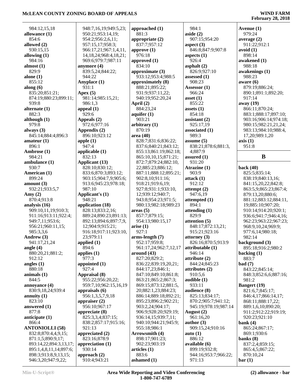| 984:12,15,18                               | 948:7,16,19;949:5,23;          | approached (1)        | 984:1                          | Avenue (1)            |
|--------------------------------------------|--------------------------------|-----------------------|--------------------------------|-----------------------|
| allowance (1)                              | 950:21;953:14,19;              | 881:3                 | aside $(2)$                    | 979:24                |
| 854:6                                      | 954:2;956:2,6,11;              | appropriate (2)       | 907:15;954:20                  | average $(2)$         |
| allowed (2)                                | 957:15,17;958:3;               | 837:7;957:12          | aspect $(3)$                   | 911:22;912:1          |
| 930:15,15                                  | 966:17,21;967:1,4,11,          | approve (1)           | 846:8;847:9;907:8              | avoid(1)              |
| allowing (1)                               | 14, 18, 24; 968: 4, 18, 21;    | 976:18                | aspects $(1)$                  | 898:14                |
| 984:16                                     | 969:6;979:7;987:11             | approved (1)          | 926:4                          | awakened (1)          |
| almost $(1)$                               | anymore (4)                    | 834:10                | asphalt $(2)$                  | 988:18                |
| 829:9                                      | 839:5,24;844:22;               | approximate (3)       | 826:9;927:10                   | awakenings (1)        |
| alone $(1)$                                | 944:22                         | 933:12;953:4;988:5    | assessed (1)                   | 988:23                |
| 855:12                                     | Anyplace (1)                   | approximately (8)     | 908:23                         | aware $(6)$           |
| along $(6)$                                | 931:1                          | 888:21;895:22;        | Assessor $(1)$                 | 879:19;886:24;        |
| 835:20;851:21;                             | Apex $(5)$                     | 931:9;937:11,22;      | 966:24                         | 890:1;891:1;892:20;   |
| 874:19;880:23;899:11;                      | 981:14;985:15,21;              | 940:19;952:20,24      | asset $(1)$                    | 917:14                |
| 939:8                                      | 986:1,3                        | April $(2)$           | 855:22                         | away (19)             |
| alternate $(1)$                            | appeal $(1)$                   | 884:23,24             | assets $(1)$                   | 866:11;870:24;        |
| 882:3                                      | 929:6                          | aquifer $(1)$         | 854:18                         | 883:1;888:17;897:10;  |
| although (1)                               | Appeals (2)                    | 903:21                | assistant $(2)$                | 903:16;906:14;974:18; |
| 979:8                                      | 972:6:977:16                   | arbitrary $(1)$       | 925:17,19                      | 980:15;982:21,21,24;  |
| always $(3)$                               | Appendix (2)                   | 870:19                | associated (1)                 | 983:13;984:10;988:4,  |
| 845:14;884:4;896:3                         | 896:10;923:12                  | area (40)             | 989:3                          | 17,20;989:1,20        |
| amateur $(1)$                              | apple $(1)$                    | 828:7;831:6;836:22;   | assume $(5)$                   | axis(1)               |
| 896:1                                      | 947:4                          | 837:6;840:21;843:12;  | 838:21;878:6;881:3,            | 951:8                 |
| Ambrose (1)                                | applicable $(1)$               | 855:13;861:19;862:18; | 4;887:9                        |                       |
| 984:21                                     | 832:13                         | 865:10,10,15;871:21;  | assured $(1)$                  | $\bf{B}$              |
| ambulance $(1)$                            | Applicant (13)                 | 872:7;879:24;882:10,  | 931:20                         |                       |
| 930:7                                      | 828:10;830:12;                 | 22;885:23;886:12;     | Atrazine (1)                   | back $(40)$           |
| American (1)                               | 833:6;870:3;893:12;            | 887:11;888:12;895:21; | 903:9                          | 825:5;835:14;         |
| 899:24                                     | 903:15;904:7,9;905:6;          | 902:8,10;911:16;      | attack(1)                      | 838:19;840:13,16;     |
| amount $(3)$                               | 913:6;945:23;978:18;           | 918:21;919:6,19;      | 912:12                         | 841:15,20,22;842:8;   |
| 932:21;933:5,7                             | 987:10                         | 927:8;931:1;933:10,   | attempt $(2)$                  | 863:5,9;865:23;867:4; |
| Amy $(2)$                                  | Applicant's (1)                | 12;939:12;940:7;      | 947:6,19                       | 879:13,20;880:6;      |
| 870:4;913:8                                | 948:21                         | 943:8;954:23;971:5;   | attempted (1)                  | 881:12;883:12;884:11, |
| analysis (16)                              | application (18)               | 980:13;982:18;989:23  | 894:1                          | 19;885:10;907:20;     |
| 909:10,11,19;910:3;                        | 828:13;833:2,16;               | areas(5)              | attending $(1)$                | 910:14;914:20;920:1;  |
| 911:16;913:11;922:4;                       | 889:24;890:23;891:13;          | 857:7;879:15;         | 829:9                          | 936:6;941:7;946:4,16; |
| 949:7,11;953:6;                            | 892:13;894:6;897:7,9,          | 954:13;980:15,17      | attention $(5)$                | 962:23;963:22;967:23; |
| 956:21;960:11,15;                          | 12;904:9;915:21;               | arise(1)              | 848:17;872:13,21;              | 968:9,10,24;969:9;    |
| 985:3,3,6                                  | 916:18;917:11;923:10,          | 927:1                 | 915:21;923:16                  | 977:6,14;980:18;      |
| Andrew (3)                                 | 23;979:11                      | arms-length (7)       | attorney $(3)$                 | 982:14                |
| 941:17,21,24                               | applied $(1)$                  | 952:17;959:8;         | 826:16;870:5;913:9             | background (3)        |
| angle $(4)$                                | 894:6                          | 961:17,24;962:7,12,17 | attributable (1)               | 895:18;916:2;980:2    |
| 880:20,21;881:2;                           | applies $(1)$                  | around $(43)$         | 946:14                         | backing $(1)$         |
| 912:12                                     | 977:3                          | 827:20;829:2;         | attribute (2)                  | 883:7                 |
| angles $(1)$                               | appointed $(1)$                | 836:22;839:19,20,21;  | 844:24;845:23                  | bad(7)                |
| 880:18                                     | 927:4                          | 844:17,23;846:1;      | attributes (2)                 | 843:22;845:14;        |
| animals $(1)$                              | Appraisal (8)                  | 847:10;849:10;861:8;  | 910:5,6                        | 848:3;852:6,6;887:16; |
| 844:5                                      | 955:22;956:20,22;              | 863:21;865:2;867:3;   | audible $(1)$                  | 981:2                 |
| annoyance (4)                              | 959:7,10;962:15,16,19          | 869:15;873:12;881:5,  | 933:11                         | <b>Bangert</b> (19)   |
| 830:9,18,24;939:4                          | appraisals $(6)$               | 20;882:1,23;884:23;   | audience (8)                   | 821:6,7;845:17;       |
| annuity $(1)$                              | 956:1,3,5,7,9,18               | 886:14;889:18;892:21; | 825:13;834:17;                 | 846:4,17;866:14,17;   |
| 823:10                                     | appraiser $(2)$                | 895:23;896:2;902:21;  | 870:2;905:7;941:12;            | 868:11;888:17,22;     |
| answered $(1)$                             | 956:10;967:17                  | 903:2,24;904:17;      | 945:19;978:19;987:14           | 889:1,6,10;890:20;    |
| 877:8                                      | appreciate $(8)$               | 906:9;928:20;929:19;  | August $(2)$                   | 911:2;912:22;919:19;  |
| anticipate $(1)$                           | 825:3,3,4;837:15;              | 936:14,15;939:7,11;   | 961:16,20                      | 920:23;921:10         |
| 866:4                                      | 838:2;857:17;915:16;           | 940:10;944:21;945:9;  | author $(3)$                   | bank $(4)$            |
| <b>ANTONIOLLI (58)</b>                     | 921:13                         | 955:18;986:1          | 909:15,24;910:16               | 865:24;867:17;        |
| 832:8;870:4,4,9,15;                        | appreciated (2)                | Arrowsmith (4)        | auto $(1)$                     | 869:1;930:6           |
| 871:1,5;890:9,17;                          | 823:16;878:9                   | 898:17;901:23;        | 886:12                         | banks $(8)$           |
| 893:14,22;894:3,13,17;                     | appreciation $(1)$             | 902:23;903:19         | available (6)                  | 837:2,4;859:15;       |
|                                            |                                |                       |                                |                       |
| 895:1,4,8,11,14;897:6;                     | 930:14                         | articles (1)          | 899:19;932:8;                  | 865:4,5;867:22;       |
| 898:3;913:8,9,13,15;<br>946:3,20;947:9,22; | approach $(2)$<br>910:4;943:21 | 883:6<br>ashamed (1)  | 944:16;953:7;966:22;<br>971:13 | 870:10,24<br>bar(1)   |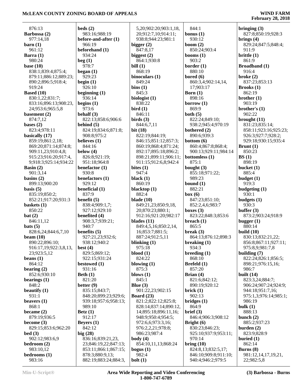|                                    | beds(2)                  |                                              | 844:1                 |                                      |
|------------------------------------|--------------------------|----------------------------------------------|-----------------------|--------------------------------------|
| 876:13<br>Barbossa (2)             | 983:16;988:19            | 5,20;902:20;903:1,18,<br>20;912:7,10;914:11; | bonus $(1)$           | bringing $(3)$<br>827:8;850:19;928:3 |
| 977:14,18                          | before-and-after (1)     | 938:8;944:23;981:1                           | 930:12                | brings $(4)$                         |
| $\mathbf{barn}$ (1)                | 966:19                   | bigger $(2)$                                 | boom $(2)$            | 829:24;847:5;848:4;                  |
| 961:12                             | beforehand (1)           | 847:8,17                                     | 850:24;903:4          | 911:9                                |
| Barra $(1)$                        | 934:24                   | biggest $(2)$                                | booms $(1)$           | brittle $(1)$                        |
| 980:24                             | beg(1)                   | 864:1;930:8                                  | 903:2                 | 861:9                                |
| base $(10)$                        | 978:7                    | bill $(1)$                                   | border $(1)$          | <b>Broadband</b> (1)                 |
| 838:1;839:4;875:4;                 | began $(1)$              | 868:19                                       | 880:10                | 916:4                                |
| 879:11;886:12;889:23;              | 929:23                   | binoculars (1)                               | bored $(6)$           | broke $(2)$                          |
| 890:2;896:5;918:4;                 | begin $(1)$              | 849:24                                       | 860:3,4;902:14,14,    | 837:23;853:13                        |
| 919:24                             | 926:10                   | bins(1)                                      | 17;903:17             | Brooks(1)                            |
| <b>Based (10)</b>                  | beginning $(1)$          | 845:3                                        | Born $(1)$            | 862:19                               |
| 830:1,22;831:7;                    | 936:14                   | biologist $(1)$                              | 898:16                | brother $(1)$                        |
| 833:16;896:13;908:23,              | begins $(1)$             | 838:22                                       | borrow $(1)$          | 903:19                               |
| 24;953:6;965:5,8                   | 973:6                    | bird(1)                                      | 869:9                 | brother's $(1)$                      |
| basement $(2)$                     | behalf (3)               | 846:11                                       | both $(5)$            | 902:22                               |
| 874:7,12                           | 822:13;858:6;906:6       | birds $(3)$                                  | 822:24;849:10;        | brought $(11)$                       |
| bases $(2)$                        | behind $(5)$             | 844:6,7,11                                   | 938:2;945:4;970:19    | 831:23;835:14;                       |
| 823:4;978:11                       | 824:19;834:6;871:8;      | bit $(18)$                                   | bothered (2)          | 858:11;923:16;925:23;                |
| basically (17)                     | 908:8;975:2              | 822:19;844:19;                               | 890:6;939:3           | 926:3;927:7;928:2;                   |
| 859:19;861:2,18;                   | believes (1)             | 846:15;851:12;857:3;                         | bottom $(6)$          | 929:18;930:15;935:4                  |
| 869:20;871:14;874:8;               | 844:16                   | 860:19;868:4;871:24;                         | 860:4;867:8;868:4;    | Brunt $(1)$                          |
| 909:11,23;910:4,8;                 | below $(4)$              | 892:17;895:18;896:2;                         | 900:13;929:11;984:14  | 850:23                               |
| 915:23;916:20;917:4,               | 826:8;921:19;            | 898:21;899:11;906:11;                        | bottomless (1)        | BS(1)                                |
| 9;918:3;925:14;934:22              | 951:18;964:8             | 911:15;912:6,8;942:4                         | 875:1                 | 898:19                               |
| Basin $(2)$                        | benefactor $(1)$         | bites $(1)$                                  | bought $(3)$          | bucket $(1)$                         |
| 901:3,14                           | 930:8                    | 947:4                                        | 855:18;971:22;        | 885:4                                |
| basins $(2)$                       | benefactors (1)          | black $(1)$                                  | 989:23                | budget $(1)$                         |
| 899:13;900:20                      | 929:12                   | 860:19                                       | bound $(1)$           | 919:3                                |
| basis $(5)$                        | beneficial (1)           | blacktop $(1)$                               | 882:21                | budgeting $(1)$                      |
| 835:19;850:2;                      | 837:9                    | 882:4                                        | box(6)                | 930:1                                |
| 852:21;917:20;931:3                | benefit $(5)$            | blade $(10)$                                 | 847:23;851:10;        | budgets $(1)$                        |
| baskets $(1)$                      | 838:4;909:1,7;           | 849:21,23;850:9,18,                          | 852:2,4,6;983:7       | 930:3                                |
| 850:22                             | 927:12;929:10            | 20;870:23;880:1;                             | boxes $(3)$           | buffer $(3)$                         |
| bat(2)                             | benefited (4)            | 912:16;921:20;982:17                         | 823:22;848:3;853:6    | 873:2;903:24;918:9                   |
| 846:11,12                          | 908:3,7;939:21;<br>940:7 | blades $(11)$                                | breach $(1)$          | bugger $(1)$                         |
| bats(5)                            | benefits $(5)$           | 849:4,5,16;850:2,14,                         | 865:5<br>break $(3)$  | 880:14<br>build $(10)$               |
| 828:6,24;844:6,7,10<br>beam $(10)$ | 927:21,23;932:6;         | 16;853:7;881:5;<br>887:24;912:5,11           | 864:13;876:12;898:3   | 830:13;832:21,22;                    |
| 890:22;896:10;                     | 938:12;940:2             |                                              |                       | 856:8;867:11;927:11;                 |
| 916:17,19;922:3,8,13,              | best $(4)$               | blinking (1)<br>975:18                       | breaking (1)<br>934:3 | 975:8,9;981:7,8                      |
| 23;923:5,12                        | 829:5;869:12;            | $blood (1)$                                  | breeding $(1)$        | building $(7)$                       |
| beans $(1)$                        | 922:15;931:24            | 824:22                                       | 868:10                | 822:24;826:1;856:5;                  |
| 864:12                             | bestowed $(1)$           | blowing $(1)$                                | Brefeld (1)           | 898:21;976:15,16;                    |
| bearing $(2)$                      | 931:16                   | 875:3                                        | 857:20                | 986:7                                |
| 852:6;930:10                       | Beth $(1)$               | blows $(1)$                                  | Brian (4)             | built $(14)$                         |
| bearings $(1)$                     | 821:20                   | 845:1                                        | 821:6;842:12;         | 823:3,24;884:7;                      |
| 848:2                              | better $(9)$             | Blue $(3)$                                   | 890:19;920:12         | 906:24;907:24;924:9;                 |
| beautify $(1)$                     | 835:15;843:7;            | 901:22,23;902:15                             | brick $(1)$           | 944:18;951:7,16;                     |
| 931:1                              | 848:20;899:23;929:6;     | Board $(23)$                                 | 902:13                | 975:1,3;976:14;985:1;                |
| beavers $(1)$                      | 939:18;957:6;958:13;     | 821:2;822:12;825:8;                          | bridges(1)            | 986:19                               |
| 868:1                              | 989:10                   | 828:14;837:14;890:12,                        | 864:9                 | bulk $(1)$                           |
| became $(2)$                       | Beta(1)                  | 14;895:18;896:11,16;                         | brief (3)             | 888:13                               |
| 879:19;936:5                       | 912:17                   | 948:9;950:4;954:5;                           | 846:4;906:3;908:12    | bunch $(2)$                          |
| become $(3)$                       | Beyers $(1)$             | 972:6,6;973:3,16;                            | Bright $(6)$          | 885:2;937:23                         |
| 829:15;853:6;962:20                | 842:12                   | 976:2,2,21;978:8;                            | 830:23;846:23;        | burden $(2)$                         |
| bed(3)                             | big $(28)$               | 986:23;987:4                                 | 925:10;937:9;953:11;  | 823:9;828:9                          |
| 902:12;983:6,9                     | 836:16;839:21,23,        | body $(4)$                                   | 970:14                | buried $(1)$                         |
| bedroom $(2)$                      | 23;846:19,22;847:13;     | 854:10,11,13;868:24                          | $\text{bring} (10)$   | 862:14                               |
| 983:10,12                          | 853:11;866:1;867:15;     | bogus $(1)$                                  | 824:8,13;832:5,17;    | Burns $(8)$                          |
| bedrooms (1)                       | 878:3;880:9,13;          | 982:4                                        | 846:10;909:8;911:10;  | 981:12,14,17,19,21,                  |
| 983:16                             | 882:19;883:24;884:3,     | $\text{bolt}(1)$                             | 940:4;946:2;979:5     | 22;982:5,8                           |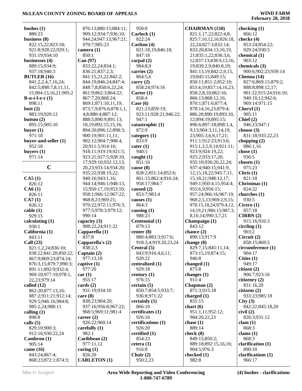| bushes $(1)$                         | 876:13;880:15;884:11;                   | 950:8                      | <b>CHAIRMAN (150)</b>                         | checking $(1)$                |
|--------------------------------------|-----------------------------------------|----------------------------|-----------------------------------------------|-------------------------------|
| 880:23                               | 909:12;934:7;936:10;                    | Carlock $(1)$              | 821:1,17,22;822:4,8;                          | 866:12                        |
| business $(8)$                       | 944:24;947:13;967:21;                   | 822:24                     | 825:7,10,12,16;826:18,                        | checks $(4)$                  |
| 822:15,22;823:18;                    | 970:7;985:23                            | Carlton (4)                | 22, 24; 827: 3; 832: 14;                      | 853:24;854:22;                |
| 921:8;928:22;929:1;                  | camera $(1)$                            | 821:18,19;846:18;          | 833:20;834:13,16,19,                          | 929:24;930:5                  |
| 931:19;934:10                        | 850:1                                   | 847:18                     | 21;835:1,22;836:3,6,                          | chemical (1)                  |
| businesses (4)                       | Can (97)                                | carpal $(2)$               | 12;837:13;838:9,13,16,                        | 903:12                        |
| 889:15;934:9;                        | 833:22,24;834:1;                        | 984:8,9                    | 19;839:2,9;840:8,19;                          | chemicals (3)                 |
| 937:18;940:3                         | 836:21;837:2,3;                         | carries (2)                | 841:13,19;842:2,9,15,                         | 900:6;902:23;939:14           |
| <b>BUTLER</b> (16)                   | 841:15,21,22;842:2;                     | 864:5,6                    | 19;845:15;849:15;                             | Chenoa (14)                   |
| 841:2,2,4,7,16,24;                   | 844:19;846:24;847:4;                    | carry $(2)$                | 850:11;851:2;852:10;                          | 827:6;869:15;879:2;           |
| 842:5;898:7,8,11,11,                 | 848:7,8;850:6,22,24;                    | 858:24;974:16              | 853:4, 19; 857: 14, 16, 23;                   | 888:8;898:12,17;              |
| 15;904:13,16,21;905:2                | 861:9;862:3;864:22;                     | Carter $(1)$               | 858:2,8,10;862:16;                            | 901:22;915:24;916:10;         |
| B-u-t-l-e- $r(1)$                    | 867:7,20;868:24;                        | 858:4                      | 866:13;868:12,16;                             | 940:10,12;942:6;              |
| 898:11                               | 869:1;871:10,11,19;                     | Case $(6)$                 | 870:1;871:6;877:4;                            | 969:14;971:15                 |
| butt $(2)$                           | 873:7,9;876:6;878:1,1,                  | 821:23;859:19;             | 878:14,16,23;879:4;                           | Cheryl $(1)$                  |
| 883:19;920:12                        | 4,8;880:4;887:12;                       | 923:11;928:21;946:22;      | 886:20;890:19;893:10,                         | 905:11                        |
| button $(2)$                         | 888:5;890:9;891:13,                     | 947:1                      | 12;894:19;895:15;                             | Chief $(2)$                   |
| 895:15;905:10                        | 18, 19; 892: 15, 15, 16;                | catastrophic (1)           | 896:6;897:18;898:1,4,                         | 946:23;947:1                  |
| buyer $(1)$                          | 894:20;896:12;898:3;                    | 872:9                      | 9,13;904:3,11,14,19,                          | choose $(3)$                  |
| 971:18                               | 900:19;901:11,11;                       | category $(1)$             | 23;905:3,6,9,17,21;                           | 831:18;935:22,23              |
| buyer-and-seller (1)<br>952:18       | 902:12;904:7;908:4,<br>20;911:5;914:16; | 833:9<br>$\text{cater}(1)$ | 911:1;912:23;913:6;<br>915:1,3,5,9,14;921:11; | chopping $(2)$<br>886:1,16    |
|                                      | 918:11;919:19;921:5;                    | 940:5                      |                                               | chose $(1)$                   |
| buyers $(1)$<br>971:14               | 923:21;927:5;928:10,                    | caught $(1)$               | 923:9;924:19,22;<br>925:2;933:17,20;          | 936:5                         |
|                                      | 17;929:10;932:12,13,                    | 851:16                     | 935:10;936:20,22,24;                          | chosen $(1)$                  |
| $\mathbf C$                          | 20,23;933:14;934:20;                    | cause $(8)$                | 937:4;940:15;941:9,                           | 975:23                        |
|                                      | 935:22;938:19,22;                       | 828:2;851:14;852:6;        | 12, 15, 18, 22; 945: 7, 11,                   | Christ (1)                    |
| CA5(1)                               | 940:16;943:1,16;                        | 861:15;862:4;916:24;       | 15, 18, 21; 948: 12, 17;                      | 821:18                        |
| 826:12                               | 944:14;946:1;948:13,                    | 958:17;984:7               | 949:1;950:4,15;954:4;                         | Christmas (1)                 |
| CA6(1)                               | 15;950:17,19;953:10;                    | caused $(2)$               | 955:6,9;956:15;                               | 824:22                        |
| 826:11                               | 958:1;966:12;967:22;                    | 853:7;983:4                | 957:24;966:16;967:19;                         | churches (1)                  |
| CA7(1)                               | 968:8,23;969:21;                        | causes $(1)$               | 968:2,5,13;969:2,9,15;                        | 930:5                         |
| 826:12                               | 970:22;972:11;976:3;                    | 864:3                      | 978:15,18,24;979:4,12,                        | Cicero $(1)$                  |
| cable(1)                             | 977:5;978:3;979:12;                     | causing $(1)$              | 14, 19, 21; 98 6: 15; 98 7: 3,                | 857:18                        |
| 929:15                               | 990:14                                  | 988:23                     | 8, 10, 14; 990: 3, 7, 21                      | CIRBN(2)                      |
| calculating $(1)$                    | capacity $(3)$                          | Centennial (1)             | Champaign (1)                                 | 915:16;916:3                  |
| 930:1                                | 908:22,24;911:22                        | 879:13                     | 843:12                                        | circling(1)                   |
| California (1)                       | Capparella (1)                          | center $(8)$               | chance (2)                                    | 903:2                         |
| 843:11                               | 837:8                                   | 880:4;883:3;917:6;         | 890:13;917:9                                  | Circuit (2)                   |
| Call $(23)$                          | Capparella's (2)                        | 918:3,4;919:20,23,24       | change $(8)$                                  | 858:15;869:5                  |
| 821:1,2,24;836:10;                   | 838:2,3                                 | Central (5)                | 829:7,15;845:11,14;                           | circumference (1)             |
| 838:22;841:20;850:22;                | Captain $(2)$                           | 843:9;916:4,6,11;          | 873:15,19;874:15;                             | 904:17                        |
| 867:9;869:23;874:24;                 | 977:13,18                               | 920:22                     | 946:8                                         | Cities $(1)$                  |
| 876:3,15;879:7;890:3;                | captive $(1)$                           | centralized (1)            | changed (1)                                   | 949:17                        |
| 891:11;892:9;932:4;                  | 977:20                                  | 929:18                     | 875:8                                         | citizen $(2)$                 |
| 969:10;977:19;978:1,<br>22,23;979:14 | car(1)<br>955:17                        | century $(1)$<br>976:15    | changes $(1)$<br>911:4                        | 906:7;923:16<br>citizenry (2) |
| called $(12)$                        | cards $(2)$                             | certain $(5)$              | Chapman (2)                                   | 831:16,20                     |
| 862:20;877:13,16;                    | 931:19;934:10                           | 850:7;854:5;933:7;         | 871:3;915:18                                  | citizens (2)                  |
| 887:2;911:21;912:14;                 | care $(8)$                              | 936:8;971:22               | charged $(1)$                                 | 933:23;985:18                 |
| 929:5;946:16;984:8;                  | 838:23;904:20;                          | certainly $(1)$            | 831:15                                        | City(3)                       |
| 985:2,24;988:11                      | 937:16;956:8;967:22;                    | 866:10                     | chart(6)                                      | 842:22;845:18,20              |
| calling $(1)$                        | 968:5;969:11;981:4                      | certificates (1)           | 951:1,11;952:12;                              | civil(2)                      |
| 890:8                                | career $(2)$                            | 926:16                     | 984:20,22,23                                  | 826:3;931:12                  |
| calls $(5)$                          | 926:22;960:14                           | certifications (1)         | chase $(1)$                                   | clam(1)                       |
| 829:10;900:3;                        | carefully $(1)$                         | 926:20                     | 889:14                                        | 868:3                         |
| 912:16;930:22,24                     | 982:1                                   | certified (1)              | check $(8)$                                   | clams $(1)$                   |
| Cambron(1)                           | Caribbean (2)                           | 854:23                     | 849:15;850:2;                                 | 868:3                         |
| 905:14                               | 977:11,12                               | cetera(1)                  | 889:18;892:15,16,16;                          | clarification (1)             |
| came (16)                            | caring $(1)$                            | 916:8                      | 904:5;976:3                                   | 890:10                        |
| 843:24;867:4;                        | 826:20                                  | Chair $(2)$                | checked (1)                                   | clarifications (1)            |
| 868:23;872:1;874:3;                  | <b>CARLETON</b> (1)                     | 950:2,23                   | 982:8                                         | 966:17                        |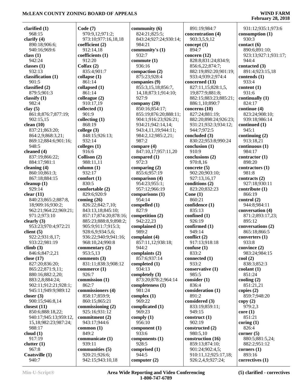**February 28, 2018**

 931:12;935:1;973:6 **consumption (1)** 930:3 **contact (6)** 890:6;891:10; 923:13;927:1;931:17;

 944:4 **contacted (3)** 891:4;923:15,18

**contends (1)** 933:4 **content (1)** 931:6 **continually (1)** 824:17 **continue (4)** 823:24;908:10; 939:18;986:14 **continued (1)** 945:1 **continuing (2)** 913:18,21 **continuous (1)** 984:17 **contractor (1)** 898:20 **contractors (1)** 981:8 **contracts (2)** 927:18;930:11 **contribute (1)** 866:19 **control (2)** 944:8;984:11 **conversation (4)** 871:2;893:17,23;

 895:12 **conversations (2)** 865:18;866:5 **converters (1)** 933:8 **convince (2)** 983:24;984:15

**cool (2)**

**copy (2)** 979:2,3 **core (1)** 851:21 **coring (1)**

 838:3;852:3 **coolant (1)** 851:24 **cooling (2)** 851:21,21 **copies (2)** 859:7;948:20

| clarified $(1)$         | Code(7)                           | community (6)            |
|-------------------------|-----------------------------------|--------------------------|
| 968:15                  | 970:9,12;971:2;                   | 824:21;825:5;            |
| clarify $(4)$           | 973:10;977:16,18,18               | 843:24;927:24;930:14;    |
|                         |                                   |                          |
| 890:18;906:6;           | coefficient (2)                   | 984:21                   |
| 940:16;969:6            | 912:14,18                         | community's (1)          |
| class $(1)$             | coefficients (1)                  | 932:7                    |
| 942:24                  | 912:20                            | commute $(1)$            |
| classes $(1)$           | Colfax $(2)$                      | 936:16                   |
| 932:13                  | 835:4;901:7                       | compaction $(2)$         |
| classification (1)      | collapse (1)                      | 875:23;928:4             |
| 901:5                   | 861:14                            | companies (9)            |
| classified (2)          | collapsed (1)                     | 855:3,15,18;856:7,       |
| 879:5;901:3             |                                   |                          |
|                         | 861:14                            | 14, 18; 873: 1; 914: 10; |
| classify $(1)$          | colleague $(2)$                   | 927:9                    |
| 982:4                   | 910:17,19                         | company $(20)$           |
| clay $(5)$              | collected $(1)$                   | 850:16;854:17;           |
| 861:8;876:7;877:19;     | 901:9                             | 855:19;876:20;888:11;    |
| 902:15,15               | collecting (1)                    | 904:1;916:23;926:21;     |
| clean $(10)$            | 868:19                            | 934:21;942:14,14;        |
| 837:21;863:20;          | college (3)                       | 943:4,11,19;944:11;      |
| 864:2,9;868:3,21;       | 848:15;926:13;                    | 984:2,12;985:2,21;       |
|                         |                                   |                          |
| 869:12;884:6;901:16;    | 932:14                            | 987:2                    |
| 948:5                   | colleges $(1)$                    | compare (4)              |
| cleaned (4)             | 916:6                             | 847:10,17;957:11,20      |
| 837:19;866:22;          | Collison (2)                      | compared (1)             |
| 884:17;981:1            | 988:11,11                         | 972:3                    |
| cleaning (4)            | column(1)                         | comparing $(2)$          |
| 860:10;861:3;           | 932:17                            | 855:6;957:19             |
| 867:18;884:15           | comfort $(1)$                     | comparison (4)           |
| cleanup $(1)$           | 830:5                             | 954:23;955:1;            |
| 929:14                  |                                   |                          |
|                         | comfortable (2)                   | 957:12;966:19            |
| clear $(11)$            | 829:6;920:9                       | comparisons (1)          |
| 840:23;865:2;887:8,     | coming $(26)$                     | 954:14                   |
| 18;909:16;930:2;        | 826:22;842:7,10;                  | compelled (1)            |
| 962:21;964:22;969:21;   | 843:13,18;845:10;                 | 827:9                    |
| 971:2;973:10            | 857:17;874:20;878:16;             | competition (2)          |
| clearly $(3)$           | 885:23;888:8,9;898:2;             | 942:22,23                |
| 953:23;970:4;972:21     | 905:9;911:7;915:3;                | complained (1)           |
| client $(5)$            | 928:6,9;934:5,6;                  | 989:2                    |
| 922:2;931:8,17;         | 936:22;940:9;941:16;              | complaint (4)            |
|                         |                                   |                          |
| 933:22;981:19           | 968:10,24;990:8                   | 857:11,12;938:18;        |
| climb(3)                | commentary (2)                    | 944:2                    |
| 846:6;847:2,21          | 953:5,13                          | complaints (2)           |
| close $(17)$            | comments (3)                      | 857:6;937:14             |
| 827:20;836:20;          | 831:11;838:3;908:12               | completed (1)            |
| 865:22;871:9,11;        | commerce $(1)$                    | 934:13                   |
| 880:16;882:2,20;        | 926:7                             | completely (3)           |
| 883:2,8;884:24;         | commission (1)                    | 873:20;878:2;964:14      |
| 902:11;912:21;928:1;    | 862:7                             | completeness (1)         |
| 945:11;949:9;989:12     | commissioners (4)                 | 981:24                   |
|                         |                                   |                          |
| closer $(3)$            | 858:17;859:9;                     | complex $(1)$            |
| 900:15;946:8,14         | 860:15;865:21                     | 969:22                   |
| closest $(11)$          | commissioning (2)                 | complicated (1)          |
| 850:6;888:18,22;        | 925:16;931:12                     | 969:23                   |
|                         |                                   |                          |
| 940:17;945:13;959:12,   | commitment (2)                    | comply $(1)$             |
| 15,18;982:23;987:24;    |                                   | 956:10                   |
|                         | 943:17;944:6                      |                          |
| 988:17                  | common(1)                         | component (1)            |
| cloud(1)                | 849:2                             | 933:6                    |
| 917:19                  | communicate (1)                   | components $(1)$         |
| clutter(1)              | 939:11                            | 928:5                    |
| 967:8                   | communities (5)                   | comprised (1)            |
| Coatsville (1)<br>940:7 | 920:21;926:6;<br>942:15;943:10,18 | 944:5<br>computer $(2)$  |

**c** (2) 926:2,4,9;927:24; **Min-U-Script® Area Wide Reporting and Video Conferencing 1-800-747-6789**

 891:19;984:7 **concentration (4)** 903:3,5,9,12 **concept (1)** 894:7 **concern (12)**

 944:7;972:5 **concluded (3)**

**conclusion (1)** 910:9 **conclusions (2)** 970:8,16 **concrete (5)** 902:20;903:10; 927:13,16,17 **conditions (2)** 823:20;832:23

**Cone (1)** 860:21 **confidence (1)** 835:13 **confined (1)** 926:19 **confirmed (1)** 949:14 **conflict (2)** 917:13;918:18 **confuse (1)** 833:2 **connected (1)** 933:2 **conservative (1)** 985:5 **consider (1)** 836:4 **consideration (1)** 891:2 **considered (3)** 833:19;859:11; 949:15 **construct (1)** 902:19 **constructed (2)** 980:5,10 **construction (16)** 859:13;874:10; 901:24;902:4,5; 910:11,12;925:17,18;

830:22;953:8;990:24

 828:8;831:24;834:9; 856:6,22;874:7; 882:19;892:20;901:19; 933:4;939:2;974:4 **concerned (13)** 827:11,15;828:1,5, 19;877:9;881:8; 882:15;883:23;885:21; 886:1,10;890:7 **concerns (10)** 827:24;881:19; 882:20;898:24;926:23; 931:21;932:3;934:12;

 826:4 **corner (5)** 880:5;881:5,24; 882:2;951:12 **corners (1)** 893:16 **correctives (1) (5) clarified - correctives**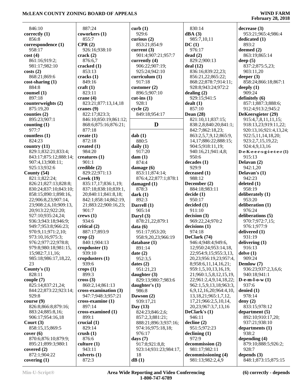$\overline{a}$ 

| 846:10                | 887:24                | curb(1)               | 830:14                         | decrease(3)                   |
|-----------------------|-----------------------|-----------------------|--------------------------------|-------------------------------|
| correctly $(1)$       | coworkers (1)         | 929:6                 | dBA(3)                         | 953:21;965:4;986:4            |
| 856:8                 | 855:7                 | curious $(2)$         | 985:7,10,11                    | dedicated (1)                 |
| correspondence (1)    | CPR(2)                | 853:21;854:9          | DC(1)                          | 893:2                         |
| 958:17                | 926:16;938:10         | current $(3)$         | 976:17                         | deemed (2)                    |
| cost(4)               | crack $(2)$           | 901:4;907:21;957:7    | dead(2)                        | 863:19;865:14                 |
| 861:16;919:2;         | 876:6,7               | currently $(4)$       | 829:2;900:13                   | deep $(5)$                    |
| 981:17;982:10         | cracked $(1)$         | 906:22;907:19;        | deal(12)                       | 837:2;875:5,23;               |
| costs(2)              | 853:13                | 925:24;942:10         | 836:16;839:22,23;              | 903:11,20                     |
| 868:21;869:6          | cracks(1)             | curriculum(1)         | 856:21,22;865:22;              | deeper $(3)$                  |
| $cost-sharing(1)$     | 849:16                | 917:18                | 868:22;878:7;914:11;           | 858:24;866:18;867:1           |
| 884:8                 | craft $(1)$           | customer $(2)$        | 928:8;943:24;972:2             | deeply $(1)$                  |
| counsel $(1)$         | 823:11                | 896:5;907:10          | dealing $(2)$                  | 909:24                        |
| 897:18                | crane $(4)$           | $cut-ins(1)$          | 929:15;941:5                   | definitely (6)                |
| counterweights (2)    | 823:21;877:13,14,18   | 928:1                 | dealt(1)                       | 857:1;887:3;888:6;            |
| 875:19,20             | cranes $(9)$          | cycle(2)              | 857:10                         | 912:4;913:2;945:2             |
| counties $(2)$        | 822:17;823:3;         | 849:18;954:17         | Dean $(28)$                    | DeKeersgieter (29)            |
| 895:23;907:1          | 846:10;850:19;861:12; |                       | 821:10,11;837:15;              | 915:4,7,8,11,11,15;           |
| counting $(1)$        | 868:6;875:16;876:21;  | D                     | 838:2,8;840:20;841:1;          | 918:13,23;919:11,22;          |
| 977:7                 | 877:18                |                       | 842:7;862:18,23;               | 920:13,16;921:4,13,24;        |
| countless $(1)$       | create $(1)$          | dab(1)                | 863:2,5,7,9,12;865:9,          | 922:5,11,14,18,20;            |
| 824:23                | 872:18                | 880:5                 | 14,17;886:22;888:15;           | 923:2,7,15,19,22;             |
| country (11)          | created $(1)$         | daily $(1)$           | 904:5;918:11,19;               | 924:4,9,13,16                 |
| 829:1;832:21;833:4;   | 984:20                | 917:20                | 940:16,21;941:4,8;             | D-e-K-e-e-r-s-g-i-e-t-e-r (1) |
| 843:17;875:12;888:14; | creatures $(1)$       | dam(1)                | 950:6                          | 915:13                        |
| 907:4,13;908:11;      | 901:1                 | 874:4                 | decades(1)                     | Delavan (2)                   |
| 925:13;932:6          | credible (2)          | damage $(6)$          | 929:9                          | 942:1,20                      |
| County $(54)$         | 829:22;971:13         | 853:11;874:14;        | deceased (1)                   | Delavan's $(1)$               |
| 821:1;822:24;         | Creek(19)             | 876:4,22;877:1;878:1  | 988:12                         | 942:23                        |
| 826:21;827:13;828:8;  | 835:17,17;836:1,19;   | damaged (1)           | December (2)                   | deleted $(1)$                 |
| 830:24;837:10;843:10; | 837:18;838:10;839:1,  | 878:3                 | 884:18;983:11                  | 958:19                        |
| 858:15;890:1;898:16,  | 20;840:11;841:8,18;   | dark(1)               | decide(1)                      | deliberately (1)              |
| 22;906:8,23;907:14,   | 842:1;858:14;862:19,  | 892:3                 | 950:17                         | 953:20                        |
| 23;908:2,6,10;909:13, | 21;883:22;900:16,23;  | Darrell (1)           | decided(1)                     | deliberation (1)              |
| 20;913:22;922:20;     | 901:7                 | 905:14                | 911:10                         | 976:24                        |
| 927:10;935:24,24;     | crews(1)              | Daryl $(3)$           | decision(3)                    | deliberations (5)             |
| 936:3;943:18;946:9;   | 934:6                 | 878:21,22;879:1       | 969:22,24;970:2                | 970:7;972:7,15;               |
| 949:7;953:8;966:23;   | critical (2)          | data(6)               | decisions(1)                   | 976:1;977:9                   |
| 970:9,11;971:2,10;    | 887:17;893:9          | 951:17;953:20;        | 974:18                         | delivered (1)                 |
| 973:10,16;975:3;      | $\text{crop}(2)$      | 958:9,20,23;966:19    | DeClark (74)                   | 931:19                        |
| 976:2;977:22;978:8;   | 840:1;904:13          | database (1)          | 946:4;948:4;949:6,             | delivering $(1)$              |
| 979:8;980:18;981:15,  | cropduster $(1)$      | 891:14                | 12;950:24;953:14,18,           | 916:13                        |
| 15;982:7,11,16;       | 939:10                | date $(2)$            | 22;954:9,15;955:3,13,          | delve(1)                      |
| 985:18;986:17,18,22,  | cropdusters $(1)$     | 952:3.5               | 20,23;956:19,23;957:4,         | 909:24                        |
| 23                    | 939:6                 | dates $(2)$           | 8;958:6,11,14,16,21;           | Demlow (7)                    |
| County's $(1)$        | crops(1)              | 951:21,23             | 959:1,5,10,13,16,19,           | 936:23;937:2,3,6,6;           |
| 828:11                | 899:3                 | daughter $(3)$        | 21;960:1,5,8,12,15,19,         | 940:18;941:1                  |
| couple $(7)$          | $\csc(3)$             | 829:13;980:7;983:6    | 22;961:2,4,9,14,18,22;         | D-e-m-l-o-w $(1)$             |
| 825:14;837:21,24;     | 860:2,14;861:13       | daughter's $(1)$      | 962:1,5,9,13,18;963:3,         | 937:6                         |
| 844:22;873:22;923:14; | cross-examination (3) | 986:8                 | 6,9,12,16,20;964:4,10,         | denied $(1)$                  |
| 929:8                 | 947:7;948:3;957:21    | Dawson $(2)$          | 13, 18, 21; 965: 1, 7, 12,     | 978:14                        |
| course(9)             | cross-examine (1)     | 939:17,21             | 17,21;966:2,5,10,14,           | deny $(2)$                    |
| 826:8;866:8;879:16;   | 897:14                | Day $(13)$            | 20,23;967:3,7,13,16            | 833:15;978:12                 |
| 883:24;885:8,16;      | cross-examined (1)    | 824:23;846:2,6;       | DeClark's $(1)$                | department $(5)$              |
| 906:17;954:16,18      | 899:1                 | 857:2,3;881:21;       | 946:11                         | 892:10;910:17,20;             |
| Court $(3)$           | crucial $(1)$         | 888:21;896:3;937:16;  | $\text{decline}\left(2\right)$ | 937:21;938:10                 |
| 858:15,15;869:5       | 829:14                | 974:16;975:18,18;     | 951:5;972:23                   | departments (1)               |
| cover(6)              | crush $(1)$           | 976:17                | $\Delta$ declining $(1)$       | 938:2                         |
| 870:6;876:10;879:9;   | 876:6                 | days $(7)$            | 972:9                          | depending $(4)$               |
| 895:21;899:3;980:1    | culture $(1)$         | 917:8;921:8,8;        | decommission (2)               | 879:10;888:5;926:2;           |
| covered $(2)$         | 943:11                | 923:14;931:23;984:17, | 981:17;982:11                  | 928:7                         |
| 872:1;904:22          | culverts $(1)$        | 18                    | decommissioning (4)            | depends $(3)$                 |
| covering $(1)$        | 872:3                 | dB(1)                 | 981:13;982:2,4,9               | 848:1;873:15;875:15           |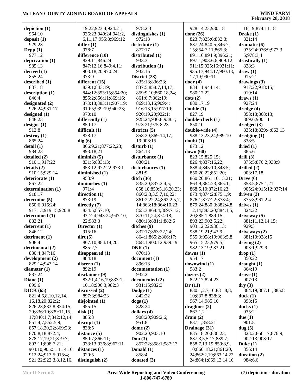| depiction $(1)$        | 19,22;923:4;924:21;   | 978:2,3                | 928:14,23;930:18            | 16, 19; 874: 11, 18          |
|------------------------|-----------------------|------------------------|-----------------------------|------------------------------|
| 964:10                 | 936:23;940:24;941:2,  | distinguishes (1)      | done $(26)$                 | Drake $(1)$                  |
| deposit $(1)$          | 6,11,17;955:8;969:12  | 972:18                 | 823:7;825:6;832:3;          | 821:14                       |
| 929:23                 | differ $(1)$          | distribute (1)         | 837:24;840:5;846:7,         | dramatic $(6)$               |
| Depp $(1)$             | 978:7                 | 877:17                 | 15;854:7,11;865:3;          | 975:24;976:9;977:3,          |
| 977:12                 | difference (10)       | distributed (1)        | 891:16;894:9;896:21;        | 5;978:3,4                    |
| deprivation (1)        | 829:11;846:24;        | 933:3                  | 897:1;903:6,6;909:12;       | drastically (1)              |
| 985:13                 | 847:12,16;849:4,11;   | distribution (1)       | 911:15;925:16;931:11;       | 828:3                        |
| derived (1)            | 903:18,20;970:24;     | 932:16                 | 935:17;944:17;960:13,       | draw(1)                      |
| 855:24                 | 973:9                 | District (28)          | 17,19;990:11                | 915:21                       |
| described (1)          | different (15)        | 835:18;836:23;         | door $(4)$                  | drawings $(3)$               |
| 837:18                 | 839:1;843:19;         | 837:5;858:7,14,17;     | 834:11;944:14;              | 917:22;918:15;               |
|                        |                       |                        |                             | 919:14                       |
| description (1)        | 844:12;853:15;854:20; | 859:9,10;860:18,24;    | 980:17,22                   |                              |
| 846:4                  | 855:2;856:11;869:16;  | 861:6,7;862:19;        | dots (2)                    | draws(1)                     |
| designated (2)         | 873:18;883:11;907:19; | 869:13,16;909:4;       | 880:17,19                   | 927:24                       |
| 926:24;931:17          | 910:5;939:19;940:23;  | 916:13,15;917:19;      | double(1)                   | dredge $(4)$                 |
| designed $(1)$         | 970:10                | 920:19,20;922:1;       | 827:19                      | 858:18;868:13;               |
| 848:23                 | differently $(1)$     | 928:24;930:8;938:1;    | double-check (1)            | 869:6;900:11                 |
| designs $(1)$          | 850:17                | 973:21;975:8,23        | 850:10                      | dredged $(3)$                |
| 912:8                  | difficult $(1)$       | districts $(5)$        | double-wide (4)             | 835:18;839:4;863:13          |
| destroy(1)             | 828:17                | 858:20;869:14,17,      | 988:13,23,24;989:10         | $d$ redging $(1)$            |
| 865:24                 | dig(6)                | 19;908:15              | doubt(1)                    | 838:5                        |
| delta(1)               | 866:9,21;877:22,23;   | disturb(1)             | 873:12                      | dried(1)                     |
| 984:23                 | 893:18,21             | 864:13                 | down $(60)$                 | 885:6                        |
| detailed (2)           | diminish $(5)$        | disturbance (1)        | 823:15;825:15;              | drill $(3)$                  |
| 910:1;917:22           | 831:5;833:13;         | 830:21                 | 826:4;837:16,22;            | 875:5;876:2;938:9            |
| details(2)             | 953:12;972:22;973:1   | disturbances (1)       | 838:4;845:10;848:5;         | drilled $(2)$                |
| 910:15;929:14          | diminished (1)        | 881:9                  | 850:20,22;851:20;           | 903:17,18                    |
|                        | 953:9                 | $\text{ditch}(36)$     |                             | Drive $(6)$                  |
| deteriorate (1)        |                       |                        | 860:20;861:10,15,21;        |                              |
| 867:22                 | diminishes $(1)$      | 835:20;837:2,4,5;      | 863:9;864:23;865:1;         | 858:5;875:1,21;              |
| determination (1)      | 971:4                 | 858:18;859:5,16,20,23; | 868:5, 10; 872: 16, 23;     | 905:24;915:12;937:14         |
| 918:17                 | direction (1)         | 860:2,3,3,5,7,10,22;   | 873:4;874:2;875:1,9;        | driven $(3)$                 |
| determine (5)          | 873:19                | 861:2,22,24;862:2,5,7, | 876:1;877:22;878:4;         | 875:8;961:2,4                |
| 850:6;916:24;          | directly $(7)$        | 14;863:18;864:10,23;   | 879:24;880:3;882:4,8,       | drives(1)                    |
| 917:13;919:15;920:8    | 834:5;857:10;         | 865:3;868:4;869:7,12;  | 12, 14; 883: 20; 884: 1, 5, | 824:22                       |
| determined (1)         | 932:24;943:24;947:10, | 870:11,24;874:18;      | 20;885:1;889:15;            | driveway (5)                 |
| 882:21                 | 22;983:3              | 880:13;881:1;882:6     | 893:23;902:5,22;            | 881:11,12,14,15;             |
| deterrent (1)          | Director (1)          | ditches (9)            | 903:12,22;936:13;           | 929:3                        |
| 846:12                 | 915:16                | 837:17;863:22,24;      | 938:19,21;943:9;            | driveways (2)                |
| detriment (1)          | $\text{dirt}(5)$      | 864:1;865:2;866:17;    | 955:3;958:19;963:5,8;       | 881:10;928:15                |
| 908:4                  | 867:10;884:14,20;     | 868:1;900:12;939:19    | 965:15,23;979:5;            | driving $(2)$                |
| detrimental (2)        | 885:2,7               | DNR(1)                 | 982:13,19;983:21            | 903:1;929:9                  |
| 830:4;847:16           | disappeared (1)       | 870:13                 | downs $(1)$                 | drop(1)                      |
| development (2)        | 884:18                | document (1)           | 954:17                      | 850:22                       |
| 829:14;943:14          | discern(1)            | 896:13                 | downwind (1)                | $\frac{d$ rought $(1)$       |
| diameter $(1)$         | 892:19                | documentation (1)      | 983:2                       | 864:19                       |
|                        | disclaimer (9)        |                        | dozers $(2)$                |                              |
| 887:24                 |                       | 932:2                  |                             | $\bf{drive}$ $(1)$<br>907:13 |
| Diane $(1)$            | 832:1,4,16,19;833:1,  | documented (2)         | 822:17;824:23               |                              |
| 899:6                  | 10,18;906:3;982:3     | 931:15;932:3           | Dr(11)                      | $\mathbf{dry}\left(3\right)$ |
| DICK(65)               | discussed $(2)$       | Dodge $(1)$            | 830:1,2,7,16;831:8,8,       | 864:19;867:11;885:8          |
| 821:4,6,8,10,12,14,    | 897:3:984:23          | 842:22                 | 10;837:8;838:3;             | duck(1)                      |
| 16,18,20;822:2;        | disjointed $(1)$      | $\log s(1)$            | 967:14;985:10               | 898:15                       |
| 826:23;833:8;834:15,   | 955:15                | 828:24                 | draglines $(2)$             | ducks $(1)$                  |
| 20;836:10;839:11,15,   | disk(1)               | dollars $(4)$          | 867:1,2                     | 935:2                        |
| 17;840:1,7;842:12,14;  | 885:8                 | 908:20;909:2,6;        | drain(2)                    | due(1)                       |
| 851:4,7;852:5,9;       | disrupt(1)            | 951:8                  | 837:1;858:21                | 901:8                        |
| 857:18,20,22;869:23;   | 838:5                 | dome $(2)$             | Drainage (31)               | dug(5)                       |
| 870:8,18;872:4;        | distance $(5)$        | 902:20;903:10          | 835:18,20;836:23;           | 823:2;866:17;876:9;          |
| 878:17,19,21;879:7;    | 850:7;866:11;         | Don $(3)$              | 837:3,5,5,17;839:7;         | 902:13;903:17                |
| 893:11;898:7,21;       | 933:13;936:8;967:11   | 857:22;858:1;987:17    | 858:7,13,19;859:8,9,        | Duke $(1)$                   |
| 904:10;905:5,11,14,16; | distances $(1)$       | Donald (1)             | 10;860:18,21;861:20,        | 856:14                       |
| 912:24;913:5;915:4;    | 920:5                 | 858:4                  | 24;862:2,19;863:14,22,      | duration $(2)$               |
| 921:22;922:3,8,12,16,  | distinguish $(2)$     | donated (3)            | 24;864:1;869:13,14,16,      | 984:6,6                      |
|                        |                       |                        |                             |                              |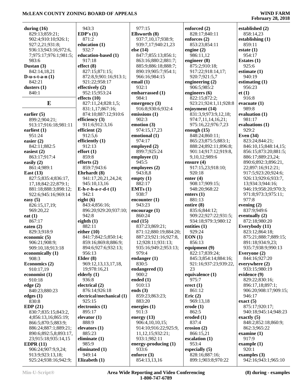| during $(16)$             | 943:3                                      | 977:15                        | enforced (2)                                  | established (2)                    |
|---------------------------|--------------------------------------------|-------------------------------|-----------------------------------------------|------------------------------------|
| 829:13;859:21;            | EDP's $(1)$                                | Ellsworth (8)                 | 828:17;840:11                                 | 858:14,23                          |
| 902:4;910:10;926:1;       | 871:2                                      | 937:7,10,17;938:9;            | enforces (2)                                  | establishing $(1)$                 |
| 927:2,21;931:8;           | education (1)                              | 939:7,17;940:21,23            | 853:23;854:11                                 | 859:11                             |
| 936:13;943:16;972:6,      | 932:7                                      | else $(14)$                   | engine $(2)$                                  | estate $(1)$                       |
| 7;975:17;976:1;981:5;     | education-based (1)                        | 847:7;855:13;856:1;           | 986:11,12                                     | 954:17                             |
| 983:6                     | 917:18                                     | 863:16;880:2;881:7;           | engineer (8)                                  | Estates $(1)$                      |
| Dustan $(3)$              | effect(8)                                  | 885:9;886:18;888:7;           | 875:2;910:18;                                 | 925:6                              |
| 842:14,18,21              | 827:15;871:15;                             | 890:19;905:7;954:1;           | 917:22;918:14,17;                             | estimate $(1)$                     |
| D-u-s-t-a- $n(1)$         | 872:8,9;901:16;913:1;                      | 966:16;984:15                 | 920:7;921:5,7                                 | 940:19                             |
| 842:21                    | 921:22;958:17                              | email $(1)$                   | engineering $(2)$                             | estimating $(1)$                   |
| dusters $(1)$             | effectively (2)                            | 932:1                         | 906:5;985:2                                   | 956:23                             |
| 840:1                     | 952:15;953:24                              | embarrassed (1)               | engineers (6)                                 | et(1)                              |
|                           | effects $(10)$                             | 984:1                         | 822:15;872:2;                                 | 916:8                              |
| E                         | 827:11,24;828:1,5;                         | emergency $(3)$               | 923:21;924:1,11;928:8                         | evacuate $(1)$                     |
|                           | 831:1,17;867:16;                           | 916:8;930:6;932:4             | enjoyment (14)                                | 989:8                              |
| earlier $(5)$             | 874:10;887:12;910:6                        | emissions (1)                 | 831:3,9;973:9,12,18;                          | evaluation (1)                     |
| 899:2:904:21;             | efficiency (3)                             | 902:3                         | 974:7,11,14,16,21;                            | 981:17                             |
| 913:17:916:18:981:11      | 911:6;912:3,16                             | emotion (3)                   | 975:16,22;976:7,23                            | evaluations (1)                    |
| earliest $(1)$            | efficient $(2)$                            | 974:15,17,23                  | enough $(15)$                                 | 929:2                              |
| 951:24                    | 912:5,6                                    | emotional (1)                 | 848:24;860:11;                                | Even $(34)$                        |
| easier $(2)$              | efficiently $(1)$                          | 974:17                        | 865:23;875:5;883:1;                           | 823:24;844:21;                     |
| 842:11;882:5              | 912:13                                     | employed $(2)$                | 888:24;892:11;896:8;                          | 846:10,15;848:14,15;               |
| easiest $(2)$             | effort(1)                                  | 899:7;925:24                  | 901:14;917:12;919:8,                          | 856:15;873:20;881:5;               |
| 863:17;917:4              | 859:8                                      | employee (1)                  | 9,10,12;989:6                                 | 886:17;889:23,24;                  |
| easily $(2)$              | efforts $(2)$                              | 945:5                         | ensure $(4)$                                  | 890:6;892:3;896:21,                |
| 861:4;989:1               | 859:7;943:6                                | employees (2)                 | 917:15,23;918:10;                             | 22;897:16;912:21;                  |
| East $(13)$               | Ehrhardt (8)                               | 943:8,8                       | 920:18                                        | 917:5;923:20;924:6;                |
| 827:5;835:4;836:17,       | 941:17,20,21,24,24;                        | empty $(1)$                   | enter $(4)$                                   | 926:13;929:6;933:7,                |
| 17,18;842:22;879:1;       | 945:10,13,16                               | 882:17                        | 908:17;909:15;                                | 13;934:3;944:16;                   |
| 881:18;888:3;898:12;      | $E-h-r-h-a-r-d-t(1)$                       | EMTs(1)                       | 948:20;968:22                                 | 946:19;958:20;970:3;               |
| 922:6;945:16;969:14       | 942:1                                      | 938:7                         | enters $(1)$                                  | 971:8;973:3;975:11;                |
| easy $(5)$                | eight $(6)$                                | encounter(1)                  | 881:13                                        | 977:8                              |
| 826:15,17,19;             | 843:4;856:16;                              | 943:23                        | entire (8)                                    | evening $(2)$                      |
| 969:20,22                 | 896:20;929:20;937:10;                      | encourage(1)                  | 835:6;844:12;                                 | 837:9;949:6                        |
| eat $(1)$                 | 942:8                                      | 860:24                        | 909:22;927:22;931:5;                          | eventually (2)                     |
| 867:17                    | eighth $(1)$                               | end $(15)$                    | 934:18;979:3;980:12                           | 872:18;980:20                      |
| eaten $(2)$               | 882:11                                     | 837:23;869:21;                | entities (1)                                  | Everybody (11)                     |
| 829:3;918:9               | either $(10)$                              | 871:12;880:19;884:20;         | 929:24                                        | 823:12;864:18;                     |
| economic $(5)$            | 841:7;842:5;850:14;                        | 887:23;921:16;927:8,          | EON(1)<br>856:13                              | 875:21;888:7;889:15;               |
| 906:21;908:9;             | 859:16;869:8;886:9;<br>894:6;927:6;932:13; | 12;928:11;931:13;             |                                               | 891:18;934:9,23;                   |
| 909:10,18;913:18          | 956:13                                     | 935:16;949:2;953:13;<br>979:4 | equipment (9)<br>822:17;839:24;               | 935:7;938:9;990:13<br>Everyone (2) |
| economically (1)<br>908:3 | Elder $(8)$                                | endanger $(1)$                |                                               |                                    |
| Economics (2)             | 969:12,13,13,17,18,                        | 830:5                         | 845:3;854:14;884:16;<br>921:16;937:23;939:22, | 844:16;927:20<br>everywhere (2)    |
| 910:17,19                 | 19;978:16,21                               | endangered (1)                | 23                                            | 933:15;980:19                      |
| economist $(1)$           | elderly $(1)$                              | 900:2                         | equivalence (1)                               | evidence (9)                       |
| 910:18                    | 936:8                                      | ended $(1)$                   | 975:7                                         | 829:22;830:16;                     |
| edge $(2)$                | electrical (2)                             | 910:13                        | erect (1)                                     | 896:17,18;897:1;                   |
| 840:23;880:23             | 876:14;926:18                              | ends $(3)$                    | 861:12                                        | 906:20:908:17:909:15:              |
| edges $(1)$               | electrical/mechanical (1)                  | 859:23;863:23;                | Eric $(2)$                                    | 946:17                             |
| 830:8                     | 925:15                                     | 883:20                        | 969:13,18                                     | exact(5)                           |
| EDP(21)                   | electronics (1)                            | energies $(1)$                | $\text{erode}$ (1)                            | 875:17;920:17;                     |
| 830:7;835:15;843:2,       | 895:17                                     | 911:3                         | 862:5                                         | 940:18;945:14;948:23               |
| 4;856:13,16;865:19;       | elevator $(1)$                             | energy $(13)$                 | eroded $(1)$                                  | exactly $(5)$                      |
| 866:5;870:5;883:9;        | 888:9                                      | 906:4,10,10,15;               | 837:4                                         | 848:2;852:18;860:9;                |
| 886:24;887:1;889:21;      | elevators $(1)$                            | 914:10;916:22;925:9,          | erosion $(2)$                                 | 862:3;965:22                       |
| 890:6;892:5,8;893:17,     | 885:23                                     | 11, 12, 15; 932: 21;          | 866:15,21                                     | examine $(1)$                      |
| 23;915:18;935:14,15       | eliminate (1)                              | 933:1;982:11                  | escalation $(1)$                              | 917:9                              |
| EDPR $(11)$               | 985:9                                      | energy-producing $(1)$        | 953:4                                         | example $(1)$                      |
| 906:24;907:9,9,24;        | eliminated (1)                             | 933:6                         | especially (5)                                | 920:1                              |
| 913:9;923:13,18;          | 949:14                                     | enforce $(3)$                 | 828:16;887:16;                                | examples $(3)$                     |
| 925:24;938:16;942:9;      | Elizabeth (1)                              | 854:13,13,16                  | 899:1;903:8;970:22                            | 942:16;943:1;965:10                |
|                           |                                            |                               |                                               |                                    |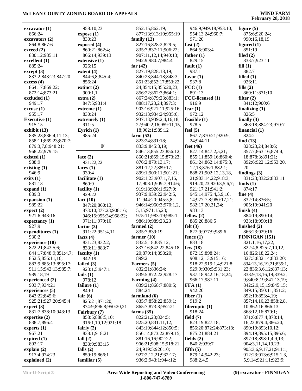| excavator(1)                        | 958:10,23                               | 852:15;862:19;                              | 946:9;949:18;953:10;                        | figure $(5)$                                   |
|-------------------------------------|-----------------------------------------|---------------------------------------------|---------------------------------------------|------------------------------------------------|
| 866:24                              | expose(1)                               | 877:13;913:10;955:19                        | 954:13,24;960:7;                            | 875:6;920:24;                                  |
| excavators (2)                      | 830:23                                  | family $(13)$                               | 971:20                                      | 990:16,18,19                                   |
| 864:8;867:6                         | exposed(4)                              | 827:16;828:2;829:5;                         | fast $(2)$                                  | figured $(1)$                                  |
| exceed (2)                          | 860:21;862:4;                           | 835:7;837:11;906:22;                        | 864:5;903:4                                 | 851:19                                         |
| 830:12;985:11                       | 866:14;939:13                           | 907:11,12,14;940:13;                        | father $(1)$                                | filed $(2)$                                    |
| excellent (1)                       | extensive (1)                           | 942:9;980:7;984:4                           | 829:15                                      | 833:7;923:11                                   |
| 885:24                              | 926:15                                  | far $(42)$                                  | fault $(1)$                                 | fill(1)                                        |
| except (3)                          | extent $(4)$                            | 827:19;828:18,19;                           | 987:1                                       | 882:7                                          |
| 833:2;843:23;847:20                 | 844:6,8;845:4;                          | 840:23;844:18;848:3;                        | favor $(1)$                                 | filled $(1)$                                   |
| excess(4)                           | 856:24                                  | 851:23;852:17;853:22,                       | 937:8                                       | 926:11                                         |
| 864:17;869:22;                      | extinct $(2)$                           | 24;854:15;855:20,23;                        | $\text{FCC}$ (1)                            | fills $(2)$                                    |
| 872:14;873:21                       | 900:1,1                                 | 856:22;862:3;864:1;                         | 891:13                                      | 869:11;871:10                                  |
| excluded (1)                        | extra(2)                                | 867:24;879:23;883:1;                        | FCC-licensed (1)                            | filter $(2)$                                   |
| 949:17                              | 847:5;931:4                             | 888:17,23,24;897:3;                         | 916:9                                       | 841:12;900:6                                   |
| excuse(1)                           | extreme (1)                             | 903:16;921:11;925:16;                       | fear $(1)$                                  | finalizing $(1)$                               |
| 955:17                              | 830:24                                  | 932:13;934:24;935:6;                        | 972:12                                      | 826:5                                          |
| <b>Executive (1)</b>                | extremely (1)                           | 937:13;939:2,4,16,18,                       | feasible $(1)$                              | finally $(3)$                                  |
| 915:15                              | 911:5                                   | 22;940:2,16;959:11,15,                      | 978:5                                       | 868:18;884:23;970:7                            |
| exhibit (13)<br>835:23;836:4,11,13; | Eyrich $(1)$<br>985:24                  | 18;962:1;989:12<br>farm $(53)$              | feel $(5)$<br>867:7;870:21;920:9,           | financial $(1)$<br>824:2                       |
| 858:11;869:23;870:7;                |                                         | 823:24;831:18;                              | 24;944:11                                   | find $(13)$                                    |
| 879:3,7,8;948:21;                   | F                                       | 833:9;845:3,19;                             | feet $(46)$                                 | 828:23,24;848:6;                               |
| 968:22;979:15                       |                                         | 846:13;855:23;856:12;                       | 827:14;847:2,5,21;                          | 857:7;863:16;874:4,                            |
| existed $(1)$                       | face $(2)$                              | 860:21;869:15;873:23;                       | 855:11;859:16;860:4;                        | 18;878:3;891:21;                               |
| 988:9                               | 931:22,22                               | 876:2;879:13,17;                            | 861:24;862:14;875:3,                        | 892:6;922:12;953:20,                           |
| existing $(1)$                      | faces $(1)$                             | 881:12,22;889:17;                           | 12, 13; 876: 1; 882: 1;                     | 20                                             |
| 946:9                               | 930:4                                   | 899:1;900:11;901:21;                        | 888:21;902:12,13,18,                        | findings $(3)$                                 |
| exists(1)                           | facilitate $(1)$                        | 902:1,23;907:1,7,16,                        | 21;903:14,22;918:3;                         | 831:23;832:2;833:11                            |
| 881:13                              | 860:9                                   | 17;908:1;909:7;914:6;                       | 919:20,23;920:3,5,6,7;                      | finds $(1)$                                    |
| expand $(1)$                        | facility $(1)$                          | 919:18;926:1;927:9;                         | 921:17,21;941:2;                            | 874:17                                         |
| 889:3                               | 929:22                                  | 937:9;939:22;942:5,                         | 945:14;975:4,5,9,10,                        | fine $(4)$                                     |
| expansion (1)<br>989:22             | fact $(10)$                             | 11;944:20;945:5,8;<br>946:14;960:3;970:1,2, | 14;977:7,8;980:17,21;                       | 832:14;836:5;<br>905:19;941:20                 |
| expect (2)                          | 847:20;860:13;<br>873:10;877:23;908:16; | 5, 15; 971: 15, 23;                         | 982:17,20,21,24;<br>983:13                  | finish $(4)$                                   |
| 921:6;943:16                        | 946:15;955:24;958:22;                   | 975:11;983:19;985:1;                        | fellow $(2)$                                | 884:19;890:14;                                 |
| expectancy $(1)$                    | 971:11;979:10                           | 986:19;989:23,23                            | 885:20;886:5                                | 933:18;990:18                                  |
| 927:9                               | factor $(3)$                            | farmed $(2)$                                | felt $(3)$                                  | finished (2)                                   |
| expenditures (1)                    | 911:22;951:4,11                         | 835:7;839:19                                | 827:9;977:9;989:6                           | 866:23;929:16                                  |
| 930:2                               | facts $(4)$                             | farmer $(10)$                               | fence $(1)$                                 | FINNIGAN (151)                                 |
| experience (18)                     | 831:23;832:2;                           | 832:5,18;835:12;                            | 883:18                                      | 821:1,16,17,22;                                |
| 822:21;843:5,6;                     | 833:11;883:7                            | 837:16;842:22;845:18,                       | few $(18)$                                  | 822:4,8;825:7,10,12,                           |
| 844:17;848:9;851:4,7;               | faculty $(1)$                           | 20;879:14;898:20;                           | 872:19;898:24;                              | 16;826:18,22,24;                               |
| 852:5;856:11,16;                    | 942:19                                  | 899:2                                       | 908:12,13;915:16;                           | 827:3;832:14;833:20;                           |
| 883:9;885:13;895:17;                | failed $(3)$                            | Farmers (5)                                 | 918:22;919:1,4;921:8;                       | 834:13,16,19,21;835:1,                         |
| 911:15:942:13:985:7;<br>989:18,19   | 923:1,5;947:1                           | 832:21;836:24;                              | 929:9;930:5;931:23;<br>937:18;942:16,18,24; | 22;836:3,6,12;837:13;                          |
| experienced (2)                     | fails $(1)$<br>978:12                   | 839:5;872:22;928:17<br>Farming (4)          | 966:17;987:11                               | 838:9,13,16,19;839:2,<br>9;840:8,19;841:13,19; |
| 903:7;934:21                        | failure $(1)$                           | 839:21;868:7;880:5;                         | FFA(1)                                      | 842:2,9,15,19;845:15;                          |
| experiences (5)                     | 849:1                                   | 884:24                                      | 942:20                                      | 849:15;850:11;851:2;                           |
| 843:22;845:6;                       | fair $(6)$                              | farmland $(6)$                              | fiber $(1)$                                 | 852:10;853:4,19;                               |
| 925:21;927:20;945:4                 | 825:21;871:20;                          | 835:7;858:22;859:1;                         | 919:2                                       | 857:14,16,23;858:2,8,                          |
| expert $(3)$                        | 874:9;896:8;950:20,21                   | 865:7;873:3;952:21                          | fiberoptic $(1)$                            | 10;862:16;866:13;                              |
| 831:7;838:10;943:13                 | Fairbury (7)                            | farms $(35)$                                | 918:24                                      | 868:12,16;870:1;                               |
| expertise $(2)$                     | 858:5;888:5,10;                         | 822:21,23;824:5;                            | field $(7)$                                 | 871:6;877:4;878:14,                            |
| 838:7;896:4                         | 916:1,10,12;921:18                      | 825:20;831:11,12;                           | 823:19;827:18;                              | 16,23;879:4;886:20;                            |
| experts $(1)$                       | fairly $(2)$                            | 843:19;844:12;850:5;                        | 856:20;872:24;873:18;                       | 890:19;893:10,12;                              |
| 967:21                              | 838:1;918:21                            | 856:14;873:22;879:15;                       | 875:21;884:21                               | 894:19;895:15;896:6;                           |
| expired $(1)$                       | fall $(2)$                              | 881:16,16;902:22;                           | fields $(2)$                                | 897:18;898:1,4,9,13;                           |
| 892:17<br>explain $(2)$             | 833:9;983:15                            | 906:21;908:15;918:21,<br>24;919:5;926:10;   | 840:2;939:7                                 | 904:3,11,14,19,23;<br>905:3,6,9,17,21;911:1;   |
| 917:4;974:23                        | falls $(2)$<br>859:19;866:1             | 927:2,12,21;932:17;                         | fifth $(5)$<br>879:14;942:23;               | 912:23;913:6;915:1,3,                          |
| explained (2)                       | familiar $(5)$                          | 936:2;943:1;944:12;                         | 988:2,4,5                                   | 5,9,14;921:11;923:9;                           |
|                                     |                                         |                                             |                                             |                                                |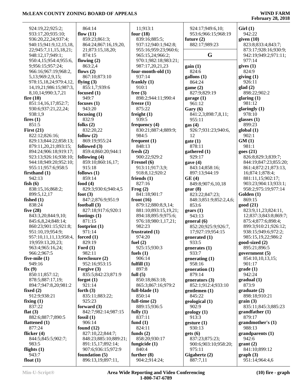| 924:19,22;925:2;                           | 864:14                    | 11;913:1                 | 924:17;949:6,10;                        | Girl(1)                                     |
|--------------------------------------------|---------------------------|--------------------------|-----------------------------------------|---------------------------------------------|
| 933:17,20;935:10;                          | flow $(11)$               | four $(18)$              | 953:6;966:15;968:19                     | 942:22                                      |
| 936:20,22,24;937:4;                        | 859:23;861:3;             | 839:16;885:5;            | future $(2)$                            | given $(10)$                                |
| 940:15;941:9,12,15,18,                     | 864:24;867:16,19,20,      | 937:12;940:1;942:8;      | 882:17;989:23                           | 823:8;833:4;843:7;                          |
| 22;945:7,11,15,18,21;                      | 21;873:15,18,20;          | 955:16;959:23;960:6;     |                                         | 873:17;928:16;930:9;                        |
| 948:12,17;949:1;                           | 874:15                    | 965:15,24;966:2;         | G                                       | 942:19;949:2;971:11;                        |
| 950:4,15;954:4;955:6,                      | flowing $(2)$             | 970:1;982:18;983:21;     |                                         | 977:14                                      |
| 9;956:15;957:24;                           | 863:2,4                   | 987:17,20,21,23          | gain(1)                                 | gives $(1)$                                 |
| 966:16;967:19;968:2,                       | flows $(2)$               | four-month-old (1)       | 824:6                                   | 824:9                                       |
| 5,13;969:2,9,15;                           | 867:10;873:10             | 937:14                   | $\text{gallons}$ $(1)$                  | giving(1)                                   |
| 978:15,18,24;979:4,12,                     | flying $(3)$              | frankly $(1)$            | 864:24                                  | 926:11                                      |
| 14, 19, 21; 98 6: 15; 987: 3,              | 855:1,7;939:6             | 910:1                    | game $(2)$                              | glad(2)                                     |
| 8, 10, 14; 990: 3, 7, 21                   | focused $(1)$             | free $(3)$               | 827:9;829:19                            | 898:22;902:2                                |
| fire $(10)$                                | 949:7                     | 898:2;944:11;990:4       | garage $(1)$                            | glaring $(1)$                               |
| 851:14,16,17;852:7;                        | focuses $(1)$             | freeze $(1)$             | 961:12                                  | 981:12                                      |
| 930:6;937:21,22,24;                        | 943:20                    | 875:22                   | Gary(6)                                 | glaringly $(1)$                             |
| 938:1,9                                    | focusing $(1)$            | freight $(1)$            | 841:2,3;898:7,8,11;                     | 978:10                                      |
| fires $(1)$                                | 832:9                     | 939:5                    | 955:11                                  | glasses $(1)$                               |
| 851:5                                      | folks $(2)$               | frequency $(4)$          | gas(4)                                  | 899:23                                      |
| First $(21)$                               | 832:20,22                 | 830:21;887:4;889:9;      | 926:7;931:23;940:6,                     | global(1)                                   |
| 822:12;826:16;                             | follow $(2)$              | 984:5                    | 12                                      | 902:1                                       |
| 829:13;844:22;858:13;                      | 869:19;955:24             | frequent $(1)$           | gate(1)                                 | GM(1)                                       |
| 879:11,20,21;893:15;                       | followed (3)              | 848:13                   | 878:11                                  | 981:1                                       |
| 894:24;906:18;919:17;                      | 859:4;860:20;944:1        | fresh $(2)$              | gathered $(1)$                          | goes(21)                                    |
| 923:13;926:16;938:10;                      | following $(4)$           | 900:22;929:2             | 929:17                                  | 826:8;829:3;839:7;                          |
| 944:18;949:20;952:10;                      | 859:10;860:16,17;         | Fresnel (6)              | gave $(4)$                              | 844:19;847:23;855:20;                       |
| 955:11;957:6;958:5                         | 915:18                    | 913:11;917:3,9;          | 843:14;858:16;                          | 861:4;872:21;873:13,                        |
| firsthand $(1)$                            | follows $(1)$             | 918:8,12;920:2           | 897:13;944:19                           | 16;874:1;878:4;                             |
| 942:13                                     | 859:14                    | friends $(1)$            | GE(4)                                   | 881:11,15;902:17;                           |
| fish $(6)$                                 | food $(4)$                | 827:16                   | 849:8;907:6,10,18                       | 903:23;904:13;933:1;                        |
| 838:15,16;868:2;                           | 829:3;930:6;940:4,5       | Frog(2)                  | ger(8)                                  | 958:2;975:19;977:14                         |
| 899:5,12,17                                | foot $(3)$                | 841:18;901:7             | 823:22;847:23;                          | Golden (1)                                  |
| fished $(1)$                               | 847:2;876:9;951:9         | front $(16)$             | 848:3;851:9;852:2,4,6;                  | 869:15                                      |
| 838:24                                     | football $(3)$            | 879:12;880:8,9,14;       | 853:6                                   | good(21)                                    |
| five $(28)$                                | 827:18;917:6;920:1        | 881:10;893:15,19,21;     | gears(1)                                | 823:9,11,23;824:11,                         |
| 843:3,20;844:9,10;                         | footings $(1)$            | 894:18;895:9;975:6;      | 943:13                                  | 12;837:3;843:8;869:7;                       |
| 845:6,8,24;848:14;                         | 871:15                    | 976:18;980:1,17,21;      | general(6)                              | 875:4;877:6;898:4;                          |
| 860:23;901:15;921:8;                       | footprint $(1)$<br>971:14 | 982:23<br>frustrated (1) | 852:20;925:9;926:7,<br>17;927:19;954:15 | 899:3;910:21;926:12;<br>938:15;949:6;972:2; |
| 951:10,19;954:9;<br>957:10,11,11,13;958:4, | forced $(1)$              | 974:20                   | generated (1)                           | 985:15,19,22;986:2                          |
| 19;959:13,20,23;                           | 829:19                    | fuel $(2)$               | 933:5                                   | good-sized (2)                              |
| 963:4;965:16,24;                           | Ford $(1)$                | 925:15;930:3             | generates $(1)$                         | 895:21;896:5                                |
| 966:2;967:5                                | 982:11                    | fuels $(1)$              | 933:7                                   | government $(5)$                            |
| five-mile $(1)$                            | foreclosure (2)           | 906:14                   | generating $(1)$                        | 854:10,10,13,15;                            |
| 949:16                                     | 952:16;953:15             | fulfill $(1)$            | 958:16                                  | 901:17                                      |
| fix(9)                                     | Forgive (3)               | 897:8                    | generation $(1)$                        | grade(1)                                    |
| 850:11;857:12;                             | 835:5;842:23;871:9        | full $(5)$               | 879:14                                  | 942:24                                      |
| 878:5;887:17,19;                           | forgot $(1)$              | 850:18;863:18;           | generators (3)                          | gradual (1)                                 |
| 894:7;947:8,20;981:2                       | 921:14                    | 865:3;867:16;979:2       | 852:1;912:4;933:10                      | 873:9                                       |
| fixed $(2)$                                | forth $(3)$               | full-blade $(1)$         | gentlemen $(1)$                         | graduate(2)                                 |
| 912:9;938:21                               | 835:11;883:22;            | 850:14                   | 845:22                                  | 898:18;910:21                               |
| fixing $(1)$                               | 925:23                    | full-time $(2)$          | geological (1)                          | grain(3)                                    |
| 837:22                                     | forward $(3)$             | 889:15;936:5             | 902:9                                   | 835:11;845:3;885:23                         |
| flat $(3)$                                 | 842:7;982:14;987:15       | fully $(1)$              | geology(1)                              | grandfather $(1)$                           |
| 882:6;887:7;890:5                          | fossil $(1)$              | 837:11                   | 913:3                                   | 879:17                                      |
| flattened $(1)$                            | 906:14                    | fund $(1)$               | gesture(1)                              | grandmother's (1)                           |
| 877:24                                     | found $(12)$              | 824:11                   | 930:13                                  | 988:13                                      |
| flicker $(4)$                              | 827:10,22;844:7;          | funds $(2)$              | gets (6)                                | grandparents(1)                             |
| 844:5;845:5;902:7;                         | 848:23;885:10;889:21;     | 858:20;930:17            | 837:23;875:23;                          | 942:6                                       |
| 983:5                                      | 891:15,17;892:14;         | fungicide $(1)$          | 900:6;903:10;958:20;                    | grant(2)                                    |
| flights $(1)$                              | 907:6;936:15;972:9        | 840:4                    | 975:11                                  | 841:10;899:12                               |
| 943:7                                      | foundation $(5)$          | further $(8)$            | Gigahertz (2)                           | graph(3)                                    |
| float $(1)$                                | 896:13,19;897:11,         | 904:2;914:24;            | 887:7,11                                | 951:14;964:4,6                              |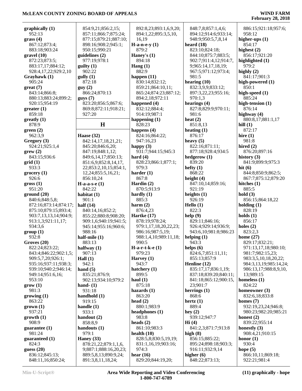| graphically $(1)$     | 854:9,21;856:2,15;                            | 892:8,23;893:1,6,9,20; | 848:7,8;857:1,4,6;    | 886:15;921:18;957:6;   |
|-----------------------|-----------------------------------------------|------------------------|-----------------------|------------------------|
| 952:13                | 857:11;866:7;875:24;                          | 894:1,22;895:3,5,10,   | 894:12;914:6;933:14;  | 958:12                 |
| grass(4)              | 877:15;879:21;887:10;                         | 16,19                  | 948:9;950:5,7,8,14    | higher-ups $(1)$       |
| 867:12;873:4;         | 898:16;908:2;945:1;                           | $H-a-n-e-y(1)$         | heard $(18)$          | 854:17                 |
| 883:18;903:24         | 950:15;990:21                                 | 879:2                  | 823:10;824:18;        | highest $(2)$          |
| gravel(10)            | quidelines(2)                                 | Haney's $(1)$          | 844:10;875:7;883:5;   | 856:17;921:20          |
| 872:23;873:5;         | 977:19;978:1                                  | 894:18                 | 902:7;911:4,12;914:7, | highlighted (1)        |
| 883:17,17;884:12;     | gulity(1)                                     | Hang $(1)$             | 9;965:14,17,18,19;    | 979:2                  |
| 928:4,17,22;929:2,10  | 902:22                                        | 882:9                  | 967:5;971:12;973:4;   | highly $(2)$           |
| Grayhawk (1)          | gully(1)                                      | happen $(11)$          | 981:5                 | 841:17;901:3           |
| 905:24                | 872:18                                        | 830:14;832:12;         | hearing $(10)$        | high-powered (1)       |
|                       |                                               |                        |                       | 850:1                  |
| $gr$ eat $(7)$        | guy(2)                                        | 859:21;864:10,11;      | 832:3,9,9;833:12;     |                        |
| 843:14;866:8;         | 866:24;870:13                                 | 865:24;874:23;887:12;  | 897:3,22,23;955:16;   | high-speed (1)         |
| 880:13;883:24;899:2;  | gays(7)                                       | 894:2,18;972:11        | 970:1,3               | 885:24                 |
| 920:15;954:19         | 823:20;856:5;867:6;                           | happened (4)           | hearings $(4)$        | high-tension $(1)$     |
| greater(1)            | 869:8;872:11;918:21;                          | 832:12;884:4;          | 827:8;829:9;970:11;   | 876:14                 |
| 859:18                | 927:20                                        | 914:19;987:1           | 981:6                 | highway $(4)$          |
| $g realty (1)$        |                                               | happening $(1)$        | heat $(2)$            | 880:8,17;881:1,17      |
| 878:9                 | $\mathbf H$                                   | 828:23                 | 851:8,13              | hill $(1)$             |
| green(2)              |                                               | happens (4)            | heating $(1)$         | 872:17                 |
| 962:3,9               | Haase (32)                                    | 824:16;864:22;         | 876:17                | hire $(1)$             |
| Gregory (3)           | 842:14,17,18,21,21;                           | 947:16,23              | heavy $(5)$           | 981:8                  |
| 924:21;925:1,4        | 845:20;846:6,20;                              | happy $(3)$            | 822:16;871:11;        | hired $(2)$            |
| $\text{grow}(2)$      | 847:19;848:1,12;                              | 931:7;944:15;945:3     | 877:18;928:4;934:5    | 876:20;897:16          |
| 843:15;936:6          | 849:6,14,17;850:13;                           | hard $(4)$             | hedgerow (1)          | history $(3)$          |
| grid(1)               | 851:6,9;852:8,14,17,                          | 828:23;866:1;877:1;    | 839:20                | 841:9;899:9;975:3      |
| 933:3                 | 22;853:2,10,15;854:1,                         | 979:3                  | hefty $(1)$           | hit $(6)$              |
| grocery(1)            | 12,24;855:5,16,21;                            | harder $(1)$           | 868:22                | 844:8;850:9;862:5;     |
| 926:6                 | 856:10,24                                     | 867:8                  | height $(4)$          | 867:7;875:12;879:20    |
| gross(1)              | $H-a-a-s-e(1)$                                | Hardin $(2)$           | 847:10,14;859:16;     | hitches $(1)$          |
| 951:20                | 842:22                                        | 870:5;913:9            | 921:19                | 885:5                  |
| ground(20)            | habitat $(1)$                                 | hardly $(1)$           | heights $(1)$         | hold(3)                |
| 840:6;848:5,8;        | 901:1                                         | 885:3                  | 926:19                | 856:15;864:18,22       |
| 872:16;873:14;874:17; | half $(14)$                                   | harm $(2)$             | Hello (1)             | holding $(1)$          |
| 875:10;879:15;893:4;  | 840:14,16;852:2;                              | 876:4,23               | 822:3                 | 828:19                 |
| 903:7,13,13,14;904:9; | 855:22;880:8;908:20;                          | Hartke $(17)$          | help(9)               | holds $(1)$            |
|                       |                                               | 878:19;978:24;         | 829:11;846:16;        | 856:17                 |
| 913:1,3;921:11,17;    | 909:1,6;940:19;941:5;<br>945:14;955:16;960:6; |                        |                       |                        |
| 934:3,6               |                                               | 979:1,17,18,20,22,23;  | 926:4;929:14;936:9;   | holes $(2)$            |
| group(1)              | 988:16                                        | 986:16;987:5,19;       | 943:6,10;981:8;986:23 | 823:2,3                |
| 932:8                 | half-mile $(1)$                               | 988:1,4,10;989:11,18;  | helping $(1)$         | home $(27)$            |
| Groves (20)           | 883:13                                        | 990:5                  | 943:3                 | 829:17;832:21;         |
| 822:24;823:22;        | halfway $(1)$                                 | $H-a-r-t-k-e(1)$       | helps $(6)$           | 971:13,17,18;980:10;   |
| 843:4;846:22;902:1,5; | 907:13                                        | 979:23                 | 824:6,7;851:11,11;    | 981:7;982:15,23;       |
| 909:5,7,20;926:1;     | Hall $(1)$                                    | Harvey $(1)$           | 855:13;857:9          | 983:3,5,10,18,20,22;   |
| 935:16;937:11;938:3;  | 942:1                                         | 943:7                  | Henline (12)          | 984:3,13,19;985:14,24; |
| 939:10;940:2;946:14;  | hand $(5)$                                    | hatchery $(1)$         | 835:17,17;836:1,19;   | 986:13,17;988:8,9,10,  |
| 949:14;951:6,16;      | 835:21;876:9;                                 | 899:5                  | 837:18;839:20;840:11; | 13;989:15              |
| 953:10                | 902:13;934:10;979:2                           | haul $(1)$             | 841:18;865:12;900:15, | homeless $(1)$         |
| $\text{grow} (1)$     | hand- $(1)$                                   | 875:18                 | 23;901:7              | 824:22                 |
| 981:3                 | 931:18                                        | hazards $(1)$          | herrings $(1)$        | homeowner $(3)$        |
| growing (1)           | handhold (1)                                  | 863:20                 | 868:6                 | 832:6,18;833:8         |
| 863:22                | 919:15                                        | head $(2)$             | hertz $(1)$           | homes $(7)$            |
| $grown (1)$           | handle $(1)$                                  | 880:1;983:9            | 889:4                 | 932:19,23,24;946:8;    |
| 937:21                | 933:1                                         | headphones (1)         | hey $(2)$             | 980:23;982:20;985:21   |
| growth(1)             | handout $(2)$                                 | 983:8                  | 939:12;947:7          | honest $(2)$           |
| 908:9                 | 858:8,9                                       | heads $(2)$            | Hi(4)                 | 839:22;955:14          |
| guarantee $(1)$       | handouts $(1)$                                | 861:10;983:3           | 841:2,3;871:7;913:8   | honestly $(3)$         |
| 981:24                | 979:1                                         | health $(10)$          | high $(8)$            | 908:4,21;910:15        |
| guaranteed (1)        | Haney $(33)$                                  | 828:5,8;830:5,19,19;   | 856:15;885:22;        | honor $(1)$            |
| 824:3                 | 878:21,22;879:1,1,6,                          | 831:1,16,19;903:16;    | 895:24;898:18;903:3;  | 930:4                  |
| guess $(20)$          | 9;887:1;888:16,20,23;                         | 974:3                  | 916:11;932:9,14       | hope $(5)$             |
| 836:12;845:13;        | 889:5,8,13;890:9,24;                          | hear $(16)$            | higher $(6)$          | 866:10,11;869:18;      |
| 848:11,16;850:24;     | 891:3,8,11,18,24;                             | 829:20;844:19,20;      | 848:22;873:13;        | 922:21;981:4           |
|                       |                                               |                        |                       |                        |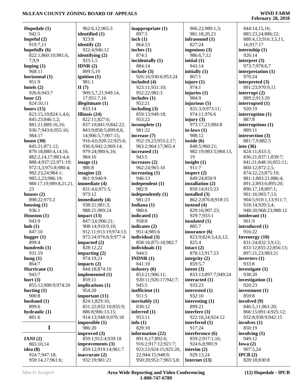| Hopedale $(1)$<br>942:5 | 962:6,12;965:3          | inappropriate $(1)$<br>897:5 | 966:22;980:1,3;                | 844:14,15,16;                     |
|-------------------------|-------------------------|------------------------------|--------------------------------|-----------------------------------|
| hopeful $(2)$           | identified (1)<br>923:8 | inch(1)                      | 981:18,20,23<br>infrasound (1) | 885:23,24;886:22;                 |
| 919:7,11                | identify $(2)$          | 864:23                       | 827:24                         | 888:4,13;916:3,5,11,<br>16;917:17 |
| hopefully $(6)$         | 922:4:946:12            | inches $(1)$                 | ingenious (3)                  | internship (1)                    |
| 822:1;860:10;981:6,     | identifying $(2)$       | 874:1                        | 986:6,7,12                     | 926:14                            |
| 7,9,9                   | 923:1,5                 | incidentally (1)             | initial $(1)$                  | interpret $(3)$                   |
|                         | IDNR $(2)$              | 884:14                       | 943:14                         | 973:7;978:6,7                     |
| hoping $(1)$<br>968:11  | 899:5,19                |                              |                                |                                   |
|                         |                         | include $(3)$                | initially $(1)$                | interpretation $(1)$              |
| horizontal (1)          | ignition $(1)$          | 926:16;930:6;953:24          | 867:1                          | 970:24                            |
| 951:9                   | 981:1                   | included (4)                 | injure $(1)$                   | interpreted (3)                   |
| hotels $(2)$            | $\Pi(7)$                | 923:11;931:10;               | 974:1                          | 891:23;970:9,11                   |
| 926:6;943:7             | 909:5,7,21;949:14,      | 952:22;982:3                 | injuries $(1)$                 | interrupt $(2)$                   |
| hour $(2)$              | 17;951:7,16             | includes $(1)$<br>952:21     | 984:9<br>injurious (5)         | 889:2;913:20                      |
| 824:10,11               | illegitimate (1)        |                              |                                | interrupted $(1)$                 |
| hours $(15)$            | 833:14                  | including $(3)$              | 831:3,9;973:11;                | 920:19                            |
| 823:15,19;824:1,4,6;    | Illinois $(24)$         | 859:13;949:18;               | 974:11;976:6                   | interruption (1)                  |
| 845:23;846:1,2;         | 822:11;827:6;           | 953:22                       | injury $(3)$                   | 887:8                             |
| 881:21;889:16,16;       | 837:10;841:9;842:22;    | incomplete (1)               | 973:17,23;984:8                | interruptions $(1)$               |
| 936:7;943:6;955:16;     | 843:9;858:5;899:8,8,    | 981:22                       | in-laws $(1)$                  | 889:11                            |
| 984:17                  | 14;906:5,7;907:15;      | increase (7)                 | 988:12                         | intersection (3)                  |
| house $(30)$            | 916:4,6;920:22;925:6;   | 952:19,23;953:2,17;          | inside $(6)$                   | 881:7,9;882:5                     |
| 845:21;871:12;          | 936:6;942:2;969:14;     | 963:2;964:17;965:4           | 848:5;960:21;                  | into $(36)$                       |
| 879:18;880:4,14,16;     | 979:24:980:6,16;        | increased (1)                | 982:19;983:5;984:13,           | 824:11;833:3;                     |
| 882:2,14,17;883:4,4;    | 984:16                  | 943:5                        | 19                             | 836:21;837:1;839:7;               |
| 888:4;937:22;971:19;    | image $(1)$             | increases (2)                | insight $(1)$                  | 841:21;848:16;855:11;             |
| 972:3,3;975:8;980:4;    | 986:8                   | 962:24;965:10                | 911:7                          | 860:12;872:2,5;                   |
| 982:23,24;984:1;        | imagine $(2)$           | increasing $(1)$             | inspect $(2)$                  | 874:22,23;875:10;                 |
| 985:2,23;986:19;        | 861:9;940:9             | 946:13                       | 849:24;850:9                   | 881:1;883:21;886:4;               |
| 988:17,19;989:8,21,21,  | immediate (4)           | independent (1)              | installation (2)               | 891:2;893:6;895:20;               |
| 23                      | 831:4,6;971:5;          | 982:9                        | 859:14;915:23                  | 896:17,18;897:1;                  |
| houses $(2)$            | 973:12                  | independently (1)            | installed $(3)$                | 901:16;903:7,13;                  |
| 898:22;975:2            | immediately (4)         | 981:23                       | 862:2;876:8;918:15             | 904:5;910:1,13;911:7;             |
| housing $(1)$           | 938:21;981:3;           | Indiana $(1)$                | instead $(4)$                  | 918:14;920:3,4;                   |
| 936:1                   | 988:21;989:24           | 980:6                        | 829:16;907:23;                 | 948:20;968:23;988:12              |
| Houston $(1)$           | impact $(13)$           | indicated (1)                | 929:7;933:1                    | intolerant $(1)$                  |
| 943:9                   | 847:3,6;906:21;         | 958:8                        | insulated (1)                  | 901:9                             |
| hub(1)                  | 908:14;910:9,10;        | indicates $(2)$              | 885:7                          | introduced (1)                    |
| 847:10                  | 912:11;913:19;974:13;   | 951:4;985:6                  | insurance (6)                  | 916:22                            |
| hugger $(1)$            | 975:24;976:8,9;977:4    | individual (3)               | 823:9;824:3,4,6,12;            | <b>Invenergy</b> $(10)$           |
| 899:4                   | impacted $(2)$          | 858:16;875:18;982:7          | 825:4                          | 831:24;832:3,9,12;                |
| hundreds $(1)$          | 828:12,22               | individuals (1)              | intact $(2)$                   | 833:12;855:22;856:13;             |
| 931:19                  | impacting $(2)$         | 944:5                        | 878:12;917:23                  | 897:21,23;983:21                  |
| hung $(1)$              | 974:19,21               | <b>INDNR</b> $(1)$           | integrity $(2)$                | inverters $(1)$                   |
| 864:7                   | impacts $(2)$           | 841:10                       | 859:5,7                        | 933:8                             |
| Hurricane (1)           | 844:18;874:10           | industry $(6)$               | intent $(3)$                   | investigate (1)                   |
| 943:7                   | implemented (1)         | 853:21;906:11;               | 833:13;897:7;949:24            | 938:20                            |
| hurt $(3)$              | 859:11                  | 920:11;926:17;942:7;         | interacted $(1)$               | investigation (1)                 |
| 855:12;900:9;974:20     | implications (1)        | 945:5                        | 933:23                         | 920:23                            |
| hurting $(1)$           | 954:20                  | inefficient (1)              | interested (1)                 | investment (1)                    |
| 900:8                   | important $(11)$        | 911:5                        | 932:10                         | 859:8                             |
| husband $(1)$           | 824:1;829:16;           | inevitably (1)               | interesting $(1)$              | involved (9)                      |
| 899:6                   | 831:22;832:10;835:9;    | 830:12                       | 899:21                         | 846:5,11;861:20;                  |
| hydraulic $(1)$         | 886:8;906:13,15;        | inferred $(1)$               | interfere $(3)$                | 866:15;891:4;925:12;              |
| 881:6                   | 914:13;948:9;970:18     | 953:11                       | 922:10,24;924:12               | 932:8;938:9;942:15                |
|                         | impossible(1)           | info $(1)$                   | interfered (1)                 | involves $(1)$                    |
| I                       | 986:20                  | 829:10                       | 917:24                         | 850:19                            |
|                         | improved $(3)$          | information (22)             | interference (6)               | involving $(1)$                   |
| IANI(2)                 | 859:1;912:4;939:18      | 891:6,17;892:6;              | 859:2;917:1,16;                | 949:12                            |
| 865:10,14               | improvements (3)        | 916:2;917:12;921:7;          | 924:6,8;985:9                  | Iowa $(2)$                        |
| idea $(8)$              | 859:12;919:14;961:7     | 923:23;924:15;925:20,        | interim $(2)$                  | 907:5,24                          |
| 924:7;947:18;           | inaccurate $(2)$        | 22;944:15;948:9;             | 929:13,24                      | IPCB(2)                           |
| 959:14,17;961:6;        | 932:19;981:21           | 950:20;953:7;965:5,8;        | Internet $(13)$                | 828:18;830:8                      |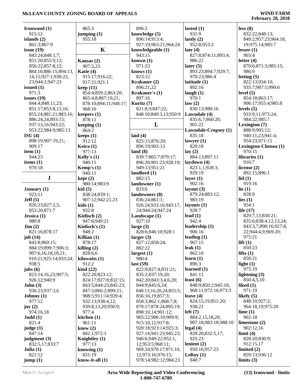| Ironwood $(1)$        | 865:3                      | 896:2                  | lasted $(1)$<br>931:9       | less(8)               |
|-----------------------|----------------------------|------------------------|-----------------------------|-----------------------|
| 915:12                | jumping(1)                 | knowledge (5)          |                             | 832:22;848:13;        |
| islands $(2)$         | 955:18                     | 896:14;913:4;          | lastly $(2)$                | 849:2;957:23;964:18,  |
| 861:3;867:9           |                            | 927:19;963:21;964:24   | 952:8;953:2                 | 19;975:14;985:7       |
| issue $(19)$          | K                          | knowledgeable (1)      | late $(4)$                  | lesser $(1)$          |
| 843:24;848:1,7;       |                            | 943:15                 | 827:8;874:11;893:4;         | 903:4                 |
| 851:20;855:9,12;      | Kansas $(2)$               | known $(1)$            | 986:22                      | letter $(4)$          |
| 856:22;857:8,12;      | 907:5,23                   | 971:23                 | later $(5)$                 | 870:6;871:3;985:15;   |
| 884:10;886:15;894:13, | Katie (4)                  | knows $(1)$            | 893:23;894:7;929:7;         | 986:9                 |
| 14,15;927:1;938:23,   | 915:17;916:22;             | 823:12                 | 970:23;986:4                | letting $(5)$         |
| 23;944:2;947:23       | 917:21;921:1               | Krakauer (2)           | latitude (1)                | 822:13;934:10;        |
| issued $(1)$          | keep(11)                   | 896:21,22              | 892:16                      | 935:7;987:5;990:6     |
| 971:3                 | 854:4;859:2;863:20;        | Krakauer's (1)         | laugh $(1)$                 | level $(5)$           |
| issues $(19)$         | 865:4,8;867:19,21;         | 897:16                 | 970:1                       | 854:18;863:17;        |
| 844:4;848:11,23;      | 878:10;894:11;948:17;      | Kuritz (7)             | law(2)                      | 906:17;955:4;985:8    |
| 851:17;853:8,13,16;   | 968:10                     | 821:8,9;847:22;        | 830:13;980:16               | levels $(5)$          |
| 855:24;881:21;883:16; | keepers $(1)$              | 848:10;849:3,13;950:9  | Lawndale (4)                | 933:9,11;973:24;      |
| 886:24,24;893:15;     | 878:11                     |                        | 835:6,7;860:20;             | 984:22;985:7          |
| 937:13,16;943:22;     | keeping $(1)$              | L                      | 901:22                      | Lexington (7)         |
| 953:22;984:9;985:13   | 864:2                      |                        | <b>Lawndale-Cropsey (1)</b> | 888:9;905:12;         |
| ISU(4)                | keeps(1)                   | laid $(4)$             | 835:18                      | 940:11,23;941:4;      |
| 898:19;907:19,21;     | 912:12                     | 825:15;876:20;         | lawyer $(1)$                | 954:23;971:15         |
| 909:17                | Keira $(1)$                | 896:19;902:13          | 829:18                      | Lexington-Chenoa (1)  |
| item $(1)$            | 977:13                     | land (8)               | lay $(2)$                   | 970:15                |
| 944:23                | Kelly's $(1)$              | 839:7;865:7;879:17;    | 884:13;897:11               | libraries $(1)$       |
| items $(1)$           | 940:11                     | 896:20;901:23;928:19;  | laydown (4)                 | 916:7                 |
| 970:18                | Kemp's $(1)$               | 949:13;951:21          | 823:1,1;928:3;              | license $(2)$         |
|                       | 940:11                     | landlord $(1)$         | 929:19                      | 892:15;896:1          |
| ${\bf J}$             | kept(2)                    | 882:15                 | layer $(1)$                 | lid(1)                |
|                       | 980:14;983:9               | landowner (1)          | 902:16                      | 919:16                |
| January $(1)$         | kid (5)                    | 833:6                  | layout $(3)$                | lie $(1)$             |
| 923:11                | 838:24;839:1;              | landowners (8)         | 879:24;883:12;              | 828:9                 |
| Jeff(5)               | 907:12;942:21,23           | 836:24;861:1;          | 983:19                      | lies $(1)$            |
| 826:23;827:2,5;       | kids(1)                    | 926:24;933:16;943:17,  | layouts $(1)$               | 954:1                 |
| 853:20;871:7          | 932:8                      | 24;944:24;947:24       | 928:7                       | life $(17)$           |
| Jessica (1)           | Kielisch (2)               | Landscape (1)          | lead $(1)$                  | 829:7,13;830:21;      |
| 980:8                 | 947:6;949:21               | 927:10                 | 942:4                       | 835:6;838:4,12,13,24; |
| $\text{Jim} (2)$      | Kielisch's (1)             | large $(3)$            | leadership (1)              | 843:3,7;898:16;927:8, |
| 821:16;878:17         | 948:2                      | 828:6;846:10;928:1     | 906:16                      | 22;944:4,9;969:20;    |
| job $(14)$            | Killian $(1)$              | larger $(3)$           | leading $(1)$               | 975:21                |
| 843:8:860:15:         | 878:17                     | 827:12;858:24;         | 967:15                      | lift $(1)$            |
|                       |                            |                        |                             |                       |
| 884:19;899:7;906:3;   | killing $(2)$              | 882:22                 | leak(1)                     | 850:23                |
| 907:6,16,18,18,21;    | 828:6,6                    | largest $(1)$<br>980:4 | 862:10                      | lifts $(1)$           |
| 910:21;925:14;933:24; | kilowatts $(1)$            |                        | learn $(1)$                 | 850:21                |
| 938:5                 | 912:2                      | last $(59)$            | 896:3                       | light $(1)$           |
| jobs(6)               | $\operatorname{kind}$ (22) | 822:9;827:4;831:21;    | learned $(1)$               | 975:19                |
| 823:14,16,23;907:5;   | 822:20;823:12;             | 835:2;837:19,20;       | 841:11                      | lightning $(3)$       |
| 926:12;940:9          | 824:17;827:8;832:15;       | 842:20;843:3,4,6,20;   | least $(6)$                 | 850:4,5,10            |
| John(3)               | 843:5;844:23;845:23;       | 844:9;845:6,24;        | 848:9;850:2;945:10;         | liked $(1)$           |
| 936:23;937:3,6        | 847:3;866:2;899:21;        | 848:13,16,20,24;855:5; | 968:11;972:16;973:3         | 971:19                |
| Johnny $(1)$          | 908:5;911:14;929:4;        | 856:16,19;857:3;       | leave $(4)$                 | likely $(5)$          |
| 977:12                | 932:13;938:4,12;           | 858:3;862:1;868:7,8;   | 824:15,19;851:20;           | 848:10;927:2;         |
| joy $(2)$             | 939:8,13,20;950:9;         | 870:17;878:24;895:19;  | 938:21                      | 964:18,19;975:20      |
| 974:16,18             | 977:4                      | 898:10,14;901:12;      | left(7)                     | lime(1)               |
| Judd(1)               | kitchen $(1)$              | 905:22;906:10;909:9;   | 884:2,15,18,20;             | 902:18                |
| 821:4                 | 961:11                     | 915:10,12;917:8;       | 907:18;983:18;988:10        | limestone $(2)$       |
| judge $(1)$           | knew $(2)$                 | 920:18;923:14;925:3;   | legal(4)                    | 902:12,16             |
| 847:14                | 842:1;972:1                | 927:14;941:23;945:23;  | 828:20;832:5,17;            | limit(4)              |
| judgment $(3)$        | Knightley (1)              | 946:6;949:22;952:1,    | 925:23                      | 828:20;830:9;         |
| 832:5,17;833:7        | 977:13                     | 12;953:5;968:11;       | lenient $(2)$               | 912:15,17             |
| Julia $(1)$           | knowing $(1)$              | 969:24;970:17;971:10,  | 950:16;957:23               | limited $(2)$         |
| 821:12                | 831:19                     | 12;973:16;976:15;      | LeRoy $(1)$                 | 859:13;936:12         |
| jump(1)               | know-it-all $(1)$          | 978:14;982:12;984:23   | 940:7                       | limits $(3)$          |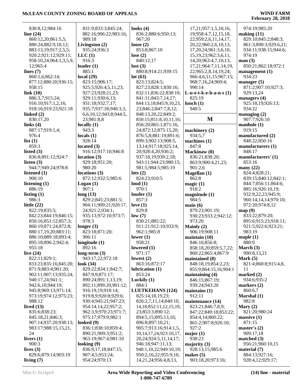| 830:8,12;984:16                     | 831:9;833:3;845:24;              | looks $(4)$                                         | 17,21;957:1,5,10,16,             | 974:19:985:20                      |
|-------------------------------------|----------------------------------|-----------------------------------------------------|----------------------------------|------------------------------------|
| line $(24)$                         | 882:16;906:22;983:16;            | 836:2;880:6;950:13;                                 | 19;958:4,7,12,15,18,             | making $(11)$                      |
| 860:12,20;861:5,5;                  | 989:18                           | 967:20                                              | 22;959:2,6,11,14,17,             | 829:10;845:2;848:3;                |
| 880:24;882:9,10,12;                 | Livingston $(2)$                 | loose $(2)$                                         | 20,22;960:2,6,10,13,             | 861:3;890:3;929:6,21;              |
|                                     |                                  |                                                     |                                  |                                    |
| 883:13,19;917:2,5,5;                | 935:24;936:3                     | 853:8;867:10                                        | 17, 20, 24; 961: 3, 6, 10,       | 934:11;938:15;944:6;               |
| 920:2;921:12;929:11;                | LLC(1)                           | lose $(2)$                                          | 15, 19, 23; 962: 3, 6, 11,       | 974:19                             |
| 958:10,24;964:1,3,5,9,              | 916:3                            | 840:12,17                                           | 14, 20; 963: 4, 7, 10, 13,       | man(3)                             |
| 12;965:4                            | loader $(1)$                     | lost(3)                                             | 17,21;964:7,11,14,19,            | 850:21;862:18;972:1                |
| lines $(7)$                         | 885:1                            | 880:8;914:21;939:15                                 | 22;965:2,8,14,19,24;             | management $(1)$                   |
| 860:1,6;862:14;                     | local $(29)$                     | lot(63)                                             | 966:4,6,11,15;967:15;            | 934:23                             |
| 877:12;880:20;936:15;               | 823:15;906:17;                   | 823:13;824:5;                                       | 968:7,16,24;969:4;               | manager $(5)$                      |
| 958:15                              | 925:5;926:4,5,11,23;             | 827:23;828:1;830:16;                                | 990:14                           | 871:2;907:10;927:3;                |
|                                     |                                  |                                                     |                                  |                                    |
| link(10)                            | 927:23;928:21,23;                | 832:11;836:22;838:10;                               | $L-u-e-t-k-e-h-a-n-s(1)$         | 929:13,24                          |
| 886:3,7;915:24;                     | 929:11;930:6,13;                 | 841:11;843:7,14,17;                                 | 825:19                           | managers (4)                       |
| 916:10;917:1,2,16;                  | 931:18;932:7,17;                 | 844:13,18;845:9,10,23,                              | lunch $(1)$                      | 925:18,19;926:13;                  |
| 918:16;919:23;921:18                | 935:7;937:18;940:3,3,            | 23;846:2;847:7,8,12;                                | 940:5                            | 934:22                             |
| linked $(2)$                        | 6,6,10,12;943:8;944:5,           | 848:13,20,22;849:2;                                 |                                  | managing $(2)$                     |
| 830:17,20                           | 23;981:8,8                       | 850:15;851:8,10,11,16;                              | M                                | 907:7;926:10                       |
| links $(4)$                         | locally $(1)$                    | 856:20;865:1;871:16,                                |                                  | manhole(1)                         |
| 887:17;919:1,4;                     | 943:3                            | 24;872:12;875:15,20;                                | machinery $(2)$                  | 919:15                             |
| 976:4                               | locals $(1)$                     | 876:5,8;881:19;891:6;                               | 934:5,7                          | manufactured (2)                   |
|                                     |                                  |                                                     |                                  |                                    |
| list $(1)$                          | 928:14                           | 899:3;902:13;908:5,                                 | machines (1)                     | 848:22;850:16                      |
| 859:3                               | located $(3)$                    | 13, 14; 917: 18; 925: 14,                           | 847:8                            | manufacturers (1)                  |
| listed $(3)$                        | 916:12;917:10;946:8              | 20;928:4,20;936:2;                                  | Mackinaw (8)                     | 848:17                             |
| 836:8;891:12;924:7                  | location(3)                      | 937:18,19;939:2,18;                                 | 836:21;838:20;                   | manufacturers' (1)                 |
| listen $(3)$                        | 929:18;951:20;                   | 943:11;944:23;980:15;                               | 863:9;900:4,21,23;               | 853:16                             |
| 944:7;949:24;978:8                  | 980:20                           | 981:5;984:5;985:19                                  | 901:2,6                          | many $(22)$                        |
| listened $(1)$                      | locations (3)                    | $\text{lots}$ (2)                                   | Magellan (1)                     | 824:4;828:21;                      |
| 900:10                              | 872:12;932:5;985:6               | 824:23;910:5                                        | 862:8                            | 839:15;840:12;842:1;               |
| listening $(1)$                     | Logan(1)                         | loud(1)                                             |                                  | 844:7;856:11;864:6;                |
|                                     |                                  |                                                     | magic $(1)$                      |                                    |
| 886:19                              | 907:1                            | 970:1                                               | 918:2                            | 885:16;926:10,19;                  |
| listing $(1)$                       | long(13)                         | louder $(1)$                                        | magnitude(1)                     | 932:9,22,23;945:9;                 |
| 986:3                               | 829:2;845:23;881:5;              | 857:3                                               | 984:5                            | 960:14,14,14;970:10;               |
| little $(22)$                       | 904:11;909:21;920:17,            | love $(1)$                                          | main(6)                          | 972:20;974:8,12                    |
| 822:19;835:5;                       | 24;921:2;934:1;                  | 829:8                                               | 879:23;901:19;                   | map(9)                             |
| 842:23;844:19;846:15;               | 935:13;972:10;973:7;             | low(7)                                              | 930:23;933:2;942:12;             | 833:22;879:20;                     |
| 850:16;851:12;857:3;                | 978:3                            | 830:21;885:22;                                      | 973:20                           | 895:6;915:23;918:11;               |
| 860:19;871:24;872:8;                | longer $(3)$                     | 911:21;912:10;933:9;                                | Mainly $(2)$                     | 921:5;922:6;923:21;                |
| 880:17,19,20;883:11;                | 823:18;871:20;                   | 962:1;985:8                                         | 906:19;908:11                    | 983:19                             |
|                                     | 906:11                           | lower $(1)$                                         |                                  | maple $(1)$                        |
| 886:10;889:18;893:4;                |                                  |                                                     | maintain(10)                     |                                    |
| 895:18;896:2;942:4;                 | longitude $(1)$                  | 958:21                                              | 846:16;856:8;                    | 880:9                              |
| 955:18                              | 892:16                           | lowered $(1)$                                       | 858:18,20;859:5,7,22;            | March $(3)$                        |
| live $(24)$                         | long-term $(3)$                  | 971:17                                              | 860:22;865:4;867:9               | 990:8,13,21                        |
| 822:11;829:1;                       | 943:17,22;972:18                 | lowest $(2)$                                        | maintained (8)                   | Mark $(5)$                         |
| 833:23;835:16;845:20;               | look $(34)$                      | 863:16;872:17                                       | 848:18,19;854:2,23;              | 821:4;860:8;915:4,8,               |
| 871:9;883:4;901:20;                 | 829:22;834:1;842:7;              | lubrication (1)                                     | 855:9;864:15,16;904:1            | 11                                 |
| 902:11;907:13;935:24;               | 847:9,9;871:17;                  | 853:24                                              | maintaining $(4)$                | marked (2)                         |
| 940:17,24;941:1;                    | 890:24;891:1,13,19;              | Luckily $(1)$                                       | 846:15;867:19;                   | 934:6;935:2                        |
| 942:6, 10; 944: 19;                 | 892:11;899:20;901:12;            | 884:1                                               | 939:24;943:20                    | markers $(2)$                      |
| 945:8;969:13;971:14;                | 916:19,19;918:14;                | <b>LUETKEHANS (124)</b>                             |                                  | 860:6,7                            |
|                                     |                                  |                                                     | maintains $(1)$                  |                                    |
| 973:19;974:12;975:23;               | 919:8,9;920:8;929:6;             | 825:14,18,19,23;                                    | 912:11                           | Marshal (1)                        |
| 988:12                              | 930:4;945:21;947:23;             | 826:2,7,11,14;840:10,                               | maintenance (14)                 | 982:8                              |
| lived $(13)$                        | 954:14,14,22;957:2;              | 14, 18; 852: 11, 12, 15, 19,                        | 823:21;846:7,8,9;                | Mary $(2)$                         |
| 835:6;838:23;                       | 962:3,9;970:23;971:7;            | 23;853:3;890:12;                                    | 847:22;849:18;853:22;            | 821:20;980:24                      |
| 845:18,21;846:3;                    | 975:17;979:9;982:1               | 894:5,15;895:13,16;                                 | 854:4,14;860:22;                 | massive(1)                         |
| 907:14;937:20;938:13;               | looked $(9)$                     | 896:8;897:10,21;                                    | 861:2;907:8;926:10;              | 871:15                             |
| 983:17;988:15,15,21,                | 836:1;838:10;859:4;              | 905:7;913:16;914:1,5,                               | 927:2                            | master's $(2)$                     |
| 24                                  | 890:21;909:3;951:2;              | 10, 14, 17, 24; 923: 10, 17,                        | major $(1)$                      | 909:17,18                          |
| livers $(1)$                        | 963:19;967:4;981:10              | 20, 24; 924: 5, 11, 14, 17;                         | 938:23                           | matched $(3)$                      |
| 900:3                               |                                  |                                                     |                                  |                                    |
|                                     |                                  |                                                     |                                  |                                    |
|                                     | looking $(9)$                    | 946:18;947:11,13;                                   | majority $(3)$                   | 956:21;960:10,15                   |
| lives $(3)$                         | 836:9,17,18;847:15;              | 948:1,10,22;949:10,19;                              | 928:13,15;985:6                  | material $(7)$                     |
| 829:6;879:14;903:19<br>living $(7)$ | 907:4,5;953:24;<br>954:24;970:13 | 950:2,16,22;955:9,10,<br>14, 21, 24; 956: 4, 8, 13, | makes $(5)$<br>903:18,20;973:16; | 884:13;927:16;<br>928:4,12;929:17; |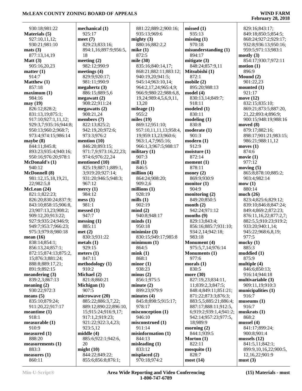| 930:18;981:22         | mechanical (1)        | 881:22;889:2;900:16;   |
|-----------------------|-----------------------|------------------------|
| Materials (5)         | 925:17                | 935:13;969:6           |
|                       |                       |                        |
| 927:10,11,12;         | meet $(7)$            | mighty $(3)$           |
| 930:21;981:10         | 829:23;833:16;        | 880:16;882:2,2         |
| mats(3)               | 894:1,16;897:9;956:5, | mike $(1)$             |
| 877:13,14,19          | 18                    | 872:5                  |
| Matt $(3)$            | meeting $(2)$         | mile (30)              |
| 905:16,20,23          | 982:12;990:9          | 835:16;840:14,17;      |
| matter $(1)$          | meetings $(4)$        | 868:21;882:11;883:12;  |
| 914:7                 | 829:9;920:17;         | 940:19,20;941:5;       |
| Matthew (1)           | 981:11;990:9          | 945:14;963:10,14;      |
| 857:18                | megahertz $(3)$       | 964:2,17,24;965:4,9;   |
| maximum (1)           | 886:15;889:5,6        | 966:9;980:22;988:6,8,  |
| 984:16                | megawatt(2)           | 19,24;989:4,5,6,9,11,  |
| may (19)              | 908:22;911:24         | 13,20                  |
| 826:12;828:2;         | megawatts (2)         | mileage $(1)$          |
|                       |                       |                        |
| 831:13,19;875:1;      | 908:21,24             | 955:2                  |
| 917:10;927:1,11,12;   | members (7)           | miles $(19)$           |
| 929:3,7;935:16;944:8; | 822:13;825:2;         | 869:12;951:10;         |
| 950:13;960:2;968:7;   | 942:19,20;972:6;      | 957:10,11,11,13;958:4, |
| 973:4;974:15;986:14   | 973:3;976:2           | 19;959:13,23;960:6;    |
| maybe (8)             | mention $(10)$        | 963:1,4,7;965:16;      |
| 844:11;845:8;         | 846:20;893:15;        | 966:1,3;967:5;988:17   |
| 893:23;935:4;940:16;  | 971:7,9;973:16,22,23; | military $(1)$         |
| 950:16;976:20;978:1   | 974:6;976:22,24       | 907:3                  |
| McDonald's (1)        | mentioned (10)        | mill $(1)$             |
| 940:12                | 825:19;887:1;889:1,   | 846:5                  |
| McDonnell (8)         | 3;919:20;927:14;      | million $(4)$          |
| 981:12,15,18,19,21,   | 931:20;946:5;948:3;   | 864:24;908:20;         |
| 22;982:5,8            | 967:12                | 909:2,6                |
| McLean (24)           | mercy $(1)$           | millions $(1)$         |
| 821:1;822:23;         | 984:12                | 928:19                 |
| 826:20;830:24;837:9;  | mess(1)               | mills $(1)$            |
| 843:10;858:15;906:8,  | 981:1                 | 902:19                 |
| 23;907:13,23;908:2;   | messed (1)            | mind(2)                |
| 909:12,20;913:22;     | 947:7                 | 940:8;948:17           |
| 927:9;935:24;946:9;   | messing(1)            | minds(1)               |
| 949:7;953:7;966:23;   | 885:11                | 950:18                 |
| 975:3;979:8;980:18    | met(2)                | minimize $(3)$         |
| mean (16)             | 830:3;931:22          | 830:15;949:17;985:8    |
| 838:14;854:1;         |                       | minimum(1)             |
|                       | metals(1)<br>929:15   |                        |
| 856:13,24;857:1;      |                       | 864:5                  |
| 872:15;874:13;875:2,  | meters $(1)$          | mink(1)                |
| 15;876:3;881:24;      | 847:11                | 868:1                  |
| 888:8;889:17,21;      | methodology (1)       | minor(1)               |
| 891:9;892:15          | 910:2                 | 938:23                 |
| meandering (3)        | Michael (2)           | minus(2)               |
| 839:2,3;867:13        | 821:8;860:21          | 856:1;975:5            |
| meaning(2)            | Michigan (1)          | minute (2)             |
| 930:22;972:3          | 907:5                 | 899:23;979:9           |
| means (5)             | microwave (20)        | minutes $(4)$          |
| 835:10;879:24;        | 885:22;886:3,7,22;    | 845:8;898:5;915:17;    |
| 911:20,22;917:17      | 889:12:890:22:896:10. | 978:17                 |
| meantime (1)          | 15;915:24;916:9,17;   | misconception (1)      |
| 918:1                 | 917:1,2;919:23;       | 946:10                 |
| measurable (1)        | 921:22;922:3,4,23;    | misconstrued (1)       |
| 910:9                 | 923:5,12              | 911:14                 |
| measured (1)          | middle $(4)$          | misinformation (1)     |
| 888:20                | 885:6;922:1;942:6,    | 844:13                 |
| measurements (1)      | 20                    | misleading $(1)$       |
| 883:3                 | might $(10)$          | 833:12                 |
| measures (1)          | 844:22;849:22;        | misplaced $(2)$        |
| 860:11                | 855:6;856:8;876:1;    | 970:18;974:2           |

2:900:16; 1;883:12; 2:988:6,8,  $5,6,9,11,$  957:10,11,11,13;958:4, :5:988:17 830:15;949:17;985:8 **missed (1)** 935:13 **missing (1)** 970:18 **misunderstanding (1)** 894:17 **mitigate (3)** 848:24;857:9,11 **Mitsubishi (1)** 872:1 **mobile (2)** 895:20;988:13 **model (4)** 830:13,14;849:7; 918:11 **modeled (1)** 830:11 **modeling (1)** 830:8 **moderate (1)** 901:3 **modern (1)** 912:9 **moisture (1)** 872:14 **moment (1)** 878:11 **money (2)** 869:9;930:9 **monitor (1)** 904:9 **monitoring (2)** 849:20;850:5 **month (2)** 942:24;971:12 **months (9)** 829:13;843:4; 856:16;885:7;931:10; 934:2,14;942:18; 983:18 **Monument (4)** 975:5,7,14;976:14 **Monuments (1)** 977:6 **morals (1)** 830:5 **more (30)** 827:19,23;834:11, 11;839:2,3;847:5; 848:4;849:11;851:21; 871:22;873:3;876:3; 883:5,5;885:21;886:4; 887:17;888:11;912:5, 6;919:2;939:1,4;941:2; 942:14;957:23;977:5, 18;989:9 **morning (2)** 844:1;939:5 **Morton (1)** 822:11 **mosquito (1)** 828:7 **most (14)**

 829:16;843:17; 849:18;850:5;854:5; 868:24;927:2;929:17; 932:8;936:13;950:16; 959:5;971:13;983:1 **mostly (3)** 854:17;930:7;972:11 **motion (1)** 896:9 **Mound (2)** 901:22,23 **mounted (1)** 921:17 **move (12)** 832:15;835:10; 869:21;873:5;887:20, 21,22;893:4;896:9; 900:15;948:19;988:16 **moved (8)** 879:17;882:16; 898:17;901:21;983:15; 986:21;988:11,12 **moves (1)** 874:6 **movie (1)** 977:12 **moving (5)** 865:8;878:10;885:2; 903:4;982:14 **mow (1)** 880:14 **much (26)** 823:4;825:6;829:12; 839:10;846:8;847:24; 849:4;869:2;872:23; 876:11,16,22;877:2,7; 882:5,5;910:23;919:2; 933:20;940:1,14; 945:22;968:6,8,19; 977:5 **mucky (1)** 885:3 **muddied (1)** 875:9 **multiple (4)** 846:6;850:13; 916:14;944:18 **multivariable (3)** 909:11,19;910:3 **municipalities (1)** 916:7 **museums (1)** 916:7 **muskrats (1)** 868:2 **mussel (4)** 841:17;899:24; 900:8;901:4 **mussels (12)** 841:5,11;842:1; 899:9,10,16,22;900:5, 12,16,22;901:9 **must (3)**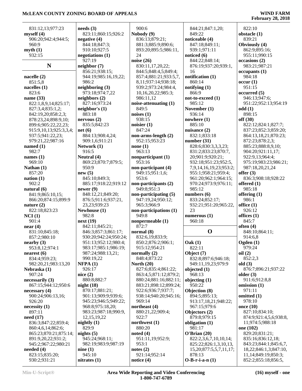| 831:12,13;977:23               | $\boldsymbol{\text{needs}}$ (3)              | 900:6                          | 844:21;847:1,20;                  | 822:10                                          |
|--------------------------------|----------------------------------------------|--------------------------------|-----------------------------------|-------------------------------------------------|
| myself(4)                      | 823:11;860:15;926:2                          | Nobody (9)                     | 849:22                            | obstacle (1)                                    |
| 906:20;942:4;944:5;            | negative $(4)$                               | 836:13;879:21;                 | noticeable (4)                    | 839:21                                          |
| 960:9                          | 844:18;847:3;                                | 881:3;885:9;890:6;             | 847:18;849:11;                    | Obviously (4)                                   |
| myth(1)                        | 910:10:927:5                                 | 893:20;895:5;986:11,           | 939:1;971:11                      | 862:9;895:16;                                   |
| 932:15                         | negotiations (1)                             | 24                             | noticed (6)                       | 955:11;990:15                                   |
|                                | 927:19                                       | noise $(26)$                   | 844:22;848:14;                    | occasions (2)                                   |
| N                              | neighbor (7)                                 | 830:11,17,20,22;               | 876:19;937:20;939:1,              | 983:21;987:21                                   |
|                                | 856:21;938:15;                               | 844:5;848:4,5;849:4;           | 16                                | occupants(1)                                    |
| nacelle (2)                    | 944:19;985:16,19,22;                         | 857:4;881:21;933:5,7,          | notification $(1)$                | 984:18                                          |
| 851:5,8                        | 986:2                                        | 8,11;937:14;938:18;            | 860:14                            | occur(1)                                        |
| nacelles $(1)$                 | neighboring (3)                              | 939:2;973:24;984:4,            | notifying (1)                     | 951:15                                          |
| 823:6                          | 973:18;974:7,22                              | 10,16,20,22;985:3;             | 866:9                             | occurred(5)                                     |
| name $(33)$                    | neighbors (2)                                | 986:11,12                      | not-to-exceed (1)                 | 946:13;947:6;                                   |
| 822:1,8,9,14;825:17;           | 827:16;973:24                                | noise-attenuating (1)          | 985:12                            | 951:22;952:13;954:19                            |
| 827:3,4;835:1,2;               | neighbor's $(1)$                             | 849:5                          | November (1)                      | odd(1)                                          |
| 842:19,20;858:2,3;             | 883:18                                       | noises $(1)$                   | 936:14                            | 898:15                                          |
| 878:23,24;898:9,10;            | nervous(2)                                   | 938:15                         | nowhere $(1)$                     | off(30)                                         |
| 899:6;905:22,22,23;            | 835:5;842:23                                 | noisier $(1)$                  | 885:10                            | 822:12;824:1;827:7;                             |
| 915:9,10,13;925:3,3,4;         | net(6)                                       | 847:24                         | nuisance (2)                      | 837:23;852:3;859:20;                            |
| 937:5;941:22,23;               | 884:13;908:4,24;                             | non-arms-length (2)            | 832:1;833:18                      | 864:13,18,21;870:23;                            |
| 979:21,22;987:16               | 909:1,6;911:21                               | 952:15;953:23                  | number $(31)$                     | 872:23;878:2,3;                                 |
| named $(1)$                    | Network (1)                                  | none $(1)$                     | 828:6;830:3,3,3,23;               | 885:23;888:8,9,10;                              |
| 982:7                          | 916:5                                        | 963:13                         | 831:2;833:23;870:7,               | 904:20;921:11,17;                               |
| names $(1)$                    | Neutral (4)                                  | nonparticipant (1)             | 20;901:9;920:21;                  | 922:9,13;964:4;                                 |
| 969:10                         | 869:23;870:7;879:5;                          | 953:16                         | 932:18;951:23;952:5,              | 975:19;983:23;986:21;                           |
| Nathan $(1)$                   | 950:9                                        | non-participant (4)            | 7,9,14,16,19,23;953:2;            | 987:18,20,21,24                                 |
| 857:20                         | new(5)                                       | 949:15;951:1,6;                | 955:1;958:21;959:4;               | offer $(3)$                                     |
| nation(1)                      | 845:10;849:3;                                | 953:6                          | 961:20;962:1;964:15;              | 836:3;908:18;928:22                             |
| 902:2                          | 885:17;918:22;919:12                         | non-participants (2)           | 970:24;973:9;976:11;              | offered $(1)$                                   |
| natural $(6)$                  | newer $(9)$                                  | 949:8;951:3                    | 985:12                            | 985:18                                          |
|                                |                                              |                                |                                   |                                                 |
|                                |                                              |                                |                                   |                                                 |
| 841:9;865:10,15;               | 848:12,21;849:20;                            | non-participating (5)          | numbers $(6)$                     | offering $(1)$                                  |
| 866:20;874:15;899:9            | 876:5;911:6;937:21,                          | 947:19,24;950:12;              | 833:24;852:17;                    | 986:1                                           |
| nature $(2)$                   | 23, 23; 939: 23                              | 965:3;966:9                    | 932:21;951:20;965:22,             | office $(1)$                                    |
| 822:18;823:23                  | Newhouse (1)                                 | non-participations (1)         | 23                                | 926:12                                          |
| NCI(1)                         | 982:8                                        | 949:8                          | numerous $(1)$                    | offices $(1)$                                   |
| 901:4                          | next(19)                                     | nonpermeable (1)               | 960:18                            | 845:7                                           |
| near(4)                        | 842:11;845:21;                               | 872:7                          |                                   | often $(4)$                                     |
| 831:10;845:18;                 | 846:3;857:3;861:17;                          | normal $(8)$                   | $\mathbf 0$                       | 848:10;864:11;                                  |
| 857:2;980:10                   | 930:20;942:24;950:24;                        | 832:6,19;833:9;                |                                   | 914:6,8                                         |
| nearly (3)                     | 951:13;952:12;980:4;<br>983:17;985:1;986:19; | 850:2;876:2;906:1;             | Oak(1)                            | Ogden (1)<br>979:24                             |
| 953:8,12;974:1                 |                                              | 915:12;954:21                  | 822:11                            |                                                 |
| nearest $(6)$<br>834:4;959:23; | 987:24;988:13,21;<br>990:19,22               | normally $(2)$<br>848:4;873:22 | Object (7)<br>832:8;897:6;946:18; | oil(2)<br>852:2,3                               |
| 982:20,21;983:13,20            | NFPA(1)                                      | North $(20)$                   | 949:11,19,23;979:9                | old(3)                                          |
| Nebraska (1)                   | 926:17                                       | 827:6;835:4;861:22;            | objected $(1)$                    | 876:7;896:21;937:22                             |
| 907:24                         | nice(2)                                      | 863:4,5;871:12;879:2;          | 968:13                            | older $(3)$                                     |
| necessarily (3)                | 880:8;882:7                                  | 880:24;881:16;882:11;          |                                   | 911:6;912:8,8                                   |
| 867:15;944:12;950:6            | night $(18)$                                 | 883:21;898:12;899:24;          | objecting (1)<br>950:22           | omission $(1)$                                  |
| necessary $(4)$                | 870:17;881:21;                               | 922:6;936:7;937:7;             | Objection (8)                     | 971:11                                          |
| 900:24;906:13,16;              | 901:13;909:9;939:6;                          | 938:14;940:20;945:16;          | 894:5;895:13;                     | omitted (1)                                     |
| 926:20                         | 945:23;946:5;949:22;                         | 969:14                         | 913:17,18,21;948:22;              | 978:10                                          |
| necessity(1)                   | 968:8;975:18,20;                             | northeast (4)                  | 967:15;979:6                      | once $(10)$                                     |
| 897:11                         | 983:23;987:18;990:9,                         | 880:21,22;909:4;               | Objectors (2)                     | 827:10;834:10;                                  |
| need $(17)$                    | 12, 15, 19, 22                               | 922:7                          | 879:8;979:15                      | 874:9;921:4,5,6;938:8,                          |
| 836:3;847:22;859:4;            | nightly $(1)$                                | northwest $(1)$                | obligation (1)                    | 11;974:5;988:18                                 |
| 860:4,6,14;862:6;              | 829:9                                        | 880:20                         | 981:17                            | one (102)                                       |
| 865:23;870:21;875:14;          | nights $(5)$                                 | noted $(4)$                    | O'Brian(20)                       | 829:20;831:21;                                  |
| 891:9,20,22;931:2;             | 945:24;968:11;                               | 951:11,19;952:9;               | 822:2,3,6,7,10,10,14;             | 835:16;836:12,18;                               |
| 945:2;967:22;980:21            | 982:19;983:9;987:19                          | 953:1                          | 825:22;826:1,3,10,13,             | 843:23;844:1;845:6,7,                           |
| needed $(4)$                   | nine(1)                                      | notes $(2)$                    | 15,20;877:5,5,7,11,17;            | 18,22;846:1,3;847:10,                           |
| 823:15;835:20;<br>930:2;931:21 | 945:10<br>nitrates $(1)$                     | 921:14;952:14<br>notice $(4)$  | 878:13<br>$O-B-r-i-a-n(1)$        | 11, 14; 849: 19; 850: 3;<br>852:2;855:18;856:5, |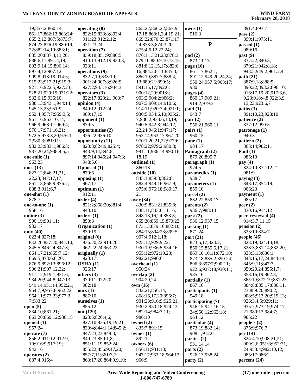| 19;857:2;860:14;                 | operating (8)         | 865:22;866:22;867:9,      | owns(1)              | 891:4;893:7           |
|----------------------------------|-----------------------|---------------------------|----------------------|-----------------------|
| 861:17;862:13;863:24;            | 822:15;833:8;893:4;   | 17,18;868:1,3,4,19,21;    | 916:3                | pass $(2)$            |
| 865:2,12;867:5;873:7;            | 911:23;912:2,12;      | 869:22;870:23;871:17,     |                      | 899:11;975:11         |
| 874:23;876:19;880:19,            | 921:23,24             | 24;873:3;874:3,20;        | ${\bf P}$            | passed $(1)$          |
| 22;882:14,19;883:1;              | operation (7)         | 875:4,6,12,22,24;         |                      | 980:16                |
| 885:20;887:4,13,20;              | 839:18;851:9;880:5;   | 876:1,13,21,23;878:3;     |                      |                       |
|                                  |                       |                           | pad(2)               | past (9)              |
| 888:6,11;891:4,19;               | 910:13;912:19;930:3;  | 879:10;880:9,10,13,15;    | 873:11,13            | 837:22;840:3;         |
| 893:9,14,15;896:14;              | 933:11                | 881:8, 12, 15, 17; 882:6, | page $(10)$          | 870:21;942:8,18;      |
| 897:4,12;907:12;                 | operations (9)        | 16;884:2,6,11;885:3;      | 861:17;862:1;        | 943:5;949:2;961:2,4   |
| 909:8;913:19;914:5;              | 832:7,19;833:10;      | 886:19;887:7;888:4,       | 891:12:949:20,24,24; | path(21)              |
| 915:23;917:21;919:3;             | 901:24;907:8;926:9;   | 13;889:21;890:5;          | 950:24;957:5;968:17; | 887:9,18;888:5;       |
| 921:16;922:5;927:23;             | 927:2;943:16;944:3    | 891:15,17;892:6;          | 980:1                | 890:22;893:2;896:10;  |
| 928:21;929:19;931:22;            | operators $(3)$       | 900:12,20;901:8;          | pages $(4)$          | 916:17,19,20;917:3,6, |
| 932:6,15;936:10;                 | 822:17;823:21;903:7   | 903:2;904:2;906:2;        | 860:17;909:21;       | 9,23;918:4,8;922:3,9, |
| 938:13;943:1;944:14;             | opinion $(4)$         | 907:3;909:14;910:6;       | 914:2;979:2          | 13,23;923:6,7         |
| 945:13,23;951:9;                 | 849:12;912:24;        | 914:11;920:3,4;921:1;     | paid(1)              | paths (3)             |
| 952:4;957:7;959:3,5;             | 989:17,19             | 930:5;934:6,10;935:2,     | 943:7                | 891:10,23;928:10      |
| 961:16;963:10,14;                |                       | 7;936:2;938:6,13,19;      | pair(2)              |                       |
|                                  | opponent (1)          |                           |                      | patience (2)          |
| 966:9;968:17;969:4;              | 879:5                 | 940:5;942:3;944:12,       | 956:21;960:11        | 837:12;990:5          |
| 970:17;971:16,21;                | opportunities (2)     | 22,24;946:1;947:17;       | pairs(1)             | patronage (1)         |
| 972:5;973:3,20;976:1,            | 926:22;936:10         | 953:14;963:17;967:20;     | 960:15               | 940:3                 |
| 2;980:3;981:11;                  | opportunity (11)      | 970:1,20,21,22;977:6;     | pane(1)              | pattern $(2)$         |
| 982:23;983:1;986:3;              | 823:8;824:9;825:4;    | 978:22;979:2;980:3;       | 984:17               | 863:14;982:11         |
| 987:20,24;988:4,5,5              | 843:9,14;894:8;       | 981:11;986:14;990:16,     | Pantagraph (2)       | Paul $(1)$            |
| one-mile $(1)$                   | 897:14;946:24;947:3;  | 18,19                     | 879:20;895:7         | 985:10                |
| 963:23                           | 948:5,6               | outlined (1)              | paragnch(1)          | pay $(4)$             |
| ones $(13)$                      | Opposed (1)           | 860:18                    | 974:5                | 824:10;872:12,21;     |
| 827:12;846:21,21,                | 879:6                 | outside (10)              | paramedics (1)       | 981:9                 |
| 22, 23; 847: 17, 17;             | opposing (1)          | 845:1;859:3;862:8;        | 938:7                | paying $(3)$          |
|                                  |                       |                           |                      |                       |
| 861:18;868:9;876:7;              | 967:17                | 883:4;949:16;967:9;       | parameters (1)       | 848:17;854:19;        |
| 888:3;911:6,7                    | optimum (1)           | 975:6;976:18;980:17,      | 859:10               | 906:23                |
| one-shot (1)                     | 912:11                | 21                        | parcel (2)           | payment $(1)$         |
|                                  |                       |                           |                      |                       |
| 878:7                            | order(4)              | over (34)                 | 832:22;859:17        | 985:17                |
| one-to-one $(1)$                 | 821:2;868:20;881:4;   | 830:9;831:21;835:8;       | parents (2)          | peer $(2)$            |
| 958:16                           | 943:10                | 838:11;843:6,11,16;       | 936:7;988:14         | 830:16;914:12         |
| online $(3)$                     | orders(1)             | 848:13,16,24;853:8;       | park(2)              | peer-reviewed (4)     |
|                                  |                       |                           |                      |                       |
| 900:19;901:11;                   | 850:8                 | 855:20;869:15;870:22;     | 936:12;937:15        | 914:3,7,11,15         |
| 932:17                           | Organization (1)      | 873:13;879:16;882:10;     | parking(1)           | pension(2)            |
| only (40)                        | 830:19                | 884:15;894:23;899:5;      | 871:24               | 823:10;824:7          |
| 823:4;827:18;                    | original $(6)$        | 907:4;912:1,18;           | part $(21)$          | people $(46)$         |
| 832:20;837:20;844:10;            | 836:20,22;914:20;     | 925:12:929:9.22:          | 823:5,17;828:2;      | 823:19;824:14,18;     |
| 845:5;846:24;847:3;              | 962:22,24;963:22      | 930:19;936:5;954:16;      | 850:15;855:5,17,21;  | 828:3;831:14;832:20;  |
| 864:17,21;865:7,12;              | originally $(1)$      | 955:12;972:10,23;         | 869:10,10,11;872:10; | 833:3,13;836:1;       |
| 869:5;873:6,6,20;                | 923:17                | 982:21;990:6              | 873:18;885:2;890:24; | 843:15,17,24;844:14;  |
| 876:9;892:13;896:12;             | OSHA(1)               | overhead (1)              | 896:3;897:7;900:11;  | 845:9,11;847:7;       |
| 906:21;907:12,22;                | 926:17                | 950:24                    | 922:6;927:18;930:11; | 850:20,24;855:1,7;    |
| 911:12;919:1;931:6;              | others $(3)$          | overlap $(2)$             | 985:16               | 858:16,19;862:8;      |
| 934:20;944:8;947:13;             | 970:11;972:20;        | 904:20,24                 | partially(1)         | 865:19;872:19;881:23; |
| 949:14;951:14;952:21;            | 982:18                | own (16)                  | 867:16               | 884:8;885:17;886:11,  |
| 954:7,9;957:8;962:22;            | ours $(1)$            | 832:21;856:14;            | participants (1)     | 23;889:20;890:2;      |
|                                  | 887:10                |                           | 949:18               | 908:5;913:20;919:13;  |
| 964:11;973:23;977:3,<br>7:983:22 |                       | 868:16,17,20;896:7;       |                      |                       |
|                                  | ourselves $(1)$       | 901:23;916:9;925:21;      | participating (7)    | 926:3,4,5;929:11;     |
| open $(5)$                       | 855:12                | 930:2;950:18;974:13;      | 946:15;947:16,18,    | 935:7;973:19;974:17,  |
| 834:10;861:21;                   | out (129)             | 982:14;984:3,11;          | 24;950:12;963:18;    | 21;980:13;984:7;      |
| 863:20;869:12;936:15             | 823:5;826:4,6;        | 986:10                    | 964:12               | 985:22                |
| opened $(1)$                     | 827:10;835:19,19,21;  | owned $(2)$               | particular (4)       | people's $(2)$        |
| 957:24                           | 839:4;844:1,14;845:2; | 835:7;891:15              | 873:19;882:14;       | 875:9;976:7           |
| operate $(7)$                    | 847:23,23;848:3;      | owner $(1)$               | 908:1;912:6          | per $(14)$            |
| 856:2;911:12;912:9,              | 849:23;850:1,8;       | 892:1                     | parties $(2)$        | 824:4,10;908:21,21;   |
| 10;916:9;917:19;                 | 851:11,19;852:24;     | owners $(6)$              | 931:14,14            | 909:2,6;951:8;952:21, |
| 942:16                           | 855:22;856:9,17,20;   | 856:11;931:18;            | parts(2)             | 24;953:4;982:10,12;   |
| operates $(2)$                   | 857:7,11;861:3,7;     | 947:17;963:18;964:12;     | 926:13;938:24        | 985:17;986:2          |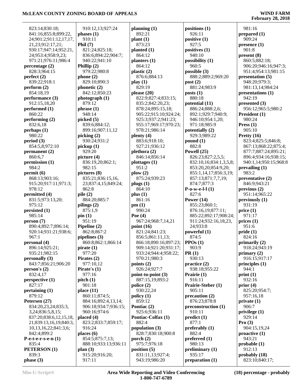| 823:14;830:18;                          | 910:12,13;927:24                     | planning $(1)$              | positions (1)                       |
|-----------------------------------------|--------------------------------------|-----------------------------|-------------------------------------|
| 841:16;855:8;899:22,                    | phases(1)                            | 892:21                      | 926:11                              |
| 24;901:2;911:12,17,17,                  | 910:11                               | plant(1)                    | positive (1)                        |
| 21,23;912:17,21;                        | Phil $(7)$                           | 873:23                      | 927:5                               |
| 930:17;947:14;952:21,                   | 821:24;825:18;                       | planted $(1)$               | positives (1)                       |
| 24;953:4;958:9,23;                      | 836:6;894:22;904:7;                  | 864:12                      | 940:10                              |
| 971:21;976:11;986:4                     | 940:22;941:10                        | planters (1)                | possibility (1)                     |
| percentage (2)                          | Phillip $(2)$                        | 864:12                      | 960:5                               |
| 828:3;964:15                            | 979:22;980:8                         | plastic (2)                 | possible (3)                        |
| perfect(2)                              | phone(2)                             | 876:6;884:13                | 888:2;889:2;969                     |
| 839:22;918:1                            | 829:10;890:3                         | play(1)                     | post(2)                             |
| perform (2)                             | phonetic (2)                         | 829:19                      | 881:24;983:9                        |
| 854:18,19                               | 842:12;850:23                        | please $(20)$               | $\text{posts}(1)$                   |
| performance (3)                         | photograph (1)                       | 822:9;827:4;833:15;         | 880:18                              |
| 912:15,18,20                            | 879:12                               | 835:2;842:20,23;            | potential (11)                      |
| performed $(1)$                         | phrase(1)                            | 878:24;895:15,18;           | 886:24;888:2,6;                     |
| 860:22                                  | 948:14                               | 905:22;915:10;924:24;       | 892:1;929:7;940                     |
| performing (2)                          | picked (5)                           | 925:3;937:2;941:23;         | 946:10;954:1,20                     |
| 832:6,18                                | 839:6;884:12;                        | 955:17;969:17;970:23;       | 971:18;985:9                        |
| perhaps(1)                              | 899:16;907:11,12                     | 978:21;986:14               | potentially (2)                     |
| 980:22                                  | picking (2)                          | plenty (4)                  | 929:3;989:22                        |
| period(3)                               | 930:24;931:2                         | 883:6;918:10;               | $\text{pound}(1)$                   |
| 854:5,8;972:10                          | picture(1)<br>929:20                 | 927:21;936:12               | 882:8                               |
| permanent (2)<br>860:6,7                | picture $(4)$                        | plethora (2)                | Powell (25)                         |
| permission (1)                          |                                      | 846:14;856:14               | 826:23;827:2,5,5                    |
| 984:2                                   | 836:19,20;862:1;<br>982:15           | plottages (1)<br>951:2      | 832:10,16;834:1,<br>853:20,20;854:9 |
| permit(6)                               | pictures (8)                         | $\mathbf{p}$ low $(2)$      | 855:1,14,17;856                     |
| 868:13;903:16;                          | 835:21;836:15,16,                    | 875:24;939:23               | 857:13;871:7,7,1                    |
| 915:20;917:11;971:3;                    | 23;837:4,15;849:24;                  | plugs(1)                    | 874:7;877:3                         |
| 978:12                                  | 862:8                                | 864:10                      | $P-o-w-e-l-1(1)$                    |
| permitted (4)                           | pile(2)                              | plus(1)                     | 827:6                               |
| 831:5;973:13,20;                        | 884:20;885:7                         | 861:16                      | Power $(14)$                        |
| 975:12                                  | pilings (2)                          | pm(1)                       | 855:23;860:1;                       |
| persisted (1)                           | 875:1,9                              | 990:24                      | 876:16,19;877:1                     |
| 985:14                                  | pin(1)                               | Poe $(4)$                   | 885:22;892:17;9                     |
| person (7)                              | 951:19                               | 967:24;968:7,14,21          | 911:24;932:16,1                     |
| 890:4;892:7;896:14;                     | Pipeline (2)                         | point $(16)$                | 24;933:8                            |
| 920:14;931:21;938:6;                    | 862:8;867:2                          | 821:24;841:23;              | powerful (1)                        |
| 967:1                                   | pipelines $(3)$                      | 856:5;861:11,13;            | 874:5                               |
| personal (4)                            | 860:8;862:1;866:14                   | 866:18:890:16:897:23:       | $PPOs (1)$                          |
| 896:14;925:21;                          | pirate(1)                            | 909:14;921:20;931:17;       | 903:9                               |
| 935:21;982:15                           | 977:20                               | 933:24;944:4;958:22;        | PR(1)                               |
| personally (3)                          | Pirates $(2)$                        | 970:21;980:3                | 930:13                              |
| 843:7;856:21;906:20                     | 977:10,12                            | points $(2)$                | practice (2)                        |
| person's(2)                             | Pirate's $(1)$                       | 926:24;927:7                | 938:18;955:22                       |
| 832:4,17                                | 977:16                               | point-to-point (3)          | Prairie (1)                         |
| perspective(1)                          | pitch(1)                             | 887:15,19;893:2             | 916:11                              |
| 827:17                                  | 901:18                               | police(2)                   | Prairie-Steber (1)                  |
| pertaining $(1)$                        | place $(11)$                         | 930:22,24                   | 905:11                              |
| 879:12                                  | 860:11;874:5;                        | policy(1)                   | precaution (2)                      |
| Petersen (27)                           | 884:16;892:4,13,14;                  | 859:12                      | 876:23;878:8                        |
| 834:20,23,24;835:3,<br>3,24;836:5,8,15; | 906:18;934:7;936:15;<br>960:16;974:6 | Pontiac (2)<br>925:6;936:11 | preconstruction (1<br>910:11        |
| 837:20;838:6,12,15,18,                  | placed (4)                           | Pontiac-Colfax (1)          | predict(1)                          |
| 21;839:13,16,19;840:3,                  | 823:2;833:7;859:17;                  | 882:4                       | 877:1                               |
| 10, 13, 16, 22; 841: 3, 6;              | 916:24                               | population (3)              | preferably (1)                      |
| 842:4;899:2                             | places $(6)$                         | 828:7;830:18;900:8          | 882:4                               |
| $P$ -e-t-e-r-s-e-n $(1)$                | 854:5;875:7,13;                      | porch $(2)$                 | preferred $(1)$                     |
| 835:4                                   | 888:10;933:13;936:11                 | 975:7;976:18                | 980:13                              |
| PETERSON (1)                            | plan(3)                              | position(5)                 | preliminary $(1)$                   |
| 839:3                                   | 915:20;916:20;                       | 831:11,13;927:4;            | 935:17                              |
| phase(3)                                | 917:11                               | 943:19;986:20               | preparation (1)                     |

 888:2;889:2;969:20 892:1;929:7;940:9; 946:10;954:1,20; 826:23;827:2,5,5; 832:10,16;834:1,3,5,8; 853:20,20;854:9,20; 855:1,14,17;856:3,19; 857:13;871:7,7,19; 876:16,19;877:11; 885:22;892:17;908:24; 911:24;932:16,18,23, **preconstruction (1)** 981:16 **prepared (1)** 909:24 **presence (1)** 901:8 **present (8)** 860:5;882:18; 906:20;946:16;947:3; 951:4;954:13;981:15 **presentation (5)** 948:20;979:3; 981:13,14;984:24 **presentations (1)** 942:19 **presented (3)** 956:12;965:5;980:2 **President (1)** 980:24 **Press (1)** 905:10 **Pretty (16)** 823:4;825:5;846:8; 867:13;868:22;875:4; 877:7;887:24;895:21; 896:4;934:16;938:15; 940:1,14;950:15;968:8 **prevailing (1)** 983:2 **preventative (2)** 846:9;943:21 **previous (2)** 951:14;965:22 **previously (1)** 931:19 **price (1)** 971:17 **prices (1)** 951:6 **pride (1)** 824:16 **primarily (2)** 918:24;943:19 **primary (2)** 916:15;917:17 **principles (1)** 944:1 **print (1)** 932:16 **prior (4)** 825:20;954:7; 957:16,18 **private (1)** 906:7 **privilege (1)** 929:14 **Pro (3)** 904:15,19,24 **proactive (1)** 943:21 **probable (1)** 912:13 **probably (18)** 823:10;840:17;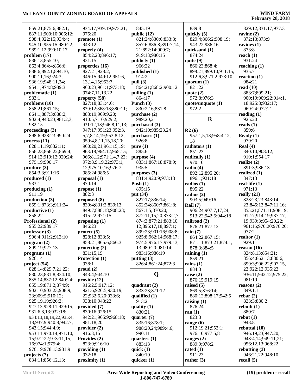| 859:21;875:6;882:1;                 | 934:17;939:19;973:21;                 | 845:19                  | 839:8                  | 829:12;831:17;977:3              |
|-------------------------------------|---------------------------------------|-------------------------|------------------------|----------------------------------|
|                                     | 975:20                                | public $(12)$           | quickly (5)            | ravine $(2)$                     |
| 887:11;900:10;906:12;               |                                       |                         |                        |                                  |
| 908:4;922:15;934:4;                 | promote(1)                            | 821:24;830:6;833:3;     | 829:4;866:2;908:19;    | 872:13;873:9                     |
| 945:10;955:15;980:22;               | 943:12                                | 857:6;886:8;891:7,14,   | 943:22;986:16          | ravines $(1)$                    |
| 989:1,12;990:10,17                  | properly $(4)$                        | 21;892:14;900:7;        | quicksand (1)          | 873:8                            |
| problem(17)                         | 854:2,23;896:17;                      | 919:13;980:15           | 874:24                 | reach $(1)$                      |
|                                     |                                       |                         |                        |                                  |
| 836:13;855:10;                      | 931:15                                | publicly (1)            | quite $(9)$            | 931:24                           |
| 862:4;864:4;866:6;                  | properties (16)                       | 966:22                  | 866:23;868:4;          | reaching $(1)$                   |
| 888:6;892:1;894:10;                 | 827:21;928:2;                         | published (1)           | 898:21;899:10;911:15;  | 935:7                            |
| 900:11,16;924:3;                    | 946:15;949:12;951:6,                  | 914:2                   | 912:6,8;971:2;973:10   | reaction $(1)$                   |
| 936:19;948:11,24;                   | 13, 14, 15; 953: 7;                   | pull (3)                | quorum $(1)$           | 984:21                           |
|                                     |                                       |                         |                        |                                  |
| 954:1;974:8;989:3                   | 960:23;961:1;973:18;                  | 864:21;868:2;900:12     | 821:22                 | read $(10)$                      |
| problematic (1)                     | 974:7,11,13,22                        | pulling $(1)$           | quote $(2)$            | 883:7;899:21;                    |
| 983:1                               | property (58)                         | 864:17                  | 972:8;976:3            | 900:19;909:22;914:1,             |
| problems $(10)$                     | 827:18;831:4,6;                       | Punch $(3)$             | quote/unquote (1)      | 18;925:8;932:17;                 |
| 858:21;861:15;                      | 839:12;868:18;880:11;                 | 830:2,16;831:8          | 972:2                  | 969:24;972:21                    |
|                                     |                                       |                         |                        |                                  |
| 864:1;887:3;888:2;                  | 883:19;909:9,20;                      | purchase (2)            |                        | reading $(1)$                    |
| 902:4;943:23;981:2,3;               | 910:5,7,10;929:2;                     | 989:20,21               | $\mathbf R$            | 925:20                           |
| 982:15                              | 931:12,18;946:8,11,13;                | purchased (3)           |                        | reads $(1)$                      |
| proceedings (3)                     | 947:17;951:23;952:3,                  | 942:10;985:23,24        | R2(6)                  | 859:6                            |
| 898:6;928:23;990:24                 | 5,7,8,14,19;953:8,12;                 | purchases (1)           | 957:1,5,13;958:4,12,   | Ready $(1)$                      |
|                                     |                                       |                         |                        |                                  |
| process(11)                         | 959:4,8,11,15,18,20;                  | 926:8                   | 18                     | 979:20                           |
| 828:11,19;832:11;                   | 960:20,21;961:15,19;                  | pure(1)                 | radiators (1)          | Real $(4)$                       |
| 856:23;866:22;869:4;                | 963:18;964:12;965:15;                 | 885:6                   | 851:23                 | 840:10;908:12;                   |
| 914:13;919:12;920:24;               | 966:8,12;971:1,4,7,22;                | purpose (4)             | radically $(1)$        | 910:1;954:17                     |
| 979:19;990:17                       | 972:8,9,19,22;973:1,                  | 833:1;867:18;878:9;     | 970:10                 | realize $(2)$                    |
|                                     |                                       |                         |                        |                                  |
| produce (3)                         | 12;975:10,16;976:7;                   | 935:5                   | radio $(4)$            | 891:3;986:13                     |
| 854:3,3;911:16                      | 985:24;986:5                          | purposes (3)            | 892:12;895:20;         | realized $(1)$                   |
| produced(1)                         | proposal (1)                          | 831:4;920:9;973:13      | 896:1;921:18           | 847:13                           |
| 933:1                               | 970:14                                | Push $(1)$              | radios $(1)$           | real-life $(1)$                  |
| producing (1)                       | propose(1)                            | 895:15                  | 895:22                 | 971:13                           |
|                                     |                                       |                         |                        |                                  |
| 911:19                              | 882:3                                 | put (34)                | radius $(2)$           | really $(21)$                    |
| production (3)                      | proposed (8)                          | 827:17;836:14;          | 903:5;949:16           | 828:23,23;843:14,                |
| 859:1;873:3;911:24                  | 830:4;831:2;839:13;                   | 852:24;860:7;861:8;     | Rail $(7)$             | 23;845:13;847:11,16;             |
| productive(1)                       | 849:7;888:18;908:23;                  | 867:1,5;870:20;         | 906:24;907:7,17,24;    | 855:21;871:11;908:19;            |
| 858:22                              | 915:22;971:15                         | 872:11,15,20;873:2,7;   | 913:22;942:5;944:18    | 912:7;914:19;937:17,             |
|                                     |                                       |                         |                        |                                  |
| Professional (2)                    | proposing $(1)$                       | 874:3;877:21;883:10,    | railroad (2)           | 19;939:3;954:20,22;              |
| 955:22;989:17                       | 846:23                                | 12;896:17,18;897:1;     | 876:21;877:12          | 961:16;970:20;976:20;            |
| professor $(3)$                     | $\text{protect (5)}$                  | 899:23;901:16;908:8;    | rain(7)                | 977:2                            |
| 906:4;911:2;913:10                  | 828:12;833:5;                         | 925:8;962:14;968:17;    | 864:22;867:15;         | realtor $(1)$                    |
| program (2)                         | 858:21;865:6;866:3                    | 974:5;976:17;979:13,    | 871:11;873:21;874:1;   | 929:1                            |
|                                     |                                       |                         |                        |                                  |
| 899:19;927:13                       | protecting $(2)$                      | 13;980:20;981:14;       | 878:3;884:5            | reason $(16)$                    |
| programs(1)                         | 831:15,19                             | 983:16;986:19           | raining $(1)$          | 824:8,13;854:21;                 |
| 926:14                              | Protection (1)                        | putting $(3)$           | 859:21                 | 856:4;862:13;880:6;              |
| project (54)                        | 938:1                                 | 826:4;861:24;872:3      | rains $(1)$            | 899:3;906:22;907:15,             |
| 828:14;829:7,21,22;                 | prod(2)                               |                         | 884:3                  | 23;922:12;935:23;                |
| 830:23;831:8;834:10;                | 943:4;944:10                          |                         | raise $(2)$            | 936:11;942:12;975:22;            |
|                                     |                                       | Q                       |                        |                                  |
| 835:14;837:12;840:24;               | $\boldsymbol{provide}\left(12\right)$ |                         | 876:15;919:15          | 981:19                           |
| 855:19;871:2;874:9;                 | 916:2,5;917:12;                       | quadrant $(2)$          | raised $(5)$           | reasons $(2)$                    |
| 902:10;903:23;908:9,                | 921:6;926:5;930:19,                   | 833:23;871:12           | 869:5;876:14;          | 849:1,1                          |
| 23;909:5;910:12;                    | 22;932:6,20;933:6;                    | qualified $(1)$         | 880:12;898:17;942:5    | rebar(2)                         |
| 925:19,19;926:2;                    |                                       |                         |                        | 823:3;880:2                      |
|                                     |                                       |                         |                        |                                  |
| 927:13;928:11;929:15;               | 938:10;943:22                         | 913:2                   | raising $(1)$          |                                  |
|                                     | provided (7)                          | quality $(1)$           | 876:24                 | rebuilt $(1)$                    |
| 931:6,8,13;932:18;                  | 830:16;926:15;                        | 830:21                  | ran $(1)$              | 880:7                            |
| 934:13,18,19,22;935:4,              | 942:21;965:9;968:18;                  |                         | 823:3                  | rebut(1)                         |
|                                     |                                       | quarter $(7)$           |                        |                                  |
| 18;937:9;940:8;942:7;               | 981:18,20                             | 835:16;878:1;           | range $(6)$            | 948:8                            |
| 943:15;944:4,9;                     | provider(2)                           | 988:20,24;989:4,6;      | 912:19,21;952:1;       | rebuttal $(10)$                  |
| 953:11;970:14;971:10,               | 916:3,16                              | 990:11                  | 976:10;977:5,8         | 946:19,23;947:20;                |
| 15;972:22;973:11,15,                | Provides (2)                          | quarters $(1)$          | ranges $(2)$           | 948:4,14;949:11,21;              |
| 16;974:1;975:4;                     | 823:9;916:10                          | 883:13                  | 889:9;978:2            | 956:12,13;968:22                 |
|                                     |                                       |                         |                        |                                  |
| 976:19;978:13;981:9                 | providing $(1)$                       | quick $(1)$             | rated $(1)$            | rebutting $(3)$                  |
| projects $(7)$<br>834:11;856:12,13; | 932:18<br>proximity(1)                | 840:10<br>quicker $(1)$ | 911:23<br>rather $(3)$ | 946:21,22;948:10<br>recall $(5)$ |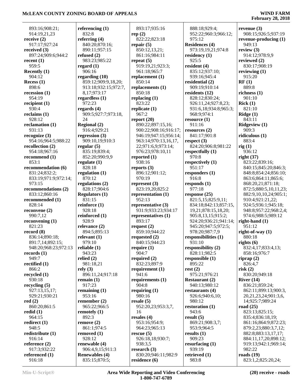### **February 28, 2018**

 893:16;908:21; 914:19,21,23 **receive (2)** 917:17;927:24 **received (3)** 897:24;909:6;944:2 **recent (1)** 959:5 **Recently (1)** 904:12 **Recess (1)** 898:6 **recession (1)** 954:19 **recipient (1)** 930:4 **reclaims (1)** 928:12 **reclamation (1)** 931:13 **recognize (3)** 954:16;964:5;988:22 **recollection (2)** 954:18;967:16 **recommend (1)** 853:1 **recommendation (6)** 831:24;832:2; 833:19;971:9;972:14; 973:15 **recommendations (2)** 833:12;860:16 **recommended (1)** 828:14 **reconvene (2)** 990:7,12 **reconvening (1)** 821:23 **record (8)** 836:14;890:18; 891:7,14;892:15; 948:20;968:23;972:13 **records (1)** 949:7 **rectified (1)** 866:2 **recycled (1)** 930:18 **recycling (5)** 927:13,15,17; 929:21;930:21 **red (2)** 860:20;861:5 **redid (1)** 964:15 **redirect (1)** 948:5 **redistribute (1)** 916:14 **reference (2)** 917:3;932:22 **referenced (1)** 916:18

**referencing (1)** 832:8 **referring (4)** 840:20;870:16; 890:11;957:15 **refused (2)** 983:23;985:22 **regard (1)** 906:16 **regarding (10)** 859:12;909:9,18,20; 913:18;932:15;972:7, 8,17;973:17 **regardless (1)** 972:23 **regards (4)** 909:5;927:7;973:18,  $24$ **Regional (2)** 916:4;929:21 **regression (3)** 909:10,19;910:3 **regular (5)** 835:19;839:4; 852:20;990:9,9 **regulate (1)** 828:18 **regulation (1)** 870:12 **regulations (2)** 828:17;904:6 **Regulators (1)** 831:15 **reinforce (1)** 928:18 **reinforced (1)** 928:9 **relevance (2)** 894:5;895:13 **relevant (1)** 979:10 **reliable (1)** 943:23 **relied (2)** 981:18,21 **rely (3)** 896:11,24;917:18 **remain (1)** 917:23 **remaining (1)** 953:16 **remember (2)** 965:22;966:5 **remotely (1)** 892:3 **remove (2)** 861:1;974:5 **removed (1)** 928:12 **renewable (4)** 906:4,9,15;911:3 **Renewables (4)** 835:15;870:5;

 893:17;935:16 **rep (2)** 822:22;823:18 **repair (5)** 850:12,13,21; 861:16;984:11 **repeat (5)** 919:19,21;923:3; 961:18;965:7 **replacement (1)** 850:14 **replacements (1)** 850:18 **replacing (1)** 823:22 **replicate (1)** 967:2 **report (20)** 890:22;897:15,16; 900:22;908:16;916:17; 946:19;947:15;956:14; 963:14;970:13,16,17, 22;971:6,9;973:14; 976:23;978:10,11 **reported (1)** 938:16 **reports (3)** 896:12;901:12; 970:19 **represent (3)** 823:19,20;825:2 **representation (1)** 952:13 **representative (3)** 931:9;933:23;934:17 **representatives (1)** 893:17 **request (2)** 859:10;944:22 **requested (2)** 840:15;944:23 **require (1)** 904:7 **required (2)** 832:23;897:9 **requirement (1)** 941:6 **requirements (1)** 904:8 **requiring (1)** 980:16 **resale (5)** 952:20,23;953:3,7, 16 **resales (4)** 953:16;954:9; 964:23;965:13 **rescue (5)** 926:18,18;930:7; 938:3,5 **research (3)** 830:20;946:11;982:9 **residence (6)**

 888:18;929:4; 952:22;960:3;966:12; 975:12 **Residences (4)** 973:19,19,21;974:8 **residency (1)** 925:5 **resident (4)** 835:12;937:10; 939:16;945:4 **residential (2)** 909:19;910:14 **residents (12)** 828:12;830:24; 926:11,24;927:8,23; 931:6,18;934:8;965:3; 968:9;974:1 **resource (1)** 911:16 **resources (2)** 841:17;901:8 **respect (3)** 824:20;906:8;981:22 **respectfully (1)** 970:8 **respectively (1)** 951:17 **responders (1)** 916:8 **responds (1)** 977:18 **response (25)** 821:5,15;825:9,11; 834:18;842:13;857:15, 19,21;878:15,18,20; 905:8,13,15;915:2; 924:20;936:21;941:14; 945:20;947:5;972:5; 978:20;987:7,9 **responsibilities (1)** 931:10 **responsibility (2)** 828:11;982:5 **responsible (1)** 895:22 **rest (2)** 975:21;976:21 **Restaurant (2)** 940:13;980:12 **restaurants (4)** 926:6;940:6,10; 980:12 **restoration (1)** 943:6 **result (5)** 869:21;908:3,7; 953:9;964:5 **results (1)** 909:23 **resurfacing (1)** 939:19 **retrieved (1)** 983:8

**revenue (3)** 908:15;926:5;937:19 **revenue-producing (1)** 949:13 **review (3)** 914:12;978:9,9 **reviewed (2)** 830:17;908:19 **reviewing (1)** 915:20 **RF (1)** 889:8 **richness (1)** 901:10 **Rick (1)** 821:10 **Ridge (1)** 843:11 **Ridgeview (1)** 909:3 **ridiculous (1)** 883:4 **rig (1)** 936:12 **right (37)** 823:22;839:16; 840:15;845:20;846:3; 848:8;854:24;856:10; 863:6;864:11;865:6; 868:20,21;871:18; 872:5;880:5,10,11,23; 882:9,10,10,24;905:1; 910:4;921:21,22; 924:5;936:1;945:18; 948:8;957:22;968:2,4; 974:6;988:5;989:12 **right-hand (1)** 951:12 **right-of-way (1)** 880:18 **rights (6)** 832:4,17;833:4,13; 858:16;976:7 **riprap (2)** 826:4,7 **risk (2)** 830:20;949:18 **River (14)** 836:21;859:24; 862:11;899:13;900:3, 20,21,23,24;901:3,6, 14;925:7;989:24 **road (25)** 823:13;825:15; 835:4;836:18,19; 861:16;864:9;872:23; 879:2,23;880:3,7,12; 882:8;883:13,17,17; 884:11,17,20;898:12; 919:13;942:1;969:14; 982:22 **roads (19)** 823:1,2;825:20,24;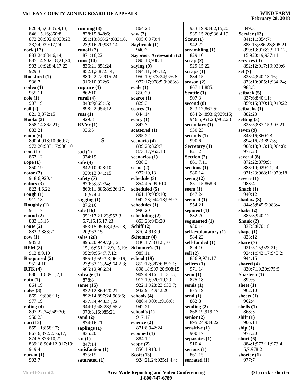| 826:4,5,6;835:9,13;   | running $(8)$          | 864:23                  | 933:19;934:2,15,20;  | 849:3                 |
|-----------------------|------------------------|-------------------------|----------------------|-----------------------|
| 846:15,16;860:8;      | 828:15;848:6;          | saw $(2)$               | 935:15,20;936:4,19   | Service (13)          |
| 872:20;902:6;930:23,  | 851:13;866:24;883:16,  | 895:6;970:4             | Scout $(1)$          | 841:11;854:7;         |
| 23,24;939:17,24       | 23;916:20;933:14       | Saybrook (1)            | 942:22               | 883:13;886:23;895:21; |
| rock $(12)$           | runoff $(2)$           | 940:7                   | scrambling $(1)$     | 899:13;916:3,5,11,12, |
| 883:24;884:6,14;      | 871:16,22              | Saybrook-Arrowsmith (2) | 829:10               | 15;920:19;937:11      |
| 885:14;902:18,21,24;  | runs $(10)$            | 898:18;938:1            | scrap(2)             | services $(3)$        |
| 903:10;928:4,17,22;   | 836:21;851:24;         | saying $(9)$            | 929:15,22            | 892:12;917:19;930:6   |
| 929:3                 | 852:1,3;872:14;        | 894:11;897:12;          | scraps $(1)$         | set $(7)$             |
| Rockford (1)          | 880:22,22;915:24;      | 950:19;973:24;976:8;    | 884:15               | 823:4;840:13,16;      |
| 936:7                 | 916:10;922:6           | 977:17;978:5,9;988:8    | season $(2)$         | 873:10;905:1;934:24;  |
| rodeo(1)              | rupture $(1)$          | scale $(1)$             | 867:11;885:1         | 983:8                 |
| 955:11                | 862:10                 | 850:20                  | Seattle (1)          | setback $(5)$         |
| role(1)               | rural $(4)$            | scarce $(1)$            | 907:3                | 837:6;840:11;         |
| 907:19                | 843:9;869:15;          | 829:3                   | second $(8)$         | 859:15;870:10;940:22  |
| roll(2)               | 898:22;954:12          | scares $(1)$            | 823:17;867:5;        | setbacks $(1)$        |
| 821:3;872:15          | ruts $(1)$             | 844:14                  | 884:24;893:6;939:15; | 882:23                |
| Rooks $(3)$           | 929:8                  | scary $(1)$             | 946:5;951:24;962:23  | setting $(3)$         |
| 858:14;862:21;        | $RV'$ er $(1)$         | 847:7                   | secondary (1)        | 823:5;887:15;903:21   |
| 883:21                | 936:5                  | scattered (1)           | 930:23               | seven $(9)$           |
| room $(6)$            |                        | 895:22                  | seconds $(1)$        | 848:16;860:23;        |
| 890:4;918:10;969:7;   | S                      | scenario (4)            | 990:6                | 894:16,23;897:8;      |
| 972:20;983:17;986:10  |                        | 839:23;869:7;           | Secretary (1)        | 908:18;913:19;964:8;  |
| root $(1)$            | sad $(1)$              | 873:17;952:18           | 821:2                | 977:23                |
| 867:12                | 974:19                 | scenarios $(1)$         | Section (2)          | several $(8)$         |
| rope $(1)$            | safe $(4)$             | 938:3                   | 861:7,11             | 872:22;879:9;         |
| 850:19                | 842:10;928:10;         | scene $(2)$             | sections $(1)$       | 888:10;929:21,24;     |
| rotor(2)              | 939:13;941:15          | 977:10,13               | 980:14               | 931:23;968:11;970:18  |
| 918:6;920:4           | safety $(7)$           | schedule (3)            | seeing $(2)$         | severe $(1)$          |
| rotors $(3)$          | 830:5;852:24;          | 854:4,6;990:10          | 851:15;868:9         | 983:4                 |
| 823:4,6,22            | 860:11;886:8;926:17,   | scheduled (5)           | seem $(1)$           | Shack $(1)$           |
| rough $(1)$           | 18;974:4               | 861:10;939:10;          | 847:24               | 940:12                |
| 911:18                | sagging $(1)$          | 942:23;944:13;969:7     | seemed $(1)$         | shadow $(3)$          |
| Roughly (1)           | 876:16                 | schedules (1)           | 954:21               | 844:5;845:5;983:4     |
| 911:17                | sale (16)              | 990:20                  | segment $(1)$        | shake $(2)$           |
| round $(2)$           | 951:17,21,23;952:3,    | scheduling $(2)$        | 832:20               | 885:3;940:12          |
| 883:15,15             | 5,7,15,15,17,23;       | 853:23;943:20           | segmented (1)        | Shank $(2)$           |
| route $(2)$           | 953:15;959:3,4;961:8,  | Schiff (2)              | 980:14               | 837:8;870:18          |
| 882:3;883:21          | 20;962:15              | 870:4;913:9             | self-explanatory (1) | shape $(1)$           |
| row $(1)$             | sales $(26)$           | Schomer (4)             | 984:22               | 823:12                |
| 935:2                 | 895:20;949:7,8,12,     | 830:1,7;831:8,10        | self-funded (1)      | share $(7)$           |
| RPM(3)                | 15,16;951:1,2,9,15,19; | Schomer's (1)           | 824:10               | 921:5,15;923:21;      |
| 912:8,9,10            | 952:9;954:7,7,12;      | 985:11                  | sell $(2)$           | 924:1;942:17;943:2;   |
| $R$ -squared $(2)$    | 955:1;959:3,3;962:16,  | school (19)             | 856:9;971:17         | 944:15                |
| 951:4,10              | 23;963:13,24;964:2,8;  | 852:12;887:6;896:1;     | sellers $(1)$        | shared $(4)$          |
| RTK(4)                | 965:12;966:24          | 898:18;907:20;908:15;   | 971:14               | 830:7,19,20;975:5     |
| 886:11;889:1,2,11     | salvage (1)            | 909:4;916:11,13,15;     | semi $(1)$           | Shasteen $(1)$        |
| ruin $(1)$            | 878:8                  | 917:19:920:19,20;       | 875:18               | 899:6                 |
| 864:19                | same $(15)$            | 922:1;928:23;930:7;     | semis $(1)$          | sheet $(1)$           |
| rules $(3)$           | 832:12;869:20,21;      | 932:9,14:942:20         | 875:19               | 962:10                |
| 869:19;896:11;        | 892:14;897:24;908:6;   | schools (4)             | send $(1)$           | sheets $(1)$          |
| 977:19                | 937:24;940:21,22;      | 886:4;909:1;916:6;      | 862:8                | 962:4                 |
| ruling $(4)$          | 944:1:948:23:955:2;    | 942:21                  | sending $(2)$        | shells $(1)$          |
| 897:22,24;949:20;     | 970:3,16;985:21        | school's $(1)$          | 868:19;919:13        | 868:3                 |
| 950:23                | sand $(2)$             | 917:17                  | senior $(2)$         | shift $(1)$           |
| run $(13)$            | 874:16,21              | science $(2)$           | 895:24;934:22        | 906:14                |
| 855:11;858:17;        | saplings $(1)$         | 871:8;942:24            | sensitive $(1)$      | ship $(1)$            |
| 867:6;872:2,16,17;    | 835:20                 | scooped $(1)$           | 900:17               | 977:20                |
| 874:5;876:10,21;      | sat(1)                 | 884:12                  | separates $(1)$      | short $(6)$           |
| 889:18;904:12;917:19; | 847:14                 | scope $(2)$             | 910:4                | 884:1;972:11;973:4,   |
| 919:4                 | satisfaction (1)       | 850:1;913:4             | serious $(1)$        | 5,7;978:2             |
| run-in $(1)$          | 835:15                 | Scott $(13)$            | 861:15               | shorter $(1)$         |
| 903:7                 | saturated (1)          | 924:21,24;925:1,4,4;    | serrated $(1)$       | 977:7                 |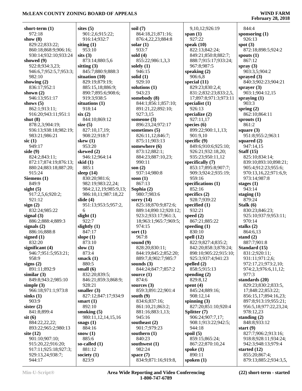| short-term (1)                  | sites $(5)$           |
|---------------------------------|-----------------------|
| 972:18                          | 901:2,6;91            |
| show $(8)$                      | 916:14;93             |
| 829:22;833:22;                  | siting $(1)$          |
| 860:18;868:9;906:16;            | 953:10                |
| 930:14;932:10;933:24            | sits(3)               |
| showed (9)                      | 873:14;88             |
| 922:8;934:3,23;                 | sitting $(3)$         |
| 946:6,7;952:5,7;953:3;          | 845:7;880             |
| 982:10                          | situation (10         |
| showing $(2)$                   | 829:19;87             |
| 836:17;952:1                    | 885:15,18             |
| shown (2)                       | 890:7;895             |
| 946:13;951:17                   | 919:3;938             |
| shows $(5)$                     | situations (1         |
| 862:1;913:11;                   | 918:14                |
| 916:20;943:11;951:1             | six(2)                |
| shut $(8)$                      | 844:10;86             |
| 878:2,3;904:19;                 | size $(5)$            |
| 936:13;938:18;982:19;           | 827:10,17,            |
| 983:21;986:21                   | 908:22;91             |
| sic(1)                          | skew (1)              |
| 949:17                          | 953:20                |
| side (9)                        | skewed (2)            |
| 824:2;843:11;                   | 946:12;96             |
| 872:17;874:19;876:13;           | skid (1)              |
| 880:24;883:18;887:20;           | 885:1                 |
| 915:24                          | sleep (14)            |
| Siemens (1)                     | 830:20;98             |
| 849:9                           | 982:19;98             |
| sight $(5)$                     | 984:2,12,1            |
|                                 |                       |
| 917:2,5,6;920:2;                | 986:10,11             |
| 921:12                          | slide (4)             |
| sign(2)                         | 951:13;95             |
| 832:24;985:22                   | 6                     |
| signal (3)<br>886:2;888:4;889:3 | slight $(1)$<br>922:7 |
|                                 |                       |
| signals $(2)$                   | slightly (1)          |
| 886:16;888:8                    | 847:17                |
| signed (1)                      | slope $(1)$           |
| 832:20                          | 873:10                |
| significant (4)                 | slow $(1)$            |
| 946:7;951:5;953:21;             | 873:4                 |
| 958:9                           | smack $(1)$           |
| signs $(2)$                     | 880:5                 |
| 891:11;892:9                    | small $(6)$           |
| similar(3)                      | 832:20;83             |
| 849:8;943:2;985:10              | 846:21;85             |
| simple $(3)$                    | 928:21                |
| 966:18;971:1;973:8              | smaller $(3)$         |
| sinks(1)                        | 827:12;84             |
| 903:9                           | smart $(1)$           |
| sister $(2)$                    | 892:10                |
| 841:8;899:4                     | smoking $(5)$         |
| $s$ it $(6)$                    | 980:11,12.            |
| 884:22,22,22;                   | snags $(1)$           |
| 893:22;965:2;980:13             | 884:16                |
| site (12)                       | snow $(1)$            |
| 901:10;907:10;                  | 885:6                 |
| 915:20,22;916:20;               | so-called (1)         |
| 917:11;925:18;927:3;            | 881:12                |
| 929:13,24;938:7;                | society $(1)$         |
| 944:17                          | 823:9                 |

| soil $(7)$                          |
|-------------------------------------|
| 864:18,21;871:16;                   |
| 876:4,22,23;884:8                   |
| solar (1)                           |
| 933:7                               |
| sold $(4)$                          |
| 855:22;986:1,3,3                    |
| solely (1)                          |
| 946:15                              |
| solid (1)                           |
| 929:10                              |
| solutions (1)                       |
| 943:23                              |
|                                     |
| somebody (8)<br>844:1;856:1;857:10; |
|                                     |
| 891:21,22;892:10;                   |
| 927:3,15                            |
| someone (3)                         |
| 896:23,24;972:17                    |
| sometimes (5)                       |
| 826:11,12;846:7;                    |
| 875:11;903:13                       |
| somewhere (6)                       |
| 873:12;882:1;                       |
| 884:23;887:10,23;                   |
| 990:11                              |
| son $(2)$                           |
| 937:14;980:8                        |
| soon (1)                            |
| 867:13                              |
| Sophia (2)                          |
| 980:7;983:6                         |
| sorry $(14)$                        |
| 825:18;870:9;872:6;                 |
| 889:14;890:12;920:12                |
| 923:2;933:17;961:3,                 |
| 18;963:1;965:7;969:5                |
|                                     |
| 974:15                              |
| sort $(1)$                          |
| 967:8                               |
| sound $(9)$                         |
| 828:20;830:11;                      |
| 844:19;845:2;852:20                 |
| 889:7,8;902:7;985:7                 |
| sounds $(3)$                        |
| 844:24;847:7;857:2                  |
| source $(1)$                        |
| 874:6                               |
| sources (3)                         |
| 859:3;891:22;901:4                  |
| south (9)                           |
| 834:6;837:16;                       |
| 861:10,21;863:2;                    |
|                                     |
| 881:16;883:1,13;                    |
| 945:16                              |
| southeast (2)                       |
| 901:7;979:23                        |
| southern $(1)$                      |
| 840:23                              |
| southwest (1)                       |
| 982:24                              |
| space $(7)$                         |
|                                     |

|                 | 9,10,12;926:19                | 844:4                              |
|-----------------|-------------------------------|------------------------------------|
| 5;              | span $(1)$                    | sponsoring $(1)$                   |
| 8               | 927:22                        | 926:13                             |
|                 | speak $(10)$                  | spot $(3)$                         |
|                 | 822:13;842:24;                | 872:18;898:5;92                    |
|                 | 849:21;850:8;882:7;           | spouts $(1)$                       |
|                 | 888:7;915:17;933:24;          | 867:12                             |
|                 | 967:8;987:5                   | spray $(3)$                        |
|                 | speaking $(2)$                | 903:3,5;904:2                      |
|                 | 906:6,8                       | sprayed $(3)$                      |
|                 | special (11)                  | 840:3;902:23;90                    |
|                 | 829:23;830:2,4;               | sprayer $(3)$                      |
|                 | 831:2;832:23;833:2,5,         | 903:1;904:12,15                    |
|                 | 17;897:8;971:3;973:11         | spraying $(1)$                     |
| 10;             | specialist $(1)$              | 903:3                              |
| );              | 926:13                        | spring $(2)$                       |
|                 | specialize (2)                | 862:10;864:11                      |
|                 | 927:11,17                     | sprouts $(1)$                      |
|                 | species $(6)$                 | 861:2                              |
|                 | 899:22;900:1,1,13;            | square $(3)$                       |
|                 | 901:9,10                      | 951:8;955:2;963                    |
|                 | specific $(9)$                | squared (2)                        |
|                 | 849:6;910:6;925:10;           | 947:14,15                          |
|                 | 926:21;932:18,20;             | Staff $(15)$                       |
| 'n,             | 935:23;950:11,12              | 825:10;834:14;                     |
|                 | specifically (7)              | 839:10;893:10;8                    |
|                 | 853:17;895:8;907:7;           | 905:4;912:23;95                    |
|                 | 909:3;924:2;935:19;           | 970:13,16,22;97                    |
|                 | 959:16                        | 973:14;987:8                       |
|                 | specifications (1)            | stages $(1)$                       |
|                 | 852:16                        | 943:14                             |
|                 | specifics (2)                 | staging $(1)$                      |
|                 | 928:7;939:22                  | 879:24                             |
| 2:6;            | specified (1)                 | Stalk (6)                          |
| 20:12;          | 932:21                        | 830:23;846:23;                     |
| $\mathbf{1:3},$ | speed $(2)$                   | 925:10;937:9;95                    |
| 69:5;           | 867:21;885:22                 | 970:14                             |
|                 | speeding (1)                  | stalks $(2)$                       |
|                 | 830:10                        | 864:6,13                           |
|                 | spell $(12)$                  | stand $(2)$                        |
|                 | 822:9;827:4;835:2;            | 887:7;901:8                        |
|                 | 842:20;858:3;878:24;          | Standard (15)                      |
| 2:20;           | 898:10;905:22;915:10;         | 831:2;920:11;                      |
| 5:7             | 925:3;937:4;941:23            | 931:11;971:2,6;                    |
|                 | spelled $(2)$                 | 972:17,21;973:2                    |
| $^{\prime}:2$   | 858:5;915:13                  | 974:2,3;976:6,11                   |
|                 | spending $(2)$                | 977:3                              |
|                 | 829:8,12                      | standards (20)                     |
|                 | spent $(4)$                   | 829:23;830:2;83                    |
| :4              | 845:24;889:16;                | 17;848:22;853:2                    |
|                 | 908:12,14                     | 856:15,17;894:1<br>897:8;913:19;95 |
|                 | spinning $(3)$                |                                    |
|                 | 827:20;851:10;920:4           | 956:5,18;977:22,                   |
|                 | Splitter (7)                  | 978:12,23                          |
|                 | 906:24;907:7,17;              | standing $(2)$                     |
|                 | 908:1;913:22;942:5;<br>944:18 | 848:8;933:12                       |
|                 | spoil $(5)$                   | start $(9)$<br>827:7;906:2;913     |
|                 | 859:15;865:24;                | 918:8;928:11;93                    |
|                 |                               |                                    |
|                 |                               |                                    |
|                 | 867:22;870:10,24              | 942:3;948:13;97                    |
|                 | spoke $(1)$                   | started (12)                       |
| ):8,            | 890:11<br>spoken $(1)$        | 855:20;867:4;<br>879:13;885:2;93   |

#### 844:4 **sponsoring (1)** 926:13 **spot (3)** 872:18;898:5;924:2 **spouts (1)** 867:12 **spray (3)** 903:3,5;904:2 **sprayed (3)** 840:3;902:23;904:21 **sprayer (3)** 903:1;904:12,15 903:3 **spring (2)** 862:10;864:11 **sprouts (1)** 861:2 **square (3)** 951:8;955:2;963:1 **squared (2)** 947:14,15 **Staff (15)** 825:10;834:14; 839:10;893:10;898:21; 905:4;912:23;955:6; 970:13,16,22;971:6,9; 973:14;987:8 **stages (1)** 943:14 **staging (1)** 879:24 **Stalk (6)** 830:23;846:23; 925:10;937:9;953:11; 970:14 **stalks (2)** 864:6,13 **stand (2)** 887:7;901:8 **Standard (15)** 831:2;920:11; 931:11;971:2,6; 972:17,21;973:2,10; 974:2,3;976:6,11,12; 977:3 **standards (20)** 829:23;830:2;833:5, 17;848:22;853:22; 856:15,17;894:16,23; 897:8;913:19;955:21; 956:5,18;977:22,23,24; 978:12,23 **standing (2)** 848:8;933:12 **start (9)** 827:7;906:2;913:16; 918:8;928:11;934:24; 942:3;948:13;979:4 **started (12)** 855:20;867:4;

879:13;885:2;934:3,5,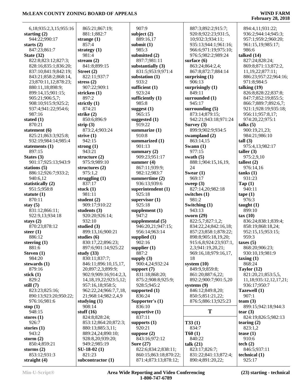### **February 28, 2018**

| 6,18;935:2,3,15;955:16                       | 865:                |
|----------------------------------------------|---------------------|
| starting $(2)$<br>944:22;990:17              | 881:                |
| starts $(2)$                                 | strang<br>857:      |
| 847:23;861:7                                 | strateg             |
| <b>State (32)</b><br>822:8;823:12;827:3;     | 981:<br>stream      |
| 828:16;835:1;836:20;                         | 841:                |
| 837:10;841:9;842:19;                         | <b>Street</b>       |
| 843:21;858:2;868:14,<br>23;870:11,12;878:23; | 822:<br>stress      |
| 880:11,18;898:9;                             | 907:                |
| 899:14,15;901:15;<br>905:21;906:5,7;         | stricke<br>897:     |
| 908:10;915:9;925:2;                          | strictly            |
| 937:4;941:22;954:6;                          | 874:                |
| 987:16<br>stated (1)                         | strike<br>850:      |
| 870:21                                       | strip (             |
| statement (6)                                | 873:                |
| 825:21;863:3;925:8;<br>932:19;984:14;985:4   | strive<br>942:      |
| statements (1)                               | strong              |
| 897:15                                       | 943:                |
| States (3)<br>901:17;925:13;943:9            | structu<br>975:     |
| stations (5)                                 | structu             |
| 886:12;926:7;933:2;                          | 975:                |
| 940:6,12<br>statistically (2)                | strugg<br>837:      |
| 951:5;958:8                                  | stuck (             |
| statute (1)                                  | 981:                |
| 870:11<br>stay $(5)$                         | studen<br>909:      |
| 831:12;866:11;                               | studen              |
| 922:9,13;934:18                              | 920:                |
| stays $(2)$<br>870:23;878:12                 | 932:<br>studie      |
| steer $(1)$                                  | 899:                |
| 886:12                                       | studies             |
| steering (1)<br>881:6                        | 830:<br>897:        |
| Steven (1)                                   | study               |
| 984:20                                       | 830:                |
| stewards (1)<br>879:16                       | 846:<br>20;8        |
| stick $(1)$                                  | 902:                |
| 829:2                                        | 14,1                |
| still $(7)$<br>823:23;825:16;                | 957:<br>962:        |
| 890:13;923:20;950:22;                        | 21;9                |
| 976:16;981:6                                 | studyi              |
| stop $(1)$<br>948:15                         | 908:<br>stuff $(1)$ |
| stores $(1)$                                 | 824:                |
| 926:7                                        | 853:                |
| stories (1)<br>943:2                         | 880:<br>889:        |
| storm $(2)$                                  | 928:                |
| 850:4;859:21                                 | 949:                |
| storms $(2)$<br>853:12;931:3                 | SU-18<br>821:       |
| straight $(4)$                               | subcor              |

 865:21;867:19; 881:1;882:7 **strange (1)** 857:4 **strategy (1)** 981:4 **stream (2)** 841:8;899:15 **Street (2)** 822:11;937:7 **ss** (2) 907:22;909:1 **sken** (1)  $97:2$ **stly** (1) 874:21 **strike (2)** 850:6;896:9 **strip (3)** 873:2,4;903:24 **strive (1)** 942:15 **ng** (1) 943:21 **sture** (2) 975:9;989:10 **structures (2)** 975:1,2 **struggling (1)** 837:17 **k** (1) 981:11 **lent** (2) 909:17;910:22  $lents (3)$  920:20;926:14; 932:10 **studied (3)** 899:13,16;900:21 **ies** (6) 830:17,22;896:23; 897:6;901:14;925:22 **study (33)** 830:11;837:7; 846:11;896:10,15,17, 20;897:2,3;899:9; 902:9;909:16;914:2,3, 14,18,19,22;923:5,12; 957:16,18;958:5; 962:22,24;966:7,7,18, 21;968:14;982:2,4,9  $\lim g(1)$  908:14 **stuff (16)** 824:8;828:24; 853:12;864:20;872:3; 880:13;885:3,11; 889:24,24;890:10; 928:8,20;939:20; 949:2;985:19 **SU-18-02 (1)** 821:23 **subcontractor (1)**

 907:9 **subject (2)** 889:16,17 **submit (1)** 985:3 **submitted (2)** 897:7;981:11 **substantially (3)** 831:5;953:9;971:4 **substation (1)** 933:2 **sufficient (1)** 923:24 **sufficiently (1)** 985:8 **suggest (1)** 965:15 **suggested (1)** 919:22 **summarize (1)** 910:8 **summarized (1)** 901:13 **summary (2)** 909:23;951:17 **summer (4)** 867:11;939:9; 982:12;983:7 **summertime (2)** 936:13;939:6 **superintendent (1)** 925:18 **supervisor (1)** 925:18 **supplement (1)** 947:2 **supplemental (5)** 946:20,21;947:15; 956:14;963:14 **supplied (1)** 902:16 **supplier (1)** 887:2 **supply (3)** 900:4,24;932:24 **support (7)** 831:18;868:20; 875:2;908:8;925:9; 928:5;945:2 **supported (1)** 836:24 **Supporter's (1)** 836:10 **supportive (1)** 837:11 **supports (1)** 920:21 **suppose (2)** 843:16;972:12 **Sure (27)** 822:6;834:2;838:11; 860:15;863:18;870:22; 871:4;873:13;878:12;

 887:3;892:2;915:7; 920:8;922:23;931:5, 10;932:3;934:11; 935:13;944:1;961:16; 966:6;971:19;975:10; 976:5;982:2;989:24 **surface (6)** 863:24;864:2,4; 867:8;872:7;884:14 **surprising (1)** 906:13 **surprisingly (1)** 849:11 **surrounded (1)** 945:17 **surrounding (5)** 873:14;879:15; 942:21;943:18;971:24 **Survey (3)** 899:9;902:9;934:5 **swampland (2)** 863:14,15 **Swann (1)** 977:15 **swath (5)** 888:1;904:15,16,19, 24 **Swear (1)** 969:17 **sweep (3)** 827:14,20;982:18 **switches (1)** 981:2 **Switching (1)** 943:13 **sworn (29)** 822:5,7;827:1,2; 834:22,24;842:16,18; 857:23;858:1;878:22; 898:8;905:18,19,20; 915:6,8;924:23;937:1, 2,3;941:19,20,21; 969:16,18;979:16,17, 18 **system (10)** 849:9,9;859:8; 861:20;887:6,22; 892:2;900:7;901:5,20 **systems (9)** 846:12;849:8,20; 850:5;851:21,22; 876:5;886:13;925:23  $\bf{T}$   $\qquad$   $\bf{t}$ **T33 (1)** 834:7 **T60 (1)** 840:22 **talk (21)** 823:17;826:7; 831:22;841:13;872:4; 890:4;891:20,22; **technical (1)**

 894:4,11;931:22; 936:2;944:14;945:3; 957:1;959:2;960:20; 961:15,19;985:17; 986:6 **talked (14)** 827:24;828:24; 869:8;871:13;872:2, 11,19,22;877:11; 886:23;957:22;964:16; 971:8;984:5 **talking (19)** 826:8;828:22;837:8; 847:7;852:19;855:5; 866:7;889:7;892:6,7; 921:1;928:19;935:18; 956:11;957:8,17; 974:20,22;975:1 **talks (5)** 900:19,21,23; 984:21;986:10 **tall (3)** 975:4,13;982:17 **taller (3)** 975:2,9,10 **tallest (2)** 976:14,16 **tanks (1)** 931:23 **Tap (1)** 940:11 **tape (1)** 976:3 **taught (1)** 899:10 **tax (10)** 836:24;838:1;839:4; 858:19;868:18,24; 952:15,15;953:15; 959:3 **taxes (5)** 868:20;906:23; 930:10,19;981:9 **taxing (1)** 868:24 **Taylor (12)** 821:20,21;853:5,5, 11,18;935:12,12,17,21; 936:17;950:7 **Tazewell (1)** 907:1 **team (3)** 899:15;942:18;944:3 **tear (3)** 824:19;826:5;982:13 **tearing (2)** 823:1,2 **tease (1)** 910:6 **tech (2)** 846:5;937:11

925:17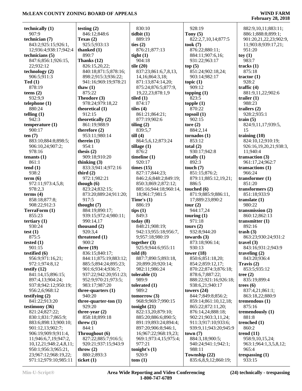| technically (1)               | testing $(2)$           | 830:10                | 928:19                | 882:9,10,11;883:11;    |
|-------------------------------|-------------------------|-----------------------|-----------------------|------------------------|
| 907:9                         | 846:12;848:6            | tidbit(1)             | Tony $(5)$            | 886:1;888:8;899:1;     |
| technician (7)                | Texas $(2)$             | 889:19                | 822:2,7,10,14;877:5   | 901:20,21,22,23;902:9, |
| 843:2;925:15;926:1,           | 925:5;933:13            | ties $(2)$            | took(7)               | 11;903:8;939:17,21;    |
| 12;936:4;938:17;942:4         | thanked $(1)$           | 876:21;877:13         | 876:22;880:11;        | 951:20                 |
|                               |                         |                       |                       |                        |
| technicians (5)               | 890:7                   | tight $(1)$           | 884:11;907:6,16;      | toy(1)                 |
| 847:6;856:1;926:15,           | Thanks (12)             | 904:18                | 931:22;963:17         | 983:7                  |
| 22;932:12                     | 826:15,20,22;           | tile $(20)$           | top(5)                | tracks $(1)$           |
| technology $(2)$              | 840:18;871:5;878:16;    | 837:23;861:6,7,8,13,  | 851:24;902:18,24;     | 875:18                 |
| 906:5:911:3                   | 898:2;915:3;936:22;     | 14, 16; 864: 3, 18;   | 903:14;982:17         | tractor $(1)$          |
| Ted(1)                        | 941:16;969:19;978:21    | 871:13;874:14,20;     | topic $(1)$           | 928:2                  |
| 878:19                        | thaw $(1)$              | 875:24;876:5;877:9,   | 909:12                | traffic $(4)$          |
| teens $(2)$                   | 875:22                  | 19,22,23;878:1,9      | topping $(1)$         | 881:9,11,22;902:6      |
| 932:9,9                       | Theodore (3)            | tiled $(1)$           | 823:5                 | trailer $(1)$          |
| telephone $(1)$               | 978:24;979:18,22        | 874:17                | topple(1)             | 988:23                 |
| 880:24                        | theoretical (1)         | tiles $(4)$           | 870:22                | trailers $(2)$         |
|                               |                         |                       |                       |                        |
| telling $(1)$                 | 912:15                  | 861:21;864:21;        | topsoil(1)            | 928:2;935:1            |
| 942:3                         | theoretically (2)       | 877:19;902:6          | 902:15                | train $(5)$            |
| temperature $(1)$             | 861:19;988:9            | tiling $(2)$          | tore $(2)$            | 824:9,11,17;939:5,     |
| 900:17                        | therefore (2)           | 839:5,7               | 884:2,14              | 15                     |
| ten $(7)$                     | 953:11:980:14           | till(4)               | tornados(1)           | training $(10)$        |
| 883:10;884:8;898:5;           | therein $(1)$           | 864:5,6,12;873:24     | 853:12                | 824:10,12;910:19;      |
| 906:10,24;907:2;              | 954:1                   | tillage $(1)$         | total $(2)$           | 926:16,19,20,21;938:3, |
| 978:16                        | thesis $(2)$            | 876:2                 | 930:17;942:8          | 11;940:4               |
| tenants $(1)$                 | 909:18;910:20           | timeline $(1)$        | totally $(1)$         | transaction $(3)$      |
|                               |                         |                       | 892:3                 | 961:17,24;962:7        |
| 861:1                         | thinking $(3)$          | 920:17                |                       |                        |
| tend(1)                       | 833:3;941:4;972:16      | times $(15)$          | touch $(7)$           | transactions $(1)$     |
| 938:2                         | third $(2)$             | 827:17;844:23;        | 851:15;876:2;         | 966:24                 |
| term (6)                      | 972:1;982:21            | 846:2,6;848:2;849:19; | 879:11;885:12,19,21;  | transformer $(1)$      |
| 972:11;973:4,5,8;             | though $(6)$            | 850:3;869:2;872:12;   | 886:5                 | 851:20                 |
| 978:2,3                       | 823:24;832:15;          | 885:16;944:18;960:14, | touched $(6)$         | transformers $(2)$     |
| terms $(4)$                   | 873:20;889:24;911:20;   | 18;961:7;981:5        | 871:9;885:9;886:11,   | 851:18;933:9           |
| 858:18;877:8;                 | 917:5                   | Time's $(1)$          | 17;889:23;890:2       | translate $(1)$        |
| 908:22;912:3                  | thought $(7)$           | 886:19                | tour (2)              | 980:22                 |
| TerraForm (1)                 | 884:19;890:17;          | tips $(1)$            | 944:17,24             | transmission $(2)$     |
| 855:23                        | 939:15;972:4;980:11;    | 849:3                 | touring $(1)$         | 860:12;862:13          |
|                               |                         |                       |                       |                        |
| tertiary $(1)$                | 990:14,17               | today $(8)$           | 971:18                | transmitter $(1)$      |
| 930:24                        | thousand $(2)$          | 848:21;908:19;        | tours $(2)$           | 892:16                 |
| test $(1)$                    | 920:3,4                 | 942:13;955:18;956:7,  | 932:8;944:20          | $\text{trash}(3)$      |
| 875:5                         | threatened (1)          | 9;957:18;980:19       | towards $(3)$         | 863:23;930:24;931:2    |
| tested $(1)$                  | 900:2                   | together $(3)$        | 873:18;906:14;        | travel $(3)$           |
| 901:15                        | three $(19)$            | 925:9;944:6;955:11    | 930:13                | 843:16;931:2;943:9     |
| testified (6)                 | 836:15;840:17;          | told(8)               | tower $(18)$          | traveling $(2)$        |
| 956:9;971:16,21;              | 844:11;875:19;883:12;   | 887:7;890:5;893:18,   | 850:6;851:18,20;      | 843:20;936:4           |
| 972:1;974:8,12                | 885:5;894:24;895:23;    | 20;899:20;920:14;     | 854:2;859:12,17;      | Travis $(2)$           |
| testify $(12)$                | 901:6;934:4;936:7;      | 982:11:986:24         | 870:22;874:3;876:18;  | 853:5;935:12           |
| 841:14,15;896:15;             | 937:22;942:20;951:23;   | tolerable $(1)$       | 878:6,7;887:22;       | tree $(2)$             |
| 897:4,13;904:24;              |                         | 989:9                 |                       | 835:19;899:4           |
|                               | 952:9;970:21;973:5;     |                       | 888:22;921:16;926:18; |                        |
| 937:8;942:12;950:19;          | 983:17;987:20           | tolerated $(1)$       | 938:6,21;940:17       | trees $(6)$            |
| 956:2,6;968:12                | three-quarters $(1)$    | 989:2                 | towers $(24)$         | 837:4,21;861:1;        |
| testifying $(2)$              | 940:20                  | tomorrow(3)           | 844:7;849:8;856:2;    | 863:18,22;880:9        |
| 841:22;913:20                 | three-quarter-ton $(1)$ | 968:9;969:7;990:15    | 859:14;861:10,12,18;  | tremendous (1)         |
| testimony (36)                | 929:20                  | tonight $(21)$        | 865:22;872:11,20;     | 875:16                 |
| 821:24;827:22;                | three-year $(2)$        | 822:13,20;879:10;     | 876:14,24;888:18;     | tremendously (1)       |
| 830:1;831:7;865:9;            | 858:18;899:18           | 885:20;886:6;890:5;   | 902:21;903:3,11,24;   | 881:8                  |
| 883:6;898:13;900:10;          | threw $(1)$             | 891:19;893:24;894:4;  | 911:3;917:10;933:6;   | trenched $(1)$         |
| 901:12,13;902:7;              | 844:1                   | 897:20;906:8;946:1,   | 939:9,11;943:20;945:9 | 860:2                  |
| 906:19;909:9;911:4,           | Throughout (6)          | 16;967:22;968:19,23;  | town(7)               | trend $(11)$           |
| 11;946:6,7,19;947:2,          | 827:22;885:7;916:5;     | 969:1;973:4,15;975:4; | 884:3,18;900:5;       | 958:9,10,15,24;        |
|                               |                         |                       |                       |                        |
| 10, 12, 21; 948: 2, 4, 8, 11; | 920:21;937:15;943:9     | 977:21                | 940:24;941:1;942:1;   | 963:1;964:1,3,5,8,12;  |
| 950:1;956:3;965:21,           | throw $(2)$             | tonight's $(1)$       | 988:11                | 965:4                  |
| 23;967:12;968:19,22;          | 880:2;893:3             | 920:9                 | Township (22)         | trespassing $(1)$      |
| 971:12;979:10;985:11          | ticket $(1)$            | tons(1)               | 835:6,8,9,12;860:19;  | 933:15                 |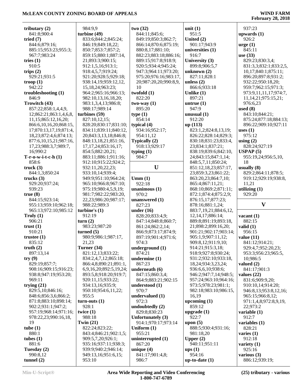| tributary $(2)$             | 984:9,9                       | two(32)                  | unit $(1)$                 | 937:23                          |
|-----------------------------|-------------------------------|--------------------------|----------------------------|---------------------------------|
| 841:8;900:4                 | turbine (49)                  | 844:11;845:6;            | 951:5                      | upwards $(1)$                   |
| tried $(7)$                 | 833:6;844:2;845:24;           | 849:19;850:3;862:7;      | United $(2)$               | 926:2                           |
| 844:6;879:16;               | 846:19;849:18,22;             | 866:14;870:6;875:19;     | 901:17;943:9               | $\text{urge} (1)$               |
| 885:15;953:23;955:3;        | 850:7;853:7;857:2;            | 880:8,17;881:10;         | universities (1)           | 845:11                          |
| 967:7;983:24                | 859:15;880:1;887:14,          | 882:23;883:18;886:16;    | 916:7                      | use $(33)$                      |
| tries $(1)$                 | 21;893:3;900:15;              | 889:15;917:8;918:9;      | University (3)             | 829:23;830:3,4;                 |
|                             |                               |                          |                            |                                 |
| 910:5                       | 912:1,5,16;913:1;             | 920:5;934:4;945:24;      | 899:8;906:5,7              | 831:3,3;832:1;833:2,5,          |
| trips $(2)$                 | 918:4,5,7;919:24;             | 947:3;964:11;973:20;     | unknown $(2)$              | 10,17;840:1;875:11;             |
| 929:21;931:5                | 921:20;928:5;929:18;          | 975:20;976:16;983:17,    | 827:11;828:1               | 896:20;897:8;931:2;             |
| $\textbf{t}$ roop $(1)$     | 938:14,19;959:12,12,          | 20;987:20,20;990:8,9,    | unless $(2)$               | 932:22;950:18,20;               |
| 942:22                      | 15,18,24;963:23;              | 10                       | 866:6;933:18               | 959:7;962:15;971:3;             |
| troubleshooting (1)         | 964:2;965:16;966:13;          | twofold $(1)$            | Unlike $(1)$               | 973:9,11,11,17;974:7,           |
| 846:9                       | 982:10,13,16,18,20;           | 822:20                   | 897:21                     | 11, 14, 21; 975: 15, 21;        |
| Trowitch (43)               | 983:1,3,4,13;986:8;           | $two-way(1)$             | untrue $(1)$               | 976:6,23                        |
|                             |                               |                          |                            |                                 |
| 857:22;858:1,4,4,9,         | 988:17;989:14                 | 895:20                   | 947:9                      | used $(8)$                      |
| 12;862:21;863:1,4,6,8,      | turbines (59)                 | type(1)                  | unusual $(1)$              | 843:10;844:21;                  |
| 11,15;865:12,16,20;         | 827:10,12,15;                 | 854:14                   | 912:20                     | 875:24;877:18;884:13;           |
| 866:6,10,16,20;868:15,      | 828:20;830:17;831:10;         | typical $(4)$            | up(113)                    | 896:22;909:10;927:11            |
| 17;870:13,17,19;871:4,      | 834:11;839:11;840:12,         | 934:16;952:17;           | 823:1,2;824:8,13,19;       | uses $(1)$                      |
| 18, 23; 872: 4, 6; 874: 13; | 20;843:3,13,18;846:8;         | 954:11,12                | 826:22;828:14;829:3;       | 975:12                          |
| 877:6,10,15,21;987:16,      | 848:13,18,21;851:16,          | Typically (2)            | 830:18;831:23;833:4,       | using $(2)$                     |
|                             |                               |                          |                            |                                 |
| 17,23;988:3,7;989:7,        | 17, 17, 24; 853: 16, 17;      | 918:13;929:17            | 23;834:1;837:21;           | 828:24;927:19                   |
| 16;990:2                    | 854:5;882:20,21;              | typing $(1)$             | 838:19;839:6;842:10,       | USPAP(5)                        |
| $T-r-o-w-i-t-c-h(1)$        | 883:11;886:1;911:16;          | 984:7                    | 24;843:15;847:1,14;        | 955:19,24;956:5,10,             |
| 858:6                       | 912:10;915:22;924:2;          |                          | 848:5,7,11;850:24;         | 18                              |
| truek(3)                    | 932:11,20,22,23;              | U                        | 851:12,18,23;857:17,       | usually $(8)$                   |
| 844:1,3;850:24              | 933:10,14;939:4;              |                          | 23;859:3,23;861:22;        | 829:2;864:11;878:5;             |
| trucks $(3)$                | 949:9;951:10;964:24;          | Umm(1)                   | 863:20,23;864:7,10;        | 919:12;929:19;938:8,            |
| 929:20;937:24;              | 965:10;966:8;967:10;          | 922:18                   | 865:4;867:11,21;           | 11,21                           |
|                             |                               |                          |                            |                                 |
| 939:23                      | 975:19;980:4,5,9,19;          | unanimous $(1)$          | 868:10;869:2;871:11;       | utilizing $(1)$                 |
| true(8)                     | 981:7;982:22;983:20,          | 970:2                    | 872:1;874:4;875:2,9;       | 929:20                          |
|                             |                               |                          |                            |                                 |
| 844:15;923:14;              | 22,23;986:20;987:17;          | unanswered $(1)$         | 876:15,17;877:23;          |                                 |
| 955:13;959:10;962:18;       | 988:22;989:3                  | 827:23                   | 878:16;881:1,24;           | $\mathbf{V}$                    |
|                             |                               |                          |                            |                                 |
| 965:13;972:10;985:12        | turbine's $(1)$               | under $(16)$             | 883:7,19,21;884:6,12,      |                                 |
| Truly $(1)$                 | 912:19                        | 828:20;833:4,9;          | 12,14,17;886:14;           | vacant $(1)$                    |
| 906:21                      | turn(2)                       | 847:14;848:8;860:7;      | 889:8;891:19;893:18,       | 882:15                          |
| trust $(1)$                 | 983:23:987:20                 | 861:24;862:2,14;         | 21;898:2;899:16,20;        | valid $(1)$                     |
| 910:21                      | turned $(5)$                  | 866:9;873:17;874:9;      | 901:21;902:17;903:14;      | 956:15                          |
| trustee $(1)$               | 980:9;986:1;987:17,           | 897:19;901:4;971:6;      | 905:1,9;907:11,12;         | value $(11)$                    |
| 835:12                      | 21,23                         | 974:3                    | 909:8,12;911:9,10;         | 841:12;914:21;                  |
| truth $(2)$                 | Turner (34)                   | underground $(1)$        | 914:21;915:3,18;           | 929:4,7;952:20,23;              |
| 897:13,14                   |                               | 874:21                   | 918:9;927:8;930:24;        |                                 |
|                             | 821:12,13;833:22;             |                          |                            | 953:3;956:23;965:5,             |
| try(9)                      | 834:2,4,7,12;865:18;          | undermine $(1)$          | 931:2;932:10;933:18,       | 10:986:5                        |
| 829:19;857:7;               | 866:4,8;890:21;891:1,         | 867:23                   | 18,24;934:3,23,24;         | valued $(2)$                    |
| 908:16;909:15;916:23;       | 6,9,16,20;892:5,19,24;        | underneath (6)           | 936:6,6,10;938:6;          | 841:17;901:3                    |
| 938:8;947:19;953:20;        | 893:5,8;918:20;919:7;         | 847:15;860:3,4;          | 946:2;947:7,14;948:5;      | values $(22)$                   |
| 969:11                      | 920:11,15;933:22;             | 864:9;883:21;902:15      | 957:24;963:10;964:16;      | 831:6;909:9,20;                 |
| trying $(21)$               | 934:13,16;935:9;              | understood (1)           | 973:5;978:23;981:1;        | 910:10,14;914:20;               |
| 829:5,10;846:16;            | 950:10;954:6,11,22;           | 970:7                    | 982:18;983:10;986:15,      | 946:8,13;953:8,12,16;           |
| 848:6;856:3,6;866:2;        | 955:5                         | undervalued (1)          | 16,19                      | 965:15;966:8,12;                |
|                             |                               | 972:3                    |                            |                                 |
| 871:8;883:10;898:14;        | $turn-outs(1)$                |                          | upcoming $(1)$             | 971:1,4,8;972:8,9,19,           |
| 902:2;931:1;947:2;          | 928:1                         | undoubtedly (2)          | 859:12                     | 22;973:2                        |
| 957:19;968:14;971:16;       | twice $(1)$                   | 829:8;830:23             | upgrade $(1)$              | variable $(1)$                  |
| 978:22,23;990:16,18,        | 988:18                        | Unfortunately (3)        | 922:7                      | 912:7                           |
| 19                          | Twin $(21)$                   | 914:1;970:17;973:14      | upon $(5)$                 | variables (1)                   |
| tube $(1)$                  | 822:24;823:22;                | Uniform $(1)$            | 888:5;930:4;931:16;        | 828:21                          |
| 880:1                       | 843:4;846:21;902:1,5;         | 955:21                   | 981:18,20                  | varies $(1)$                    |
| tubes $(1)$                 | 909:5,7,20;926:1;             | uninterrupted $(1)$      | Upper $(2)$                | 912:18                          |
| 881:6                       | 935:16;937:11;938:3;          | 867:20                   | 940:11;951:11              | variety $(1)$                   |
|                             | 939:9;940:2;946:14;           |                          |                            | 925:16                          |
| Tuesday (2)                 |                               | unique $(4)$             | $_{\text{ups}}(1)$         |                                 |
| 990:8,12<br>tunnel $(2)$    | 949:13,16;951:6,15;<br>953:10 | 841:17;901:4,8;<br>986:7 | 954:16<br>up-to-date $(1)$ | various $(3)$<br>886:12;939:19; |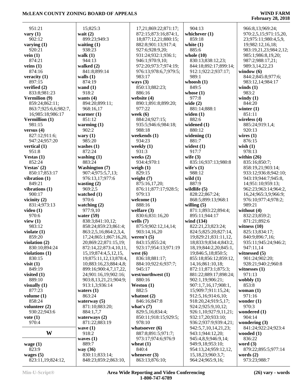| 951:21               | 15;825:3                   | 17,21;869:22;871:17;  | 904:13                      | 966:8,13;969:24;       |
|----------------------|----------------------------|-----------------------|-----------------------------|------------------------|
| vary $(1)$           | wait $(2)$                 | 872:15;873:16;874:1,  | whichever $(1)$             | 970:2,5,15;971:15,20,  |
| 902:12               | 899:23;949:3               | 18;877:12,21;880:15;  | 859:18                      | 23;975:11;980:4,5,9,   |
| varying $(1)$        | waiting $(1)$              | 882:8;901:13;917:4;   | white $(1)$                 | 19;982:12,16,18;       |
| 920:21               | 938:23                     | 927:6;928:9,20;       | 885:6                       | 983:19,21,23;984:2,12; |
|                      | walk $(1)$                 |                       |                             |                        |
| vein $(1)$           |                            | 931:24;932:1;936:1;   | whole $(10)$                | 985:1;986:8,19,20;     |
| 874:21               | 944:13                     | 946:1;970:9,10;       | 830:13;838:12,23;           | 987:2;988:17,21;       |
| veins $(1)$          | walked $(2)$               | 972:20;973:7;974:19;  | 844:18;892:17;899:14;       | 989:3,14,22,23         |
| 874:16               | 841:8;899:14               | 976:13;978:6,7;979:5; | 912:1;922:2;937:17;         | window $(6)$           |
| veracity $(1)$       | walls $(1)$                | 983:17                | 989:1                       | 844:2;845:8;977:6;     |
| 897:15               | 874:19                     | ways $(3)$            | whoosh $(1)$                | 983:12,14;984:17       |
| verified $(2)$       | wand $(1)$                 | 850:13;882:23;        | 849:5                       | winds $(1)$            |
| 833:8;981:23         | 918:2                      | 886:16                | whose $(1)$                 | 983:2                  |
| Vermilion (9)        | wants $(4)$                | website (4)           | 977:8                       | windy $(1)$            |
| 859:24;862:11;       | 894:20;899:11;             | 890:1;891:8;899:20;   | wide $(2)$                  | 844:20                 |
| 863:7;925:6,6;982:7, | 968:16,17                  | 977:22                | 881:14;888:1                | winter $(1)$           |
| 16;985:18;986:17     | warmer $(1)$               | week $(6)$            | widen $(1)$                 | 851:11                 |
| Vermillion (1)       | 851:12                     | 884:24;927:15;        | 882:6                       | wireless (4)           |
| 981:15               |                            | 935:5;946:6;984:18;   | widened $(1)$               | 885:24;919:1,4;        |
|                      | warming $(1)$              |                       |                             |                        |
| versus $(4)$         | 902:2                      | 988:18                | 880:12                      | 920:13                 |
| 827:12;911:6;        | wary $(1)$                 | weekends (1)          | widening $(1)$              | wires $(1)$            |
| 947:24;957:20        | 985:20                     | 934:23                | 881:7                       | 876:15                 |
| vertical $(1)$       | washes $(1)$               | weekly $(1)$          | widest $(1)$                | wish $(1)$             |
| 951:8                | 872:24                     | 931:3                 | 917:7                       | 978:13                 |
| Vestas $(1)$         | washing $(1)$              | weeks $(2)$           | wife $(3)$                  | within $(26)$          |
| 852:24               | 883:24                     | 934:4;970:1           | 835:16;937:13;980:8         | 835:16;850:7;          |
| Vestas' $(2)$        | <b>Washington</b> (7)      | weigh $(1)$           | wife's $(1)$                | 858:19,21;903:14;      |
| 850:17;853:17        | 907:4;975:5,7,13;          | 829:15                | 988:12                      | 933:12;936:8;942:10;   |
| vibration $(1)$      | 976:13,17;977:6            | weight $(7)$          | wild $(1)$                  | 943:19;944:7;945:8,    |
| 849:21               | wasting $(2)$              | 875:16,17,20;         | 887:9                       | 14;951:10;959:13;      |
| vibrations $(1)$     | 969:2,5                    | 876:11;877:17;928:5;  | wildlife $(5)$              | 962:23;963:14;964:2,   |
| 900:17               | watched (1)                | 979:13                | 828:22;867:24;              | 16,24;965:3,9;966:9;   |
| vicinity $(2)$       | 970:6                      | welcome $(1)$         | 868:5;899:13;968:1          | 976:10;977:4;978:2;    |
| 831:4;973:13         | watching $(2)$             | 888:16                | willing $(5)$               | 989:21                 |
| video $(1)$          | 977:9,10                   | welfare $(3)$         | 871:1;893:22;894:4;         | without $(4)$          |
| 970:6                | water $(59)$               | 830:6;831:16,20       | 895:11;944:17               | 832:23;859:2;          |
| view $(1)$           | 838:3;841:10,12;           | wells $(7)$           | wind (134)                  | 871:21;892:6           |
| 983:12               | 858:24;859:23;861:4;       | 875:9:902:12,14,14;   | 822:21,23;823:24;           | witness $(10)$         |
|                      |                            |                       | 824:5;825:20;827:14,        |                        |
| violate $(1)$        | 863:2,5,16;864:2,3,4,      | 903:14,16,20          |                             | 825:13;834:17;         |
| 859:20               | 17,24;865:1;867:16,20,     | weren't $(5)$         | 19;829:21;831:11,12,        | 840:9;896:7,16;        |
| violation $(2)$      | 20;869:22;871:15,19;       | 843:15:855:24:        | 18;833:9;834:4;843:2        | 935:11;945:24;946:2;   |
| 830:10;894:24        | 872:14,22;873:4,10,11,     | 923:17;954:13;971:19  | 18, 19; 844: 2, 20; 845: 1, | 947:11,14              |
| violations $(1)$     | 15, 19; 874: 4, 5, 12, 15, | west $(6)$            | 19;846:5,18;850:5;          | witnessed (5)          |
| 830:15               | 19;875:11,12,13;878:4,     | 836:18;881:17;        | 855:18;856:12;859:12,       | 901:24;902:20;         |
| visit $(1)$          | 10;883:16,23;884:4,8;      | 884:10;922:6;937:7;   | 14,16;861:10,18;            | 928:21;940:2;960:8     |
| 849:19               | 899:16;900:4,7,17,22,      | 945:17                | 872:11;873:1;875:3;         | witnesses $(1)$        |
| visited $(1)$        | 24;901:16,19;902:16;       | west/northwest (1)    | 881:22;889:17;898:24;       | 971:13                 |
| 889:10               | 903:8,13,21,21;904:9;      | 880:16                | 902:1,19;906:21;            | wobbly $(1)$           |
| visually $(1)$       | 913:1,3;936:14             | Weston $(1)$          | 907:1,7,16,17;908:1,        | 853:8                  |
| 877:23               | waters $(1)$               | 882:5                 | 15;909:7;911:15,24;         | woman $(1)$            |
| volume $(1)$         | 863:24                     | whatnot $(2)$         | 912:5,16;914:6,10;          | 971:16                 |
| 858:24               | waterway $(5)$             | 846:16;847:8          | 918:20,24;919:5,17;         | wonder $(1)$           |
| volunteer $(2)$      | 871:10;883:20;             | what's $(7)$          | 924:2;925:9,10,12;          | 970:3                  |
| 930:22;943:6         | 884:1,7,7                  | 829:5,16;834:4;       | 926:1,10;927:9,11,21;       | wondered $(1)$         |
| vote $(1)$           | waterways $(2)$            | 850:11;918:15;929:5;  | 932:17,20;933:10;           | 904:14                 |
| 970:4                | 871:22;883:19              | 978:10                | 936:2;937:9;939:4,21;       | wondering $(3)$        |
|                      | wave $(1)$                 | whatsoever $(6)$      | 942:5,7,10,14,21,23;        | 841:24;922:24;923:4    |
| W                    | 918:2                      | 887:8;891:5;971:7;    | 943:1;944:12,20;            | wooded $(1)$           |
|                      | waves $(1)$                | 973:17;974:6;976:9    | 945:4,8,9;946:9,14;         | 836:22                 |
|                      | 889:7                      |                       | 949:9,18;953:10;            | word $(3)$             |
| wage $(1)$           |                            | wheat $(1)$           |                             |                        |
| 823:9                | way (36)                   | 840:4                 | 954:13,24;959:12,12,        | 879:22;895:5;977:14    |
| wages $(5)$          | 830:11;833:14;             | whenever $(3)$        | 15, 18, 23; 960: 3, 7;      | words $(2)$            |
| 823:11,19;824:12,    | 848:23;859:2;863:10,       | 863:13;876:10;        | 964:24;965:9,16;            | 973:23;988:7           |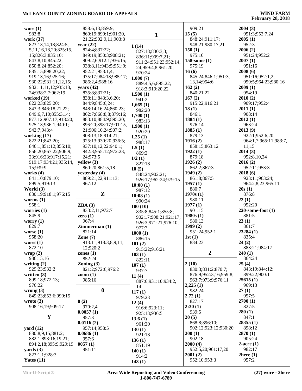| wore $(1)$                             | 858:6,13;859:9;                       |                       | 909:21                  | 2004(3)                |
|----------------------------------------|---------------------------------------|-----------------------|-------------------------|------------------------|
| 983:8                                  | 860:19;899:1;901:20,                  |                       | 15(5)                   | 951:3;952:7,24         |
| work (37)                              | 21,22;902:9,11;903:8                  | $\mathbf{1}$          | 848:24;911:17;          | 2005(1)                |
| 823:13,14,18;824:5,                    | year $(22)$                           |                       | 948:21;980:17,21        | 952:3                  |
| 5, 11, 16, 18, 20; 825: 15,            | 824:4;837:22;                         | 1(14)                 | 150(1)                  | 2006(2)                |
| 15;826:3;835:10;                       | 849:19;850:3;908:21;                  | 827:18;830:3,3;       | 975:10                  | 951:24;952:2           |
| 843:8,10;845:22;                       | 909:2,6;912:1;936:15;                 | 836:11;909:7,21;      | 158-some (1)            | 2007(1)                |
|                                        | 938:8,11;943:5;951:9;                 | 911:24;951:23;952:14, | 975:19                  | 951:16                 |
| 850:8,24;852:20;                       | 952:21;953:1,4;                       | 24;959:4,8;961:20;    | 16(6)                   | 2008(6)                |
| 885:15;898:20,22;<br>919:13,16;925:16; | 975:17;984:18;985:17;                 | 970:24                | 845:24;846:1;951:3,     | 951:16;952:1,2;        |
| 930:22;931:11,12,15;                   | 986:2,4;988:16                        | 1,000(7)              | 13, 14; 954: 6          | 959:5;964:23;980:16    |
| 932:11,11,12;935:18,                   | years $(42)$                          | 889:4,5,6;895:22;     | 162(2)                  | 2009(1)                |
| 24;938:2,7;962:19                      | 835:8;837:21;                         | 918:3;919:20,22       | 840:21,22               | 954:19                 |
| worked $(19)$                          |                                       | 1,500(1)              |                         | 2010(2)                |
| 822:23;825:20;                         | 838:11;843:3,6,20;<br>844:9;845:6,24; | 941:2                 | 167(2)<br>915:22;916:21 | 909:17;952:4           |
| 843:3;846:18,21,22;                    | 848:14,16,24;860:23;                  | 1,665(1)              | 18(1)                   | 2011(1)                |
| 849:6,7,10;855:3,14;                   | 862:7;868:8,8;879:16;                 | 982:20                | 846:1                   | 908:14                 |
| 877:12;907:17;918:20;                  | 883:10;884:9;895:20;                  | 1,700(1)              | 1884(1)                 | 2012(1)                |
|                                        | 896:20;898:17;901:15,                 | 983:13                | 976:14                  | 963:24                 |
| 925:13;936:1;940:1;<br>942:7;943:4     | 21;906:10,24;907:2;                   | 1,900(1)              | 1885(1)                 | 2013(9)                |
| working $(17)$                         | 908:13,18;914:21;                     | 920:20                | 879:13                  | 922:1;952:6,20;        |
| 822:21;843:20;                         | 925:13;930:20;936:5;                  | 1.25(1)               | 1916(2)                 | 964:1,7;965:11;983:7,  |
| 846:1;851:12;855:10;                   | 937:10,12,22;940:1;                   | 988:17                | 858:15;863:12           | 11,15                  |
| 856:20;867:22;906:9,                   | 942:8;955:12;972:23,                  | 1.5(1)                | 1922(1)                 | 2014(3)                |
| 23;916:23;917:15,21;                   | 24;973:5                              | 869:2                 | 879:18                  | 952:8,10,24            |
| 919:17;934:21;935:14,                  | yellow (3)                            | 1/2(1)                | 1926(2)                 | 2016(2)                |
| 15;939:9                               | 860:20;861:5,18                       | 827:18                | 862:2;867:3             | 952:11;953:3           |
| works $(4)$                            | yesterday (4)                         | 10(5)                 | 1949(2)                 | 2018(6)                |
| 841:10;879:10;                         | 889:21,22;911:13;                     | 848:24;902:21;        | 861:8;867:5             | 923:11;963:24;         |
| 899:5;919:13                           | 967:12                                | 926:17;962:24;979:15  | 1957(1)                 | 964:2,8,23;965:11      |
| World $(3)$                            |                                       | 10:00(1)              | 880:7                   | 20s(1)                 |
| 830:19;918:1;976:15                    | $\mathbf{Z}$                          | 987:12                | 1970s(1)                | 876:8                  |
| worms $(1)$                            |                                       | 10:08(1)              | 980:11                  | 22(1)                  |
| 958:1                                  | ZBA(3)                                | 990:24                | 1977(1)                 | 952:20                 |
| worries $(1)$                          | 833:2,11;972:7                        | 100(10)               | 901:15                  | $220$ -some-foot $(1)$ |
| 845:9                                  | zero $(1)$                            | 835:8;845:1;855:8;    | 1980s(1)                | 881:5                  |
| worry $(1)$                            | 967:4                                 | 902:17;908:21;921:17; | 980:13                  | 23(1)                  |
| 829:7                                  | Zimmerman(1)                          | 926:3;971:21;976:10;  | 1999(2)                 | 861:7                  |
| worse $(1)$                            | 821:14                                | 977:7<br>1000(1)      | 951:24;952:1            | 23284(1)               |
| 958:20                                 | Zone $(7)$                            | 886:15                | 1st(1)                  | 835:4                  |
| worst $(1)$                            | 913:11;918:3,8,9,11,                  |                       | 884:23                  | 24(2)                  |
| 872:10                                 | 12;920:2                              | 101(2)                |                         | 883:21;984:17          |
| wrap $(2)$                             | zones $(1)$                           | 915:22;916:21         | $\overline{2}$          | 240(1)                 |
| 986:15,16                              | 852:24                                | 103(1)                |                         | 864:24                 |
| writing $(2)$                          | Zoning $(3)$                          | 822:11<br>107(1)      | 2(10)                   | 25(4)                  |
| 929:23;932:2                           | 821:2;972:6;976:2                     | 937:7                 | 830:3;831:2;870:7;      | 843:19;844:12;         |
| written $(3)$                          | zoom(1)                               | 11(4)                 | 876:9;952:3,16;959:8;   | 899:22;900:1           |
| 899:18;972:13;                         | 985:16                                | 887:6;931:10;934:2,   | 963:7;973:9;976:11      | 25615(1)               |
| 976:22                                 |                                       | 14                    | 2,225(1)                | 969:13                 |
| wrong $(3)$                            | $\boldsymbol{0}$                      | 117(1)                | 982:24                  | 27(1)                  |
| 849:23;853:6;990:15                    |                                       | 979:23                | 2.72(1)                 | 957:5                  |
| wrote $(3)$                            | 0(2)                                  | 12(4)                 | 827:17                  | 2700(1)                |
| 908:16,19;909:17                       | 970:2,4                               | 916:6;923:11;         | 2:30(1)                 | 827:5                  |
|                                        | 0.0057(1)                             | 925:13;936:5          | 939:5                   | 280(1)                 |
| $\mathbf Y$                            | 957:3                                 | 13.6(1)               | 20(5)                   | 847:1                  |
|                                        | 0.0116(2)                             | 961:20                | 868:8;896:10;           | 28355(1)               |
|                                        |                                       |                       |                         |                        |
| yard $(12)$                            | 957:14;958:5                          |                       | 902:12;923:12;930:20    | 898:12                 |
| 880:8,9,15;881:2;                      | 0.0686(1)                             | 130(1)                | 200(1)                  | 2870(1)                |
| 882:1;893:16,19,21;                    | 957:6                                 | 921:18                | 902:18                  | 905:24                 |
| 894:2,18;895:9;929:19                  | 0057(1)                               | 136(1)                | 2000(4)                 | $2$ -acre $(1)$        |
| yards $(3)$                            | 951:11                                | 851:19                | 952:5,20;961:17,20      | 982:17                 |
| 823:1,1;928:3<br>Yates $(11)$          |                                       | 140(1)<br>914:2       | 2001(2)<br>952:10;953:3 | 2here(1)<br>957:2      |